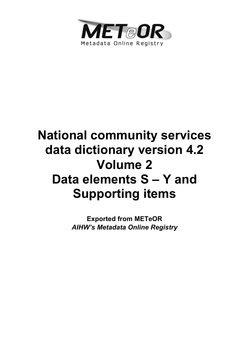

# **National community services data dictionary version 4.2 Volume 2 Data elements S – Y and Supporting items**

**Exported from METeOR**  *AIHW's Metadata Online Registry*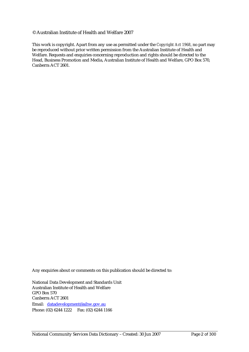#### © Australian Institute of Health and Welfare 2007

This work is copyright. Apart from any use as permitted under the *Copyright Act 1968*, no part may be reproduced without prior written permission from the Australian Institute of Health and Welfare. Requests and enquiries concerning reproduction and rights should be directed to the Head, Business Promotion and Media, Australian Institute of Health and Welfare, GPO Box 570, Canberra ACT 2601.

Any enquiries about or comments on this publication should be directed to:

National Data Development and Standards Unit Australian Institute of Health and Welfare GPO Box 570 Canberra ACT 2601 Email: datadevelopment@aihw.gov.au Phone: (02) 6244 1222 Fax: (02) 6244 1166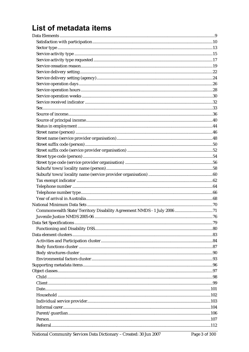## List of metadata items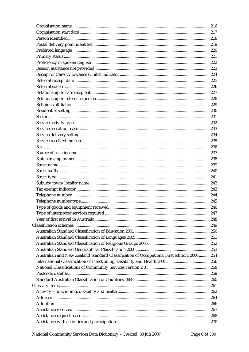| Australian and New Zealand Standard Classification of Occupations, First edition, 2006 254 |  |
|--------------------------------------------------------------------------------------------|--|
|                                                                                            |  |
|                                                                                            |  |
|                                                                                            |  |
|                                                                                            |  |
|                                                                                            |  |
|                                                                                            |  |
|                                                                                            |  |
|                                                                                            |  |
|                                                                                            |  |
|                                                                                            |  |
|                                                                                            |  |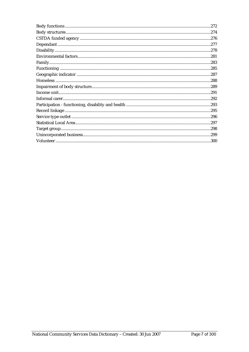| .274 |
|------|
|      |
|      |
|      |
|      |
|      |
|      |
|      |
| .288 |
|      |
| .291 |
|      |
|      |
|      |
|      |
|      |
|      |
|      |
|      |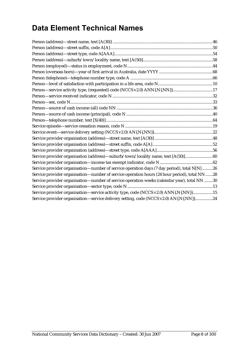### **Data Element Technical Names**

| Service provider organisation (address)-suburb/town/locality name, text [A(50)]60             |  |
|-----------------------------------------------------------------------------------------------|--|
|                                                                                               |  |
| Service provider organisation-number of service operation days (7 day period), total N[N] 26  |  |
| Service provider organisation—number of service operation hours (24 hour period), total NN 28 |  |
| Service provider organisation—number of service operation weeks (calendar year), total NN 30  |  |
|                                                                                               |  |
| Service provider organisation-service activity type, code (NCCS v2.0) ANN{.N{.NN}}15          |  |
| Service provider organisation-service delivery setting, code (NCCS v2.0) AN{.N{.NN}}24        |  |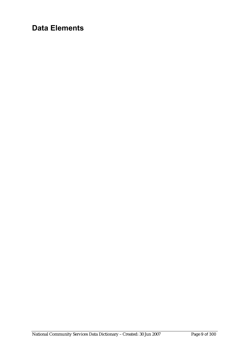### **Data Elements**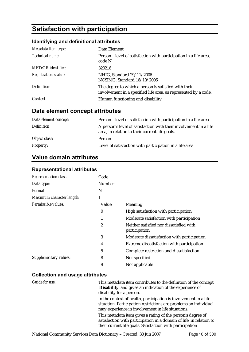### **Satisfaction with participation**

### **Identifying and definitional attributes**

| Metadata item type:         | Data Element                                                                                                            |
|-----------------------------|-------------------------------------------------------------------------------------------------------------------------|
| Technical name:             | Person—level of satisfaction with participation in a life area,<br>code N                                               |
| <b>METeOR</b> identifier:   | 320216                                                                                                                  |
| <b>Registration status:</b> | NHIG, Standard 29/11/2006<br>NCSIMG, Standard 16/10/2006                                                                |
| Definition:                 | The degree to which a person is satisfied with their<br>involvement in a specified life area, as represented by a code. |
| Context:                    | Human functioning and disability                                                                                        |

### **Data element concept attributes**

| Data element concept: | Person-level of satisfaction with participation in a life area                                                      |
|-----------------------|---------------------------------------------------------------------------------------------------------------------|
| Definition:           | A person's level of satisfaction with their involvement in a life<br>area, in relation to their current life goals. |
| Object class:         | Person                                                                                                              |
| <b>Property:</b>      | Level of satisfaction with participation in a life area                                                             |

### **Value domain attributes**

#### **Representational attributes**

| <b>Representation class:</b> | Code     |                                                          |
|------------------------------|----------|----------------------------------------------------------|
| Data type:                   | Number   |                                                          |
| Format:                      | N        |                                                          |
| Maximum character length:    | 1        |                                                          |
| Permissible values:          | Value    | Meaning                                                  |
|                              | $\bf{0}$ | High satisfaction with participation                     |
|                              | 1        | Moderate satisfaction with participation                 |
|                              | 2        | Neither satisfied nor dissatisfied with<br>participation |
|                              | 3        | Moderate dissatisfaction with participation              |
|                              | 4        | Extreme dissatisfaction with participation               |
|                              | 5        | Complete restriction and dissatisfaction                 |
| Supplementary values:        | 8        | Not specified                                            |
|                              | 9        | Not applicable                                           |

| Guide for use: | This metadata item contributes to the definition of the concept<br>'Disability' and gives an indication of the experience of<br>disability for a person.                                        |
|----------------|-------------------------------------------------------------------------------------------------------------------------------------------------------------------------------------------------|
|                | In the context of health, participation is involvement in a life<br>situation. Participation restrictions are problems an individual<br>may experience in involvement in life situations.       |
|                | This metadata item gives a rating of the person's degree of<br>satisfaction with participation in a domain of life, in relation to<br>their current life goals. Satisfaction with participation |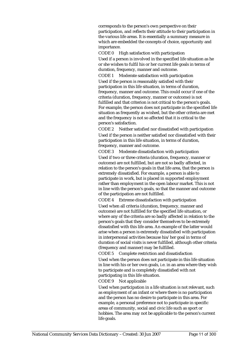corresponds to the person's own perspective on their participation, and reflects their attitude to their participation in the various life areas. It is essentially a summary measure in which are embedded the concepts of choice, opportunity and importance.

CODE 0 High satisfaction with participation Used if a person is involved in the specified life situation as he or she wishes to fulfil his or her current life goals in terms of duration, frequency, manner and outcome.

CODE 1 Moderate satisfaction with participation Used if the person is reasonably satisfied with their participation in this life situation, in terms of duration, frequency, manner and outcome. This could occur if one of the criteria (duration, frequency, manner or outcome) is not fulfilled and that criterion is not critical to the person's goals. For example, the person does not participate in the specified life situation as frequently as wished, but the other criteria are met and the frequency is not so affected that it is critical to the person's satisfaction.

CODE 2 Neither satisfied nor dissatisfied with participation Used if the person is neither satisfied nor dissatisfied with their participation in this life situation, in terms of duration, frequency, manner and outcome.

CODE 3 Moderate dissatisfaction with participation Used if two or three criteria (duration, frequency, manner or outcome) are not fulfilled, but are not so badly affected, in relation to the person's goals in that life area, that the person is extremely dissatisfied. For example, a person is able to participate in work, but is placed in supported employment rather than employment in the open labour market. This is not in line with the person's goals, so that the manner and outcome of the participation are not fulfilled.

CODE 4 Extreme dissatisfaction with participation Used when all criteria (duration, frequency, manner and outcome) are not fulfilled for the specified life situation, or where any of the criteria are so badly affected in relation to the person's goals that they consider themselves to be extremely dissatisfied with this life area. An example of the latter would arise when a person is extremely dissatisfied with participation in interpersonal activities because his/her goal in terms of duration of social visits is never fulfilled, although other criteria (frequency and manner) may be fulfilled.

CODE 5 Complete restriction and dissatisfaction Used when the person does not participate in this life situation in line with his or her own goals, i.e. in an area where they wish to participate and is completely dissatisfied with not participating in this life situation.

CODE 9 Not applicable

Used when participation in a life situation is not relevant, such as employment of an infant or where there is no participation and the person has no desire to participate in this area. For example, a personal preference not to participate in specific areas of community, social and civic life such as sport or hobbies. The area may not be applicable to the person's current life goals.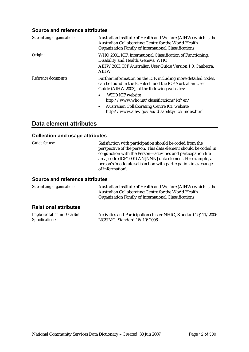#### **Source and reference attributes**

| Submitting organisation: | Australian Institute of Health and Welfare (AIHW) which is the<br>Australian Collaborating Centre for the World Health<br>Organization Family of International Classifications. |
|--------------------------|---------------------------------------------------------------------------------------------------------------------------------------------------------------------------------|
| Origin:                  | WHO 2001. ICF: International Classification of Functioning,<br>Disability and Health. Geneva: WHO                                                                               |
|                          | AIHW 2003. ICF Australian User Guide Version 1.0. Canberra:<br><b>AIHW</b>                                                                                                      |
| Reference documents:     | Further information on the ICF, including more detailed codes,<br>can be found in the ICF itself and the ICF Australian User<br>Guide (AIHW 2003), at the following websites:   |
|                          | <b>WHO ICF website</b><br>http://www.who.int/classifications/icf/en/                                                                                                            |
|                          | <b>Australian Collaborating Centre ICF website</b><br>$\bullet$<br>http://www.aihw.gov.au/disability/icf/index.html                                                             |

#### **Data element attributes**

#### **Collection and usage attributes**

| <i>Guide for use:</i>                  | Satisfaction with participation should be coded from the<br>perspective of the person. This data element should be coded in<br>conjunction with the Person-activities and participation life<br>area, code (ICF 2001) AN[NNN] data element. For example, a<br>person's 'moderate satisfaction with participation in exchange<br>of information'. |
|----------------------------------------|--------------------------------------------------------------------------------------------------------------------------------------------------------------------------------------------------------------------------------------------------------------------------------------------------------------------------------------------------|
| <b>Cource and reference attributes</b> |                                                                                                                                                                                                                                                                                                                                                  |

| Submitting organisation:     | Australian Institute of Health and Welfare (AIHW) which is the<br>Australian Collaborating Centre for the World Health<br>Organization Family of International Classifications. |
|------------------------------|---------------------------------------------------------------------------------------------------------------------------------------------------------------------------------|
| <b>Relational attributes</b> |                                                                                                                                                                                 |

| Implementation in Data Set | Activities and Participation cluster NHIG, Standard 29/11/2006 |
|----------------------------|----------------------------------------------------------------|
| Specifications:            | NCSIMG, Standard 16/10/2006                                    |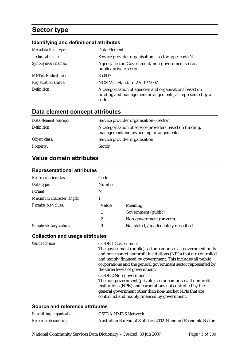### **Sector type**

#### **Identifying and definitional attributes**

| Metadata item type:         | Data Element                                                                                                                 |
|-----------------------------|------------------------------------------------------------------------------------------------------------------------------|
| Technical name:             | Service provider organisation-sector type, code N                                                                            |
| Synonymous names:           | Agency sector, Government/non-government sector,<br>public/private sector                                                    |
| <b>METeOR</b> identifier:   | 350937                                                                                                                       |
| <b>Registration status:</b> | NCSIMG, Standard 27/04/2007                                                                                                  |
| Definition:                 | A categorisation of agencies and organisations based on<br>funding and management arrangements, as represented by a<br>code. |

### **Data element concept attributes**

| Data element concept: | Service provider organisation—sector                                                              |
|-----------------------|---------------------------------------------------------------------------------------------------|
| Definition:           | A categorisation of service providers based on funding,<br>management and ownership arrangements. |
| Object class:         | Service provider organisation                                                                     |
| <b>Property:</b>      | <b>Sector</b>                                                                                     |

### **Value domain attributes**

#### **Representational attributes**

| <b>Representation class:</b> | Code           |                                     |
|------------------------------|----------------|-------------------------------------|
| Data type:                   | <b>Number</b>  |                                     |
| Format:                      | N              |                                     |
| Maximum character length:    |                |                                     |
| Permissible values:          | Value          | Meaning                             |
|                              | 1              | Government (public)                 |
|                              | $\overline{c}$ | Non-government (private)            |
| Supplementary values:        | 9              | Not stated, /inadequately described |

#### **Collection and usage attributes**

| Guide for use:                  | <b>CODE 1 Government</b>                                         |
|---------------------------------|------------------------------------------------------------------|
|                                 | The government (public) sector comprises all government units    |
|                                 | and non-market nonprofit institutions (NPIs) that are controlled |
|                                 | and mainly financed by government. This includes all public      |
|                                 | corporations and the general government sector represented by    |
|                                 | the three levels of government.                                  |
|                                 | <b>CODE 2 Non-government</b>                                     |
|                                 | The non-government (private) sector comprises all nonprofit      |
|                                 | institutions (NPIs) and corporations not controlled by the       |
|                                 | general government other than non-market NPIs that are           |
|                                 | controlled and mainly financed by government.                    |
|                                 |                                                                  |
| Cause and reference officiality |                                                                  |

| Submitting organisation:    | <b>CSTDA NMDS Network</b>                                      |
|-----------------------------|----------------------------------------------------------------|
| <i>Reference documents:</i> | Australian Bureau of Statistics 2002. Standard Economic Sector |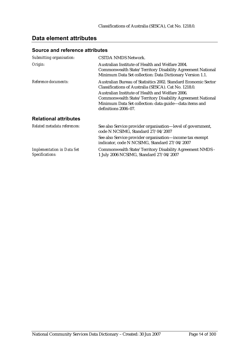#### **Data element attributes**

| Submitting organisation:                             | CSTDA NMDS Network.                                                                                                                                                                                                                                                                                                          |
|------------------------------------------------------|------------------------------------------------------------------------------------------------------------------------------------------------------------------------------------------------------------------------------------------------------------------------------------------------------------------------------|
| Origin:                                              | Australian Institute of Health and Welfare 2004.<br>Commonwealth State/Territory Disability Agreement National<br>Minimum Data Set collection: Data Dictionary Version 1.1.                                                                                                                                                  |
| Reference documents:                                 | Australian Bureau of Statisitics 2002. Standard Economic Sector<br>Classifications of Australia (SESCA). Cat No. 1218.0.<br>Australian Institute of Health and Welfare 2006.<br>Commonwealth State/Territory Disability Agreement National<br>Minimum Data Set collection: data guide-data items and<br>definitions 2006-07. |
| <b>Relational attributes</b>                         |                                                                                                                                                                                                                                                                                                                              |
| Related metadata references:                         | See also Service provider organisation—level of government,<br>code N NCSIMG, Standard 27/04/2007                                                                                                                                                                                                                            |
|                                                      | See also Service provider organisation—income tax exempt<br>indicator, code N NCSIMG, Standard 27/04/2007                                                                                                                                                                                                                    |
| <b>Implementation in Data Set</b><br>Specifications: | Commonwealth State/Territory Disability Agreement NMDS -<br>1 July 2006 NCSIMG, Standard 27/04/2007                                                                                                                                                                                                                          |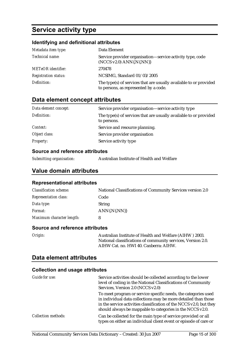### **Service activity type**

#### **Identifying and definitional attributes**

| Metadata item type:         | Data Element                                                                                               |
|-----------------------------|------------------------------------------------------------------------------------------------------------|
| Technical name:             | Service provider organisation-service activity type, code<br>$(NCCS v2.0)$ ANN $\{N\}$ .NN $\}$            |
| <b>METeOR</b> identifier:   | 270478                                                                                                     |
| <b>Registration status:</b> | NCSIMG, Standard 01/03/2005                                                                                |
| Definition:                 | The type(s) of services that are usually available to or provided<br>to persons, as represented by a code. |

#### **Data element concept attributes**

| Data element concept: | Service provider organisation—service activity type                              |
|-----------------------|----------------------------------------------------------------------------------|
| Definition:           | The type(s) of services that are usually available to or provided<br>to persons. |
| Context:              | Service and resource planning.                                                   |
| Object class:         | Service provider organisation                                                    |
| <b>Property:</b>      | Service activity type                                                            |

#### **Source and reference attributes**

| Submitting organisation: | Australian Institute of Health and Welfare |
|--------------------------|--------------------------------------------|
|                          |                                            |

#### **Value domain attributes**

#### **Representational attributes**

| <b>Classification scheme:</b> | National Classifications of Community Services version 2.0 |
|-------------------------------|------------------------------------------------------------|
| <b>Representation class:</b>  | Code                                                       |
| Data type:                    | <b>String</b>                                              |
| <i>Format:</i>                | $ANN\{N\}$                                                 |
| Maximum character length:     |                                                            |

#### **Source and reference attributes**

| Origin: | Australian Institute of Health and Welfare (AIHW) 2003.      |
|---------|--------------------------------------------------------------|
|         | National classifications of community services, Version 2.0. |
|         | AIHW Cat. no. HWI 40. Canberra: AIHW.                        |

#### **Data element attributes**

| Guide for use:             | Service activities should be collected according to the lower<br>level of coding in the National Classifications of Community<br>Services, Version 2.0 (NCCS v2.0)                                                                                                   |
|----------------------------|----------------------------------------------------------------------------------------------------------------------------------------------------------------------------------------------------------------------------------------------------------------------|
|                            | To meet program or service specific needs, the categories used<br>in individual data collections may be more detailed than those<br>in the service activities classification of the NCCS v2.0, but they<br>should always be mappable to categories in the NCCS v2.0. |
| <b>Collection methods:</b> | Can be collected for the main type of service provided or all<br>types on either an individual client event or episode of care or                                                                                                                                    |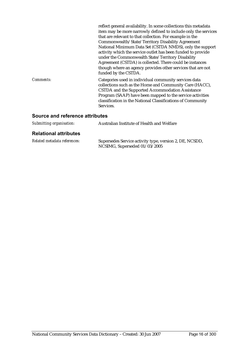|           | reflect general availability. In some collections this metadata<br>item may be more narrowly defined to include only the services<br>that are relevant to that collection. For example in the<br>Commonwealth/State/Territory Disability Agreement<br>National Minimum Data Set (CSTDA NMDS), only the support<br>activity which the service outlet has been funded to provide<br>under the Commonwealth State/Territory Disability<br>Agreement (CSTDA) is collected. There could be instances<br>though where an agency provides other services that are not<br>funded by the CSTDA. |
|-----------|----------------------------------------------------------------------------------------------------------------------------------------------------------------------------------------------------------------------------------------------------------------------------------------------------------------------------------------------------------------------------------------------------------------------------------------------------------------------------------------------------------------------------------------------------------------------------------------|
| Comments: | Categories used in individual community services data<br>collections such as the Home and Community Care (HACC),<br>CSTDA and the Supported Accommodation Assistance<br>Program (SAAP) have been mapped to the service activities<br>classification in the National Classifications of Community<br>Services.                                                                                                                                                                                                                                                                          |

#### **Source and reference attributes**

| Submitting organisation: | Australian Institute of Health and Welfare |
|--------------------------|--------------------------------------------|
|                          |                                            |

#### **Relational attributes**

| Related metadata references: | Supersedes Service activity type, version 2, DE, NCSDD, |
|------------------------------|---------------------------------------------------------|
|                              | NCSIMG, Superseded 01/03/2005                           |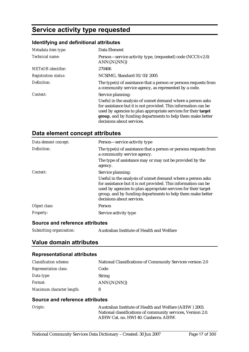### **Service activity type requested**

### **Identifying and definitional attributes**

| Metadata item type:         | Data Element                                                                                                                                                                                                                                                                              |
|-----------------------------|-------------------------------------------------------------------------------------------------------------------------------------------------------------------------------------------------------------------------------------------------------------------------------------------|
| Technical name:             | Person—service activity type, (requested) code (NCCS v2.0)<br>ANN{.N{.NN}}                                                                                                                                                                                                                |
| <b>METeOR</b> identifier:   | 270406                                                                                                                                                                                                                                                                                    |
| <b>Registration status:</b> | NCSIMG, Standard 01/03/2005                                                                                                                                                                                                                                                               |
| Definition:                 | The type(s) of assistance that a person or persons requests from<br>a community service agency, as represented by a code.                                                                                                                                                                 |
| Context:                    | Service planning:                                                                                                                                                                                                                                                                         |
|                             | Useful in the analysis of unmet demand where a person asks<br>for assistance but it is not provided. This information can be<br>used by agencies to plan appropriate services for their target<br>group, and by funding departments to help them make better<br>decisions about services. |

### **Data element concept attributes**

| Person-service activity type                                                                                                                                                                                                                                                              |
|-------------------------------------------------------------------------------------------------------------------------------------------------------------------------------------------------------------------------------------------------------------------------------------------|
| The type(s) of assistance that a person or persons requests from<br>a community service agency.                                                                                                                                                                                           |
| The type of assistance may or may not be provided by the<br>agency.                                                                                                                                                                                                                       |
| Service planning:                                                                                                                                                                                                                                                                         |
| Useful in the analysis of unmet demand where a person asks<br>for assistance but it is not provided. This information can be<br>used by agencies to plan appropriate services for their target<br>group, and by funding departments to help them make better<br>decisions about services. |
| Person                                                                                                                                                                                                                                                                                    |
| Service activity type                                                                                                                                                                                                                                                                     |
|                                                                                                                                                                                                                                                                                           |

#### **Source and reference attributes**

| Submitting organisation: | Australian Institute of Health and Welfare |
|--------------------------|--------------------------------------------|
|--------------------------|--------------------------------------------|

#### **Value domain attributes**

#### **Representational attributes**

| <b>Classification scheme:</b> | National Classifications of Community Services version 2.0 |
|-------------------------------|------------------------------------------------------------|
| <b>Representation class:</b>  | Code                                                       |
| Data type:                    | <b>String</b>                                              |
| <i>Format:</i>                | $ANN\{N\}$                                                 |
| Maximum character length:     |                                                            |

| Origin: | Australian Institute of Health and Welfare (AIHW) 2003.      |
|---------|--------------------------------------------------------------|
|         | National classifications of community services, Version 2.0. |
|         | AIHW Cat. no. HWI 40. Canberra: AIHW.                        |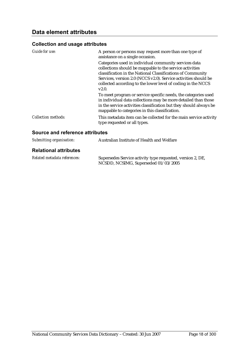| Guide for use:                  | A person or persons may request more than one type of<br>assistance on a single occasion.                                                                                                                                                                                                                                    |
|---------------------------------|------------------------------------------------------------------------------------------------------------------------------------------------------------------------------------------------------------------------------------------------------------------------------------------------------------------------------|
|                                 | Categories used in individual community services data<br>collections should be mappable to the service activities<br>classification in the National Classifications of Community<br>Services, version 2.0 (NCCS v2.0). Service activities should be<br>collected according to the lower level of coding in the NCCS<br>V2.0. |
|                                 | To meet program or service specific needs, the categories used<br>in individual data collections may be more detailed than those<br>in the service activities classification but they should always be<br>mappable to categories in this classification.                                                                     |
| <b>Collection methods:</b>      | This metadata item can be collected for the main service activity<br>type requested or all types.                                                                                                                                                                                                                            |
| Source and reference attributes |                                                                                                                                                                                                                                                                                                                              |

| Submitting organisation:     | Australian Institute of Health and Welfare                                                         |
|------------------------------|----------------------------------------------------------------------------------------------------|
| <b>Relational attributes</b> |                                                                                                    |
| Related metadata references: | Supersedes Service activity type requested, version 2, DE,<br>NCSDD, NCSIMG, Superseded 01/03/2005 |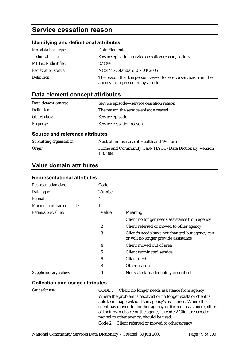### **Service cessation reason**

#### **Identifying and definitional attributes**

| Metadata item type:         | Data Element                                                                                        |
|-----------------------------|-----------------------------------------------------------------------------------------------------|
| <i>Technical name:</i>      | Service episode—service cessation reason, code N                                                    |
| <b>METeOR</b> identifier:   | 270099                                                                                              |
| <b>Registration status:</b> | NCSIMG, Standard 01/03/2005                                                                         |
| Definition:                 | The reason that the person ceased to receive services from the<br>agency, as represented by a code. |

### **Data element concept attributes**

| Data element concept: | Service episode—service cessation reason |
|-----------------------|------------------------------------------|
| Definition:           | The reason the service episode ceased.   |
| Object class:         | Service episode                          |
| <b>Property:</b>      | Service cessation reason                 |

#### **Source and reference attributes**

| Submitting organisation: | Australian Institute of Health and Welfare                         |
|--------------------------|--------------------------------------------------------------------|
| Origin:                  | Home and Community Care (HACC) Data Dictionary Version<br>1.0.1998 |

#### **Value domain attributes**

#### **Representational attributes**

| <b>Representation class:</b> | Code   |                                                                                        |
|------------------------------|--------|----------------------------------------------------------------------------------------|
| Data type:                   | Number |                                                                                        |
| Format:                      | N      |                                                                                        |
| Maximum character length:    | 1      |                                                                                        |
| Permissible values:          | Value  | Meaning                                                                                |
|                              | 1      | Client no longer needs assistance from agency                                          |
|                              | 2      | Client referred or moved to other agency                                               |
|                              | 3      | Client's needs have not changed but agency can<br>or will no longer provide assistance |
|                              | 4      | Client moved out of area                                                               |
|                              | 5      | Client terminated service                                                              |
|                              | 6      | Client died                                                                            |
|                              | 8      | Other reason                                                                           |
| Supplementary values:        | 9      | Not stated/inadequately described                                                      |

| Guide for use: | CODE 1 Client no longer needs assistance from agency             |
|----------------|------------------------------------------------------------------|
|                | Where the problem is resolved or no longer exists or client is   |
|                | able to manage without the agency's assistance. Where the        |
|                | client has moved to another agency or form of assistance (either |
|                | of their own choice or the agency 's) code 2 Client referred or  |
|                | moved to other agency, should be used.                           |
|                | Code 2 Client referred or moved to other agency                  |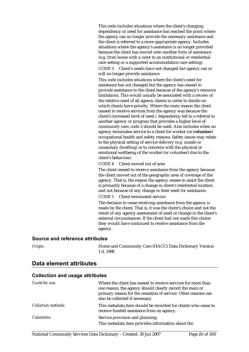This code includes situations where the client's changing dependency or need for assistance has reached the point where the agency can no longer provide the necessary assistance and the client is referred to a more appropriate agency. Includes situations where the agency's assistance is no longer provided because the client has moved onto another form of assistance (e.g. from home with a carer to an institutional or residential care setting or a supported accommodation care setting).

CODE 3 Client's needs have not changed but agency can or will no longer provide assistance

This code includes situations where the client's need for assistance has not changed but the agency has ceased to provide assistance to the client because of the agency's resource limitations. This would usually be associated with a review of the relative need of all agency clients in order to decide on which clients have priority. Where the main reason the client ceased to receive services from the agency was because the client's increased level of need /dependency led to a referral to another agency or program that provides a higher level of community care, code 2 should be used. Also includes when an agency terminates service to a client for worker (or **volunteer**) occupational health and safety reasons. Safety issues may relate to the physical setting of service delivery (e.g. unsafe or unsanitary dwelling) or to concerns with the physical or emotional wellbeing of the worker (or volunteer) due to the client's behaviour.

CODE 4 Client moved out of area

The client ceased to receive assistance from the agency because the client moved out of the geographic area of coverage of the agency. That is, the reason the agency ceases to assist the client is primarily because of a change in client's residential location and not because of any change in their need for assistance. CODE 5 Client terminated service

The decision to cease receiving assistance from the agency is made by the client. That is, it was the client's choice and not the result of any agency assessment of need or change in the client's external circumstances. If the client had not made this choice they would have continued to receive assistance from the agency.

#### **Source and reference attributes**

*Origin:* Home and Community Care (HACC) Data Dictionary Version 1.0, 1998

| Guide for use:      | Where the client has ceased to receive services for more than<br>one reason, the agency should clearly record the main or<br>primary reason for the cessation of service. Other reasons can<br>also be collected if necessary. |
|---------------------|--------------------------------------------------------------------------------------------------------------------------------------------------------------------------------------------------------------------------------|
| Collection methods: | This metadata item should be recorded for clients who cease to<br>receive funded assistance from an agency.                                                                                                                    |
| <i>Comments:</i>    | Service provision and planning:<br>This metadata item provides information about the                                                                                                                                           |
|                     |                                                                                                                                                                                                                                |

#### **Data element attributes**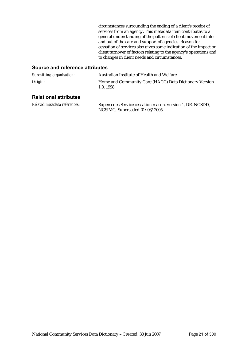circumstances surrounding the ending of a client's receipt of services from an agency. This metadata item contributes to a general understanding of the patterns of client movement into and out of the care and support of agencies. Reason for cessation of services also gives some indication of the impact on client turnover of factors relating to the agency's operations and to changes in client needs and circumstances.

#### **Source and reference attributes**

| Submitting organisation: | Australian Institute of Health and Welfare                         |
|--------------------------|--------------------------------------------------------------------|
| Origin:                  | Home and Community Care (HACC) Data Dictionary Version<br>1.0.1998 |

#### **Relational attributes**

*Related metadata references:* Supersedes Service cessation reason, version 1, DE, NCSDD, NCSIMG, Superseded 01/03/2005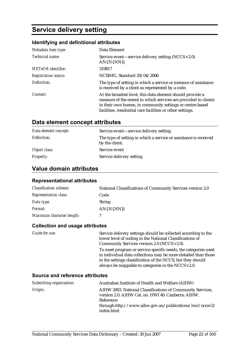### **Service delivery setting**

#### **Identifying and definitional attributes**

| Metadata item type:         | Data Element                                                                                                                                                                                                                                            |
|-----------------------------|---------------------------------------------------------------------------------------------------------------------------------------------------------------------------------------------------------------------------------------------------------|
| Technical name:             | Service event—service delivery setting (NCCS v2.0)<br>$AN{N,NN}$                                                                                                                                                                                        |
| <b>METeOR</b> identifier:   | 319817                                                                                                                                                                                                                                                  |
| <b>Registration status:</b> | NCSIMG, Standard 29/04/2006                                                                                                                                                                                                                             |
| Definition:                 | The type of setting in which a service or instance of assistance<br>is received by a client as represented by a code.                                                                                                                                   |
| Context:                    | At the broadest level, this data element should provide a<br>measure of the extent to which services are provided to clients<br>in their own homes, in community settings or centre-based<br>facilities, residential care facilities or other settings. |

#### **Data element concept attributes**

| Data element concept: | Service event—service delivery setting                                             |
|-----------------------|------------------------------------------------------------------------------------|
| Definition:           | The type of setting in which a service or assistance is received<br>by the client. |
| Object class:         | Service event                                                                      |
| <b>Property:</b>      | Service delivery setting                                                           |

#### **Value domain attributes**

#### **Representational attributes**

| <b>Classification scheme:</b> | National Classifications of Community Services version 2.0 |
|-------------------------------|------------------------------------------------------------|
| <b>Representation class:</b>  | Code                                                       |
| Data type:                    | <b>String</b>                                              |
| <i>Format:</i>                | $AN\{N\}$                                                  |
| Maximum character length:     |                                                            |

#### **Collection and usage attributes**

*Guide for use:* Service delivery settings should be collected according to the lower level of coding in the National Classifications of Community Services version 2.0 (NCCS v2.0). To meet program or service specific needs, the categories used in individual data collections may be more detailed than those in the settings classification of the NCCS, but they should always be mappable to categories in the NCCS v2.0.

| Submitting organisation: | Australian Institute of Health and Welfare (AIHW)                                                                                                                                                      |
|--------------------------|--------------------------------------------------------------------------------------------------------------------------------------------------------------------------------------------------------|
| Origin:                  | AIHW 2003. National Classifications of Community Services,<br>version 2.0. AIHW Cat. no. HWI 40. Canberra: AIHW.<br>Reference<br>through:http://www.aihw.gov.au/publications/hwi/nccsv2/<br>index.html |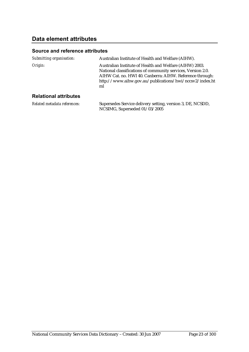#### **Data element attributes**

#### **Source and reference attributes**

| Submitting organisation:     | Australian Institute of Health and Welfare (AIHW).                                                                                                                                                                                                   |
|------------------------------|------------------------------------------------------------------------------------------------------------------------------------------------------------------------------------------------------------------------------------------------------|
| Origin:                      | Australian Institute of Health and Welfare (AIHW) 2003.<br>National classifications of community services, Version 2.0.<br>AIHW Cat. no. HWI 40. Canberra: AIHW. Reference through:<br>http://www.aihw.gov.au/publications/hwi/nccsv2/index.ht<br>ml |
| <b>Relational attributes</b> |                                                                                                                                                                                                                                                      |

*Related metadata references:* Supersedes Service delivery setting, version 3, DE, NCSDD, NCSIMG, Superseded 01/03/2005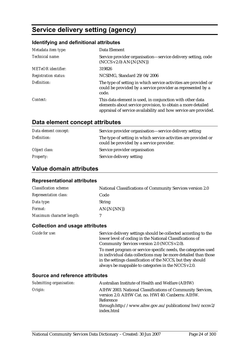### **Service delivery setting (agency)**

#### **Identifying and definitional attributes**

| Metadata item type:         | Data Element                                                                                                                                                                                |
|-----------------------------|---------------------------------------------------------------------------------------------------------------------------------------------------------------------------------------------|
| Technical name:             | Service provider organisation—service delivery setting, code<br>$(NCCS v2.0) AN{.}N{.}NN{}$                                                                                                 |
| <b>METeOR</b> identifier:   | 319826                                                                                                                                                                                      |
| <b>Registration status:</b> | NCSIMG, Standard 29/04/2006                                                                                                                                                                 |
| Definition:                 | The type of setting in which service activities are provided or<br>could be provided by a service provider as represented by a<br>code.                                                     |
| Context:                    | This data element is used, in conjunction with other data<br>elements about service provision, to obtain a more detailed<br>appraisal of service availability and how service are provided. |

#### **Data element concept attributes**

| Data element concept: | Service provider organisation—service delivery setting                                                      |
|-----------------------|-------------------------------------------------------------------------------------------------------------|
| Definition:           | The type of setting in which service activities are provided or<br>could be provided by a service provider. |
| Object class:         | Service provider organisation                                                                               |
| <b>Property:</b>      | Service delivery setting                                                                                    |

#### **Value domain attributes**

#### **Representational attributes**

| <b>Classification scheme:</b> | National Classifications of Community Services version 2.0 |
|-------------------------------|------------------------------------------------------------|
| <b>Representation class:</b>  | Code                                                       |
| Data type:                    | <b>String</b>                                              |
| <i>Format:</i>                | $AN\{N\}$                                                  |
| Maximum character length:     |                                                            |

#### **Collection and usage attributes**

*Guide for use:* Service delivery settings should be collected according to the lower level of coding in the National Classifications of Community Services version 2.0 (NCCS v2.0). To meet program or service specific needs, the categories used in individual data collections may be more detailed than those in the settings classification of the NCCS, but they should always be mappable to categories in the NCCS v2.0.

| Submitting organisation: | Australian Institute of Health and Welfare (AIHW)                                                                                                                                                      |
|--------------------------|--------------------------------------------------------------------------------------------------------------------------------------------------------------------------------------------------------|
| Origin:                  | AIHW 2003. National Classifications of Community Services,<br>version 2.0. AIHW Cat. no. HWI 40. Canberra: AIHW.<br>Reference<br>through:http://www.aihw.gov.au/publications/hwi/nccsv2/<br>index.html |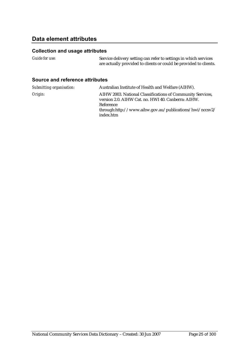#### **Data element attributes**

#### **Collection and usage attributes**

| <i>Guide for use:</i>           | Service delivery setting can refer to settings in which services<br>are actually provided to clients or could be provided to clients. |
|---------------------------------|---------------------------------------------------------------------------------------------------------------------------------------|
| Source and reference attributes |                                                                                                                                       |

| Submitting organisation: | Australian Institute of Health and Welfare (AIHW).                                                                                                                                                       |
|--------------------------|----------------------------------------------------------------------------------------------------------------------------------------------------------------------------------------------------------|
| Origin:                  | AIHW 2003. National Classifications of Community Services,<br>version 2.0. AIHW Cat. no. HWI 40. Canberra: AIHW.<br>Reference<br>$through: http://www.aihw.gov.au/publications/hwi/nccsv2/$<br>index.htm |
|                          |                                                                                                                                                                                                          |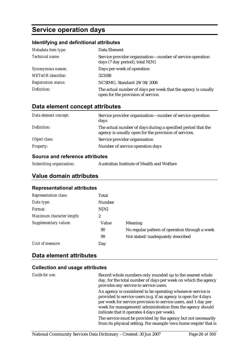### **Service operation days**

#### **Identifying and definitional attributes**

| Metadata item type:         | Data Element                                                                                        |
|-----------------------------|-----------------------------------------------------------------------------------------------------|
| Technical name:             | Service provider organisation—number of service operation<br>days (7 day period), total $N[N]$      |
| Synonymous names:           | Days per week of operation                                                                          |
| <b>METeOR</b> identifier:   | 323188                                                                                              |
| <b>Registration status:</b> | NCSIMG, Standard 29/04/2006                                                                         |
| Definition:                 | The actual number of days per week that the agency is usually<br>open for the provision of service. |

#### **Data element concept attributes**

| Data element concept: | Service provider organisation—number of service operation<br>days                                                     |
|-----------------------|-----------------------------------------------------------------------------------------------------------------------|
| Definition:           | The actual number of days during a specified period that the<br>agency is usually open for the provision of services. |
| Object class:         | Service provider organisation                                                                                         |
| <b>Property:</b>      | Number of service operation days                                                                                      |

#### **Source and reference attributes**

| Submitting organisation: | Australian Institute of Health and Welfare |
|--------------------------|--------------------------------------------|
|                          |                                            |

#### **Value domain attributes**

#### **Representational attributes**

| <b>Representation class:</b> | Total  |                                                |
|------------------------------|--------|------------------------------------------------|
| Data type:                   | Number |                                                |
| Format:                      | N[N]   |                                                |
| Maximum character length:    | 2      |                                                |
| Supplementary values:        | Value  | <b>Meaning</b>                                 |
|                              | 90     | No regular pattern of operation through a week |
|                              | 99     | Not stated/inadequately described              |
| Unit of measure:             | Day    |                                                |
|                              |        |                                                |

#### **Data element attributes**

| Guide for use: | Record whole numbers only rounded up to the nearest whole<br>day, for the total number of days per week on which the agency<br>provides any service to service users.                                                                                                                                        |
|----------------|--------------------------------------------------------------------------------------------------------------------------------------------------------------------------------------------------------------------------------------------------------------------------------------------------------------|
|                | An agency is considered to be operating whenever service is<br>provided to service users (e.g. if an agency is open for 4 days<br>per week for service provision to service users, and 1 day per<br>week for management/administration then the agency should<br>indicate that it operates 4 days per week). |
|                | The service must be provided by the agency but not necessarily<br>from its physical setting. For example 'own home respite' that is                                                                                                                                                                          |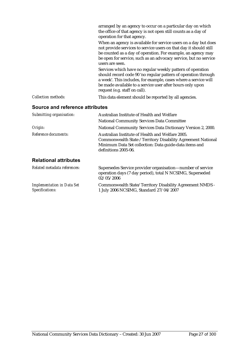|                            | arranged by an agency to occur on a particular day on which<br>the office of that agency is not open still counts as a day of<br>operation for that agency.                                                                                                                                   |
|----------------------------|-----------------------------------------------------------------------------------------------------------------------------------------------------------------------------------------------------------------------------------------------------------------------------------------------|
|                            | When an agency is available for service users on a day but does<br>not provide services to service users on that day it should still<br>be counted as a day of operation. For example, an agency may<br>be open for service, such as an advocacy service, but no service<br>users are seen.   |
|                            | Services which have no regular weekly pattern of operation<br>should record code 90 'no regular pattern of operation through<br>a week'. This includes, for example, cases where a service will<br>be made available to a service user after hours only upon<br>request (e.g. staff on call). |
| <b>Collection methods:</b> | This data element should be reported by all agencies.                                                                                                                                                                                                                                         |

#### **Source and reference attributes**

| Submitting organisation:          | Australian Institute of Health and Welfare                                                                                                                                                         |  |
|-----------------------------------|----------------------------------------------------------------------------------------------------------------------------------------------------------------------------------------------------|--|
|                                   | <b>National Community Services Data Committee</b>                                                                                                                                                  |  |
| Origin:                           | National Community Services Data Dictionary Version 2, 2000.                                                                                                                                       |  |
| Reference documents:              | Australian Institute of Health and Welfare 2005.<br>Commonwealth State / Territory Disability Agreement National<br>Minimum Data Set collection: Data guide-data items and<br>definitions 2005-06. |  |
| <b>Relational attributes</b>      |                                                                                                                                                                                                    |  |
| Related metadata references:      | Supersedes Service provider organisation—number of service<br>operation days (7 day period), total N NCSIMG, Superseded<br>02/05/2006                                                              |  |
| <b>Implementation in Data Set</b> | Commonwealth State/Territory Disability Agreement NMDS -                                                                                                                                           |  |

*Specifications:*

Commonwealth State/Territory Disability Agreement NMDS - 1 July 2006 NCSIMG, Standard 27/04/2007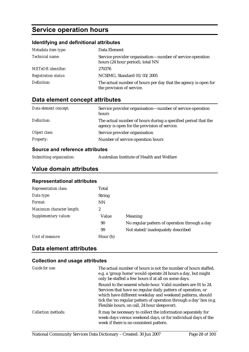### **Service operation hours**

#### **Identifying and definitional attributes**

| Metadata item type:         | Data Element                                                                                  |
|-----------------------------|-----------------------------------------------------------------------------------------------|
| Technical name:             | Service provider organisation—number of service operation<br>hours (24 hour period), total NN |
| <b>METeOR</b> identifier:   | 270376                                                                                        |
| <b>Registration status:</b> | NCSIMG, Standard 01/03/2005                                                                   |
| Definition:                 | The actual number of hours per day that the agency is open for<br>the provision of service.   |

#### **Data element concept attributes**

| Data element concept: | Service provider organisation—number of service operation<br>hours                                            |
|-----------------------|---------------------------------------------------------------------------------------------------------------|
| Definition:           | The actual number of hours during a specified period that the<br>agency is open for the provision of service. |
| Object class:         | Service provider organisation                                                                                 |
| <b>Property:</b>      | Number of service operation hours                                                                             |

#### **Source and reference attributes**

| Submitting organisation: | Australian Institute of Health and Welfare |
|--------------------------|--------------------------------------------|
|--------------------------|--------------------------------------------|

#### **Value domain attributes**

#### **Representational attributes**

| Total          |                                               |
|----------------|-----------------------------------------------|
| <b>String</b>  |                                               |
| <b>NN</b>      |                                               |
| $\overline{2}$ |                                               |
| Value          | <b>Meaning</b>                                |
| 90             | No regular pattern of operation through a day |
| 99             | Not stated/inadequately described             |
| Hour (h)       |                                               |
|                |                                               |

#### **Data element attributes**

| Guide for use:             | The actual number of hours is not the number of hours staffed,<br>e.g. a 'group home' would operate 24 hours a day, but might<br>only be staffed a few hours if at all on some days.                                                                                                                            |
|----------------------------|-----------------------------------------------------------------------------------------------------------------------------------------------------------------------------------------------------------------------------------------------------------------------------------------------------------------|
|                            | Round to the nearest whole hour. Valid numbers are 01 to 24.<br>Services that have no regular daily pattern of operation, or<br>which have different weekday and weekend patterns, should<br>tick the 'no regular pattern of operation through a day' box (e.g.<br>Flexible hours, on call, 24 hour sleepover). |
| <b>Collection methods:</b> | It may be necessary to collect the information separately for<br>week-days versus weekend days, or for individual days of the<br>week if there is no consistent pattern.                                                                                                                                        |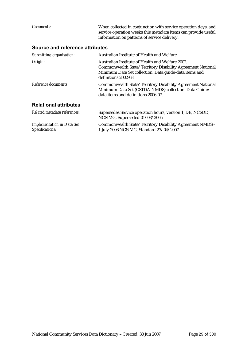| Comments:                                            | When collected in conjunction with service operation days, and<br>service operation weeks this metadata items can provide useful<br>information on patterns of service delivery.                |
|------------------------------------------------------|-------------------------------------------------------------------------------------------------------------------------------------------------------------------------------------------------|
| Source and reference attributes                      |                                                                                                                                                                                                 |
| Submitting organisation:                             | Australian Institute of Health and Welfare                                                                                                                                                      |
| Origin:                                              | Australian Institute of Health and Welfare 2002.<br>Commonwealth State/Territory Disability Agreement National<br>Minimum Data Set collection: Data guide-data items and<br>definitions 2002-03 |
| Reference documents:                                 | Commonwealth State/Territory Disability Agreement National<br>Minimum Data Set (CSTDA NMDS) collection. Data Guide:<br>data items and definitions 2006-07.                                      |
| <b>Relational attributes</b>                         |                                                                                                                                                                                                 |
| Related metadata references:                         | Supersedes Service operation hours, version 1, DE, NCSDD,<br>NCSIMG, Superseded 01/03/2005                                                                                                      |
| <b>Implementation in Data Set</b><br>Specifications: | Commonwealth State/Territory Disability Agreement NMDS -<br>1 July 2006 NCSIMG, Standard 27/04/2007                                                                                             |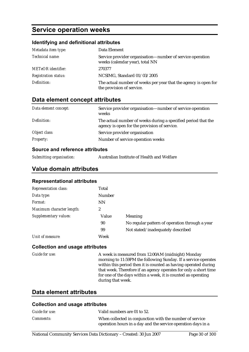### **Service operation weeks**

#### **Identifying and definitional attributes**

| Metadata item type:         | Data Element                                                                                 |
|-----------------------------|----------------------------------------------------------------------------------------------|
| Technical name:             | Service provider organisation—number of service operation<br>weeks (calendar year), total NN |
| <b>METeOR</b> identifier:   | 270377                                                                                       |
| <b>Registration status:</b> | NCSIMG, Standard 01/03/2005                                                                  |
| Definition:                 | The actual number of weeks per year that the agency is open for<br>the provision of service. |

#### **Data element concept attributes**

| Data element concept: | Service provider organisation—number of service operation<br>weeks                                            |
|-----------------------|---------------------------------------------------------------------------------------------------------------|
| Definition:           | The actual number of weeks during a specified period that the<br>agency is open for the provision of service. |
| Object class:         | Service provider organisation                                                                                 |
| <b>Property:</b>      | Number of service operation weeks                                                                             |

#### **Source and reference attributes**

| Submitting organisation: | Australian Institute of Health and Welfare |
|--------------------------|--------------------------------------------|
|--------------------------|--------------------------------------------|

#### **Value domain attributes**

#### **Representational attributes**

| <b>Representation class:</b> | Total         |                                                |
|------------------------------|---------------|------------------------------------------------|
| Data type:                   | <b>Number</b> |                                                |
| Format:                      | <b>NN</b>     |                                                |
| Maximum character length:    | 2             |                                                |
| Supplementary values:        | Value         | <b>Meaning</b>                                 |
|                              | 90            | No regular pattern of operation through a year |
|                              | 99            | Not stated/inadequately described              |
| Unit of measure:             | Week          |                                                |

#### **Collection and usage attributes**

*Guide for use:* A week is measured from 12:00AM (midnight) Monday morning to 11:59PM the following Sunday. If a service operates within this period then it is counted as having operated during that week. Therefore if an agency operates for only a short time for one of the days within a week, it is counted as operating during that week.

#### **Data element attributes**

| <b>Collection and usage attributes</b> |                                                                                                                          |  |
|----------------------------------------|--------------------------------------------------------------------------------------------------------------------------|--|
| Guide for use:                         | Valid numbers are 01 to 52.                                                                                              |  |
| <i>Comments:</i>                       | When collected in conjunction with the number of service<br>operation hours in a day and the service operation days in a |  |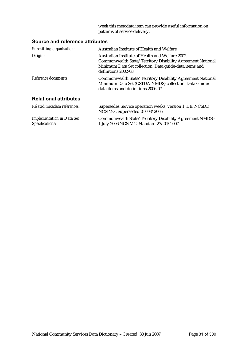week this metadata item can provide useful information on patterns of service delivery.

#### **Source and reference attributes**

*Specifications:*

| Submitting organisation:          | Australian Institute of Health and Welfare                                                                                                                                                      |
|-----------------------------------|-------------------------------------------------------------------------------------------------------------------------------------------------------------------------------------------------|
| Origin:                           | Australian Institute of Health and Welfare 2002.<br>Commonwealth State/Territory Disability Agreement National<br>Minimum Data Set collection: Data guide-data items and<br>definitions 2002-03 |
| Reference documents:              | Commonwealth State/Territory Disability Agreement National<br>Minimum Data Set (CSTDA NMDS) collection. Data Guide:<br>data items and definitions 2006-07.                                      |
| <b>Relational attributes</b>      |                                                                                                                                                                                                 |
| Related metadata references:      | Supersedes Service operation weeks, version 1, DE, NCSDD,<br>NCSIMG, Superseded 01/03/2005                                                                                                      |
| <b>Implementation in Data Set</b> | Commonwealth State/Territory Disability Agreement NMDS -                                                                                                                                        |

1 July 2006 NCSIMG, Standard 27/04/2007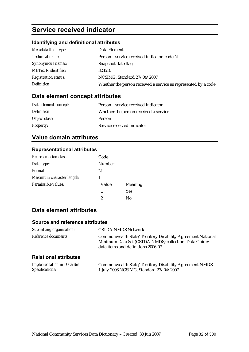### **Service received indicator**

#### **Identifying and definitional attributes**

| Metadata item type:         | Data Element                                                    |
|-----------------------------|-----------------------------------------------------------------|
| Technical name:             | Person-service received indicator, code N                       |
| Synonymous names:           | Snapshot date flag                                              |
| <b>METeOR</b> identifier:   | 323510                                                          |
| <b>Registration status:</b> | NCSIMG, Standard 27/04/2007                                     |
| Definition:                 | Whether the person received a service as represented by a code. |

### **Data element concept attributes**

| Data element concept: | Person—service received indicator      |
|-----------------------|----------------------------------------|
| Definition:           | Whether the person received a service. |
| Object class:         | <b>Person</b>                          |
| <b>Property:</b>      | Service received indicator             |

#### **Value domain attributes**

#### **Representational attributes**

| Representation class:     | Code   |                |
|---------------------------|--------|----------------|
| Data type:                | Number |                |
| Format:                   | N      |                |
| Maximum character length: |        |                |
| Permissible values:       | Value  | <b>Meaning</b> |
|                           | 1      | Yes            |
|                           | 2      | No             |

### **Data element attributes**

| Submitting organisation:                             | <b>CSTDA NMDS Network.</b>                                                                                                                                 |
|------------------------------------------------------|------------------------------------------------------------------------------------------------------------------------------------------------------------|
| Reference documents:                                 | Commonwealth State/Territory Disability Agreement National<br>Minimum Data Set (CSTDA NMDS) collection. Data Guide:<br>data items and definitions 2006-07. |
| <b>Relational attributes</b>                         |                                                                                                                                                            |
| <b>Implementation in Data Set</b><br>Specifications: | Commonwealth State/Territory Disability Agreement NMDS -<br>1 July 2006 NCSIMG, Standard 27/04/2007                                                        |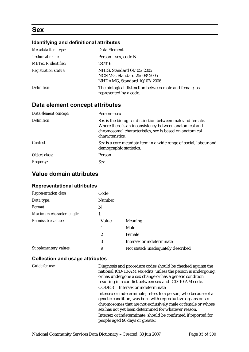### **Sex**

#### **Identifying and definitional attributes**

| Metadata item type:         | Data Element                                                                            |
|-----------------------------|-----------------------------------------------------------------------------------------|
| Technical name:             | Person—sex, code N                                                                      |
| <b>METeOR</b> identifier:   | 287316                                                                                  |
| <b>Registration status:</b> | NHIG, Standard 04/05/2005<br>NCSIMG, Standard 25/08/2005<br>NHDAMG, Standard 10/02/2006 |
| Definition:                 | The biological distinction between male and female, as<br>represented by a code.        |

#### **Data element concept attributes**

| Data element concept: | Person—sex                                                                                                                                                                                          |
|-----------------------|-----------------------------------------------------------------------------------------------------------------------------------------------------------------------------------------------------|
| Definition:           | Sex is the biological distinction between male and female.<br>Where there is an inconsistency between anatomical and<br>chromosomal characteristics, sex is based on anatomical<br>characteristics. |
| Context:              | Sex is a core metadata item in a wide range of social, labour and<br>demographic statistics.                                                                                                        |
| Object class:         | Person                                                                                                                                                                                              |
| <b>Property:</b>      | <b>Sex</b>                                                                                                                                                                                          |

#### **Value domain attributes**

#### **Representational attributes**

| <b>Representation class:</b> | Code          |                                   |
|------------------------------|---------------|-----------------------------------|
| Data type:                   | <b>Number</b> |                                   |
| Format:                      | N             |                                   |
| Maximum character length:    | 1             |                                   |
| Permissible values:          | Value         | Meaning                           |
|                              | 1             | Male                              |
|                              | 2             | Female                            |
|                              | 3             | Intersex or indeterminate         |
| Supplementary values:        | 9             | Not stated/inadequately described |

#### **Collection and usage attributes**

*Guide for use:* Diagnosis and procedure codes should be checked against the national ICD-10-AM sex edits, unless the person is undergoing, or has undergone a sex change or has a genetic condition resulting in a conflict between sex and ICD-10-AM code. CODE 3 Intersex or indeterminate Intersex or indeterminate, refers to a person, who because of a genetic condition, was born with reproductive organs or sex chromosomes that are not exclusively male or female or whose sex has not yet been determined for whatever reason. Intersex or indeterminate, should be confirmed if reported for people aged 90 days or greater.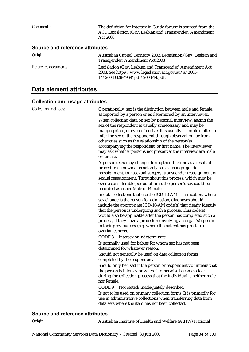*Comments:* The definition for Intersex in Guide for use is sourced from the ACT Legislation (Gay, Lesbian and Transgender) Amendment Act 2003. **Source and reference attributes**  *Origin:* Australian Capital Territory 2003. Legislation (Gay, Lesbian and Transgender) Amendment Act 2003

|                      | Transgender) Amendment Act 2003                          |
|----------------------|----------------------------------------------------------|
| Reference documents: | Legislation (Gay, Lesbian and Transgender) Amendment Act |
|                      | 2003. See http://www.legislation.act.gov.au/a/2003-      |
|                      | 14/20030328-4969/pdf/2003-14.pdf.                        |

#### **Data element attributes**

#### **Collection and usage attributes**

| <b>Collection methods:</b>             | Operationally, sex is the distinction between male and female,<br>as reported by a person or as determined by an interviewer.<br>When collecting data on sex by personal interview, asking the<br>sex of the respondent is usually unnecessary and may be<br>inappropriate, or even offensive. It is usually a simple matter to<br>infer the sex of the respondent through observation, or from<br>other cues such as the relationship of the person(s)<br>accompanying the respondent, or first name. The interviewer<br>may ask whether persons not present at the interview are male<br>or female. |
|----------------------------------------|-------------------------------------------------------------------------------------------------------------------------------------------------------------------------------------------------------------------------------------------------------------------------------------------------------------------------------------------------------------------------------------------------------------------------------------------------------------------------------------------------------------------------------------------------------------------------------------------------------|
|                                        | A person's sex may change during their lifetime as a result of<br>procedures known alternatively as sex change, gender<br>reassignment, transsexual surgery, transgender reassignment or<br>sexual reassignment. Throughout this process, which may be<br>over a considerable period of time, the person's sex could be<br>recorded as either Male or Female.                                                                                                                                                                                                                                         |
|                                        | In data collections that use the ICD-10-AM classification, where<br>sex change is the reason for admission, diagnoses should<br>include the appropriate ICD-10-AM code(s) that clearly identify<br>that the person is undergoing such a process. This code(s)<br>would also be applicable after the person has completed such a<br>process, if they have a procedure involving an organ(s) specific<br>to their previous sex (e.g. where the patient has prostate or<br>ovarian cancer).                                                                                                              |
|                                        | CODE <sub>3</sub><br>Intersex or indeterminate                                                                                                                                                                                                                                                                                                                                                                                                                                                                                                                                                        |
|                                        | Is normally used for babies for whom sex has not been<br>determined for whatever reason.                                                                                                                                                                                                                                                                                                                                                                                                                                                                                                              |
|                                        | Should not generally be used on data collection forms<br>completed by the respondent.                                                                                                                                                                                                                                                                                                                                                                                                                                                                                                                 |
|                                        | Should only be used if the person or respondent volunteers that<br>the person is intersex or where it otherwise becomes clear<br>during the collection process that the individual is neither male<br>nor female.                                                                                                                                                                                                                                                                                                                                                                                     |
|                                        | CODE <sub>9</sub><br>Not stated/inadequately described                                                                                                                                                                                                                                                                                                                                                                                                                                                                                                                                                |
|                                        | Is not to be used on primary collection forms. It is primarily for<br>use in administrative collections when transferring data from<br>data sets where the item has not been collected.                                                                                                                                                                                                                                                                                                                                                                                                               |
| <b>Source and reference attributes</b> |                                                                                                                                                                                                                                                                                                                                                                                                                                                                                                                                                                                                       |

*Origin:* Australian Institute of Health and Welfare (AIHW) National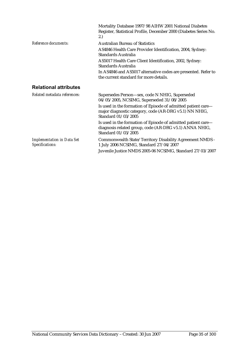|                                                      | Mortality Database 1997/98 AIHW 2001 National Diabetes<br>Register, Statistical Profile, December 2000 (Diabetes Series No.<br>2.)             |
|------------------------------------------------------|------------------------------------------------------------------------------------------------------------------------------------------------|
| Reference documents:                                 | <b>Australian Bureau of Statistics</b>                                                                                                         |
|                                                      | AS4846 Health Care Provider Identification, 2004, Sydney:<br>Standards Australia                                                               |
|                                                      | AS5017 Health Care Client Identification, 2002, Sydney:<br>Standards Australia                                                                 |
|                                                      | In AS4846 and AS5017 alternative codes are presented. Refer to<br>the current standard for more details.                                       |
| <b>Relational attributes</b>                         |                                                                                                                                                |
| Related metadata references:                         | Supersedes Person-sex, code N NHIG, Superseded<br>04/05/2005, NCSIMG, Superseded 31/08/2005                                                    |
|                                                      | Is used in the formation of Episode of admitted patient care-<br>major diagnostic category, code (AR-DRG v5.1) NN NHIG,<br>Standard 01/03/2005 |
|                                                      | Is used in the formation of Episode of admitted patient care—<br>diagnosis related group, code (AR-DRG v5.1) ANNA NHIG,<br>Standard 01/03/2005 |
| <b>Implementation in Data Set</b><br>Specifications: | Commonwealth State/Territory Disability Agreement NMDS -<br>1 July 2006 NCSIMG, Standard 27/04/2007                                            |
|                                                      | Juvenile Justice NMDS 2005-06 NCSIMG, Standard 27/03/2007                                                                                      |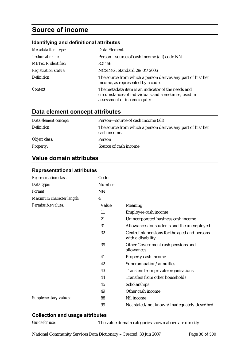### **Source of income**

#### **Identifying and definitional attributes**

| Metadata item type:         | Data Element                                                                                                                              |
|-----------------------------|-------------------------------------------------------------------------------------------------------------------------------------------|
| Technical name:             | Person-source of cash income (all) code NN                                                                                                |
| <b>METeOR</b> identifier:   | 321156                                                                                                                                    |
| <b>Registration status:</b> | NCSIMG, Standard 29/04/2006                                                                                                               |
| Definition:                 | The source from which a person derives any part of his/her<br>income, as represented by a code.                                           |
| Context:                    | The metadata item is an indicator of the needs and<br>circumstances of individuals and sometimes, used in<br>assessment of income equity. |

#### **Data element concept attributes**

| Data element concept: | Person—source of cash income (all)                                         |
|-----------------------|----------------------------------------------------------------------------|
| Definition:           | The source from which a person derives any part of his/her<br>cash income. |
| Object class:         | Person                                                                     |
| <b>Property:</b>      | Source of cash income                                                      |

### **Value domain attributes**

#### **Representational attributes**

| Representation class:     | Code   |                                                                   |
|---------------------------|--------|-------------------------------------------------------------------|
| Data type:                | Number |                                                                   |
| Format:                   | NN     |                                                                   |
| Maximum character length: | 4      |                                                                   |
| Permissible values:       | Value  | Meaning                                                           |
|                           | 11     | Employee cash income                                              |
|                           | 21     | Unincorporated business cash income                               |
|                           | 31     | Allowances for students and the unemployed                        |
|                           | 32     | Centrelink pensions for the aged and persons<br>with a disability |
|                           | 39     | Other Government cash pensions and<br>allowances                  |
|                           | 41     | Property cash income                                              |
|                           | 42     | Superannuation/annuities                                          |
|                           | 43     | Transfers from private organisations                              |
|                           | 44     | Transfers from other households                                   |
|                           | 45     | Scholarships                                                      |
|                           | 49     | Other cash income                                                 |
| Supplementary values:     | 88     | Nil income                                                        |
|                           | 99     | Not stated/not known/inadequately described                       |

#### **Collection and usage attributes**

| <i>Guide for use:</i> |
|-----------------------|
|-----------------------|

The value domain categories shown above are directly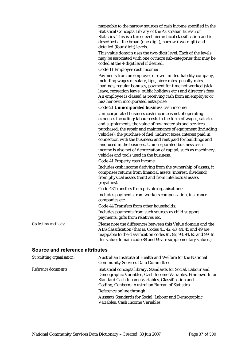mappable to the narrow sources of cash income specified in the Statistical Concepts Library of the Australian Bureau of Statistics. This is a three level hierarchical classification and is described at the broad (one-digit), narrow (two-digit) and detailed (four-digit) levels.

This value domain uses the two-digit level. Each of the levels may be associated with one or more sub-categories that may be coded at the 4-digit level if desired.

Code 11 Employee cash income:

Payments from an employer or own limited liability company, including wages or salary, tips, piece rates, penalty rates, loadings, regular bonuses, payment for time not worked (sick leave, recreation leave, public holidays etc.) and director's fees. An employee is classed as receiving cash from an employer or his/her own incorporated enterprise.

Code 21 **Unincorporated business** cash income:

Unincorporated business cash income is net of operating expenses including: labour costs in the form of wages, salaries and supplements; the value of raw materials and services purchased; the repair and maintenance of equipment (including vehicles); the purchase of fuel; indirect taxes; interest paid in connection with the business; and rent paid for buildings and land used in the business. Unincorporated business cash income is also net of depreciation of capital, such as machinery, vehicles and tools used in the business.

Code 41 Property cash income:

Includes cash income deriving from the ownership of assets; it comprises returns from financial assets (interest, dividend) from physical assets (rent) and from intellectual assets (royalties).

Code 43 Transfers from private organisations: Includes payments from workers compensation, insurance companies etc.

Code 44 Transfers from other households:

Includes payments from such sources as child support payments, gifts from relatives etc.

#### *Collection methods:* Please note the differences between this Value domain and the ABS classification (that is, Codes 41, 42, 43, 44, 45 and 49 are mappable to the classification codes 91, 92, 93, 94, 95 and 99. In this value domain code 88 and 99 are supplementary values.).

#### **Source and reference attributes**

| Submitting organisation: | Australian Institute of Health and Welfare for the National<br><b>Community Services Data Committee.</b>                                                                                                                                  |
|--------------------------|-------------------------------------------------------------------------------------------------------------------------------------------------------------------------------------------------------------------------------------------|
| Reference documents:     | Statistical concepts library, Standards for Social, Labour and<br>Demographic Variables, Cash Income Variables, Framework for<br>Standard Cash Income Variables, Classification and<br>Coding, Canberra: Australian Bureau of Statistics. |
|                          | Reference online through:                                                                                                                                                                                                                 |
|                          | Ausstats Standards for Social, Labour and Demographic<br>Variables, Cash Income Variables                                                                                                                                                 |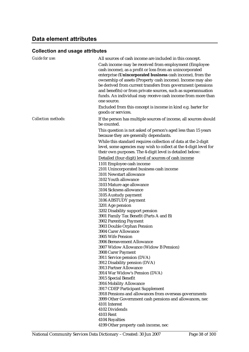## **Data element attributes**

| Guide for use:             | All sources of cash income are included in this concept.          |
|----------------------------|-------------------------------------------------------------------|
|                            | Cash income may be received from employment (Employee             |
|                            | cash income), as a profit or loss from an unincorporated          |
|                            | enterprise (Unincorporated business cash income), from the        |
|                            | ownership of assets (Property cash income). Income may also       |
|                            | be derived from current transfers from government (pensions       |
|                            | and benefits) or from private sources, such as superannuation     |
|                            | funds. An individual may receive cash income from more than       |
|                            | one source.                                                       |
|                            | Excluded from this concept is income in kind e.g. barter for      |
|                            | goods or services.                                                |
| <b>Collection methods:</b> | If the person has multiple sources of income, all sources should  |
|                            | be counted.                                                       |
|                            | This question is not asked of person's aged less than 15 years    |
|                            | because they are generally dependants.                            |
|                            | While this standard requires collection of data at the 2-digit    |
|                            | level, some agencies may wish to collect at the 4-digit level for |
|                            | their own purposes. The 4-digit level is detailed below:          |
|                            | Detailed (four-digit) level of sources of cash income             |
|                            | 1101 Employee cash income                                         |
|                            | 2101 Unincorporated business cash income                          |
|                            | 3101 Newstart allowance                                           |
|                            | 3102 Youth allowance                                              |
|                            | 3103 Mature age allowance                                         |
|                            | 3104 Sickness allowance                                           |
|                            | 3105 Austudy payment                                              |
|                            | 3106 ABSTUDY payment                                              |
|                            | 3201 Age pension                                                  |
|                            | 3202 Disability support pension                                   |
|                            | 3901 Family Tax Benefit (Parts A and B)                           |
|                            | 3902 Parenting Payment                                            |
|                            | 3903 Double Orphan Pension<br>3904 Carer Allowance                |
|                            | 3905 Wife Pension                                                 |
|                            | 3906 Bereavement Allowance                                        |
|                            | 3907 Widow Allowance (Widow B Pension)                            |
|                            | 3908 Carer Payment                                                |
|                            | 3911 Service pension (DVA)                                        |
|                            | 3912 Disability pension (DVA)                                     |
|                            | 3913 Partner Allowance                                            |
|                            | 3914 War Widow's Pension (DVA)                                    |
|                            | 3915 Special Benefit                                              |
|                            | 3916 Mobility Allowance                                           |
|                            | 3917 CDEP Participant Supplement                                  |
|                            | 3918 Pensions and allowances from overseas governments            |
|                            | 3999 Other Government cash pensions and allowances, nec           |
|                            | 4101 Interest                                                     |
|                            | 4102 Dividends                                                    |
|                            | <b>4103 Rent</b><br>4104 Royalties                                |
|                            | 4199 Other property cash income, nec                              |
|                            |                                                                   |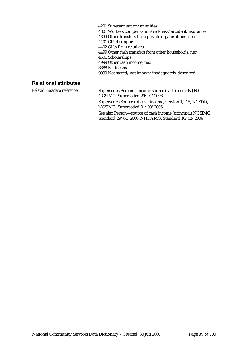4201 Superannuation/annuities 4301 Workers compensation/sickness/accident insurance 4399 Other transfers from private organisations, nec 4401 Child support 4402 Gifts from relatives 4499 Other cash transfers from other households, nec 4501 Scholarships 4999 Other cash income, nec 8888 Nil income 9999 Not stated/not known/inadequately described

#### **Relational attributes**

*Related metadata references:* Supersedes Person—income source (cash), code N{.N} NCSIMG, Superseded 29/04/2006 Supersedes Sources of cash income, version 1, DE, NCSDD, NCSIMG, Superseded 01/03/2005 See also Person—source of cash income (principal) NCSIMG, Standard 29/04/2006, NHDAMG, Standard 10/02/2006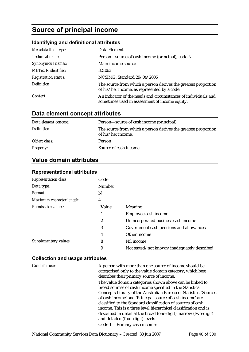# **Source of principal income**

#### **Identifying and definitional attributes**

| Metadata item type:         | Data Element                                                                                                     |
|-----------------------------|------------------------------------------------------------------------------------------------------------------|
| Technical name:             | Person-source of cash income (principal), code N                                                                 |
| Synonymous names:           | Main income source                                                                                               |
| <b>METeOR</b> identifier:   | 321063                                                                                                           |
| <b>Registration status:</b> | NCSIMG, Standard 29/04/2006                                                                                      |
| Definition:                 | The source from which a person derives the greatest proportion<br>of his/her income, as represented by a code.   |
| Context:                    | An indicator of the needs and circumstances of individuals and<br>sometimes used in assessment of income equity. |

## **Data element concept attributes**

| Data element concept: | Person—source of cash income (principal)                                             |
|-----------------------|--------------------------------------------------------------------------------------|
| Definition:           | The source from which a person derives the greatest proportion<br>of his/her income. |
| Object class:         | Person                                                                               |
| <b>Property:</b>      | Source of cash income                                                                |

### **Value domain attributes**

#### **Representational attributes**

| <b>Representation class:</b> | Code   |                                             |
|------------------------------|--------|---------------------------------------------|
| Data type:                   | Number |                                             |
| Format:                      | N      |                                             |
| Maximum character length:    | 4      |                                             |
| Permissible values:          | Value  | Meaning                                     |
|                              | 1      | Employee cash income                        |
|                              | 2      | Unincorporated business cash income         |
|                              | 3      | Government cash pensions and allowances     |
|                              | 4      | Other income                                |
| Supplementary values:        | 8      | Nil income                                  |
|                              | 9      | Not stated/not known/inadequately described |

#### **Collection and usage attributes**

*Guide for use:* A person with more than one source of income should be categorised only to the value domain category, which best describes their primary source of income.

> The value domain categories shown above can be linked to broad sources of cash income specified in the Statistical Concepts Library of the Australian Bureau of Statistics. 'Sources of cash income' and 'Principal source of cash income' are classified to the Standard classification of sources of cash income. This is a three level hierarchical classification and is described in detail at the broad (one-digit), narrow (two-digit) and detailed (four-digit) levels.

Code 1 Primary cash income: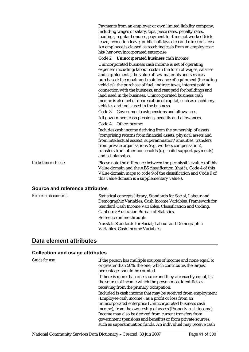|                            | Payments from an employer or own limited liability company,<br>including wages or salary, tips, piece rates, penalty rates,<br>loadings, regular bonuses, payment for time not worked (sick<br>leave, recreation leave, public holidays etc.) and director's fees.<br>An employee is classed as receiving cash from an employer or<br>his/her own incorporated enterprise.                                                                                                                                                                                                |
|----------------------------|---------------------------------------------------------------------------------------------------------------------------------------------------------------------------------------------------------------------------------------------------------------------------------------------------------------------------------------------------------------------------------------------------------------------------------------------------------------------------------------------------------------------------------------------------------------------------|
|                            | Unincorporated business cash income:<br>Code 2                                                                                                                                                                                                                                                                                                                                                                                                                                                                                                                            |
|                            | Unincorporated business cash income is net of operating<br>expenses including: labour costs in the form of wages, salaries<br>and supplements; the value of raw materials and services<br>purchased; the repair and maintenance of equipment (including<br>vehicles); the purchase of fuel; indirect taxes; interest paid in<br>connection with the business; and rent paid for buildings and<br>land used in the business. Unincorporated business cash<br>income is also net of depreciation of capital, such as machinery,<br>vehicles and tools used in the business. |
|                            | Code 3<br>Government cash pensions and allowances                                                                                                                                                                                                                                                                                                                                                                                                                                                                                                                         |
|                            | All government cash pensions, benefits and allowances.                                                                                                                                                                                                                                                                                                                                                                                                                                                                                                                    |
|                            | Code 4<br>Other income:                                                                                                                                                                                                                                                                                                                                                                                                                                                                                                                                                   |
|                            | Includes cash income deriving from the ownership of assets<br>(comprising returns from financial assets, physical assets and<br>from intellectual assets), superannuation/annuities, transfers<br>from private organisations (e.g. workers compensation),<br>transfers from other households (e.g. child support payments)<br>and scholarships.                                                                                                                                                                                                                           |
| <b>Collection methods:</b> | Please note the difference between the permissible values of this<br>Value domain and the ABS classification (that is, Code 4 of this<br>Value domain maps to code 9 of the classification and Code 9 of<br>this value domain is a supplementary value.).                                                                                                                                                                                                                                                                                                                 |

#### **Source and reference attributes**

| <i>Reference documents:</i> | Statistical concepts library, Standards for Social, Labour and |
|-----------------------------|----------------------------------------------------------------|
|                             | Demographic Variables, Cash Income Variables, Framework for    |
|                             | Standard Cash Income Variables, Classification and Coding,     |
|                             | Canberra: Australian Bureau of Statistics.                     |
|                             | Reference online through:                                      |
|                             | Ausstats Standards for Social, Labour and Demographic          |
|                             | Variables, Cash Income Variables                               |

### **Data element attributes**

| <b>Guide for use:</b> | If the person has multiple sources of income and none equal to<br>or greater than 50%, the one, which contributes the largest<br>percentage, should be counted.                       |
|-----------------------|---------------------------------------------------------------------------------------------------------------------------------------------------------------------------------------|
|                       | If there is more than one source and they are exactly equal, list<br>the source of income which the person most identifies as<br>receiving from the primary occupation.               |
|                       | Included is cash income that may be received from employment<br>(Employee cash income), as a profit or loss from an<br>unincorporated enterprise (Unincorporated business cash        |
|                       | income), from the ownership of assets (Property cash income).                                                                                                                         |
|                       | Income may also be derived from current transfers from<br>government (pensions and benefits) or from private sources,<br>such as superannuation funds. An individual may receive cash |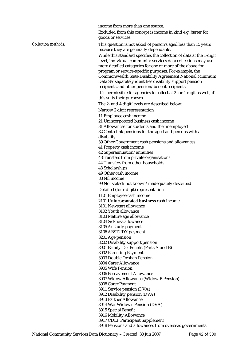income from more than one source.

Excluded from this concept is income in kind e.g. barter for goods or services.

*Collection methods:* This question is not asked of person's aged less than 15 years because they are generally dependants.

> While this standard specifies the collection of data at the 1-digit level, individual community services data collections may use more detailed categories for one or more of the above for program or service-specific purposes. For example, the Commonwealth State Disability Agreement National Minimum Data Set separately identifies disability support pension recipients and other pension/benefit recipients.

It is permissible for agencies to collect at 2- or 4-digit as well, if this suits their purposes.

The 2- and 4-digit levels are described below:

Narrow 2 digit representation

11 Employee cash income

21 Unincorporated business cash income

31 Allowances for students and the unemployed

32 Centrelink pensions for the aged and persons with a disability

39 Other Government cash pensions and allowances

41 Property cash income

42 Superannuation/annuities

43Transfers from private organisations

44 Transfers from other households

43 Scholarships

49 Other cash income

88 Nil income

99 Not stated/not known/inadequately described

Detailed (four-digit) representation

1101 Employee cash income

2101 **Unincorporated business** cash income

3101 Newstart allowance

3102 Youth allowance

3103 Mature age allowance

3104 Sickness allowance

3105 Austudy payment

3106 ABSTUDY payment

3201 Age pension

3202 Disability support pension

3901 Family Tax Benefit (Parts A and B)

3902 Parenting Payment 3903 Double Orphan Pension

3904 Carer Allowance

3905 Wife Pension

3906 Bereavement Allowance

3907 Widow Allowance (Widow B Pension)

3908 Carer Payment

3911 Service pension (DVA)

3912 Disability pension (DVA)

3913 Partner Allowance

3914 War Widow's Pension (DVA)

3915 Special Benefit

3916 Mobility Allowance

3917 CDEP Participant Supplement

3918 Pensions and allowances from overseas governments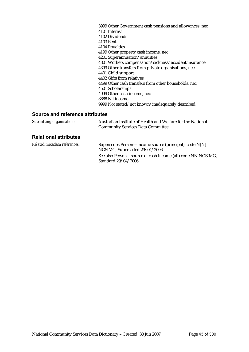3999 Other Government cash pensions and allowances, nec 4101 Interest 4102 Dividends 4103 Rent 4104 Royalties 4199 Other property cash income, nec 4201 Superannuation/annuities 4301 Workers compensation/sickness/accident insurance 4399 Other transfers from private organisations, nec 4401 Child support 4402 Gifts from relatives 4499 Other cash transfers from other households, nec 4501 Scholarships 4999 Other cash income, nec 8888 Nil income 9999 Not stated/not known/inadequately described

#### **Source and reference attributes**

| Submitting organisation: | Australian Institute of Health and Welfare for the National |
|--------------------------|-------------------------------------------------------------|
|                          | <b>Community Services Data Committee.</b>                   |

#### **Relational attributes**

| Related metadata references: | Supersedes Person—income source (principal), code N[N]      |
|------------------------------|-------------------------------------------------------------|
|                              | NCSIMG, Superseded 29/04/2006                               |
|                              | See also Person—source of cash income (all) code NN NCSIMG, |
|                              | Standard 29/04/2006                                         |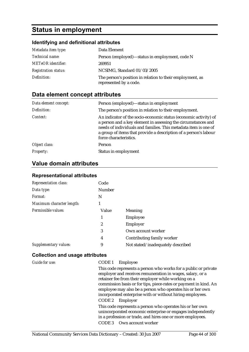# **Status in employment**

## **Identifying and definitional attributes**

| Metadata item type:         | Data Element                                                                        |
|-----------------------------|-------------------------------------------------------------------------------------|
| <i>Technical name:</i>      | Person (employed)—status in employment, code N                                      |
| <b>METeOR</b> identifier:   | 269951                                                                              |
| <b>Registration status:</b> | NCSIMG, Standard 01/03/2005                                                         |
| Definition:                 | The person's position in relation to their employment, as<br>represented by a code. |

# **Data element concept attributes**

| Data element concept: | Person (employed)-status in employment                                                                                                                                                                                                                                                             |
|-----------------------|----------------------------------------------------------------------------------------------------------------------------------------------------------------------------------------------------------------------------------------------------------------------------------------------------|
| Definition:           | The person's position in relation to their employment.                                                                                                                                                                                                                                             |
| Context:              | An indicator of the socio-economic status (economic activity) of<br>a person and a key element in assessing the circumstances and<br>needs of individuals and families. This metadata item is one of<br>a group of items that provide a description of a person's labour<br>force characteristics. |
| Object class:         | Person                                                                                                                                                                                                                                                                                             |
| <b>Property:</b>      | Status in employment                                                                                                                                                                                                                                                                               |

# **Value domain attributes**

### **Representational attributes**

| <b>Representation class:</b> | Code          |                                   |
|------------------------------|---------------|-----------------------------------|
| Data type:                   | <b>Number</b> |                                   |
| Format:                      | N             |                                   |
| Maximum character length:    |               |                                   |
| Permissible values:          | Value         | Meaning                           |
|                              | 1             | Employee                          |
|                              | 2             | Employer                          |
|                              | 3             | Own account worker                |
|                              | 4             | Contributing family worker        |
| Supplementary values:        | 9             | Not stated/inadequately described |

| Guide for use: | CODE 1<br>Employee<br>This code represents a person who works for a public or private                                                                                                  |
|----------------|----------------------------------------------------------------------------------------------------------------------------------------------------------------------------------------|
|                | employer and receives remuneration in wages, salary, or a<br>retainer fee from their employer while working on a                                                                       |
|                | commission basis or for tips, piece-rates or payment in kind. An<br>employee may also be a person who operates his or her own                                                          |
|                | incorporated enterprise with or without hiring employees.                                                                                                                              |
|                | CODE 2<br>Employer                                                                                                                                                                     |
|                | This code represents a person who operates his or her own<br>unincorporated economic enterprise or engages independently<br>in a profession or trade, and hires one or more employees. |
|                | CODE 3 Own account worker                                                                                                                                                              |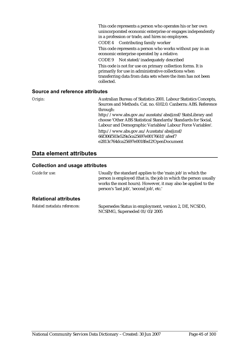This code represents a person who operates his or her own unincorporated economic enterprise or engages independently in a profession or trade, and hires no employees. CODE 4 Contributing family worker This code represents a person who works without pay in an economic enterprise operated by a relative. CODE 9 Not stated/inadequately described This code is not for use on primary collection forms. It is primarily for use in administrative collections when transferring data from data sets where the item has not been collected.

#### **Source and reference attributes**

*Origin:* Australian Bureau of Statistics 2001. Labour Statistics Concepts, Sources and Methods. Cat. no. 6102.0. Canberra: ABS. Reference through: http://www.abs.gov.au/ausstats/abs@.nsf/StatsLibrary and choose 'Other ABS Statistical Standards/Standards for Social, Labour and Demographic Variables/Labour Force Variables'. http://www.abs.gov.au/Ausstats/abs@.nsf/ 66f306f503e529a5ca25697e0017661f/afeef7 e2813c764dca25697e0018fed2!OpenDocument

### **Data element attributes**

| Guide for use:               | Usually the standard applies to the 'main job' in which the<br>person is employed (that is, the job in which the person usually<br>works the most hours). However, it may also be applied to the<br>person's 'last job', 'second job', etc.' |
|------------------------------|----------------------------------------------------------------------------------------------------------------------------------------------------------------------------------------------------------------------------------------------|
| <b>Relational attributes</b> |                                                                                                                                                                                                                                              |
| Related metadata references: | Supersedes Status in employment, version 2, DE, NCSDD,<br>NCSIMG, Superseded 01/03/2005                                                                                                                                                      |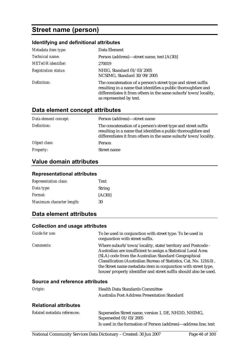# **Street name (person)**

### **Identifying and definitional attributes**

| Metadata item type:         | Data Element                                                                                                                                                                                                                 |
|-----------------------------|------------------------------------------------------------------------------------------------------------------------------------------------------------------------------------------------------------------------------|
| Technical name:             | Person (address)—street name, text [A(30)]                                                                                                                                                                                   |
| <b>METeOR</b> identifier:   | 270019                                                                                                                                                                                                                       |
| <b>Registration status:</b> | NHIG, Standard 01/03/2005<br>NCSIMG, Standard 30/09/2005                                                                                                                                                                     |
| Definition:                 | The concatenation of a person's street type and street suffix<br>resulting in a name that identifies a public thoroughfare and<br>differentiates it from others in the same suburb/town/locality,<br>as represented by text. |

### **Data element concept attributes**

| Data element concept: | Person (address)—street name                                                                                                                                                                      |
|-----------------------|---------------------------------------------------------------------------------------------------------------------------------------------------------------------------------------------------|
| Definition:           | The concatenation of a person's street type and street suffix<br>resulting in a name that identifies a public thoroughfare and<br>differentiates it from others in the same suburb/town/locality. |
| Object class:         | Person                                                                                                                                                                                            |
| <b>Property:</b>      | Street name                                                                                                                                                                                       |

## **Value domain attributes**

#### **Representational attributes**

| <b>Representation class:</b> | Text          |
|------------------------------|---------------|
| Data type:                   | <b>String</b> |
| <i>Format:</i>               | [A(30)]       |
| Maximum character length:    | 30            |

### **Data element attributes**

#### **Collection and usage attributes**

| Guide for use:                         | To be used in conjunction with street type. To be used in<br>conjunction with street suffix.                                                                                                                                                                                                                                                                                                     |
|----------------------------------------|--------------------------------------------------------------------------------------------------------------------------------------------------------------------------------------------------------------------------------------------------------------------------------------------------------------------------------------------------------------------------------------------------|
| <i>Comments:</i>                       | Where suburb/town/locality, state/territory and Postcode -<br>Australian are insufficient to assign a Statistical Local Area<br>(SLA) code from the Australian Standard Geographical<br>Classification (Australian Bureau of Statistics, Cat. No. 1216.0),<br>the Street name metadata item in conjunction with street type,<br>house/property identifier and street suffix should also be used. |
| <b>Source and reference attributes</b> |                                                                                                                                                                                                                                                                                                                                                                                                  |
| Origin:                                | <b>Health Data Standards Committee</b>                                                                                                                                                                                                                                                                                                                                                           |

#### **Relational attributes**

| Related metadata references: | Supersedes Street name, version 1, DE, NHDD, NHIMG,<br>Superseded 01/03/2005 |
|------------------------------|------------------------------------------------------------------------------|
|                              | Is used in the formation of Person (address)—address line, text              |

Australia Post Address Presentation Standard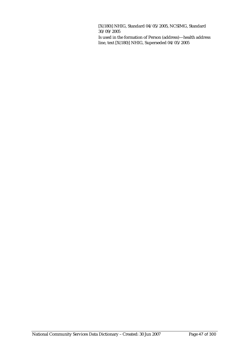[X(180)] NHIG, Standard 04/05/2005, NCSIMG, Standard 30/09/2005

Is used in the formation of Person (address)—health address line, text [X(180)] NHIG, Superseded 04/05/2005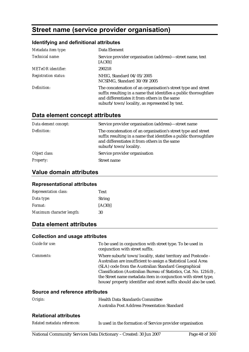# **Street name (service provider organisation)**

### **Identifying and definitional attributes**

| Metadata item type:         | Data Element                                                                                                                                                                                                                        |
|-----------------------------|-------------------------------------------------------------------------------------------------------------------------------------------------------------------------------------------------------------------------------------|
| Technical name:             | Service provider organisation (address)—street name, text<br>[A(30)]                                                                                                                                                                |
| <b>METeOR</b> identifier:   | 290218                                                                                                                                                                                                                              |
| <b>Registration status:</b> | NHIG, Standard 04/05/2005<br>NCSIMG, Standard 30/09/2005                                                                                                                                                                            |
| Definition:                 | The concatenation of an organisation's street type and street<br>suffix resulting in a name that identifies a public thoroughfare<br>and differentiates it from others in the same<br>suburb/town/locality, as represented by text. |

# **Data element concept attributes**

| Data element concept: | Service provider organisation (address)-street name                                                                                                                                                         |
|-----------------------|-------------------------------------------------------------------------------------------------------------------------------------------------------------------------------------------------------------|
| Definition:           | The concatenation of an organisation's street type and street<br>suffix resulting in a name that identifies a public thoroughfare<br>and differentiates it from others in the same<br>suburb/town/locality. |
| Object class:         | Service provider organisation                                                                                                                                                                               |
| <b>Property:</b>      | Street name                                                                                                                                                                                                 |

## **Value domain attributes**

#### **Representational attributes**

| <b>Representation class:</b> | Text    |
|------------------------------|---------|
| Data type:                   | String  |
| <i>Format:</i>               | [A(30)] |
| Maximum character length:    | 30      |

# **Data element attributes**

#### **Collection and usage attributes**

| Guide for use:   | To be used in conjunction with street type. To be used in<br>conjunction with street suffix.                                                                                                                                                                                                                                                                                                     |
|------------------|--------------------------------------------------------------------------------------------------------------------------------------------------------------------------------------------------------------------------------------------------------------------------------------------------------------------------------------------------------------------------------------------------|
| <i>Comments:</i> | Where suburb/town/locality, state/territory and Postcode -<br>Australian are insufficient to assign a Statistical Local Area<br>(SLA) code from the Australian Standard Geographical<br>Classification (Australian Bureau of Statistics, Cat. No. 1216.0),<br>the Street name metadata item in conjunction with street type,<br>house/property identifier and street suffix should also be used. |

#### **Source and reference attributes**

| Origin:                      | <b>Health Data Standards Committee</b>       |  |  |
|------------------------------|----------------------------------------------|--|--|
|                              | Australia Post Address Presentation Standard |  |  |
| <b>Relational attributes</b> |                                              |  |  |
| $-1$ $-1$ $-1$ $-1$          | .                                            |  |  |

#### *Related metadata references:* Is used in the formation of Service provider organisation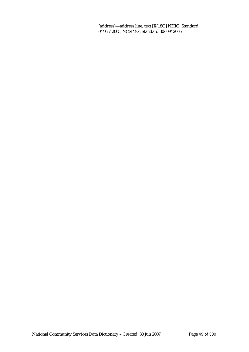(address)—address line, text [X(180)] NHIG, Standard 04/05/2005, NCSIMG, Standard 30/09/2005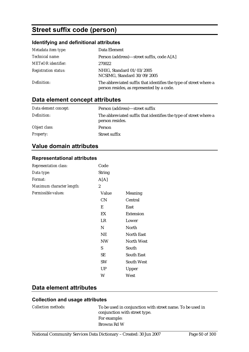# **Street suffix code (person)**

### **Identifying and definitional attributes**

| Metadata item type:         | Data Element                                                                                                   |
|-----------------------------|----------------------------------------------------------------------------------------------------------------|
| Technical name:             | Person (address)—street suffix, code A[A]                                                                      |
| <b>METeOR</b> identifier:   | 270022                                                                                                         |
| <b>Registration status:</b> | NHIG, Standard 01/03/2005<br>NCSIMG, Standard 30/09/2005                                                       |
| Definition:                 | The abbreviated suffix that identifies the type of street where a<br>person resides, as represented by a code. |

# **Data element concept attributes**

| Data element concept: | Person (address)—street suffix                                                       |
|-----------------------|--------------------------------------------------------------------------------------|
| Definition:           | The abbreviated suffix that identifies the type of street where a<br>person resides. |
| Object class:         | Person                                                                               |
| <b>Property:</b>      | Street suffix                                                                        |

## **Value domain attributes**

#### **Representational attributes**

| <b>Representation class:</b> | Code           |                   |
|------------------------------|----------------|-------------------|
| Data type:                   | <b>String</b>  |                   |
| Format:                      | A[A]           |                   |
| Maximum character length:    | $\overline{2}$ |                   |
| Permissible values:          | Value          | Meaning           |
|                              | CN             | Central           |
|                              | E              | East              |
|                              | EX             | <b>Extension</b>  |
|                              | LR             | Lower             |
|                              | N              | North             |
|                              | <b>NE</b>      | <b>North East</b> |
|                              | <b>NW</b>      | <b>North West</b> |
|                              | S              | South             |
|                              | <b>SE</b>      | <b>South East</b> |
|                              | <b>SW</b>      | <b>South West</b> |
|                              | <b>UP</b>      | Upper             |
|                              | W              | West              |

# **Data element attributes**

| <i>Collection methods:</i> | To be used in conjunction with street name. To be used in<br>conjunction with street type. |
|----------------------------|--------------------------------------------------------------------------------------------|
|                            | For example:                                                                               |
|                            | Browns Rd W                                                                                |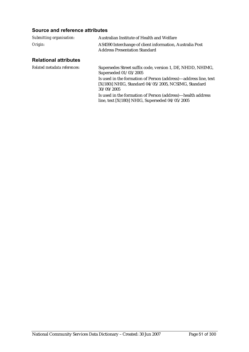### **Source and reference attributes**

| Submitting organisation: | Australian Institute of Health and Welfare                                                       |
|--------------------------|--------------------------------------------------------------------------------------------------|
| Origin:                  | AS4590 Interchange of client information, Australia Post<br><b>Address Presentation Standard</b> |

### **Relational attributes**

| Related metadata references: | Supersedes Street suffix code, version 1, DE, NHDD, NHIMG,<br>Superseded 01/03/2005                                                   |
|------------------------------|---------------------------------------------------------------------------------------------------------------------------------------|
|                              | Is used in the formation of Person (address)—address line, text<br>[X(180)] NHIG, Standard 04/05/2005, NCSIMG, Standard<br>30/09/2005 |
|                              | Is used in the formation of Person (address)—health address<br>line, text $[X(180)]$ NHIG, Superseded $04/05/2005$                    |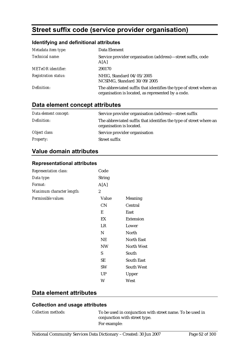# **Street suffix code (service provider organisation)**

### **Identifying and definitional attributes**

| Metadata item type:         | Data Element                                                                                                             |
|-----------------------------|--------------------------------------------------------------------------------------------------------------------------|
| Technical name:             | Service provider organisation (address)—street suffix, code<br>A[A]                                                      |
| <b>METeOR</b> identifier:   | 290170                                                                                                                   |
| <b>Registration status:</b> | NHIG, Standard 04/05/2005<br>NCSIMG, Standard 30/09/2005                                                                 |
| Definition:                 | The abbreviated suffix that identifies the type of street where an<br>organisation is located, as represented by a code. |

## **Data element concept attributes**

| Data element concept: | Service provider organisation (address)—street suffix                                          |
|-----------------------|------------------------------------------------------------------------------------------------|
| Definition:           | The abbreviated suffix that identifies the type of street where an<br>organisation is located. |
| Object class:         | Service provider organisation                                                                  |
| <i>Property:</i>      | Street suffix                                                                                  |

### **Value domain attributes**

#### **Representational attributes**

| Representation class:     | Code           |                   |
|---------------------------|----------------|-------------------|
| Data type:                | <b>String</b>  |                   |
| Format:                   | A[A]           |                   |
| Maximum character length: | $\overline{c}$ |                   |
| Permissible values:       | Value          | Meaning           |
|                           | <b>CN</b>      | Central           |
|                           | E              | East              |
|                           | EX             | <b>Extension</b>  |
|                           | LR             | Lower             |
|                           | N              | North             |
|                           | <b>NE</b>      | <b>North East</b> |
|                           | <b>NW</b>      | <b>North West</b> |
|                           | S              | South             |
|                           | SE             | <b>South East</b> |
|                           | <b>SW</b>      | <b>South West</b> |
|                           | <b>UP</b>      | Upper             |
|                           | W              | West              |

### **Data element attributes**

## **Collection and usage attributes**

*Collection methods:* To be used in conjunction with street name. To be used in conjunction with street type. For example: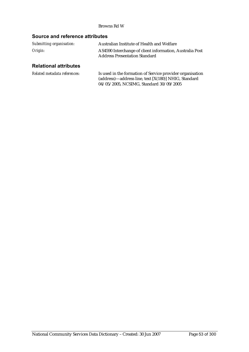#### Browns Rd W

### **Source and reference attributes**

| Submitting organisation: | Australian Institute of Health and Welfare                                                       |
|--------------------------|--------------------------------------------------------------------------------------------------|
| Origin:                  | AS4590 Interchange of client information, Australia Post<br><b>Address Presentation Standard</b> |

# **Relational attributes**

| Related metadata references: | Is used in the formation of Service provider organisation |
|------------------------------|-----------------------------------------------------------|
|                              | (address)—address line, text [X(180)] NHIG, Standard      |
|                              | 04/05/2005, NCSIMG, Standard 30/09/2005                   |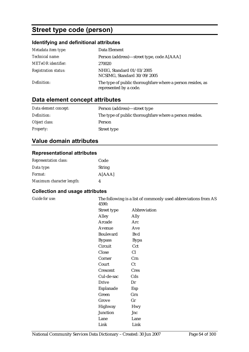# **Street type code (person)**

# **Identifying and definitional attributes**

| Metadata item type:         | Data Element                                                                         |
|-----------------------------|--------------------------------------------------------------------------------------|
| Technical name:             | Person (address)—street type, code A[AAA]                                            |
| <b>METeOR</b> identifier:   | 270020                                                                               |
| <b>Registration status:</b> | NHIG, Standard 01/03/2005<br>NCSIMG, Standard 30/09/2005                             |
| Definition:                 | The type of public thoroughfare where a person resides, as<br>represented by a code. |

# **Data element concept attributes**

| Data element concept: | Person (address)—street type                             |
|-----------------------|----------------------------------------------------------|
| Definition:           | The type of public thorough fare where a person resides. |
| Object class:         | Person                                                   |
| <b>Property:</b>      | Street type                                              |

## **Value domain attributes**

#### **Representational attributes**

| <b>Representation class:</b> | Code          |
|------------------------------|---------------|
| Data type:                   | <b>String</b> |
| <i>Format:</i>               | A[AAA]        |
| Maximum character length:    | 4             |

| Guide for use: | The following is a list of commonly used abbreviations from AS<br>4590: |              |
|----------------|-------------------------------------------------------------------------|--------------|
|                | Street type                                                             | Abbreviation |
|                | Alley                                                                   | Ally         |
|                | Arcade                                                                  | Arc          |
|                | Avenue                                                                  | Ave          |
|                | Boulevard                                                               | <b>Bvd</b>   |
|                | <b>Bypass</b>                                                           | <b>Bypa</b>  |
|                | Circuit                                                                 | Cct          |
|                | Close                                                                   | Cl           |
|                | Corner                                                                  | Crn          |
|                | Court                                                                   | Ct           |
|                | Crescent                                                                | <b>Cres</b>  |
|                | Cul-de-sac                                                              | Cds          |
|                | <b>Drive</b>                                                            | Dr           |
|                | Esplanade                                                               | Esp          |
|                | Green                                                                   | Grn          |
|                | Grove                                                                   | Gr           |
|                | Highway                                                                 | <b>Hwy</b>   |
|                | <b>Junction</b>                                                         | Jnc          |
|                | Lane                                                                    | Lane         |
|                | Link                                                                    | Link         |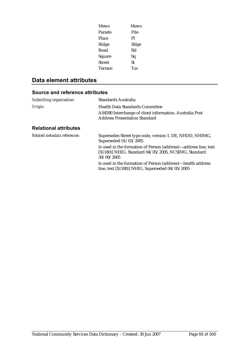| Mews    | <b>Mews</b> |
|---------|-------------|
| Parade  | Pde         |
| Place   | Pl          |
| Ridge   | Rdge        |
| Road    | Rd          |
| Square  | Sq          |
| Street  | St          |
| Terrace | Tce         |
|         |             |

# **Data element attributes**

### **Source and reference attributes**

| Submitting organisation:     | Standards Australia                                                                                                                     |
|------------------------------|-----------------------------------------------------------------------------------------------------------------------------------------|
| Origin:                      | <b>Health Data Standards Committee</b><br>AS4590 Interchange of client information, Australia Post                                      |
| <b>Relational attributes</b> | <b>Address Presentation Standard</b>                                                                                                    |
| Related metadata references: | Supersedes Street type code, version 1, DE, NHDD, NHIMG,<br>Superseded 01/03/2005                                                       |
|                              | Is used in the formation of Person (address)—address line, text<br>$[X(180)]$ NHIG, Standard 04/05/2005, NCSIMG, Standard<br>30/09/2005 |
|                              | Is used in the formation of Person (address)—health address<br>line, text $[X(180)]$ NHIG, Superseded $04/05/2005$                      |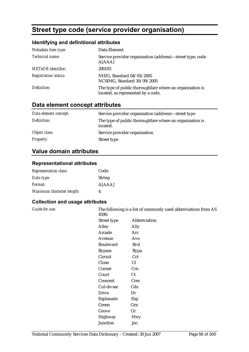# **Street type code (service provider organisation)**

### **Identifying and definitional attributes**

| Metadata item type:         | Data Element                                                                                   |
|-----------------------------|------------------------------------------------------------------------------------------------|
| Technical name:             | Service provider organisation (address)—street type, code<br>A[AAA]                            |
| <b>METeOR</b> identifier:   | 290193                                                                                         |
| <b>Registration status:</b> | NHIG, Standard 04/05/2005<br>NCSIMG, Standard 30/09/2005                                       |
| Definition:                 | The type of public thoroughfare where an organisation is<br>located, as represented by a code. |

# **Data element concept attributes**

| Data element concept: | Service provider organisation (address)—street type                  |
|-----------------------|----------------------------------------------------------------------|
| Definition:           | The type of public thoroughfare where an organisation is<br>located. |
| Object class:         | Service provider organisation                                        |
| <b>Property:</b>      | Street type                                                          |

## **Value domain attributes**

#### **Representational attributes**

| <b>Representation class:</b> | Code          |
|------------------------------|---------------|
| Data type:                   | <b>String</b> |
| <i>Format:</i>               | A[AAA]        |
| Maximum character length:    | Δ             |

### **Collection and usage attributes**

*Guide for use:* The following is a list of commonly used abbreviations from AS 4590:

| TJJU.            |              |
|------------------|--------------|
| Street type      | Abbreviation |
| Alley            | Ally         |
| Arcade           | Arc          |
| Avenue           | Ave          |
| <b>Boulevard</b> | <b>B</b> vd  |
| <b>Bypass</b>    | <b>Bypa</b>  |
| Circuit          | Cct          |
| Close            | Cl           |
| Corner           | Crn          |
| Court            | Ct           |
| Crescent         | <b>Cres</b>  |
| Cul-de-sac       | Cds          |
| <b>Drive</b>     | Dr           |
| Esplanade        | Esp          |
| Green            | Grn          |
| Grove            | Gr           |
| Highway          | <b>Hwy</b>   |
| Junction         | Jnc          |
|                  |              |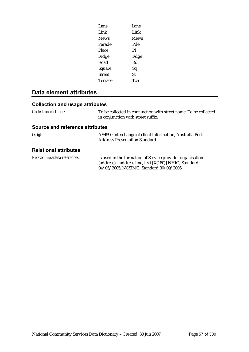| Lane           | Lane        |
|----------------|-------------|
| Link           | Link        |
| <b>Mews</b>    | <b>Mews</b> |
| Parade         | Pde         |
| Place          | Pl          |
| Ridge          | Rdge        |
| Road           | Rd          |
| Square         | Sq          |
| <b>Street</b>  | St          |
| <b>Terrace</b> | Tce         |
|                |             |

# **Data element attributes**

## **Collection and usage attributes**

| <b>Collection methods:</b> | To be collected in conjunction with street name. To be collected |
|----------------------------|------------------------------------------------------------------|
|                            | in conjunction with street suffix.                               |

### **Source and reference attributes**

| Origin:                      | AS4590 Interchange of client information, Australia Post<br><b>Address Presentation Standard</b>                                                             |
|------------------------------|--------------------------------------------------------------------------------------------------------------------------------------------------------------|
| <b>Relational attributes</b> |                                                                                                                                                              |
| Related metadata references: | Is used in the formation of Service provider organisation<br>(address)-address line, text [X(180)] NHIG, Standard<br>04/05/2005, NCSIMG, Standard 30/09/2005 |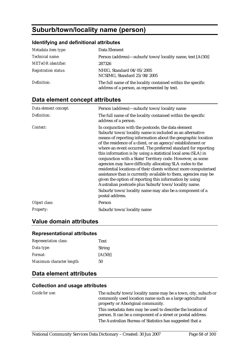# **Suburb/town/locality name (person)**

#### **Identifying and definitional attributes**

| Metadata item type:         | Data Element                                                                                                |
|-----------------------------|-------------------------------------------------------------------------------------------------------------|
| Technical name:             | Person (address)—suburb/town/locality name, text [A(50)]                                                    |
| <b>METeOR</b> identifier:   | 287326                                                                                                      |
| <b>Registration status:</b> | NHIG, Standard 04/05/2005<br>NCSIMG, Standard 25/08/2005                                                    |
| Definition:                 | The full name of the locality contained within the specific<br>address of a person, as represented by text. |

# **Data element concept attributes**

| Data element concept: | Person (address)—suburb/town/locality name                                                                                                                                                                                                                                                                                                                                                                                                                                                                                                                                                                                                                                                                                                                                                                                                     |
|-----------------------|------------------------------------------------------------------------------------------------------------------------------------------------------------------------------------------------------------------------------------------------------------------------------------------------------------------------------------------------------------------------------------------------------------------------------------------------------------------------------------------------------------------------------------------------------------------------------------------------------------------------------------------------------------------------------------------------------------------------------------------------------------------------------------------------------------------------------------------------|
| Definition:           | The full name of the locality contained within the specific<br>address of a person.                                                                                                                                                                                                                                                                                                                                                                                                                                                                                                                                                                                                                                                                                                                                                            |
| Context:              | In conjunction with the postcode, the data element<br>Suburb/town/locality name is included as an alternative<br>means of reporting information about the geographic location<br>of the residence of a client, or an agency/establishment or<br>where an event occurred. The preferred standard for reporting<br>this information is by using a statistical local area (SLA) in<br>conjunction with a State/Territory code. However, as some<br>agencies may have difficulty allocating SLA codes to the<br>residential locations of their clients without more computerised<br>assistance than is currently available to them, agencies may be<br>given the option of reporting this information by using<br>Australian postcode plus Suburb/town/locality name.<br>Suburb/town/locality name may also be a component of a<br>postal address. |
| Object class:         | Person                                                                                                                                                                                                                                                                                                                                                                                                                                                                                                                                                                                                                                                                                                                                                                                                                                         |
| Property:             | Suburb/town/locality name                                                                                                                                                                                                                                                                                                                                                                                                                                                                                                                                                                                                                                                                                                                                                                                                                      |

### **Value domain attributes**

# **Representational attributes**

| <b>Representation class:</b> | Text          |
|------------------------------|---------------|
| Data type:                   | <b>String</b> |
| Format:                      | [A(50)]       |
| Maximum character length:    | 50            |

### **Data element attributes**

#### **Collection and usage attributes**

*Guide for use:* The suburb/town/locality name may be a town, city, suburb or commonly used location name such as a large agricultural property or Aboriginal community. This metadata item may be used to describe the location of person. It can be a component of a street or postal address. The Australian Bureau of Statistics has suggested that a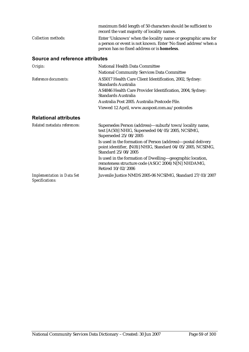|                            | maximum field length of 50 characters should be sufficient to<br>record the vast majority of locality names.                     |
|----------------------------|----------------------------------------------------------------------------------------------------------------------------------|
| <i>Collection methods:</i> | Enter 'Unknown' when the locality name or geographic area for<br>a person or event is not known. Enter 'No fixed address' when a |
|                            | person has no fixed address or is homeless.                                                                                      |

### **Source and reference attributes**

| Origin:                           | National Health Data Committee                                                                                                                     |
|-----------------------------------|----------------------------------------------------------------------------------------------------------------------------------------------------|
|                                   | <b>National Community Services Data Committee</b>                                                                                                  |
| Reference documents:              | AS5017 Health Care Client Identification, 2002, Sydney:<br>Standards Australia                                                                     |
|                                   | AS4846 Health Care Provider Identification, 2004, Sydney:<br>Standards Australia                                                                   |
|                                   | Australia Post 2005. Australia Postcode File.                                                                                                      |
|                                   | Viewed 12 April, www.auspost.com.au/postcodes                                                                                                      |
| <b>Relational attributes</b>      |                                                                                                                                                    |
| Related metadata references:      | Supersedes Person (address)—suburb/town/locality name,<br>text [A(50)] NHIG, Superseded 04/05/2005, NCSIMG,<br>Superseded 25/08/2005               |
|                                   | Is used in the formation of Person (address)—postal delivery<br>point identifier, {N(8)} NHIG, Standard 04/05/2005, NCSIMG,<br>Standard 25/08/2005 |
|                                   | Is used in the formation of Dwelling—geographic location,<br>remoteness structure code (ASGC 2004) N[N] NHDAMG,<br>Retired 10/02/2006              |
| <b>Implementation in Data Set</b> | Juvenile Justice NMDS 2005-06 NCSIMG, Standard 27/03/2007                                                                                          |

*Implementation in Data Set Specifications:*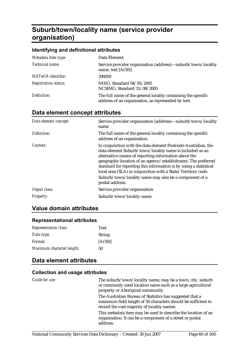# **Suburb/town/locality name (service provider organisation)**

#### **Identifying and definitional attributes**

| Metadata item type:         | Data Element                                                                                                         |
|-----------------------------|----------------------------------------------------------------------------------------------------------------------|
| Technical name:             | Service provider organisation (address)—suburb/town/locality<br>name, text $[A(50)]$                                 |
| <b>METeOR</b> identifier:   | 290059                                                                                                               |
| <b>Registration status:</b> | NHIG, Standard 04/05/2005<br>NCSIMG, Standard 31/08/2005                                                             |
| Definition:                 | The full name of the general locality containing the specific<br>address of an organisation, as represented by text. |

# **Data element concept attributes**

| Data element concept: | Service provider organisation (address)—suburb/town/locality<br>name                                                                                                                                                                                                                                                                                                                                                                                                 |
|-----------------------|----------------------------------------------------------------------------------------------------------------------------------------------------------------------------------------------------------------------------------------------------------------------------------------------------------------------------------------------------------------------------------------------------------------------------------------------------------------------|
| Definition:           | The full name of the general locality containing the specific<br>address of an organisation.                                                                                                                                                                                                                                                                                                                                                                         |
| Context:              | In conjunction with the data element Postcode-Australian, the<br>data element Suburb/town/locality name is included as an<br>alternative means of reporting information about the<br>geographic location of an agency/establishment. The preferred<br>standard for reporting this information is by using a statistical<br>local area (SLA) in conjunction with a State/Territory code.<br>Suburb/town/locality name may also be a component of a<br>postal address. |
| Object class:         | Service provider organisation                                                                                                                                                                                                                                                                                                                                                                                                                                        |
| <i>Property:</i>      | Suburb/town/locality name                                                                                                                                                                                                                                                                                                                                                                                                                                            |

### **Value domain attributes**

#### **Representational attributes**

| <b>Representation class:</b> | Text          |
|------------------------------|---------------|
| Data type:                   | <b>String</b> |
| <i>Format:</i>               | [A(50)]       |
| Maximum character length:    | 50            |

## **Data element attributes**

| Guide for use: | The suburb/town/locality name, may be a town, city, suburb<br>or commonly used location name such as a large agricultural<br>property or Aboriginal community.           |
|----------------|--------------------------------------------------------------------------------------------------------------------------------------------------------------------------|
|                | The Australian Bureau of Statistics has suggested that a<br>maximum field length of 50 characters should be sufficient to<br>record the vast majority of locality names. |
|                | This metadata item may be used to describe the location of an<br>organisation. It can be a component of a street or postal<br>address.                                   |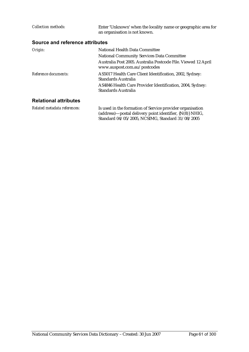| Collection methods:             | Enter 'Unknown' when the locality name or geographic area for<br>an organisation is not known.                                                                                       |
|---------------------------------|--------------------------------------------------------------------------------------------------------------------------------------------------------------------------------------|
| Source and reference attributes |                                                                                                                                                                                      |
| Origin:                         | National Health Data Committee<br><b>National Community Services Data Committee</b><br>Australia Post 2005. Australia Postcode File. Viewed 12 April<br>www.auspost.com.au/postcodes |
| Reference documents:            | AS5017 Health Care Client Identification, 2002, Sydney:<br>Standards Australia<br>AS4846 Health Care Provider Identification, 2004, Sydney:<br>Standards Australia                   |
| <b>Relational attributes</b>    |                                                                                                                                                                                      |

*Related metadata references:* Is used in the formation of Service provider organisation (address)—postal delivery point identifier, {N(8)} NHIG, Standard 04/05/2005, NCSIMG, Standard 31/08/2005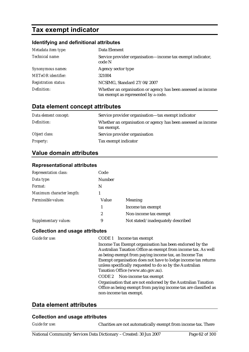# **Tax exempt indicator**

### **Identifying and definitional attributes**

| Metadata item type:         | Data Element                                                                                          |
|-----------------------------|-------------------------------------------------------------------------------------------------------|
| Technical name:             | Service provider organisation—income tax exempt indicator,<br>code N                                  |
| Synonymous names:           | Agency sector type                                                                                    |
| <b>METeOR</b> identifier:   | 321004                                                                                                |
| <b>Registration status:</b> | NCSIMG, Standard 27/04/2007                                                                           |
| Definition:                 | Whether an organisation or agency has been assessed as income<br>tax exempt as represented by a code. |

# **Data element concept attributes**

| Data element concept: | Service provider organisation—tax exempt indicator                           |
|-----------------------|------------------------------------------------------------------------------|
| Definition:           | Whether an organisation or agency has been assessed as income<br>tax exempt. |
| Object class:         | Service provider organisation                                                |
| <i>Property:</i>      | Tax exempt indicator                                                         |

### **Value domain attributes**

### **Representational attributes**

| <b>Representation class:</b> | Code   |                                   |
|------------------------------|--------|-----------------------------------|
| Data type:                   | Number |                                   |
| Format:                      | N      |                                   |
| Maximum character length:    |        |                                   |
| Permissible values:          | Value  | Meaning                           |
|                              | 1      | Income tax exempt                 |
|                              | 2      | Non-income tax exempt             |
| <b>Supplementary values:</b> | 9      | Not stated/inadequately described |

#### **Collection and usage attributes**

| Guide for use: | CODE 1 Income tax exempt                                                                                                                                   |
|----------------|------------------------------------------------------------------------------------------------------------------------------------------------------------|
|                | Income Tax Exempt organisation has been endorsed by the                                                                                                    |
|                | Australian Taxation Office as exempt from income tax. As well                                                                                              |
|                | as being exempt from paying income tax, an Income Tax                                                                                                      |
|                | Exempt organisation does not have to lodge income tax returns                                                                                              |
|                | unless specifically requested to do so by the Australian                                                                                                   |
|                | Taxation Office (www.ato.gov.au).                                                                                                                          |
|                | CODE 2 Non-income tax exempt                                                                                                                               |
|                | Organisation that are not endorsed by the Australian Taxation<br>Office as being exempt from paying income tax are classified as<br>non-income tax exempt. |
|                |                                                                                                                                                            |

### **Data element attributes**

#### **Collection and usage attributes**

*Guide for use:* Charities are not automatically exempt from income tax. There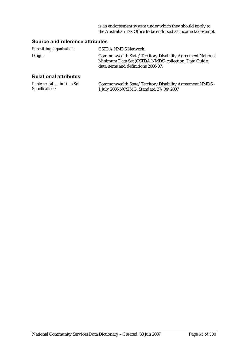is an endorsement system under which they should apply to the Australian Tax Office to be endorsed as income tax exempt.

#### **Source and reference attributes**

| Submitting organisation: | CSTDA NMDS Network.                                                                                                                                        |
|--------------------------|------------------------------------------------------------------------------------------------------------------------------------------------------------|
| Origin:                  | Commonwealth State/Territory Disability Agreement National<br>Minimum Data Set (CSTDA NMDS) collection. Data Guide:<br>data items and definitions 2006-07. |
|                          |                                                                                                                                                            |

#### **Relational attributes**

| <b>Implementation in Data Set</b> | Commonwealth State/Territory Disability Agreement NMDS - |
|-----------------------------------|----------------------------------------------------------|
| Specifications:                   | 1 July 2006 NCSIMG, Standard 27/04/2007                  |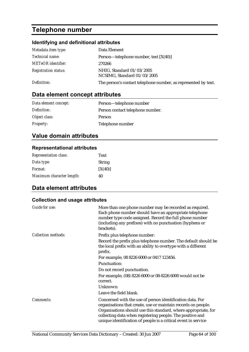# **Telephone number**

## **Identifying and definitional attributes**

| Metadata item type:         | Data Element                                                   |
|-----------------------------|----------------------------------------------------------------|
| <i>Technical name:</i>      | Person—telephone number, text $[X(40)]$                        |
| <b>METeOR</b> identifier:   | 270266                                                         |
| <b>Registration status:</b> | NHIG, Standard 01/03/2005<br>NCSIMG, Standard 01/03/2005       |
| Definition:                 | The person's contact telephone number, as represented by text. |

# **Data element concept attributes**

| Data element concept: | Person-telephone number          |
|-----------------------|----------------------------------|
| Definition:           | Person contact telephone number. |
| Object class:         | Person                           |
| <b>Property:</b>      | Telephone number                 |

## **Value domain attributes**

### **Representational attributes**

| <b>Representation class:</b> | Text          |
|------------------------------|---------------|
| Data type:                   | <b>String</b> |
| <i>Format:</i>               | [X(40)]       |
| Maximum character length:    | 40            |

# **Data element attributes**

| <b>Guide for use:</b>      | More than one phone number may be recorded as required.<br>Each phone number should have an appropriate telephone<br>number type code assigned. Record the full phone number<br>(including any prefixes) with no punctuation (hyphens or<br>brackets).                                                                      |
|----------------------------|-----------------------------------------------------------------------------------------------------------------------------------------------------------------------------------------------------------------------------------------------------------------------------------------------------------------------------|
| <b>Collection methods:</b> | Prefix plus telephone number:                                                                                                                                                                                                                                                                                               |
|                            | Record the prefix plus telephone number. The default should be<br>the local prefix with an ability to overtype with a different<br>prefix.                                                                                                                                                                                  |
|                            | For example, 08 8226 6000 or 0417 123456.                                                                                                                                                                                                                                                                                   |
|                            | <b>Punctuation:</b>                                                                                                                                                                                                                                                                                                         |
|                            | Do not record punctuation.                                                                                                                                                                                                                                                                                                  |
|                            | For example, (08) 8226 6000 or 08-8226 6000 would not be<br>correct.                                                                                                                                                                                                                                                        |
|                            | Unknown:                                                                                                                                                                                                                                                                                                                    |
|                            | Leave the field blank.                                                                                                                                                                                                                                                                                                      |
| Comments:                  | Concerned with the use of person identification data. For<br>organisations that create, use or maintain records on people.<br>Organisations should use this standard, where appropriate, for<br>collecting data when registering people. The positive and<br>unique identification of people is a critical event in service |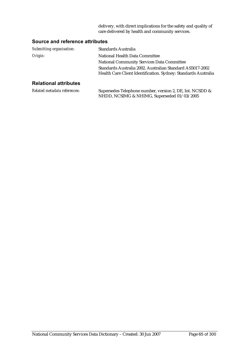delivery, with direct implications for the safety and quality of care delivered by health and community services.

### **Source and reference attributes**

| Submitting organisation:     | Standards Australia                                                                                                         |
|------------------------------|-----------------------------------------------------------------------------------------------------------------------------|
| Origin:                      | National Health Data Committee                                                                                              |
|                              | <b>National Community Services Data Committee</b>                                                                           |
|                              | Standards Australia 2002. Australian Standard AS5017-2002<br>Health Care Client Identification. Sydney: Standards Australia |
| <b>Relational attributes</b> |                                                                                                                             |
|                              |                                                                                                                             |

| Related metadata references: | Supersedes Telephone number, version 2, DE, Int. NCSDD & |
|------------------------------|----------------------------------------------------------|
|                              | NHDD, NCSIMG & NHIMG, Superseded 01/03/2005              |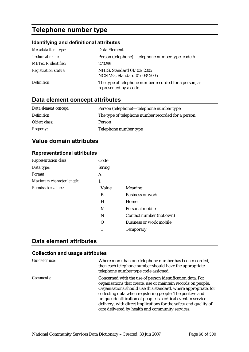# **Telephone number type**

### **Identifying and definitional attributes**

| Metadata item type:         | Data Element                                                                     |
|-----------------------------|----------------------------------------------------------------------------------|
| Technical name:             | Person (telephone)—telephone number type, code A                                 |
| <b>METeOR</b> identifier:   | 270299                                                                           |
| <b>Registration status:</b> | NHIG, Standard 01/03/2005<br>NCSIMG, Standard 01/03/2005                         |
| Definition:                 | The type of telephone number recorded for a person, as<br>represented by a code. |

# **Data element concept attributes**

| Data element concept: | Person (telephone)—telephone number type            |
|-----------------------|-----------------------------------------------------|
| Definition:           | The type of telephone number recorded for a person. |
| Object class:         | <b>Person</b>                                       |
| <i>Property:</i>      | Telephone number type                               |

## **Value domain attributes**

### **Representational attributes**

| <b>Representation class:</b> | Code          |                                |
|------------------------------|---------------|--------------------------------|
| Data type:                   | <b>String</b> |                                |
| Format:                      | A             |                                |
| Maximum character length:    | 1             |                                |
| Permissible values:          | Value         | Meaning                        |
|                              | B             | <b>Business or work</b>        |
|                              | H             | Home                           |
|                              | M             | Personal mobile                |
|                              | N             | Contact number (not own)       |
|                              | Ω             | <b>Business or work mobile</b> |
|                              | т             | <b>Temporary</b>               |

## **Data element attributes**

| Guide for use:   | Where more than one telephone number has been recorded,<br>then each telephone number should have the appropriate<br>telephone number type code assigned.                                                                                                                                                                                                                                                                                           |
|------------------|-----------------------------------------------------------------------------------------------------------------------------------------------------------------------------------------------------------------------------------------------------------------------------------------------------------------------------------------------------------------------------------------------------------------------------------------------------|
| <i>Comments:</i> | Concerned with the use of person identification data. For<br>organisations that create, use or maintain records on people.<br>Organisations should use this standard, where appropriate, for<br>collecting data when registering people. The positive and<br>unique identification of people is a critical event in service<br>delivery, with direct implications for the safety and quality of<br>care delivered by health and community services. |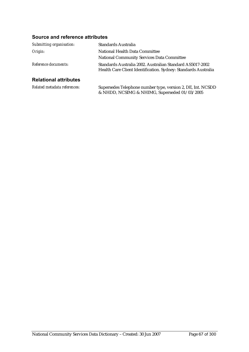### **Source and reference attributes**

| Submitting organisation:     | <b>Standards Australia</b>                                                                                                  |
|------------------------------|-----------------------------------------------------------------------------------------------------------------------------|
| Origin:                      | National Health Data Committee                                                                                              |
|                              | <b>National Community Services Data Committee</b>                                                                           |
| Reference documents:         | Standards Australia 2002. Australian Standard AS5017-2002<br>Health Care Client Identification. Sydney: Standards Australia |
| <b>Relational attributes</b> |                                                                                                                             |
| Related metadata references: | Supersedes Telephone number type, version 2, DE, Int. NCSDD<br>& NHDD, NCSIMG & NHIMG, Superseded 01/03/2005                |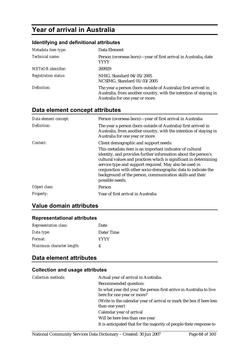# **Year of arrival in Australia**

### **Identifying and definitional attributes**

| Metadata item type:         | Data Element                                                                                                                                                           |
|-----------------------------|------------------------------------------------------------------------------------------------------------------------------------------------------------------------|
| Technical name:             | Person (overseas born)-year of first arrival in Australia, date<br>YYYY                                                                                                |
| <b>METeOR</b> identifier:   | 269929                                                                                                                                                                 |
| <b>Registration status:</b> | NHIG, Standard 04/05/2005<br>NCSIMG, Standard 01/03/2005                                                                                                               |
| Definition:                 | The year a person (born outside of Australia) first arrived in<br>Australia, from another country, with the intention of staying in<br>Australia for one year or more. |

# **Data element concept attributes**

| Data element concept: | Person (overseas born)—year of first arrival in Australia                                                                                                                                                                                                                                                                                                                                                |  |
|-----------------------|----------------------------------------------------------------------------------------------------------------------------------------------------------------------------------------------------------------------------------------------------------------------------------------------------------------------------------------------------------------------------------------------------------|--|
| Definition:           | The year a person (born outside of Australia) first arrived in<br>Australia, from another country, with the intention of staying in<br>Australia for one year or more.                                                                                                                                                                                                                                   |  |
| Context:              | Client demographic and support needs:                                                                                                                                                                                                                                                                                                                                                                    |  |
|                       | This metadata item is an important indicator of cultural<br>identity, and provides further information about the person's<br>cultural values and practices which is significant in determining<br>service type and support required. May also be used in<br>conjunction with other socio-demographic data to indicate the<br>background of the person, communication skills and their<br>possible needs. |  |
| Object class:         | Person                                                                                                                                                                                                                                                                                                                                                                                                   |  |
| Property:             | Year of first arrival in Australia                                                                                                                                                                                                                                                                                                                                                                       |  |

### **Value domain attributes**

#### **Representational attributes**

| <b>Representation class:</b> | Date        |
|------------------------------|-------------|
| Data type:                   | Date/Time   |
| Format:                      | <b>YYYY</b> |
| Maximum character length:    |             |

# **Data element attributes**

| <b>Collection methods:</b> | Actual year of arrival in Australia.                                |
|----------------------------|---------------------------------------------------------------------|
|                            | Recommended question:                                               |
|                            | In what year did you/the person first arrive in Australia to live   |
|                            | here for one year or more?                                          |
|                            | (Write in the calendar year of arrival or mark the box if here less |
|                            | than one year)                                                      |
|                            | Calendar year of arrival                                            |
|                            | Will be here less than one year                                     |
|                            | It is anticipated that for the majority of people their response to |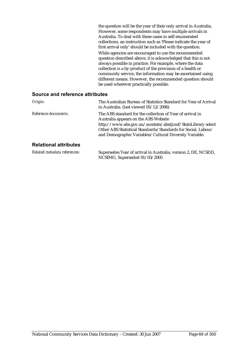the question will be the year of their only arrival in Australia. However, some respondents may have multiple arrivals in Australia. To deal with these cases in self-enumerated collections, an instruction such as 'Please indicate the year of first arrival only' should be included with the question. While agencies are encouraged to use the recommended question described above, it is acknowledged that this is not always possible in practice. For example, where the data collection is a by-product of the provision of a health or community service, the information may be ascertained using different means. However, the recommended question should be used wherever practically possible.

#### **Source and reference attributes**

| Origin:                      | The Australian Bureau of Statistics Standard for Year of Arrival<br>in Australia. (last viewed 05/12/2006)                                                                                                                                                                                 |
|------------------------------|--------------------------------------------------------------------------------------------------------------------------------------------------------------------------------------------------------------------------------------------------------------------------------------------|
| Reference documents:         | The ABS standard for the collection of Year of arrival in<br>Australia appears on the ABS Website<br>http://www.abs.gov.au/ausstats/abs@.nsf/StatsLibrary select<br>Other ABS Statistical Standards/Standards for Social, Labour<br>and Demographic Variables/Cultural Diversity Variable. |
| <b>Relational attributes</b> |                                                                                                                                                                                                                                                                                            |
| Related metadata references: | Supersedes Year of arrival in Australia, version 2, DE, NCSDD,<br>NCSIMG, Superseded 01/03/2005                                                                                                                                                                                            |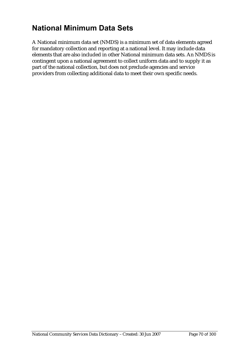# **National Minimum Data Sets**

A National minimum data set (NMDS) is a minimum set of data elements agreed for mandatory collection and reporting at a national level. It may include data elements that are also included in other National minimum data sets. An NMDS is contingent upon a national agreement to collect uniform data and to supply it as part of the national collection, but does not preclude agencies and service providers from collecting additional data to meet their own specific needs.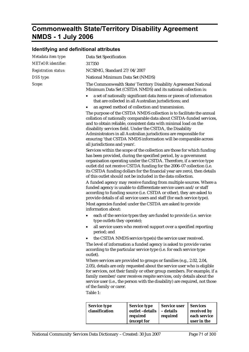# **Commonwealth State/Territory Disability Agreement NMDS - 1 July 2006**

### **Identifying and definitional attributes**

| Metadata item type:         | Data Set Specification                                                                                                                                                                                                                                                                                                                                                                                                                                   |                                                                                                                                                                                                                                                                                                                                                           |                                              |                                                |  |
|-----------------------------|----------------------------------------------------------------------------------------------------------------------------------------------------------------------------------------------------------------------------------------------------------------------------------------------------------------------------------------------------------------------------------------------------------------------------------------------------------|-----------------------------------------------------------------------------------------------------------------------------------------------------------------------------------------------------------------------------------------------------------------------------------------------------------------------------------------------------------|----------------------------------------------|------------------------------------------------|--|
| <b>METeOR</b> identifier:   |                                                                                                                                                                                                                                                                                                                                                                                                                                                          | 317350                                                                                                                                                                                                                                                                                                                                                    |                                              |                                                |  |
| <b>Registration status:</b> |                                                                                                                                                                                                                                                                                                                                                                                                                                                          | NCSIMG, Standard 27/04/2007                                                                                                                                                                                                                                                                                                                               |                                              |                                                |  |
| DSS type:                   | National Minimum Data Set (NMDS)                                                                                                                                                                                                                                                                                                                                                                                                                         |                                                                                                                                                                                                                                                                                                                                                           |                                              |                                                |  |
| Scope:                      | The Commonwealth State/Territory Disability Agreement National<br>Minimum Data Set (CSTDA NMDS) and its national collection is:                                                                                                                                                                                                                                                                                                                          |                                                                                                                                                                                                                                                                                                                                                           |                                              |                                                |  |
|                             | a set of nationally significant data items or pieces of information<br>٠<br>that are collected in all Australian jurisdictions; and<br>an agreed method of collection and transmission.                                                                                                                                                                                                                                                                  |                                                                                                                                                                                                                                                                                                                                                           |                                              |                                                |  |
|                             | The purpose of the CSTDA NMDS collection is to facilitate the annual<br>collation of nationally comparable data about CSTDA-funded services,<br>and to obtain reliable, consistent data with minimal load on the<br>disability services field. Under the CSTDA, the Disability<br>Administrators in all Australian jurisdictions are responsible for<br>ensuring 'that CSTDA NMDS information will be comparable across<br>all jurisdictions and years'. |                                                                                                                                                                                                                                                                                                                                                           |                                              |                                                |  |
|                             | Services within the scope of the collection are those for which funding<br>has been provided, during the specified period, by a government<br>organisation operating under the CSTDA. Therefore, if a service type<br>outlet did not receive CSTDA funding for the 2006-07 collection (i.e.<br>its CSTDA funding dollars for the financial year are zero), then details<br>of this outlet should not be included in the data collection.                 |                                                                                                                                                                                                                                                                                                                                                           |                                              |                                                |  |
|                             |                                                                                                                                                                                                                                                                                                                                                                                                                                                          | A funded agency may receive funding from multiple sources. Where a<br>funded agency is unable to differentiate service users and/or staff<br>according to funding source (i.e. CSTDA or other), they are asked to<br>provide details of all service users and staff (for each service type).<br>Most agencies funded under the CSTDA are asked to provide |                                              |                                                |  |
|                             | information about:<br>$\bullet$                                                                                                                                                                                                                                                                                                                                                                                                                          | each of the service types they are funded to provide (i.e. service<br>type outlets they operate);                                                                                                                                                                                                                                                         |                                              |                                                |  |
|                             | ٠                                                                                                                                                                                                                                                                                                                                                                                                                                                        | all service users who received support over a specified reporting<br>period; and                                                                                                                                                                                                                                                                          |                                              |                                                |  |
|                             |                                                                                                                                                                                                                                                                                                                                                                                                                                                          | • the CSTDA NMDS service type(s) the service user received.                                                                                                                                                                                                                                                                                               |                                              |                                                |  |
|                             | The level of information a funded agency is asked to provide varies<br>according to the particular service type (i.e. for each service type<br>outlet).                                                                                                                                                                                                                                                                                                  |                                                                                                                                                                                                                                                                                                                                                           |                                              |                                                |  |
|                             | Where services are provided to groups or families (e.g., 2.02, 2.04,                                                                                                                                                                                                                                                                                                                                                                                     |                                                                                                                                                                                                                                                                                                                                                           |                                              |                                                |  |
|                             | 2.05), details are only requested about the service user who is eligible<br>for services, not their family or other group members. For example, if a                                                                                                                                                                                                                                                                                                     |                                                                                                                                                                                                                                                                                                                                                           |                                              |                                                |  |
|                             | family member/carer receives respite services, only details about the                                                                                                                                                                                                                                                                                                                                                                                    |                                                                                                                                                                                                                                                                                                                                                           |                                              |                                                |  |
|                             | service user (i.e., the person with the disability) are required, not those                                                                                                                                                                                                                                                                                                                                                                              |                                                                                                                                                                                                                                                                                                                                                           |                                              |                                                |  |
|                             | of the family or carer.<br>Table 1:                                                                                                                                                                                                                                                                                                                                                                                                                      |                                                                                                                                                                                                                                                                                                                                                           |                                              |                                                |  |
|                             |                                                                                                                                                                                                                                                                                                                                                                                                                                                          |                                                                                                                                                                                                                                                                                                                                                           |                                              |                                                |  |
|                             | <b>Service type</b><br>classification                                                                                                                                                                                                                                                                                                                                                                                                                    | <b>Service type</b><br>outlet-details<br>required                                                                                                                                                                                                                                                                                                         | <b>Service user</b><br>- details<br>required | <b>Services</b><br>received by<br>each service |  |

**(except for** 

**user in the**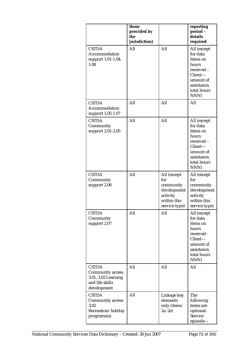|                                                                                           | those<br>provided by<br>the<br>jurisdiction) |                                                                                            | reporting<br>period-<br>details<br>required                                                                              |
|-------------------------------------------------------------------------------------------|----------------------------------------------|--------------------------------------------------------------------------------------------|--------------------------------------------------------------------------------------------------------------------------|
| <b>CSTDA</b><br>Accommodation<br>support 1.01-1.04,<br>1.08                               | All                                          | All                                                                                        | All (except<br>for data<br>items on<br>hours<br>received -<br>Client-<br>amount of<br>assistance,<br>total hours<br>NNN) |
| <b>CSTDA</b><br>Accommodation<br>support 1.05-1.07                                        | All                                          | All                                                                                        | All                                                                                                                      |
| <b>CSTDA</b><br>Community<br>support 2.01-2.05                                            | All                                          | All                                                                                        | All (except<br>for data<br>items on<br>hours<br>received -<br>Client-<br>amount of<br>assistance,<br>total hours<br>NNN) |
| <b>CSTDA</b><br>Community<br>support 2.06                                                 | All                                          | All (except<br>for<br>community<br>development<br>activity<br>within this<br>service type) | All (except<br>for<br>community<br>development<br>activity<br>within this<br>service type)                               |
| <b>CSTDA</b><br>Community<br>support 2.07                                                 | All                                          | All                                                                                        | All (except<br>for data<br>items on<br>hours<br>received -<br>Client-<br>amount of<br>assistance,<br>total hours<br>NNN) |
| <b>CSTDA</b><br>Community access<br>3.01, 3.03 Learning<br>and life skills<br>development | All                                          | All                                                                                        | All                                                                                                                      |
| <b>CSTDA</b><br><b>Community access</b><br>3.02<br>Recreation/holiday<br>programs(a)      | All                                          | Linkage key<br>elements<br>only (items<br>$2a-2e$                                          | The<br>following<br>items are<br>optional:<br>Service<br>episode-                                                        |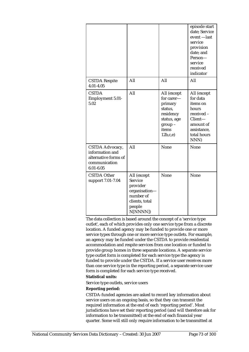|                                                                                              |                                                                                                                 |                                                                                                               | episode start<br>date; Service<br>event -last<br>service<br>provision<br>date; and<br>Person-<br>service<br>received<br>indicator |
|----------------------------------------------------------------------------------------------|-----------------------------------------------------------------------------------------------------------------|---------------------------------------------------------------------------------------------------------------|-----------------------------------------------------------------------------------------------------------------------------------|
| <b>CSTDA Respite</b><br>$4.01 - 4.05$                                                        | All                                                                                                             | All                                                                                                           | All                                                                                                                               |
| <b>CSTDA</b><br><b>Employment 5.01-</b><br>5.02                                              | All                                                                                                             | All (except<br>for carer-<br>primary<br>status,<br>residency<br>status, age<br>$group -$<br>items<br>12b,c,e) | All (except<br>for data<br>items on<br>hours<br>received-<br>Client-<br>amount of<br>assistance,<br>total hours<br>NNN)           |
| CSTDA Advocacy,<br>information and<br>alternative forms of<br>communication<br>$6.01 - 6.05$ | All                                                                                                             | None                                                                                                          | None                                                                                                                              |
| <b>CSTDA Other</b><br>support 7.01-7.04                                                      | All (except<br><b>Service</b><br>provider<br>organisation-<br>number of<br>clients, total<br>people<br>N[NNNN]) | None                                                                                                          | None                                                                                                                              |

The data collection is based around the concept of a 'service type outlet', each of which provides only one service type from a discrete location. A funded agency may be funded to provide one or more service types through one or more service type outlets. For example, an agency may be funded under the CSTDA to provide residential accommodation and respite services from one location or funded to provide group homes in three separate locations. A separate service type outlet form is completed for each service type the agency is funded to provide under the CSTDA. If a service user receives more than one service type in the reporting period, a separate service user form is completed for each service type received.

#### **Statistical units:**

Service type outlets, service users

#### **Reporting period:**

CSTDA-funded agencies are asked to record key information about service users on an ongoing basis, so that they can transmit the required information at the end of each 'reporting period'. Most jurisdictions have set their reporting period (and will therefore ask for information to be transmitted) at the end of each financial year quarter. Some will still only require information to be transmitted at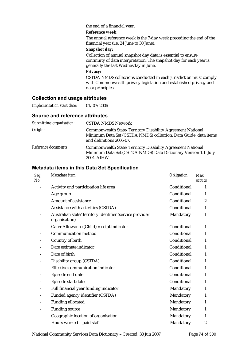#### the end of a financial year.

#### **Reference week:**

The annual reference week is the 7-day week preceding the end of the financial year (i.e. 24 June to 30 June).

#### **Snapshot day:**

Collection of annual snapshot day data is essential to ensure continuity of data interpretation. The snapshot day for each year is generally the last Wednesday in June.

#### **Privacy:**

CSTDA NMDS collections conducted in each jurisdiction must comply with Commonwealth privacy legislation and established privacy and data principles.

#### **Collection and usage attributes**

*Implementation start date:* 01/07/2006

#### **Source and reference attributes**

| Submitting organisation: | <b>CSTDA NMDS Network</b>                                                                                                                                  |
|--------------------------|------------------------------------------------------------------------------------------------------------------------------------------------------------|
| Origin:                  | Commonwealth State/Territory Disability Agreement National<br>Minimum Data Set (CSTDA NMDS) collection. Data Guide: data items<br>and definitions 2006-07. |
| Reference documents:     | Commonwealth State/Territory Disability Agreement National<br>Minimum Data Set (CSTDA NMDS) Data Dictionary Version 1.1. July<br>2004. AIHW.               |

| <b>Seq</b><br>No. | Metadata item                                                            | <b>Obligation</b> | <b>Max</b><br><b>occurs</b> |
|-------------------|--------------------------------------------------------------------------|-------------------|-----------------------------|
|                   | Activity and participation life area                                     | Conditional       | 1                           |
|                   | Age group                                                                | Conditional       | 1                           |
|                   | Amount of assistance                                                     | Conditional       | $\overline{c}$              |
|                   | Assistance with activities (CSTDA)                                       | Conditional       | 1                           |
|                   | Australian state/territory identifier (service provider<br>organisation) | Mandatory         | 1                           |
|                   | Carer Allowance (Child) receipt indicator                                | Conditional       | 1                           |
|                   | Communication method                                                     | Conditional       | $\mathbf{1}$                |
|                   | Country of birth                                                         | Conditional       | 1                           |
|                   | Date estimate indicator                                                  | Conditional       | 1                           |
|                   | Date of birth                                                            | Conditional       | 1                           |
|                   | Disability group (CSTDA)                                                 | Conditional       | 1                           |
|                   | Effective communication indicator                                        | Conditional       | 1                           |
|                   | Episode end date                                                         | Conditional       | 1                           |
|                   | Episode start date                                                       | Conditional       | 1                           |
|                   | Full financial year funding indicator                                    | Mandatory         | 1                           |
|                   | Funded agency identifier (CSTDA)                                         | Mandatory         | 1                           |
|                   | <b>Funding allocated</b>                                                 | Mandatory         | 1                           |
|                   | <b>Funding source</b>                                                    | Mandatory         | 1                           |
|                   | Geographic location of organisation                                      | Mandatory         | 1                           |
|                   | Hours worked-paid staff                                                  | Mandatory         | $\boldsymbol{2}$            |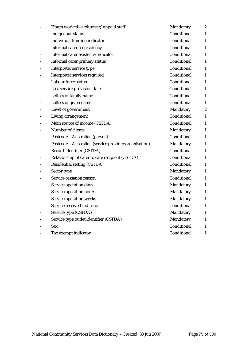| Hours worked-volunteer/unpaid staff                 | Mandatory   | $\boldsymbol{2}$ |
|-----------------------------------------------------|-------------|------------------|
| Indigenous status                                   | Conditional | $\mathbf{1}$     |
| Individual funding indicator                        | Conditional | $\mathbf{1}$     |
| Informal carer co-residency                         | Conditional | $\mathbf{1}$     |
| Informal carer existence indicator                  | Conditional | $\mathbf{1}$     |
| Informal carer primary status                       | Conditional | 1                |
| Interpreter service type                            | Conditional | 1                |
| Interpreter services required                       | Conditional | $\mathbf{1}$     |
| Labour force status                                 | Conditional | $\mathbf{1}$     |
| Last service provision date                         | Conditional | 1                |
| Letters of family name                              | Conditional | $\mathbf{1}$     |
| Letters of given name                               | Conditional | $\mathbf{1}$     |
| Level of government                                 | Mandatory   | $\boldsymbol{2}$ |
| Living arrangement                                  | Conditional | $\mathbf{1}$     |
| Main source of income (CSTDA)                       | Conditional | 1                |
| Number of clients                                   | Mandatory   | 1                |
| Postcode-Australian (person)                        | Conditional | $\mathbf{1}$     |
| Postcode-Australian (service provider organisation) | Mandatory   | $\mathbf{1}$     |
| Record identifier (CSTDA)                           | Conditional | 1                |
| Relationship of carer to care recipient (CSTDA)     | Conditional | $\mathbf{1}$     |
| Residential setting (CSTDA)                         | Conditional | 1                |
| Sector type                                         | Mandatory   | 1                |
| Service cessation reason                            | Conditional | 1                |
| Service operation days                              | Mandatory   | 1                |
| Service operation hours                             | Mandatory   | 1                |
| Service operation weeks                             | Mandatory   | $\mathbf{1}$     |
| Service received indicator                          | Conditional | $\mathbf{1}$     |
| Service type (CSTDA)                                | Mandatory   | 1                |
| Service type outlet identifier (CSTDA)              | Mandatory   | 1                |
| <b>Sex</b>                                          | Conditional | 1                |
| Tax exempt indicator                                | Conditional | 1                |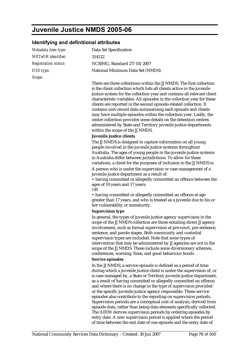# **Juvenile Justice NMDS 2005-06**

### **Identifying and definitional attributes**

| Metadata item type:         | Data Set Specification                                                                                                                                                                                                                                                                                                                                                                                                                                                                                                                                                                                                                                                                         |
|-----------------------------|------------------------------------------------------------------------------------------------------------------------------------------------------------------------------------------------------------------------------------------------------------------------------------------------------------------------------------------------------------------------------------------------------------------------------------------------------------------------------------------------------------------------------------------------------------------------------------------------------------------------------------------------------------------------------------------------|
| METeOR identifier:          | 314122                                                                                                                                                                                                                                                                                                                                                                                                                                                                                                                                                                                                                                                                                         |
| <b>Registration status:</b> | NCSIMG, Standard 27/03/2007                                                                                                                                                                                                                                                                                                                                                                                                                                                                                                                                                                                                                                                                    |
| DSS type:                   | National Minimum Data Set (NMDS)                                                                                                                                                                                                                                                                                                                                                                                                                                                                                                                                                                                                                                                               |
| Scope:                      |                                                                                                                                                                                                                                                                                                                                                                                                                                                                                                                                                                                                                                                                                                |
|                             | There are three collections within the JJ NMDS. The first collection<br>is the client collection which lists all clients active in the juvenile<br>justice system for the collection year and contains all relevant client<br>characteristic variables. All episodes in the collection year for these<br>clients are reported in the second episode-related collection. It<br>contains unit-record data summarising each episode and clients<br>may have multiple episodes within the collection year. Lastly, the<br>centre collection provides some details on the detention centres<br>administered by State and Territory juvenile justice departments<br>within the scope of the JJ NMDS. |
|                             | Juvenile justice clients                                                                                                                                                                                                                                                                                                                                                                                                                                                                                                                                                                                                                                                                       |
|                             | The JJ NMDS is designed to capture information on all young<br>people involved in the juvenile justice systems throughout<br>Australia. The ages of young people in the juvenile justice systems<br>in Australia differ between jurisdictions. To allow for these<br>variations, a client for the purposes of inclusion in the JJ NMDS is:                                                                                                                                                                                                                                                                                                                                                     |
|                             | A person who is under the supervision or case management of a<br>juvenile justice department as a result of:                                                                                                                                                                                                                                                                                                                                                                                                                                                                                                                                                                                   |
|                             | • having committed or allegedly committed an offence between the<br>ages of 10 years and 17 years;<br><b>OR</b>                                                                                                                                                                                                                                                                                                                                                                                                                                                                                                                                                                                |
|                             | • having committed or allegedly committed an offence at age<br>greater than 17 years, and who is treated as a juvenile due to his or<br>her vulnerability or immaturity.                                                                                                                                                                                                                                                                                                                                                                                                                                                                                                                       |
|                             | <b>Supervision type</b>                                                                                                                                                                                                                                                                                                                                                                                                                                                                                                                                                                                                                                                                        |
|                             | In general, the types of juvenile justice agency supervision in the<br>scope of the JJ NMDS collection are those entailing direct JJ agency<br>involvement, such as formal supervision at pre-court, pre-sentence,<br>sentence, and parole stages. Both community and custodial<br>supervision types are included. Note that some types of<br>intervention that may be administered by JJ agencies are not in the<br>scope of the JJ NMDS. These include some diversionary schemes,<br>conferences, warning, fines, and good behaviour bonds                                                                                                                                                   |
|                             | Service episodes                                                                                                                                                                                                                                                                                                                                                                                                                                                                                                                                                                                                                                                                               |
|                             | In the JJ NMDS, a service episode is defined as a period of time<br>during which a juvenile justice client is under the supervision of, or<br>is case managed by, a State or Territory juvenile justice department,<br>as a result of having committed or allegedly committed an offence,<br>and where there is no change in the type of supervision provided<br>or the specific juvenile justice agency responsible. These service<br>episodes also contribute to the reporting on supervision periods.<br>Supervision periods are a conceptual unit of analysis, derived from<br>episode data, rather than being data elements specifically collected.                                       |
|                             | The AIHW derives supervision periods by ordering episodes by<br>entry date. A new supervision period is applied where the period<br>of time between the exit date of one episode and the entry date of                                                                                                                                                                                                                                                                                                                                                                                                                                                                                         |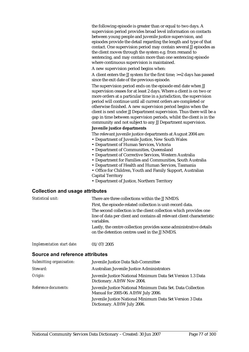the following episode is greater than or equal to two days. A supervision period provides broad level information on contacts between young people and juvenile justice supervision, and episodes provide the detail regarding the length and type of that contact. One supervision period may contain several JJ episodes as the client moves through the system e.g. from remand to sentencing, and may contain more than one sentencing episode where continuous supervision is maintained.

A new supervision period begins when:

A client enters the JJ system for the first time; >=2 days has passed since the exit date of the previous episode.

The supervision period ends on the episode end date when JJ supervision ceases for at least 2 days. Where a client is on two or more orders at a particular time in a jurisdiction, the supervision period will continue until all current orders are completed or otherwise finished. A new supervision period begins when the client is next under JJ Department supervision. Thus there will be a gap in time between supervision periods, whilst the client is in the community and not subject to any JJ Department supervision.

#### **Juvenile justice departments**

The relevant juvenile justice departments at August 2004 are:

- Department of Juvenile Justice, New South Wales
- Department of Human Services, Victoria
- Department of Communities, Queensland
- Department of Corrective Services, Western Australia
- Department for Families and Communities, South Australia
- Department of Health and Human Services, Tasmania
- Office for Children, Youth and Family Support, Australian
- Capital Territory
- Department of Justice, Northern Territory

#### **Collection and usage attributes**

| Statistical unit:          | There are three collections within the JJ NMDS.                                                                                                            |
|----------------------------|------------------------------------------------------------------------------------------------------------------------------------------------------------|
|                            | First, the episode-related collection is unit-record data.                                                                                                 |
|                            | The second collection is the client collection which provides one<br>line of data per client and contains all relevant client characteristic<br>variables. |
|                            | Lastly, the centre collection provides some administrative details<br>on the detention centres used in the JJ NMDS.                                        |
| Implementation start date: | 01/07/2005                                                                                                                                                 |

#### **Source and reference attributes**

| Submitting organisation: | Juvenile Justice Data Sub-Committee                                                                |
|--------------------------|----------------------------------------------------------------------------------------------------|
| Steward:                 | Australian Juvenile Justice Administrators                                                         |
| Origin:                  | Juvenile Justice National Minimum Data Set Version 1.3 Data<br>Dictionary. AIHW Nov 2004.          |
| Reference documents:     | Juvenile Justice National Minimum Data Set. Data Collection<br>Manual for 2005-06. AIHW July 2006. |
|                          | Juvenile Justice National Minimum Data Set Version 3 Data<br>Dictionary. AIHW July 2006.           |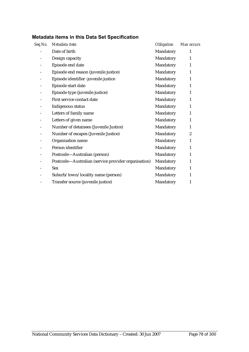| Seq No. | Metadata item                                       | <b>Obligation</b> | Max occurs     |
|---------|-----------------------------------------------------|-------------------|----------------|
|         | Date of birth                                       | Mandatory         | 1              |
|         | Design capacity                                     | Mandatory         | $\mathbf{1}$   |
|         | Episode end date                                    | Mandatory         | $\mathbf{1}$   |
|         | Episode end reason (juvenile justice)               | Mandatory         | $\mathbf{1}$   |
|         | Episode identifier -juvenile justice                | Mandatory         | $\mathbf{1}$   |
|         | Episode start date                                  | Mandatory         | $\mathbf{1}$   |
|         | Episode type (juvenile justice)                     | Mandatory         | 1              |
|         | First service contact date                          | Mandatory         | 1              |
|         | Indigenous status                                   | Mandatory         | 1              |
|         | Letters of family name                              | Mandatory         | 1              |
|         | Letters of given name                               | Mandatory         | 1              |
|         | Number of detainees (Juvenile Justice)              | Mandatory         | 1              |
|         | Number of escapes (Juvenile Justice)                | Mandatory         | $\overline{2}$ |
|         | Organisation name                                   | Mandatory         | 1              |
|         | Person identifier                                   | Mandatory         | 1              |
|         | Postcode-Australian (person)                        | Mandatory         | $\mathbf{1}$   |
|         | Postcode-Australian (service provider organisation) | Mandatory         | $\mathbf{1}$   |
|         | <b>Sex</b>                                          | Mandatory         | 1              |
|         | Suburb/town/locality name (person)                  | Mandatory         | 1              |
|         | Transfer source (juvenile justice)                  | Mandatory         | 1              |
|         |                                                     |                   |                |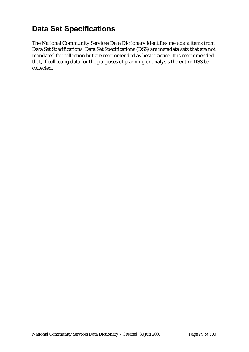# **Data Set Specifications**

The National Community Services Data Dictionary identifies metadata items from Data Set Specifications. Data Set Specifications (DSS) are metadata sets that are not mandated for collection but are recommended as best practice. It is recommended that, if collecting data for the purposes of planning or analysis the entire DSS be collected.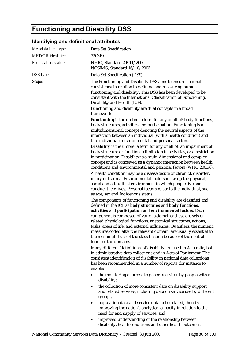# **Functioning and Disability DSS**

### **Identifying and definitional attributes**

| Metadata item type:         | Data Set Specification                                                                                                                                                                                                                                                                                                                                                                                                                                                                                                                                                                                                                                                                                                                                                                                                                                                                                                                                                                                                                                                                                                                                                                                                                                                                                                                                                                                                                                                                                                                                                                            |
|-----------------------------|---------------------------------------------------------------------------------------------------------------------------------------------------------------------------------------------------------------------------------------------------------------------------------------------------------------------------------------------------------------------------------------------------------------------------------------------------------------------------------------------------------------------------------------------------------------------------------------------------------------------------------------------------------------------------------------------------------------------------------------------------------------------------------------------------------------------------------------------------------------------------------------------------------------------------------------------------------------------------------------------------------------------------------------------------------------------------------------------------------------------------------------------------------------------------------------------------------------------------------------------------------------------------------------------------------------------------------------------------------------------------------------------------------------------------------------------------------------------------------------------------------------------------------------------------------------------------------------------------|
| <b>METeOR</b> identifier:   | 320319                                                                                                                                                                                                                                                                                                                                                                                                                                                                                                                                                                                                                                                                                                                                                                                                                                                                                                                                                                                                                                                                                                                                                                                                                                                                                                                                                                                                                                                                                                                                                                                            |
| <b>Registration status:</b> | NHIG, Standard 29/11/2006<br>NCSIMG, Standard 16/10/2006                                                                                                                                                                                                                                                                                                                                                                                                                                                                                                                                                                                                                                                                                                                                                                                                                                                                                                                                                                                                                                                                                                                                                                                                                                                                                                                                                                                                                                                                                                                                          |
| DSS type:                   | Data Set Specification (DSS)                                                                                                                                                                                                                                                                                                                                                                                                                                                                                                                                                                                                                                                                                                                                                                                                                                                                                                                                                                                                                                                                                                                                                                                                                                                                                                                                                                                                                                                                                                                                                                      |
| Scope:                      | The Functioning and Disability DSS aims to ensure national<br>consistency in relation to defining and measuring human<br>functioning and disability. This DSS has been developed to be<br>consistent with the International Classification of Functioning,<br>Disability and Health (ICF).<br>Functioning and disability are dual concepts in a broad<br>framework.                                                                                                                                                                                                                                                                                                                                                                                                                                                                                                                                                                                                                                                                                                                                                                                                                                                                                                                                                                                                                                                                                                                                                                                                                               |
|                             | Functioning is the umbrella term for any or all of: body functions,<br>body structures, activities and participation. Functioning is a<br>multidimensional concept denoting the neutral aspects of the<br>interaction between an individual (with a health condition) and<br>that individual's environmental and personal factors.<br>Disability is the umbrella term for any or all of: an impairment of<br>body structure or function, a limitation in activities, or a restriction<br>in participation. Disability is a multi-dimensional and complex<br>concept and is conceived as a dynamic interaction between health<br>conditions and environmental and personal factors (WHO 2001:6).<br>A health condition may be a disease (acute or chronic), disorder,<br>injury or trauma. Environmental factors make up the physical,<br>social and attitudinal environment in which people live and<br>conduct their lives. Personal factors relate to the individual, such<br>as age, sex and Indigenous status.<br>The components of functioning and disability are classified and<br>defined in the ICF as body structures and body functions,<br>activities and participation and environmental factors. Each<br>component is composed of various domains; these are sets of<br>related physiological functions, anatomical structures, actions,<br>tasks, areas of life, and external influences. Qualifiers, the numeric<br>measures coded after the relevant domain, are usually essential to<br>the meaningful use of the classification because of the neutral<br>terms of the domains. |
|                             | Many different 'definitions' of disability are used in Australia, both<br>in administrative data collections and in Acts of Parliament. The<br>consistent identification of disability in national data collections<br>has been recommended in a number of reports, for instance to<br>enable:                                                                                                                                                                                                                                                                                                                                                                                                                                                                                                                                                                                                                                                                                                                                                                                                                                                                                                                                                                                                                                                                                                                                                                                                                                                                                                    |
|                             | the monitoring of access to generic services by people with a<br>disability;                                                                                                                                                                                                                                                                                                                                                                                                                                                                                                                                                                                                                                                                                                                                                                                                                                                                                                                                                                                                                                                                                                                                                                                                                                                                                                                                                                                                                                                                                                                      |
|                             | the collection of more consistent data on disability support<br>$\bullet$<br>and related services, including data on service use by different<br>groups;                                                                                                                                                                                                                                                                                                                                                                                                                                                                                                                                                                                                                                                                                                                                                                                                                                                                                                                                                                                                                                                                                                                                                                                                                                                                                                                                                                                                                                          |
|                             | population data and service data to be related, thereby<br>٠<br>improving the nation's analytical capacity in relation to the<br>need for and supply of services; and                                                                                                                                                                                                                                                                                                                                                                                                                                                                                                                                                                                                                                                                                                                                                                                                                                                                                                                                                                                                                                                                                                                                                                                                                                                                                                                                                                                                                             |
|                             | improved understanding of the relationship between<br>٠                                                                                                                                                                                                                                                                                                                                                                                                                                                                                                                                                                                                                                                                                                                                                                                                                                                                                                                                                                                                                                                                                                                                                                                                                                                                                                                                                                                                                                                                                                                                           |

disability, health conditions and other health outcomes.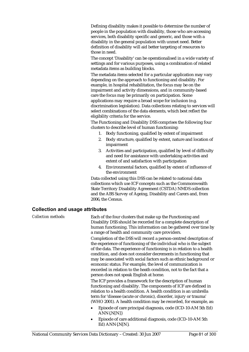Defining disability makes it possible to determine the number of people in the population with disability, those who are accessing services, both disability specific and generic, and those with a disability in the general population with unmet need. Better definition of disability will aid better targeting of resources to those in need.

The concept 'Disability' can be operationalised in a wide variety of settings and for various purposes, using a combination of related metadata items as building blocks.

The metadata items selected for a particular application may vary depending on the approach to functioning and disability. For example, in hospital rehabilitation, the focus may be on the impairment and activity dimensions, and in community-based care the focus may be primarily on participation. Some applications may require a broad scope for inclusion (e.g. discrimination legislation). Data collections relating to services will select combinations of the data elements, which best reflect the eligibility criteria for the service.

The Functioning and Disability DSS comprises the following four clusters to describe level of human functioning:

- 1. Body functioning, qualified by extent of impairment
- 2. Body structure, qualified by extent, nature and location of impairment
- 3. Activities and participation, qualified by level of difficulty and need for assistance with undertaking activities and extent of and satisfaction with participation
- 4. Environmental factors, qualified by extent of influence of the environment

Data collected using this DSS can be related to national data collections which use ICF concepts such as the Commonwealth State Territory Disability Agreement (CSTDA) NMDS collection and the ABS Survey of Ageing, Disability and Carers and, from 2006, the Census.

#### **Collection and usage attributes**

*Collection methods:* Each of the four clusters that make up the Functioning and Disability DSS should be recorded for a complete description of human functioning. This information can be gathered over time by a range of health and community care providers.

> Completion of the DSS will record a person-centred description of the experience of functioning of the individual who is the subject of the data. The experience of functioning is in relation to a health condition, and does not consider decrements in functioning that may be associated with social factors such as ethnic background or economic status. For example, the level of communication is recorded in relation to the heath condition, not to the fact that a person does not speak English at home.

> The ICF provides a framework for the description of human functioning and disability. The components of ICF are defined in relation to a health condition. A health condition is an umbrella term for 'disease (acute or chronic), disorder, injury or trauma' (WHO 2001). A health condition may be recorded, for example, as:

- Episode of care principal diagnosis, code (ICD-10-AM 5th Ed)  $ANN\{N[N]\}$
- Episode of care additional diagnosis, code (ICD-10-AM 5th Ed) ANN{.N[N}.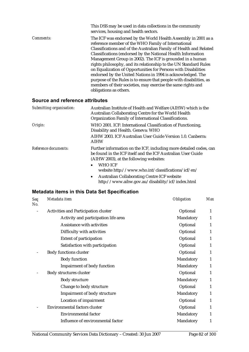|                  | This DSS may be used in data collections in the community<br>services, housing and health sectors.                                                                                                                                                                                                                                                                                                                                                                                                                                                                                                                                                                                             |
|------------------|------------------------------------------------------------------------------------------------------------------------------------------------------------------------------------------------------------------------------------------------------------------------------------------------------------------------------------------------------------------------------------------------------------------------------------------------------------------------------------------------------------------------------------------------------------------------------------------------------------------------------------------------------------------------------------------------|
| <i>Comments:</i> | The ICF was endorsed by the World Health Assembly in 2001 as a<br>reference member of the WHO Family of International<br>Classifications and of the Australian Family of Health and Related<br>Classifications (endorsed by the National Health Information<br>Management Group in 2002). The ICF is grounded in a human<br>rights philosophy, and its relationship to the UN Standard Rules<br>on Equalization of Opportunities for Persons with Disabilities<br>endorsed by the United Nations in 1994 is acknowledged. The<br>purpose of the Rules is to ensure that people with disabilities, as<br>members of their societies, may exercise the same rights and<br>obligations as others. |

#### **Source and reference attributes**

| Submitting organisation: | Australian Institute of Health and Welfare (AIHW) which is the<br>Australian Collaborating Centre for the World Health<br>Organization Family of International Classifications. |
|--------------------------|---------------------------------------------------------------------------------------------------------------------------------------------------------------------------------|
| Origin:                  | WHO 2001. ICF: International Classification of Functioning,<br>Disability and Health. Geneva: WHO                                                                               |
|                          | AIHW 2003. ICF Australian User Guide Version 1.0. Canberra:<br><b>AIHW</b>                                                                                                      |
| Reference documents:     | Further information on the ICF, including more detailed codes, can<br>be found in the ICF itself and the ICF Australian User Guide<br>(AIHW 2003), at the following websites:   |
|                          | <b>WHO ICF</b><br>$\bullet$<br>website http://www.who.int/classifications/icf/en/                                                                                               |

• Australian Collaborating Centre ICF website http://www.aihw.gov.au/disability/icf/index.html

| <b>Seq</b><br>No. | Metadata item                        | <b>Obligation</b> | <b>Max</b>   |
|-------------------|--------------------------------------|-------------------|--------------|
|                   | Activities and Participation cluster | Optional          | 1            |
|                   | Activity and participation life area | Mandatory         | 1            |
|                   | Assistance with activities           | Optional          | $\mathbf{1}$ |
|                   | Difficulty with activities           | Optional          | 1            |
|                   | <b>Extent of participation</b>       | Optional          | 1            |
|                   | Satisfaction with participation      | Optional          | $\mathbf{1}$ |
|                   | <b>Body functions cluster</b>        | Optional          | $\mathbf{1}$ |
|                   | <b>Body function</b>                 | Mandatory         | 1            |
|                   | <b>Impairment of body function</b>   | Mandatory         | 1            |
|                   | Body structures cluster              | Optional          | $\mathbf{1}$ |
|                   | <b>Body structure</b>                | Mandatory         | 1            |
|                   | Change to body structure             | Optional          | $\mathbf{1}$ |
|                   | <b>Impairment of body structure</b>  | Mandatory         | 1            |
|                   | <b>Location of impairment</b>        | Optional          | 1            |
|                   | Environmental factors cluster        | Optional          | 1            |
|                   | <b>Environmental factor</b>          | Mandatory         | 1            |
|                   | Influence of environmental factor    | Mandatory         | 1            |
|                   |                                      |                   |              |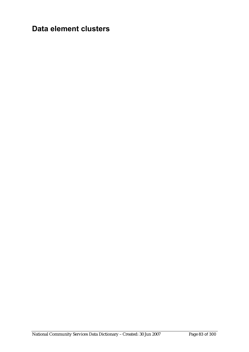# **Data element clusters**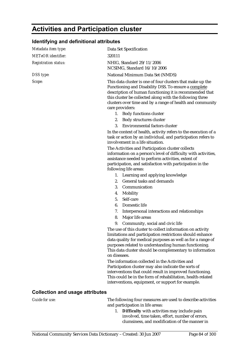# **Activities and Participation cluster**

#### **Identifying and definitional attributes**

| Metadata item type:                    | Data Set Specification                                                                                                                                                                                                                                                                                                     |
|----------------------------------------|----------------------------------------------------------------------------------------------------------------------------------------------------------------------------------------------------------------------------------------------------------------------------------------------------------------------------|
| <b>METeOR</b> identifier:              | 320111                                                                                                                                                                                                                                                                                                                     |
| <b>Registration status:</b>            | NHIG, Standard 29/11/2006<br>NCSIMG, Standard 16/10/2006                                                                                                                                                                                                                                                                   |
| DSS type:                              | National Minimum Data Set (NMDS)                                                                                                                                                                                                                                                                                           |
| Scope:                                 | This data cluster is one of four clusters that make up the<br>Functioning and Disability DSS. To ensure a complete<br>description of human functioning it is recommended that<br>this cluster be collected along with the following three<br>clusters over time and by a range of health and community<br>care providers:  |
|                                        | 1. Body functions cluster                                                                                                                                                                                                                                                                                                  |
|                                        | 2. Body structures cluster                                                                                                                                                                                                                                                                                                 |
|                                        | <b>Environmental factors cluster</b><br>3.                                                                                                                                                                                                                                                                                 |
|                                        | In the context of health, activity refers to the execution of a<br>task or action by an individual, and participation refers to<br>involvement in a life situation.                                                                                                                                                        |
|                                        | The Activities and Participation cluster collects<br>information on a person's level of difficulty with activities,<br>assistance needed to perform activities, extent of<br>participation, and satisfaction with participation in the<br>following life areas:                                                            |
|                                        | 1. Learning and applying knowledge                                                                                                                                                                                                                                                                                         |
|                                        | General tasks and demands<br>2.                                                                                                                                                                                                                                                                                            |
|                                        | 3.<br>Communication                                                                                                                                                                                                                                                                                                        |
|                                        | Mobility<br>4.                                                                                                                                                                                                                                                                                                             |
|                                        | 5.<br>Self-care                                                                                                                                                                                                                                                                                                            |
|                                        | 6.<br>Domestic life                                                                                                                                                                                                                                                                                                        |
|                                        | 7.<br>Interpersonal interactions and relationships                                                                                                                                                                                                                                                                         |
|                                        | Major life areas<br>8.                                                                                                                                                                                                                                                                                                     |
|                                        | 9.<br>Community, social and civic life                                                                                                                                                                                                                                                                                     |
|                                        | The use of this cluster to collect information on activity<br>limitations and participation restrictions should enhance<br>data quality for medical purposes as well as for a range of<br>purposes related to understanding human functioning.<br>This data cluster should be complementary to information<br>on diseases. |
|                                        | The information collected in the Activities and<br>Participation cluster may also indicate the sorts of<br>interventions that could result in improved functioning.<br>This could be in the form of rehabilitation, health-related<br>interventions, equipment, or support for example.                                    |
| <b>Collection and usage attributes</b> |                                                                                                                                                                                                                                                                                                                            |
| Guide for use:                         | The following four measures are used to describe activities                                                                                                                                                                                                                                                                |

and participation in life areas: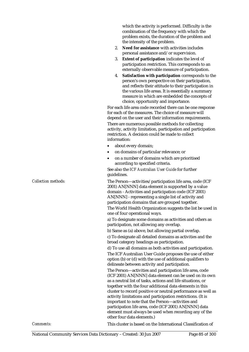which the activity is performed. Difficulty is the combination of the frequency with which the problem exists, the duration of the problem and the intensity of the problem.

- 2. **Need for assistance** with activities includes personal assistance and/or supervision.
- 3. **Extent of participation** indicates the level of participation restriction. This corresponds to an externally observable measure of participation.
- 4. **Satisfaction with participation** corresponds to the person's own perspective on their participation, and reflects their attitude to their participation in the various life areas. It is essentially a summary measure in which are embedded the concepts of choice, opportunity and importance.

For each life area code recorded there can be one response for each of the measures. The choice of measure will depend on the user and their information requirements. There are numerous possible methods for collecting activity, activity limitation, participation and participation restriction. A decision could be made to collect information:

- about every domain;
- on domains of particular relevance; or
- on a number of domains which are prioritised according to specified criteria.

See also the *ICF Australian User Guide* for further guidelines.

*Collection methods:* The Person—activities/participation life area, code (ICF 2001) AN[NNN] data element is supported by a value domain - Activities and participation code (ICF 2001) AN[NNN] - representing a single list of activity and participation domains that are grouped together.

The World Health Organization suggests the list be used in one of four operational ways.

a) To designate some domains as activities and others as participation, not allowing any overlap.

b) Same as (a) above, but allowing partial overlap. c) To designate all detailed domains as activities and the broad category headings as participation.

d) To use all domains as both activities and participation. The ICF Australian User Guide proposes the use of either option (b) or (d) with the use of additional qualifiers to delineate between activity and participation.

The Person—activities and participation life area, code (ICF 2001) AN[NNN] data element can be used on its own as a neutral list of tasks, actions and life situations, or together with the four additional data elements in this cluster to record positive or neutral performance as well as activity limitations and participation restrictions. (It is important to note that the Person—activities and participation life area, code (ICF 2001) AN[NNN] data element must always be used when recording any of the other four data elements.)

*Comments:* This cluster is based on the International Classification of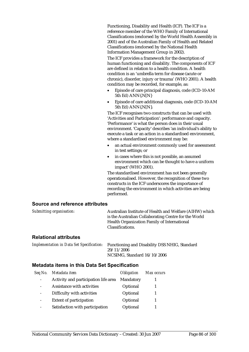Functioning, Disability and Health (ICF). The ICF is a reference member of the WHO Family of International Classifications (endorsed by the World Health Assembly in 2001) and of the Australian Family of Health and Related Classifications (endorsed by the National Health Information Management Group in 2002).

The ICF provides a framework for the description of human functioning and disability. The components of ICF are defined in relation to a health condition. A health condition is an 'umbrella term for disease (acute or chronic), disorder, injury or trauma' (WHO 2001). A health condition may be recorded, for example, as:

- Episode of care principal diagnosis, code (ICD-10-AM 5th Ed) ANN{.N[N}
- Episode of care additional diagnosis, code (ICD-10-AM 5th Ed) ANN{.N[N}.

The ICF recognises two constructs that can be used with 'Activities and Participation': performance and capacity. 'Performance' is what the person does in their usual environment. 'Capacity' describes 'an individual's ability to execute a task or an action in a standardised environment, where a standardised environment may be:

- an actual environment commonly used for assessment in test settings; or
- in cases where this is not possible, an assumed environment which can be thought to have a uniform impact' (WHO 2001).

The standardised environment has not been generally operationalised. However, the recognition of these two constructs in the ICF underscores the importance of recording the environment in which activities are being performed.

#### **Source and reference attributes**

| Submitting organisation: | Australian Institute of Health and Welfare (AIHW) which |
|--------------------------|---------------------------------------------------------|
|                          | is the Australian Collaborating Centre for the World    |
|                          | Health Organization Family of International             |
|                          | Classifications.                                        |
|                          |                                                         |

#### **Relational attributes**

*Implementation in Data Set Specification:* Functioning and Disability DSS NHIG, Standard 29/11/2006 NCSIMG, Standard 16/10/2006

| Seq No.                  | Metadata item                        | <i><b>Obligation</b></i> | Max occurs |
|--------------------------|--------------------------------------|--------------------------|------------|
| $\overline{\phantom{a}}$ | Activity and participation life area | Mandatory                |            |
|                          | Assistance with activities           | Optional                 |            |
|                          | Difficulty with activities           | Optional                 |            |
| $\overline{\phantom{a}}$ | <b>Extent of participation</b>       | Optional                 |            |
|                          | Satisfaction with participation      | Optional                 |            |
|                          |                                      |                          |            |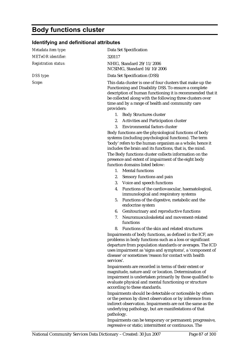# **Body functions cluster**

### **Identifying and definitional attributes**

| Metadata item type:         | Data Set Specification                                                                                                                                                                                                                                                                                                                                                                     |
|-----------------------------|--------------------------------------------------------------------------------------------------------------------------------------------------------------------------------------------------------------------------------------------------------------------------------------------------------------------------------------------------------------------------------------------|
| <b>METeOR</b> identifier:   | 320117                                                                                                                                                                                                                                                                                                                                                                                     |
| <b>Registration status:</b> | NHIG, Standard 29/11/2006<br>NCSIMG, Standard 16/10/2006                                                                                                                                                                                                                                                                                                                                   |
| DSS type:                   | Data Set Specification (DSS)                                                                                                                                                                                                                                                                                                                                                               |
| Scope:                      | This data cluster is one of four clusters that make up the<br>Functioning and Disability DSS. To ensure a complete<br>description of human functioning it is recommended that it<br>be collected along with the following three clusters over<br>time and by a range of health and community care<br>providers:                                                                            |
|                             | 1. Body Structures cluster                                                                                                                                                                                                                                                                                                                                                                 |
|                             | 2. Activities and Participation cluster                                                                                                                                                                                                                                                                                                                                                    |
|                             | Environmental factors cluster<br>3.                                                                                                                                                                                                                                                                                                                                                        |
|                             | Body functions are the physiological functions of body<br>systems (including psychological functions). The term<br>'body' refers to the human organism as a whole; hence it<br>includes the brain and its functions, that is, the mind.<br>The Body functions cluster collects information on the<br>presence and extent of impairment of the eight body<br>function domains listed below: |
|                             | 1. Mental functions                                                                                                                                                                                                                                                                                                                                                                        |
|                             | Sensory functions and pain<br>2.                                                                                                                                                                                                                                                                                                                                                           |
|                             | 3. Voice and speech functions                                                                                                                                                                                                                                                                                                                                                              |
|                             | Functions of the cardiovascular, haematological,<br>4.<br>immunological and respiratory systems                                                                                                                                                                                                                                                                                            |
|                             | Functions of the digestive, metabolic and the<br>5.<br>endocrine system                                                                                                                                                                                                                                                                                                                    |
|                             | Genitourinary and reproductive functions<br>6.                                                                                                                                                                                                                                                                                                                                             |
|                             | Neuromusculoskeletal and movement-related<br>7.<br>functions                                                                                                                                                                                                                                                                                                                               |
|                             | Functions of the skin and related structures<br>8.                                                                                                                                                                                                                                                                                                                                         |
|                             | Impairments of body functions, as defined in the ICF, are<br>problems in body functions such as a loss or significant<br>departure from population standards or averages. The ICD<br>uses impairment as 'signs and symptoms', a 'component of<br>disease' or sometimes 'reason for contact with health<br>services'.                                                                       |
|                             | Impairments are recorded in terms of their extent or<br>magnitude, nature and/or location. Determination of<br>impairment is undertaken primarily by those qualified to<br>evaluate physical and mental functioning or structure<br>according to these standards.                                                                                                                          |
|                             | Impairments should be detectable or noticeable by others<br>or the person by direct observation or by inference from<br>indirect observation. Impairments are not the same as the<br>underlying pathology, but are manifestations of that<br>pathology.                                                                                                                                    |

Impairments can be temporary or permanent; progressive, regressive or static; intermittent or continuous. The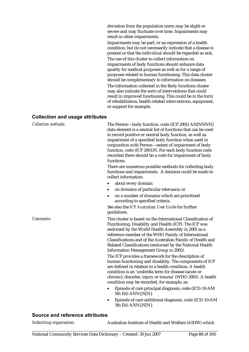deviation from the population norm may be slight or severe and may fluctuate over time. Impairments may result in other impairments.

Impairments may be part, or an expression of a health condition, but do not necessarily indicate that a disease is present or that the individual should be regarded as sick. The use of this cluster to collect information on impairments of body functions should enhance data quality for medical purposes as well as for a range of purposes related to human functioning. This data cluster should be complementary to information on diseases.

The information collected in the Body functions cluster may also indicate the sorts of interventions that could result in improved functioning. This could be in the form of rehabilitation, health-related interventions, equipment, or support for example.

#### **Collection and usage attributes**

| <b>Collection methods:</b> | The Person-body function, code (ICF 2001) AN[NNNN]<br>data element is a neutral list of functions that can be used<br>to record positive or neutral body function, as well as<br>impairment of a specified body function when used in<br>conjunction with Person-extent of impairment of body<br>function, code (ICF 2001)N. For each body function code<br>recorded there should be a code for impairment of body<br>functions.<br>There are numerous possible methods for collecting body<br>functions and impairments. A decision could be made to<br>collect information:<br>about every domain;<br>on domains of particular relevance; or |
|----------------------------|------------------------------------------------------------------------------------------------------------------------------------------------------------------------------------------------------------------------------------------------------------------------------------------------------------------------------------------------------------------------------------------------------------------------------------------------------------------------------------------------------------------------------------------------------------------------------------------------------------------------------------------------|
|                            | on a number of domains which are prioritised<br>$\bullet$<br>according to specified criteria.                                                                                                                                                                                                                                                                                                                                                                                                                                                                                                                                                  |
|                            | See also the ICF Australian User Guide for further<br>guidelines.                                                                                                                                                                                                                                                                                                                                                                                                                                                                                                                                                                              |
| Comments:                  | This cluster is based on the International Classification of<br>Functioning, Disability and Health (ICF). The ICF was<br>endorsed by the World Health Assembly in 2001 as a<br>reference member of the WHO Family of International<br>Classifications and of the Australian Family of Health and<br>Related Classifications (endorsed by the National Health<br>Information Management Group in 2002).                                                                                                                                                                                                                                         |
|                            | The ICF provides a framework for the description of<br>human functioning and disability. The components of ICF<br>are defined in relation to a health condition. A health<br>condition is an 'umbrella term for disease (acute or<br>chronic), disorder, injury or trauma' (WHO 2001). A health<br>condition may be recorded, for example, as:                                                                                                                                                                                                                                                                                                 |
|                            | Episode of care principal diagnosis, code (ICD-10-AM<br>$\bullet$<br>5th Ed) ANN{.N[N}                                                                                                                                                                                                                                                                                                                                                                                                                                                                                                                                                         |
|                            | Episode of care additional diagnosis, code (ICD-10-AM<br>5th Ed) ANN{.N[N}.                                                                                                                                                                                                                                                                                                                                                                                                                                                                                                                                                                    |

#### **Source and reference attributes**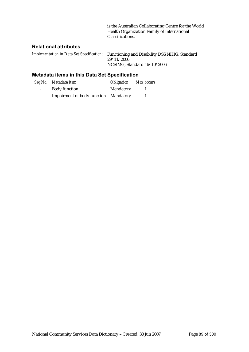is the Australian Collaborating Centre for the World Health Organization Family of International Classifications.

#### **Relational attributes**

*Implementation in Data Set Specification:* Functioning and Disability DSS NHIG, Standard 29/11/2006 NCSIMG, Standard 16/10/2006

|                 | Seq No. Metadata item                 | <b>Obligation</b> Max occurs |  |
|-----------------|---------------------------------------|------------------------------|--|
| $\sim 100$      | <b>Body function</b>                  | Mandatory                    |  |
| $\sim$ 10 $\pm$ | Impairment of body function Mandatory |                              |  |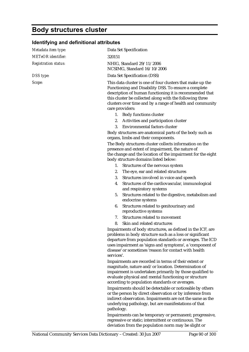# **Body structures cluster**

### **Identifying and definitional attributes**

| Metadata item type:         | Data Set Specification                                                                                                                                                                                                                                                                                                    |
|-----------------------------|---------------------------------------------------------------------------------------------------------------------------------------------------------------------------------------------------------------------------------------------------------------------------------------------------------------------------|
| <b>METeOR</b> identifier:   | 320151                                                                                                                                                                                                                                                                                                                    |
| <b>Registration status:</b> | NHIG, Standard 29/11/2006<br>NCSIMG, Standard 16/10/2006                                                                                                                                                                                                                                                                  |
| DSS type:                   | Data Set Specification (DSS)                                                                                                                                                                                                                                                                                              |
| Scope:                      | This data cluster is one of four clusters that make up the<br>Functioning and Disability DSS. To ensure a complete<br>description of human functioning it is recommended that<br>this cluster be collected along with the following three<br>clusters over time and by a range of health and community<br>care providers: |
|                             | 1. Body functions cluster                                                                                                                                                                                                                                                                                                 |
|                             | 2. Activities and participation cluster                                                                                                                                                                                                                                                                                   |
|                             | Environmental factors cluster<br>3.                                                                                                                                                                                                                                                                                       |
|                             | Body structures are anatomical parts of the body such as<br>organs, limbs and their components.                                                                                                                                                                                                                           |
|                             | The Body structures cluster collects information on the<br>presence and extent of impairment, the nature of<br>the change and the location of the impairment for the eight<br>body structure domains listed below:                                                                                                        |
|                             | 1. Structures of the nervous system                                                                                                                                                                                                                                                                                       |
|                             | The eye, ear and related structures<br>2.                                                                                                                                                                                                                                                                                 |
|                             | 3.<br>Structures involved in voice and speech                                                                                                                                                                                                                                                                             |
|                             | Structures of the cardiovascular, immunological<br>4.<br>and respiratory systems                                                                                                                                                                                                                                          |
|                             | Structures related to the digestive, metabolism and<br>5.<br>endocrine systems                                                                                                                                                                                                                                            |
|                             | Structures related to genitourinary and<br>6.<br>reproductive systems                                                                                                                                                                                                                                                     |
|                             | Structures related to movement<br>7.                                                                                                                                                                                                                                                                                      |
|                             | Skin and related structures<br>8.                                                                                                                                                                                                                                                                                         |
|                             | Impairments of body structures, as defined in the ICF, are<br>problems in body structure such as a loss or significant<br>departure from population standards or averages. The ICD<br>uses impairment as 'signs and symptoms', a 'component of<br>disease' or sometimes 'reason for contact with health<br>services'.     |
|                             | Impairments are recorded in terms of their extent or<br>magnitude, nature and/or location. Determination of<br>impairment is undertaken primarily by those qualified to<br>evaluate physical and mental functioning or structure<br>according to population standards or averages.                                        |
|                             | Impairments should be detectable or noticeable by others<br>or the person by direct observation or by inference from<br>indirect observation. Impairments are not the same as the<br>underlying pathology, but are manifestations of that<br>pathology.                                                                   |
|                             | Impairments can be temporary or permanent: progressive.                                                                                                                                                                                                                                                                   |

Impairments can be temporary or permanent; progressive, regressive or static; intermittent or continuous. The deviation from the population norm may be slight or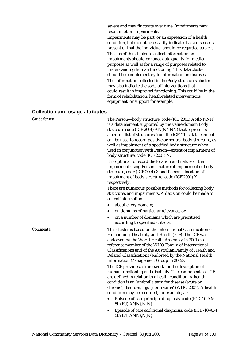severe and may fluctuate over time. Impairments may result in other impairments.

Impairments may be part, or an expression of a health condition, but do not necessarily indicate that a disease is present or that the individual should be regarded as sick.

The use of this cluster to collect information on impairments should enhance data quality for medical purposes as well as for a range of purposes related to understanding human functioning. This data cluster should be complementary to information on diseases. The information collected in the Body structures cluster may also indicate the sorts of interventions that could result in improved functioning. This could be in the form of rehabilitation, health-related interventions, equipment, or support for example.

#### **Collection and usage attributes**

| Guide for use: | The Person-body structure, code (ICF 2001) AN[NNNN]<br>is a data element supported by the value domain Body<br>structure code (ICF 2001) AN(NNNN) that represents<br>a neutral list of structures from the ICF. This data element<br>can be used to record positive or neutral body structure, as<br>well as impairment of a specified body structure when<br>used in conjunction with Person-extent of impairment of<br>body structure, code (ICF 2001) N. |
|----------------|-------------------------------------------------------------------------------------------------------------------------------------------------------------------------------------------------------------------------------------------------------------------------------------------------------------------------------------------------------------------------------------------------------------------------------------------------------------|
|                | It is optional to record the location and nature of the<br>impairment using Person-nature of impairment of body<br>structure, code (ICF 2001) X and Person-location of<br>impairment of body structure, code (ICF 2001) X<br>respectively.                                                                                                                                                                                                                  |
|                | There are numerous possible methods for collecting body<br>structures and impairments. A decision could be made to<br>collect information:                                                                                                                                                                                                                                                                                                                  |
|                | about every domain;                                                                                                                                                                                                                                                                                                                                                                                                                                         |
|                | on domains of particular relevance; or                                                                                                                                                                                                                                                                                                                                                                                                                      |
|                | on a number of domains which are prioritised<br>$\bullet$<br>according to specified criteria.                                                                                                                                                                                                                                                                                                                                                               |
| Comments:      | This cluster is based on the International Classification of<br>Functioning, Disability and Health (ICF). The ICF was<br>endorsed by the World Health Assembly in 2001 as a<br>reference member of the WHO Family of International<br>Classifications and of the Australian Family of Health and<br>Related Classifications (endorsed by the National Health<br>Information Management Group in 2002).                                                      |
|                | The ICF provides a framework for the description of<br>human functioning and disability. The components of ICF<br>are defined in relation to a health condition. A health<br>condition is an 'umbrella term for disease (acute or<br>chronic), disorder, injury or trauma' (WHO 2001). A health<br>condition may be recorded, for example, as:                                                                                                              |
|                | Episode of care principal diagnosis, code (ICD-10-AM<br>$\bullet$<br>5th Ed) ANN{.N[N}                                                                                                                                                                                                                                                                                                                                                                      |
|                | Episode of care additional diagnosis, code (ICD-10-AM<br>5th Ed) ANN{.N[N}                                                                                                                                                                                                                                                                                                                                                                                  |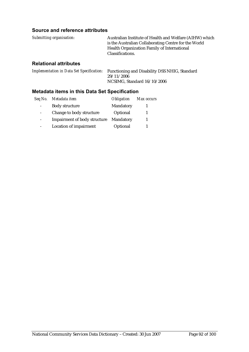#### **Source and reference attributes**

| Submitting organisation: | Australian Institute of Health and Welfare (AIHW) which |
|--------------------------|---------------------------------------------------------|
|                          | is the Australian Collaborating Centre for the World    |
|                          | Health Organization Family of International             |
|                          | Classifications.                                        |
|                          |                                                         |

#### **Relational attributes**

*Implementation in Data Set Specification:* Functioning and Disability DSS NHIG, Standard  $29/11/2006$ NCSIMG, Standard 16/10/2006

| Seq No. | Metadata item                       | <i><b>Obligation</b></i> | Max occurs |
|---------|-------------------------------------|--------------------------|------------|
|         | <b>Body structure</b>               | Mandatory                |            |
|         | Change to body structure            | Optional                 |            |
|         | <b>Impairment of body structure</b> | Mandatory                |            |
|         | <b>Location of impairment</b>       | Optional                 |            |
|         |                                     |                          |            |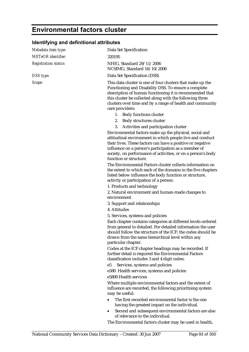# **Environmental factors cluster**

### **Identifying and definitional attributes**

| Metadata item type:         | Data Set Specification                                                                                                                                                                                                                                                                                                             |
|-----------------------------|------------------------------------------------------------------------------------------------------------------------------------------------------------------------------------------------------------------------------------------------------------------------------------------------------------------------------------|
| <b>METeOR</b> identifier:   | 320195                                                                                                                                                                                                                                                                                                                             |
| <b>Registration status:</b> | NHIG, Standard 29/11/2006<br>NCSIMG, Standard 16/10/2006                                                                                                                                                                                                                                                                           |
| DSS type:                   | Data Set Specification (DSS)                                                                                                                                                                                                                                                                                                       |
| Scope:                      | This data cluster is one of four clusters that make up the<br>Functioning and Disability DSS. To ensure a complete<br>description of human functioning it is recommended that<br>this cluster be collected along with the following three<br>clusters over time and by a range of health and community<br>care providers:          |
|                             | 1. Body functions cluster                                                                                                                                                                                                                                                                                                          |
|                             | Body structures cluster<br>2.                                                                                                                                                                                                                                                                                                      |
|                             | Activities and participation cluster<br>3.                                                                                                                                                                                                                                                                                         |
|                             | Environmental factors make up the physical, social and<br>attitudinal environment in which people live and conduct<br>their lives. These factors can have a positive or negative<br>influence on a person's participation as a member of<br>society, on performance of activities, or on a person's body<br>function or structure. |
|                             | The Environmental Factors cluster collects information on<br>the extent to which each of the domains in the five chapters<br>listed below influence the body function or structure,<br>activity or participation of a person:                                                                                                      |
|                             | 1. Products and technology                                                                                                                                                                                                                                                                                                         |
|                             | 2. Natural environment and human-made changes to<br>environment                                                                                                                                                                                                                                                                    |
|                             | 3. Support and relationships                                                                                                                                                                                                                                                                                                       |
|                             | 4. Attitudes                                                                                                                                                                                                                                                                                                                       |
|                             | 5. Services, systems and policies                                                                                                                                                                                                                                                                                                  |
|                             | Each chapter contains categories at different levels ordered<br>from general to detailed. For detailed information the user<br>should follow the structure of the ICF; the codes should be<br>drawn from the same hierarchical level within any<br>particular chapter.                                                             |
|                             | Codes at the ICF chapter headings may be recorded. If<br>further detail is required the Environmental Factors<br>classification includes 3 and 4 digit codes:                                                                                                                                                                      |
|                             | Services, systems and policies<br>e5                                                                                                                                                                                                                                                                                               |
|                             | e580 Health services, systems and policies                                                                                                                                                                                                                                                                                         |
|                             | e5800 Health services                                                                                                                                                                                                                                                                                                              |
|                             | Where multiple environmental factors and the extent of<br>influence are recorded, the following prioritising system<br>may be useful:                                                                                                                                                                                              |
|                             | The first recorded environmental factor is the one<br>having the greatest impact on the individual.                                                                                                                                                                                                                                |
|                             | Second and subsequent environmental factors are also<br>٠<br>of relevance to the individual.                                                                                                                                                                                                                                       |
|                             | The Environmental factors cluster may be used in health,                                                                                                                                                                                                                                                                           |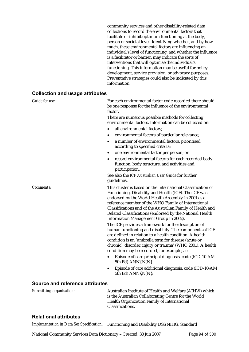community services and other disability-related data collections to record the environmental factors that facilitate or inhibit optimum functioning at the body, person or societal level. Identifying whether, and by how much, these environmental factors are influencing an individual's level of functioning, and whether the influence is a facilitator or barrier, may indicate the sorts of interventions that will optimise the individual's functioning. This information may be useful for policy development, service provision, or advocacy purposes. Preventative strategies could also be indicated by this information.

#### **Collection and usage attributes**

| Guide for use: | For each environmental factor code recorded there should<br>be one response for the influence of the environmental<br>factor.                                                                                                                                                                                                                                                                                                                                                                                                                                                       |
|----------------|-------------------------------------------------------------------------------------------------------------------------------------------------------------------------------------------------------------------------------------------------------------------------------------------------------------------------------------------------------------------------------------------------------------------------------------------------------------------------------------------------------------------------------------------------------------------------------------|
|                | There are numerous possible methods for collecting<br>environmental factors. Information can be collected on:                                                                                                                                                                                                                                                                                                                                                                                                                                                                       |
|                | all environmental factors;<br>$\bullet$                                                                                                                                                                                                                                                                                                                                                                                                                                                                                                                                             |
|                | environmental factors of particular relevance;                                                                                                                                                                                                                                                                                                                                                                                                                                                                                                                                      |
|                | a number of environmental factors, prioritised<br>$\bullet$<br>according to specified criteria;                                                                                                                                                                                                                                                                                                                                                                                                                                                                                     |
|                | one environmental factor per person; or<br>$\bullet$                                                                                                                                                                                                                                                                                                                                                                                                                                                                                                                                |
|                | record environmental factors for each recorded body<br>$\bullet$<br>function, body structure, and activities and<br>participation.                                                                                                                                                                                                                                                                                                                                                                                                                                                  |
|                | See also the ICF Australian User Guide for further<br>guidelines.                                                                                                                                                                                                                                                                                                                                                                                                                                                                                                                   |
| Comments:      | This cluster is based on the International Classification of<br>Functioning, Disability and Health (ICF). The ICF was<br>endorsed by the World Health Assembly in 2001 as a<br>reference member of the WHO Family of International<br>Classifications and of the Australian Family of Health and<br>Related Classifications (endorsed by the National Health<br>Information Management Group in 2002).<br>The ICF provides a framework for the description of<br>human functioning and disability. The components of ICF<br>are defined in relation to a health condition. A health |
|                | condition is an 'umbrella term for disease (acute or<br>chronic), disorder, injury or trauma' (WHO 2001). A health<br>condition may be recorded, for example, as:                                                                                                                                                                                                                                                                                                                                                                                                                   |
|                | Episode of care principal diagnosis, code (ICD-10-AM<br>5th Ed) ANN{.N[N}                                                                                                                                                                                                                                                                                                                                                                                                                                                                                                           |
|                | Episode of care additional diagnosis, code (ICD-10-AM<br>$\bullet$<br>5th Ed) ANN{.N[N}.                                                                                                                                                                                                                                                                                                                                                                                                                                                                                            |

#### **Source and reference attributes**

| Submitting organisation: | Australian Institute of Health and Welfare (AIHW) which |
|--------------------------|---------------------------------------------------------|
|                          | is the Australian Collaborating Centre for the World    |
|                          | Health Organization Family of International             |
|                          | Classifications.                                        |

#### **Relational attributes**

*Implementation in Data Set Specification:* Functioning and Disability DSS NHIG, Standard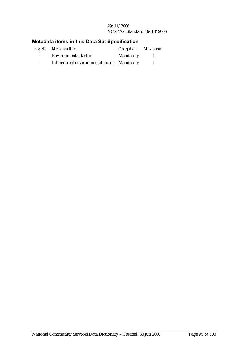#### 29/11/2006 NCSIMG, Standard 16/10/2006

|                  | Seq No. Metadata item                       | <b>Obligation</b> Max occurs |  |
|------------------|---------------------------------------------|------------------------------|--|
| $\sim$ 100 $\mu$ | <b>Environmental factor</b>                 | Mandatory                    |  |
| $\sim$           | Influence of environmental factor Mandatory |                              |  |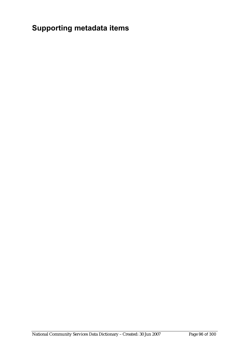# **Supporting metadata items**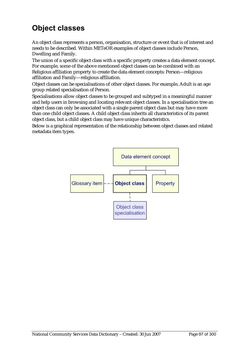# **Object classes**

An object class represents a person, organisation, structure or event that is of interest and needs to be described. Within METeOR examples of object classes include Person, Dwelling and Family.

The union of a specific object class with a specific property creates a data element concept. For example, some of the above mentioned object classes can be combined with an Religious affiliation property to create the data element concepts: Person—religious affiliation and Family—religious affiliation.

Object classes can be specialisations of other object classes. For example, Adult is an age group related specialisation of Person.

Specialisations allow object classes to be grouped and subtyped in a meaningful manner and help users in browsing and locating relevant object classes. In a specialisation tree an object class can only be associated with a single parent object class but may have more than one child object classes. A child object class inherits all characteristics of its parent object class, but a child object class may have unique characteristics.

Below is a graphical representation of the relationship between object classes and related metadata item types.

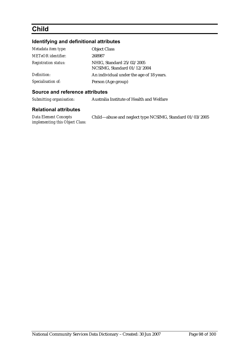# **Child**

#### **Identifying and definitional attributes**

| Metadata item type:         | <b>Object Class</b>                                      |
|-----------------------------|----------------------------------------------------------|
| <b>METeOR</b> identifier:   | 268987                                                   |
| <b>Registration status:</b> | NHIG, Standard 25/02/2005<br>NCSIMG, Standard 01/12/2004 |
| Definition:                 | An individual under the age of 18 years.                 |
| Specialisation of:          | Person (Age group)                                       |

#### **Source and reference attributes**

| Submitting organisation: | Australia Institute of Health and Welfare |
|--------------------------|-------------------------------------------|
|                          |                                           |

#### **Relational attributes**

*Data Element Concepts implementing this Object Class:*

Child—abuse and neglect type NCSIMG, Standard 01/03/2005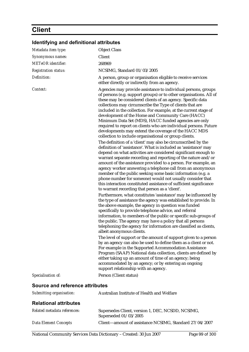# **Client**

| Metadata item type:             | <b>Object Class</b>                                                                                                                                                                                                                                                                                                                                                                                                                                                                                                                                                                                                                                                                                                                                                                                                                                                                                                                                                                                                                                                                                                                                                                                                                                                                                                                                                                                                                                                                                                                                                                                                                                                                                                                                                                                                                                                                                                                                                                                                                                                                                                          |
|---------------------------------|------------------------------------------------------------------------------------------------------------------------------------------------------------------------------------------------------------------------------------------------------------------------------------------------------------------------------------------------------------------------------------------------------------------------------------------------------------------------------------------------------------------------------------------------------------------------------------------------------------------------------------------------------------------------------------------------------------------------------------------------------------------------------------------------------------------------------------------------------------------------------------------------------------------------------------------------------------------------------------------------------------------------------------------------------------------------------------------------------------------------------------------------------------------------------------------------------------------------------------------------------------------------------------------------------------------------------------------------------------------------------------------------------------------------------------------------------------------------------------------------------------------------------------------------------------------------------------------------------------------------------------------------------------------------------------------------------------------------------------------------------------------------------------------------------------------------------------------------------------------------------------------------------------------------------------------------------------------------------------------------------------------------------------------------------------------------------------------------------------------------------|
| Synonymous names:               | <b>Client</b>                                                                                                                                                                                                                                                                                                                                                                                                                                                                                                                                                                                                                                                                                                                                                                                                                                                                                                                                                                                                                                                                                                                                                                                                                                                                                                                                                                                                                                                                                                                                                                                                                                                                                                                                                                                                                                                                                                                                                                                                                                                                                                                |
| <b>METeOR</b> identifier:       | 268969                                                                                                                                                                                                                                                                                                                                                                                                                                                                                                                                                                                                                                                                                                                                                                                                                                                                                                                                                                                                                                                                                                                                                                                                                                                                                                                                                                                                                                                                                                                                                                                                                                                                                                                                                                                                                                                                                                                                                                                                                                                                                                                       |
| <b>Registration status:</b>     | NCSIMG, Standard 01/03/2005                                                                                                                                                                                                                                                                                                                                                                                                                                                                                                                                                                                                                                                                                                                                                                                                                                                                                                                                                                                                                                                                                                                                                                                                                                                                                                                                                                                                                                                                                                                                                                                                                                                                                                                                                                                                                                                                                                                                                                                                                                                                                                  |
| Definition:                     | A person, group or organisation eligible to receive services<br>either directly or indirectly from an agency.                                                                                                                                                                                                                                                                                                                                                                                                                                                                                                                                                                                                                                                                                                                                                                                                                                                                                                                                                                                                                                                                                                                                                                                                                                                                                                                                                                                                                                                                                                                                                                                                                                                                                                                                                                                                                                                                                                                                                                                                                |
| Context:                        | Agencies may provide assistance to individual persons, groups<br>of persons (e.g. support groups) or to other organisations. All of<br>these may be considered clients of an agency. Specific data<br>collections may circumscribe the Type of clients that are<br>included in the collection. For example, at the current stage of<br>development of the Home and Community Care (HACC)<br>Minimum Data Set (MDS), HACC funded agencies are only<br>required to report on clients who are individual persons. Future<br>developments may extend the coverage of the HACC MDS<br>collection to include organisational or group clients.<br>The definition of a 'client' may also be circumscribed by the<br>definition of 'assistance'. What is included as 'assistance' may<br>depend on what activities are considered significant enough to<br>warrant separate recording and reporting of the nature and/or<br>amount of the assistance provided to a person. For example, an<br>agency worker answering a telephone call from an anonymous<br>member of the public seeking some basic information (e.g. a<br>phone number for someone) would not usually consider that<br>this interaction constituted assistance of sufficient significance<br>to warrant recording that person as a 'client'.<br>Furthermore, what constitutes 'assistance' may be influenced by<br>the type of assistance the agency was established to provide. In<br>the above example, the agency in question was funded<br>specifically to provide telephone advice, and referral<br>information, to members of the public or specific sub-groups of<br>the public. The agency may have a policy that all persons<br>telephoning the agency for information are classified as clients,<br>albeit anonymous clients.<br>The level of support or the amount of support given to a person<br>by an agency can also be used to define them as a client or not.<br>For example in the Supported Accommodation Assistance<br>Program (SAAP) National data collection, clients are defined by<br>either taking up an amount of time of an agency; being |
|                                 | accommodated by an agency; or by entering an ongoing<br>support relationship with an agency.                                                                                                                                                                                                                                                                                                                                                                                                                                                                                                                                                                                                                                                                                                                                                                                                                                                                                                                                                                                                                                                                                                                                                                                                                                                                                                                                                                                                                                                                                                                                                                                                                                                                                                                                                                                                                                                                                                                                                                                                                                 |
| Specialisation of:              | Person (Client status)                                                                                                                                                                                                                                                                                                                                                                                                                                                                                                                                                                                                                                                                                                                                                                                                                                                                                                                                                                                                                                                                                                                                                                                                                                                                                                                                                                                                                                                                                                                                                                                                                                                                                                                                                                                                                                                                                                                                                                                                                                                                                                       |
| Source and reference attributes |                                                                                                                                                                                                                                                                                                                                                                                                                                                                                                                                                                                                                                                                                                                                                                                                                                                                                                                                                                                                                                                                                                                                                                                                                                                                                                                                                                                                                                                                                                                                                                                                                                                                                                                                                                                                                                                                                                                                                                                                                                                                                                                              |
| Submitting organisation:        | Australian Institute of Health and Welfare                                                                                                                                                                                                                                                                                                                                                                                                                                                                                                                                                                                                                                                                                                                                                                                                                                                                                                                                                                                                                                                                                                                                                                                                                                                                                                                                                                                                                                                                                                                                                                                                                                                                                                                                                                                                                                                                                                                                                                                                                                                                                   |
| <b>Relational attributes</b>    |                                                                                                                                                                                                                                                                                                                                                                                                                                                                                                                                                                                                                                                                                                                                                                                                                                                                                                                                                                                                                                                                                                                                                                                                                                                                                                                                                                                                                                                                                                                                                                                                                                                                                                                                                                                                                                                                                                                                                                                                                                                                                                                              |
| Related metadata references:    | Supersedes Client, version 1, DEC, NCSDD, NCSIMG,<br>Superseded 01/03/2005                                                                                                                                                                                                                                                                                                                                                                                                                                                                                                                                                                                                                                                                                                                                                                                                                                                                                                                                                                                                                                                                                                                                                                                                                                                                                                                                                                                                                                                                                                                                                                                                                                                                                                                                                                                                                                                                                                                                                                                                                                                   |

*Data Element Concepts* Client—amount of assistance NCSIMG, Standard 27/04/2007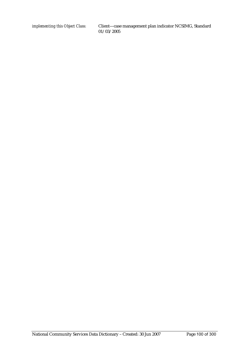*implementing this Object Class:* Client—case management plan indicator NCSIMG, Standard 01/03/2005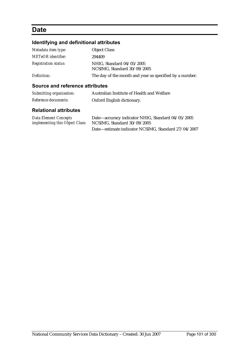## **Date**

### **Identifying and definitional attributes**

| Metadata item type:         | <b>Object Class</b>                                      |
|-----------------------------|----------------------------------------------------------|
| <b>METeOR</b> identifier:   | 294409                                                   |
| <i>Registration status:</i> | NHIG. Standard 04/05/2005<br>NCSIMG, Standard 30/09/2005 |
| Definition:                 | The day of the month and year as specified by a number.  |

#### **Source and reference attributes**

| Submitting organisation: | Australian Institute of Health and Welfare |
|--------------------------|--------------------------------------------|
| Reference documents:     | Oxford English dictionary.                 |

### **Relational attributes**

| <b>Data Element Concepts</b>           | Date—accuracy indicator NHIG, Standard 04/05/2005   |
|----------------------------------------|-----------------------------------------------------|
| <i>implementing this Object Class:</i> | NCSIMG, Standard 30/09/2005                         |
|                                        | Date-estimate indicator NCSIMG, Standard 27/04/2007 |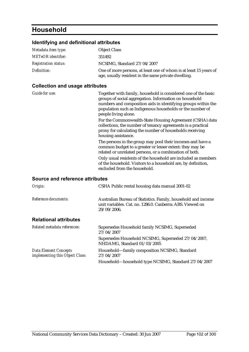# **Household**

#### **Identifying and definitional attributes**

| Metadata item type:         | <b>Object Class</b>                                                                                                      |
|-----------------------------|--------------------------------------------------------------------------------------------------------------------------|
| <b>METeOR</b> identifier:   | 351492                                                                                                                   |
| <b>Registration status:</b> | NCSIMG, Standard 27/04/2007                                                                                              |
| Definition:                 | One of more persons, at least one of whom is at least 15 years of<br>age, usually resident in the same private dwelling. |

#### **Collection and usage attributes**

*Guide for use:* Together with family, household is considered one of the basic groups of social aggregation. Information on household numbers and composition aids in identifying groups within the population such as Indigenous households or the number of people living alone. For the Commonwealth-State Housing Agreement (CSHA) data collections, the number of tenancy agreements is a practical proxy for calculating the number of households receiving housing assistance. The persons in the group may pool their incomes and have a common budget to a greater or lesser extent: they may be related or unrelated persons, or a combination of both. Only usual residents of the household are included as members of the household. Visitors to a household are, by definition, excluded from the household. **Source and reference attributes** 

| Origin:                                                         | CSHA Public rental housing data manual 2001-02                                                                                               |
|-----------------------------------------------------------------|----------------------------------------------------------------------------------------------------------------------------------------------|
| Reference documents:                                            | Australian Bureau of Statistics. Family, household and income<br>unit variables. Cat. no. 1286.0. Canberra: ABS. Viewed on<br>$29/09/2006$ . |
| <b>Relational attributes</b>                                    |                                                                                                                                              |
| Related metadata references:                                    | Supersedes Household family NCSIMG, Superseded<br>27/04/2007                                                                                 |
|                                                                 | Supersedes Household NCSIMG, Superseded 27/04/2007,<br>NHDAMG, Standard 01/03/2005                                                           |
| <b>Data Element Concepts</b><br>implementing this Object Class: | Household-family composition NCSIMG, Standard<br>27/04/2007                                                                                  |
|                                                                 | Household-household type NCSIMG, Standard 27/04/2007                                                                                         |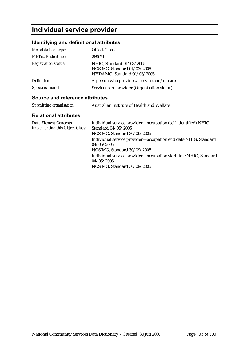# **Individual service provider**

### **Identifying and definitional attributes**

| Metadata item type:         | <b>Object Class</b>                                                                     |
|-----------------------------|-----------------------------------------------------------------------------------------|
| <b>METeOR</b> identifier:   | 269021                                                                                  |
| <b>Registration status:</b> | NHIG, Standard 01/03/2005<br>NCSIMG, Standard 01/03/2005<br>NHDAMG, Standard 01/03/2005 |
| Definition:                 | A person who provides a service and/or care.                                            |
| Specialisation of:          | Service/care provider (Organisation status)                                             |

#### **Source and reference attributes**

| Submitting organisation: | Australian Institute of Health and Welfare |
|--------------------------|--------------------------------------------|
|                          |                                            |

#### **Relational attributes**

| <b>Data Element Concepts</b><br>implementing this Object Class: | Individual service provider—occupation (self-identified) NHIG,<br>Standard 04/05/2005<br>NCSIMG, Standard 30/09/2005 |
|-----------------------------------------------------------------|----------------------------------------------------------------------------------------------------------------------|
|                                                                 | Individual service provider—occupation end date NHIG, Standard<br>04/05/2005<br>NCSIMG, Standard 30/09/2005          |
|                                                                 | Individual service provider-occupation start date NHIG, Standard<br>04/05/2005<br>NCSIMG, Standard 30/09/2005        |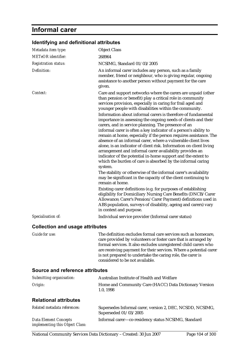# **Informal carer**

| Metadata item type:             | <b>Object Class</b>                                                                                                                                                                                                                                                                                                                                                                                                                                                                                                                                                                                                                                                                                                                             |
|---------------------------------|-------------------------------------------------------------------------------------------------------------------------------------------------------------------------------------------------------------------------------------------------------------------------------------------------------------------------------------------------------------------------------------------------------------------------------------------------------------------------------------------------------------------------------------------------------------------------------------------------------------------------------------------------------------------------------------------------------------------------------------------------|
| <b>METeOR</b> identifier:       | 268964                                                                                                                                                                                                                                                                                                                                                                                                                                                                                                                                                                                                                                                                                                                                          |
| <b>Registration status:</b>     | NCSIMG, Standard 01/03/2005                                                                                                                                                                                                                                                                                                                                                                                                                                                                                                                                                                                                                                                                                                                     |
| Definition:                     | An informal carer includes any person, such as a family<br>member, friend or neighbour, who is giving regular, ongoing<br>assistance to another person without payment for the care<br>given.                                                                                                                                                                                                                                                                                                                                                                                                                                                                                                                                                   |
| Context:                        | Care and support networks where the carers are unpaid (other<br>than pension or benefit) play a critical role in community<br>services provision, especially in caring for frail aged and<br>younger people with disabilities within the community.                                                                                                                                                                                                                                                                                                                                                                                                                                                                                             |
|                                 | Information about informal carers is therefore of fundamental<br>importance in assessing the ongoing needs of clients and their<br>carers, and in service planning. The presence of an<br>informal carer is often a key indicator of a person's ability to<br>remain at home, especially if the person requires assistance. The<br>absence of an informal carer, where a vulnerable client lives<br>alone, is an indicator of client risk. Information on client living<br>arrangement and informal carer availability provides an<br>indicator of the potential in-home support and the extent to<br>which the burden of care is absorbed by the informal caring<br>system.<br>The stability or otherwise of the informal carer's availability |
|                                 | may be significant in the capacity of the client continuing to<br>remain at home.                                                                                                                                                                                                                                                                                                                                                                                                                                                                                                                                                                                                                                                               |
|                                 | Existing carer definitions (e.g. for purposes of establishing<br>eligibility for Domiciliary Nursing Care Benefits (DNCB/Carer<br>Allowance; Carer's Pension/Carer Payment) definitions used in<br>ABS population, surveys of disability, ageing and carers) vary<br>in context and purpose.                                                                                                                                                                                                                                                                                                                                                                                                                                                    |
| Specialisation of:              | Individual service provider (Informal carer status)                                                                                                                                                                                                                                                                                                                                                                                                                                                                                                                                                                                                                                                                                             |
| Collection and usage attributes |                                                                                                                                                                                                                                                                                                                                                                                                                                                                                                                                                                                                                                                                                                                                                 |

#### **Identifying and definitional attributes**

#### **Collection and usage attributes**

*Guide for use:* The definition excludes formal care services such as homecare, care provided by volunteers or foster care that is arranged by formal services. It also excludes unregistered child carers who are receiving payment for their services. Where a potential carer is not prepared to undertake the caring role, the carer is considered to be not available.

#### **Source and reference attributes**

| Submitting organisation:     | Australian Institute of Health and Welfare                                         |
|------------------------------|------------------------------------------------------------------------------------|
| Origin:                      | Home and Community Care (HACC) Data Dictionary Version<br>1.0.1998                 |
| <b>Relational attributes</b> |                                                                                    |
| Related metadata references: | Supersedes Informal carer, version 2, DEC, NCSDD, NCSIMG,<br>Superseded 01/03/2005 |
| <b>Data Element Concepts</b> | Informal carer—co-residency status NCSIMG, Standard                                |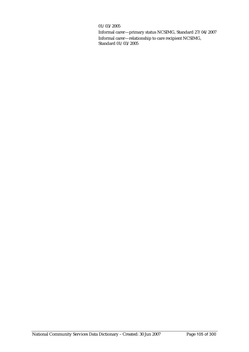#### 01/03/2005

Informal carer—primary status NCSIMG, Standard 27/04/2007 Informal carer—relationship to care recipient NCSIMG, Standard 01/03/2005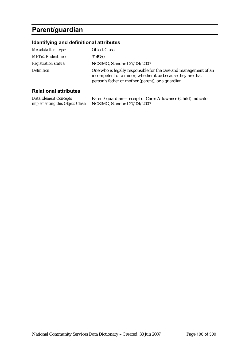# **Parent/guardian**

### **Identifying and definitional attributes**

| Metadata item type:         | <b>Object Class</b>                                                                                                                                                                   |
|-----------------------------|---------------------------------------------------------------------------------------------------------------------------------------------------------------------------------------|
| <b>METeOR</b> identifier:   | 314980                                                                                                                                                                                |
| <b>Registration status:</b> | NCSIMG, Standard 27/04/2007                                                                                                                                                           |
| Definition:                 | One who is legally responsible for the care and management of an<br>incompetent or a minor, whether it be because they are that<br>person's father or mother (parent), or a guardian. |
|                             |                                                                                                                                                                                       |

#### **Relational attributes**

| Data Element Concepts                  | Parent/guardian—receipt of Carer Allowance (Child) indicator |
|----------------------------------------|--------------------------------------------------------------|
| <i>implementing this Object Class:</i> | NCSIMG, Standard 27/04/2007                                  |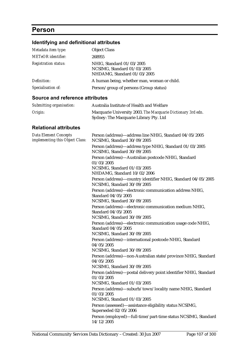# **Person**

### **Identifying and definitional attributes**

| Metadata item type:         | <b>Object Class</b>                                                                     |
|-----------------------------|-----------------------------------------------------------------------------------------|
| <b>METeOR</b> identifier:   | 268955                                                                                  |
| <b>Registration status:</b> | NHIG, Standard 01/03/2005<br>NCSIMG, Standard 01/03/2005<br>NHDAMG, Standard 01/03/2005 |
| Definition:                 | A human being, whether man, woman or child.                                             |
| Specialisation of:          | Person/group of persons (Group status)                                                  |

#### **Source and reference attributes**

| Submitting organisation: | Australia Institute of Health and Welfare                                                              |
|--------------------------|--------------------------------------------------------------------------------------------------------|
| Origin:                  | Macquarie University 2003. The Macquarie Dictionary 3rd edn.<br>Sydney: The Macquarie Library Pty. Ltd |

### **Relational attributes**

| <b>Data Element Concepts</b><br>implementing this Object Class: | Person (address)—address line NHIG, Standard 04/05/2005<br>NCSIMG, Standard 30/09/2005                           |
|-----------------------------------------------------------------|------------------------------------------------------------------------------------------------------------------|
|                                                                 | Person (address)-address type NHIG, Standard 01/03/2005<br>NCSIMG, Standard 30/09/2005                           |
|                                                                 | Person (address)-Australian postcode NHIG, Standard<br>01/03/2005<br>NCSIMG, Standard 01/03/2005                 |
|                                                                 | NHDAMG, Standard 10/02/2006                                                                                      |
|                                                                 | Person (address)—country identifier NHIG, Standard 04/05/2005<br>NCSIMG, Standard 30/09/2005                     |
|                                                                 | Person (address)-electronic communication address NHIG,<br>Standard 04/05/2005<br>NCSIMG, Standard 30/09/2005    |
|                                                                 | Person (address)-electronic communication medium NHIG,<br>Standard 04/05/2005<br>NCSIMG, Standard 30/09/2005     |
|                                                                 | Person (address)-electronic communication usage code NHIG,<br>Standard 04/05/2005<br>NCSIMG, Standard 30/09/2005 |
|                                                                 | Person (address)-international postcode NHIG, Standard<br>04/05/2005<br>NCSIMG, Standard 30/09/2005              |
|                                                                 | Person (address)-non-Australian state/province NHIG, Standard<br>04/05/2005<br>NCSIMG, Standard 30/09/2005       |
|                                                                 | Person (address)-postal delivery point identifier NHIG, Standard<br>01/03/2005<br>NCSIMG, Standard 01/03/2005    |
|                                                                 | Person (address)—suburb/town/locality name NHIG, Standard<br>01/03/2005<br>NCSIMG, Standard 01/03/2005           |
|                                                                 | Person (assessed)—assistance eligibility status NCSIMG,<br>Superseded 02/05/2006                                 |
|                                                                 | Person (employed)-full-time/part-time status NCSIMG, Standard<br>14/12/2005                                      |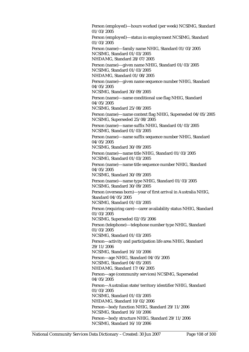Person (employed)—hours worked (per week) NCSIMG, Standard 01/03/2005 Person (employed)—status in employment NCSIMG, Standard 01/03/2005 Person (name)—family name NHIG, Standard 01/03/2005 NCSIMG, Standard 01/03/2005 NHDAMG, Standard 28/07/2005 Person (name)—given name NHIG, Standard 01/03/2005 NCSIMG, Standard 01/03/2005 NHDAMG, Standard 01/08/2005 Person (name)—given name sequence number NHIG, Standard 04/05/2005 NCSIMG, Standard 30/09/2005 Person (name)—name conditional use flag NHIG, Standard 04/05/2005 NCSIMG, Standard 25/08/2005 Person (name)—name context flag NHIG, Superseded 04/05/2005 NCSIMG, Superseded 25/08/2005 Person (name)—name suffix NHIG, Standard 01/03/2005 NCSIMG, Standard 01/03/2005 Person (name)—name suffix sequence number NHIG, Standard 04/05/2005 NCSIMG, Standard 30/09/2005 Person (name)—name title NHIG, Standard 01/03/2005 NCSIMG, Standard 01/03/2005 Person (name)—name title sequence number NHIG, Standard 04/05/2005 NCSIMG, Standard 30/09/2005 Person (name)—name type NHIG, Standard 01/03/2005 NCSIMG, Standard 30/09/2005 Person (overseas born)—year of first arrival in Australia NHIG, Standard 04/05/2005 NCSIMG, Standard 01/03/2005 Person (requiring care)—carer availability status NHIG, Standard 01/03/2005 NCSIMG, Superseded 02/05/2006 Person (telephone)—telephone number type NHIG, Standard 01/03/2005 NCSIMG, Standard 01/03/2005 Person—activity and participation life area NHIG, Standard 29/11/2006 NCSIMG, Standard 16/10/2006 Person—age NHIG, Standard 04/05/2005 NCSIMG, Standard 04/05/2005 NHDAMG, Standard 17/06/2005 Person—age (community services) NCSIMG, Superseded 04/05/2005 Person—Australian state/territory identifier NHIG, Standard 01/03/2005 NCSIMG, Standard 01/03/2005 NHDAMG, Standard 10/02/2006 Person—body function NHIG, Standard 29/11/2006 NCSIMG, Standard 16/10/2006 Person—body structure NHIG, Standard 29/11/2006 NCSIMG, Standard 16/10/2006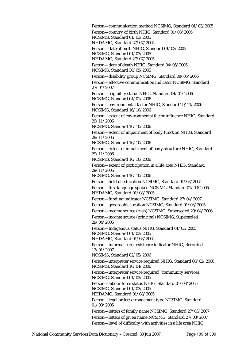Person—communication method NCSIMG, Standard 01/03/2005 Person—country of birth NHIG, Standard 01/03/2005 NCSIMG, Standard 01/03/2005 NHDAMG, Standard 27/07/2005 Person—date of birth NHIG, Standard 01/03/2005 NCSIMG, Standard 01/03/2005 NHDAMG, Standard 27/07/2005 Person—date of death NHIG, Standard 04/05/2005 NCSIMG, Standard 30/09/2005 Person—disability group NCSIMG, Standard 08/05/2006 Person—effective communication indicator NCSIMG, Standard 27/04/2007 Person—eligibility status NHIG, Standard 04/01/2006 NCSIMG, Standard 04/01/2006 Person—environmental factor NHIG, Standard 29/11/2006 NCSIMG, Standard 16/10/2006 Person—extent of environmental factor influence NHIG, Standard 29/11/2006 NCSIMG, Standard 16/10/2006 Person—extent of impairment of body function NHIG, Standard 29/11/2006 NCSIMG, Standard 16/10/2006 Person—extent of impairment of body structure NHIG, Standard 29/11/2006 NCSIMG, Standard 16/10/2006 Person—extent of participation in a life area NHIG, Standard 29/11/2006 NCSIMG, Standard 16/10/2006 Person—field of education NCSIMG, Standard 01/03/2005 Person—first language spoken NCSIMG, Standard 01/03/2005 NHDAMG, Standard 01/08/2005 Person—funding indicator NCSIMG, Standard 27/04/2007 Person—geographic location NCSIMG, Standard 01/03/2005 Person—income source (cash) NCSIMG, Superseded 29/04/2006 Person—income source (principal) NCSIMG, Superseded 29/04/2006 Person—Indigenous status NHIG, Standard 01/03/2005 NCSIMG, Standard 01/03/2005 NHDAMG, Standard 01/03/2005 Person—informal carer existence indicator NHIG, Recorded 12/01/2007 NCSIMG, Standard 02/05/2006 Person—interpreter service required NHIG, Standard 08/02/2006 NCSIMG, Standard 10/04/2006 Person—interpreter service required (community services) NCSIMG, Standard 01/03/2005 Person—labour force status NHIG, Standard 01/03/2005 NCSIMG, Standard 01/03/2005 NHDAMG, Standard 01/08/2005 Person—legal order/arrangement type NCSIMG, Standard 01/03/2005 Person—letters of family name NCSIMG, Standard 27/03/2007 Person—letters of given name NCSIMG, Standard 27/03/2007 Person—level of difficulty with activities in a life area NHIG,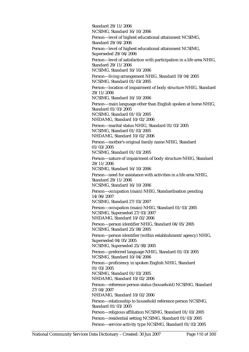Standard 29/11/2006 NCSIMG, Standard 16/10/2006 Person—level of highest educational attainment NCSIMG, Standard 29/04/2006 Person—level of highest educational attainment NCSIMG, Superseded 29/04/2006 Person—level of satisfaction with participation in a life area NHIG, Standard 29/11/2006 NCSIMG, Standard 16/10/2006 Person—living arrangement NHIG, Standard 19/04/2005 NCSIMG, Standard 01/03/2005 Person—location of impairment of body structure NHIG, Standard 29/11/2006 NCSIMG, Standard 16/10/2006 Person—main language other than English spoken at home NHIG, Standard 01/03/2005 NCSIMG, Standard 01/03/2005 NHDAMG, Standard 10/02/2006 Person—marital status NHIG, Standard 01/03/2005 NCSIMG, Standard 01/03/2005 NHDAMG, Standard 10/02/2006 Person—mother's original family name NHIG, Standard 01/03/2005 NCSIMG, Standard 01/03/2005 Person—nature of impairment of body structure NHIG, Standard 29/11/2006 NCSIMG, Standard 16/10/2006 Person—need for assistance with activities in a life area NHIG, Standard 29/11/2006 NCSIMG, Standard 16/10/2006 Person—occupation (main) NHIG, Standardisation pending 14/06/2007 NCSIMG, Standard 27/03/2007 Person—occupation (main) NHIG, Standard 01/03/2005 NCSIMG, Superseded 27/03/2007 NHDAMG, Standard 10/02/2006 Person—person identifier NHIG, Standard 04/05/2005 NCSIMG, Standard 25/08/2005 Person—person identifier (within establishment/agency) NHIG, Superseded 04/05/2005 NCSIMG, Superseded 25/08/2005 Person—preferred language NHIG, Standard 01/03/2005 NCSIMG, Standard 10/04/2006 Person—proficiency in spoken English NHIG, Standard 01/03/2005 NCSIMG, Standard 01/03/2005 NHDAMG, Standard 10/02/2006 Person—reference person status (household) NCSIMG, Standard 27/04/2007 NHDAMG, Standard 10/02/2006 Person—relationship to household reference person NCSIMG, Standard 01/03/2005 Person—religious affiliation NCSIMG, Standard 01/03/2005 Person—residential setting NCSIMG, Standard 01/03/2005 Person—service activity type NCSIMG, Standard 01/03/2005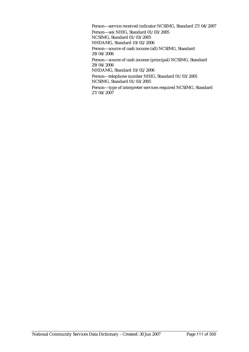Person—service received indicator NCSIMG, Standard 27/04/2007 Person—sex NHIG, Standard 01/03/2005 NCSIMG, Standard 01/03/2005 NHDAMG, Standard 10/02/2006 Person—source of cash income (all) NCSIMG, Standard 29/04/2006 Person—source of cash income (principal) NCSIMG, Standard 29/04/2006 NHDAMG, Standard 10/02/2006 Person—telephone number NHIG, Standard 01/03/2005 NCSIMG, Standard 01/03/2005 Person—type of interpreter services required NCSIMG, Standard 27/04/2007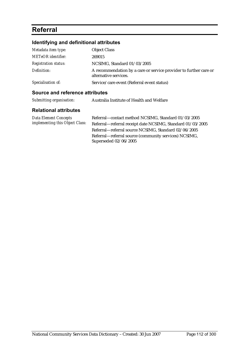# **Referral**

## **Identifying and definitional attributes**

| Metadata item type:         | <b>Object Class</b>                                                                        |
|-----------------------------|--------------------------------------------------------------------------------------------|
| <b>METeOR</b> identifier:   | 269015                                                                                     |
| <b>Registration status:</b> | NCSIMG, Standard 01/03/2005                                                                |
| Definition:                 | A recommendation by a care or service provider to further care or<br>alternative services. |
| Specialisation of:          | Service/care event (Referral event status)                                                 |
|                             |                                                                                            |

#### **Source and reference attributes**

| Submitting organisation:     | Australia Institute of Health and Welfare         |
|------------------------------|---------------------------------------------------|
| <b>Relational attributes</b> |                                                   |
| Dota Flament Concenter       | Defemal contact method NCCIMC Stendard 01/02/2005 |

| Data Element Concepts           | Referral—contact method NCSIMG, Standard 01/03/2005        |
|---------------------------------|------------------------------------------------------------|
| implementing this Object Class: | Referral—referral receipt date NCSIMG, Standard 01/03/2005 |
|                                 | Referral—referral source NCSIMG, Standard 02/06/2005       |
|                                 | Referral—referral source (community services) NCSIMG,      |
|                                 | Superseded 02/06/2005                                      |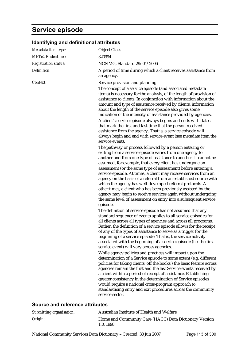# **Service episode**

| Metadata item type:         | <b>Object Class</b>                                                                                                                                                                                                                                                                                                                                                                                                                                                                                                                                                                                                                                                                                                                                                                                                                                                                                                                                                                                                                                                                                                                                                                                                                                                                                                                                                                                                                                                                                                                                                                                                                                                                                                                                                                                                                                                                                                                                                                                                                                                                                                                                                                                                                                                                                                                                                                                                                                                                                                                                                     |
|-----------------------------|-------------------------------------------------------------------------------------------------------------------------------------------------------------------------------------------------------------------------------------------------------------------------------------------------------------------------------------------------------------------------------------------------------------------------------------------------------------------------------------------------------------------------------------------------------------------------------------------------------------------------------------------------------------------------------------------------------------------------------------------------------------------------------------------------------------------------------------------------------------------------------------------------------------------------------------------------------------------------------------------------------------------------------------------------------------------------------------------------------------------------------------------------------------------------------------------------------------------------------------------------------------------------------------------------------------------------------------------------------------------------------------------------------------------------------------------------------------------------------------------------------------------------------------------------------------------------------------------------------------------------------------------------------------------------------------------------------------------------------------------------------------------------------------------------------------------------------------------------------------------------------------------------------------------------------------------------------------------------------------------------------------------------------------------------------------------------------------------------------------------------------------------------------------------------------------------------------------------------------------------------------------------------------------------------------------------------------------------------------------------------------------------------------------------------------------------------------------------------------------------------------------------------------------------------------------------------|
| <b>METeOR</b> identifier:   | 320994                                                                                                                                                                                                                                                                                                                                                                                                                                                                                                                                                                                                                                                                                                                                                                                                                                                                                                                                                                                                                                                                                                                                                                                                                                                                                                                                                                                                                                                                                                                                                                                                                                                                                                                                                                                                                                                                                                                                                                                                                                                                                                                                                                                                                                                                                                                                                                                                                                                                                                                                                                  |
| <b>Registration status:</b> | NCSIMG, Standard 29/04/2006                                                                                                                                                                                                                                                                                                                                                                                                                                                                                                                                                                                                                                                                                                                                                                                                                                                                                                                                                                                                                                                                                                                                                                                                                                                                                                                                                                                                                                                                                                                                                                                                                                                                                                                                                                                                                                                                                                                                                                                                                                                                                                                                                                                                                                                                                                                                                                                                                                                                                                                                             |
| Definition:                 | A period of time during which a client receives assistance from<br>an agency.                                                                                                                                                                                                                                                                                                                                                                                                                                                                                                                                                                                                                                                                                                                                                                                                                                                                                                                                                                                                                                                                                                                                                                                                                                                                                                                                                                                                                                                                                                                                                                                                                                                                                                                                                                                                                                                                                                                                                                                                                                                                                                                                                                                                                                                                                                                                                                                                                                                                                           |
| Context:                    | Service provision and planning:<br>The concept of a service episode (and associated metadata<br>items) is necessary for the analysis, of the length of provision of<br>assistance to clients. In conjunction with information about the<br>amount and type of assistance received by clients, information<br>about the length of the service episode also gives some<br>indication of the intensity of assistance provided by agencies.<br>A client's service episode always begins and ends with dates<br>that mark the first and last time that the person received<br>assistance from the agency. That is, a service episode will<br>always begin and end with service event (see metadata item the<br>service event).<br>The pathway or process followed by a person entering or<br>exiting from a service episode varies from one agency to<br>another and from one type of assistance to another. It cannot be<br>assumed, for example, that every client has undergone an<br>assessment (or the same type of assessment) before entering a<br>service episode. At times, a client may receive services from an<br>agency on the basis of a referral from an established source with<br>which the agency has well-developed referral protocols. At<br>other times, a client who has been previously assisted by the<br>agency may begin to receive services again without undergoing<br>the same level of assessment on entry into a subsequent service<br>episode.<br>The definition of service episode has not assumed that any<br>standard sequence of events applies to all service episodes for<br>all clients across all types of agencies and across all programs.<br>Rather, the definition of a service episode allows for the receipt<br>of any of the types of assistance to serve as a trigger for the<br>beginning of a service episode. That is, the service activity<br>associated with the beginning of a service episode (i.e. the first<br>service event) will vary across agencies.<br>While agency policies and practices will impact upon the<br>determination of a Service episode to some extent (e.g. different<br>policies for taking clients 'off the books') the basic feature across<br>agencies remain the first and the last Service events received by<br>a client within a period of receipt of assistance. Establishing<br>greater consistency in the determination of Service episodes<br>would require a national cross-program approach to<br>standardising entry and exit procedures across the community<br>service sector. |
|                             |                                                                                                                                                                                                                                                                                                                                                                                                                                                                                                                                                                                                                                                                                                                                                                                                                                                                                                                                                                                                                                                                                                                                                                                                                                                                                                                                                                                                                                                                                                                                                                                                                                                                                                                                                                                                                                                                                                                                                                                                                                                                                                                                                                                                                                                                                                                                                                                                                                                                                                                                                                         |

### **Identifying and definitional attributes**

### **Source and reference attributes**

| Submitting organisation: | Australian Institute of Health and Welfare                         |
|--------------------------|--------------------------------------------------------------------|
| Origin:                  | Home and Community Care (HACC) Data Dictionary Version<br>1.0.1998 |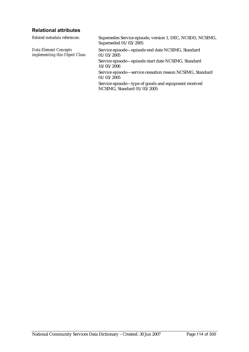### **Relational attributes**

*Related metadata references:* Supersedes Service episode, version 1, DEC, NCSDD, NCSIMG, Superseded 01/03/2005 *Data Element Concepts implementing this Object Class:* Service episode—episode end date NCSIMG, Standard 01/03/2005 Service episode—episode start date NCSIMG, Standard 16/05/2006 Service episode—service cessation reason NCSIMG, Standard 01/03/2005 Service episode—type of goods and equipment received NCSIMG, Standard 01/03/2005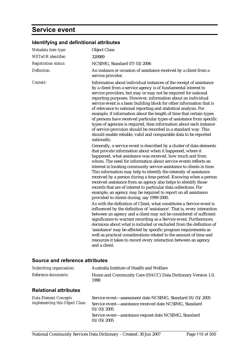# **Service event**

| Metadata item type:         | <b>Object Class</b>                                                                                                                                                                                                                                                                                                                                                                                                                                                                                                                                                                                                                                                                                                                                                                                |
|-----------------------------|----------------------------------------------------------------------------------------------------------------------------------------------------------------------------------------------------------------------------------------------------------------------------------------------------------------------------------------------------------------------------------------------------------------------------------------------------------------------------------------------------------------------------------------------------------------------------------------------------------------------------------------------------------------------------------------------------------------------------------------------------------------------------------------------------|
| <b>METeOR</b> identifier:   | 320989                                                                                                                                                                                                                                                                                                                                                                                                                                                                                                                                                                                                                                                                                                                                                                                             |
| <b>Registration status:</b> | NCSIMG, Standard 07/03/2006                                                                                                                                                                                                                                                                                                                                                                                                                                                                                                                                                                                                                                                                                                                                                                        |
| Definition:                 | An instance or occasion of assistance received by a client from a<br>service provider.                                                                                                                                                                                                                                                                                                                                                                                                                                                                                                                                                                                                                                                                                                             |
| Context:                    | Information about individual instances of the receipt of assistance<br>by a client from a service agency is of fundamental interest to<br>service providers, but may or may not be required for national<br>reporting purposes. However, information about an individual<br>service event is a basic building block for other information that is<br>of relevance to national reporting and statistical analysis. For<br>example, if information about the length of time that certain types<br>of persons have received particular types of assistance from specific<br>types of agencies is required, then information about each instance<br>of service provision should be recorded in a standard way. This<br>should enable reliable, valid and comparable data to be reported<br>nationally. |
|                             | Generally, a service event is described by a cluster of data elements<br>that provide information about when it happened, where it<br>happened, what assistance was received, how much and from<br>whom. The need for information about service events reflects an<br>interest in locating community service assistance to clients in time.<br>This information may help to identify the intensity of assistance<br>received by a person during a time period. Knowing when a person<br>received assistance from an agency also helps to identify those<br>records that are of interest to particular data collections. For<br>example, an agency may be required to report on all assistance<br>provided to clients during, say 1999-2000.                                                        |
|                             | As with the definition of Client, what constitutes a Service event is<br>influenced by the definition of 'assistance'. That is, every interaction<br>between an agency and a client may not be considered of sufficient<br>significance to warrant recording as a Service event. Furthermore,<br>decisions about what is included or excluded from the definition of<br>'assistance' may be affected by specific program requirements as<br>well as practical considerations related to the amount of time and<br>resources it takes to record every interaction between an agency<br>and a client.                                                                                                                                                                                                |

### **Identifying and definitional attributes**

### **Source and reference attributes**

| Submitting organisation:                                 | Australia Institute of Health and Welfare                                                                                                                                                                  |
|----------------------------------------------------------|------------------------------------------------------------------------------------------------------------------------------------------------------------------------------------------------------------|
| Reference documents:                                     | Home and Community Care (HACC) Data Dictionary Version 1.0,<br>1998                                                                                                                                        |
| <b>Relational attributes</b>                             |                                                                                                                                                                                                            |
| Data Element Concepts<br>implementing this Object Class: | Service event—assessment date NCSIMG, Standard 01/03/2005<br>Service event-assistance received date NCSIMG, Standard<br>01/03/2005<br>Service event—assistance request date NCSIMG, Standard<br>01/03/2005 |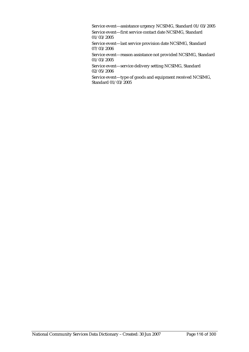Service event—assistance urgency NCSIMG, Standard 01/03/2005

Service event—first service contact date NCSIMG, Standard 01/03/2005

Service event—last service provision date NCSIMG, Standard 07/03/2006

Service event—reason assistance not provided NCSIMG, Standard 01/03/2005

Service event—service delivery setting NCSIMG, Standard 02/05/2006

Service event—type of goods and equipment received NCSIMG, Standard 01/03/2005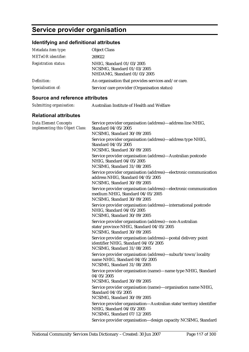# **Service provider organisation**

## **Identifying and definitional attributes**

| Metadata item type:         | <b>Object Class</b>                                                                     |
|-----------------------------|-----------------------------------------------------------------------------------------|
| <b>METeOR</b> identifier:   | 269022                                                                                  |
| <b>Registration status:</b> | NHIG, Standard 01/03/2005<br>NCSIMG, Standard 01/03/2005<br>NHDAMG, Standard 01/03/2005 |
| Definition:                 | An organisation that provides services and/or care.                                     |
| Specialisation of:          | Service/care provider (Organisation status)                                             |

#### **Source and reference attributes**

| Submitting organisation: | Australian Institute of Health and Welfare |
|--------------------------|--------------------------------------------|
|                          |                                            |

| <b>Data Element Concepts</b><br>implementing this Object Class: | Service provider organisation (address)-address line NHIG,<br>Standard 04/05/2005<br>NCSIMG, Standard 30/09/2005                     |
|-----------------------------------------------------------------|--------------------------------------------------------------------------------------------------------------------------------------|
|                                                                 | Service provider organisation (address)-address type NHIG,<br>Standard 04/05/2005<br>NCSIMG, Standard 30/09/2005                     |
|                                                                 | Service provider organisation (address)-Australian postcode<br>NHIG, Standard 04/05/2005<br>NCSIMG, Standard 31/08/2005              |
|                                                                 | Service provider organisation (address)-electronic communication<br>address NHIG, Standard 04/05/2005<br>NCSIMG, Standard 30/09/2005 |
|                                                                 | Service provider organisation (address)-electronic communication<br>medium NHIG, Standard 04/05/2005<br>NCSIMG, Standard 30/09/2005  |
|                                                                 | Service provider organisation (address)-international postcode<br>NHIG, Standard 04/05/2005<br>NCSIMG, Standard 30/09/2005           |
|                                                                 | Service provider organisation (address)-non-Australian<br>state/province NHIG, Standard 04/05/2005<br>NCSIMG, Standard 30/09/2005    |
|                                                                 | Service provider organisation (address)-postal delivery point<br>identifier NHIG, Standard 04/05/2005<br>NCSIMG, Standard 31/08/2005 |
|                                                                 | Service provider organisation (address)-suburb/town/locality<br>name NHIG, Standard 04/05/2005<br>NCSIMG, Standard 31/08/2005        |
|                                                                 | Service provider organisation (name)-name type NHIG, Standard<br>04/05/2005<br>NCSIMG, Standard 30/09/2005                           |
|                                                                 | Service provider organisation (name)-organisation name NHIG,<br>Standard 04/05/2005<br>NCSIMG, Standard 30/09/2005                   |
|                                                                 | Service provider organisation-Australian state/territory identifier<br>NHIG, Standard 04/05/2005<br>NCSIMG, Standard 07/12/2005      |
|                                                                 | Service provider organisation-design capacity NCSIMG, Standard                                                                       |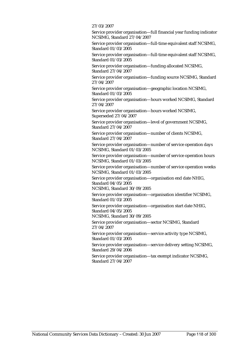#### 27/03/2007

Service provider organisation—full financial year funding indicator NCSIMG, Standard 27/04/2007

Service provider organisation—full-time equivalent staff NCSIMG, Standard 01/03/2005

Service provider organisation—full-time equivalent staff NCSIMG, Standard 01/03/2005

Service provider organisation—funding allocated NCSIMG, Standard 27/04/2007

Service provider organisation—funding source NCSIMG, Standard 27/04/2007

Service provider organisation—geographic location NCSIMG, Standard 01/03/2005

Service provider organisation—hours worked NCSIMG, Standard 27/04/2007

Service provider organisation—hours worked NCSIMG, Superseded 27/04/2007

Service provider organisation—level of government NCSIMG, Standard 27/04/2007

Service provider organisation—number of clients NCSIMG, Standard 27/04/2007

Service provider organisation—number of service operation days NCSIMG, Standard 01/03/2005

Service provider organisation—number of service operation hours NCSIMG, Standard 01/03/2005

Service provider organisation—number of service operation weeks NCSIMG, Standard 01/03/2005

Service provider organisation—organisation end date NHIG, Standard 04/05/2005

NCSIMG, Standard 30/09/2005

Service provider organisation—organisation identifier NCSIMG, Standard 01/03/2005

Service provider organisation—organisation start date NHIG, Standard 04/05/2005

NCSIMG, Standard 30/09/2005

Service provider organisation—sector NCSIMG, Standard 27/04/2007

Service provider organisation—service activity type NCSIMG, Standard 01/03/2005

Service provider organisation—service delivery setting NCSIMG, Standard 29/04/2006

Service provider organisation—tax exempt indicator NCSIMG, Standard 27/04/2007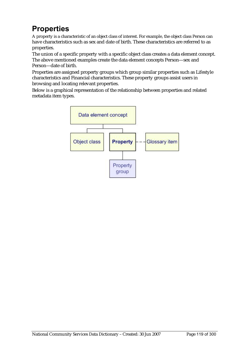# **Properties**

A property is a characteristic of an object class of interest. For example, the object class Person can have characteristics such as sex and date of birth. These characteristics are referred to as properties.

The union of a specific property with a specific object class creates a data element concept. The above mentioned examples create the data element concepts Person—sex and Person—date of birth.

Properties are assigned property groups which group similar properties such as Lifestyle characteristics and Financial characteristics. These property groups assist users in browsing and locating relevant properties.

Below is a graphical representation of the relationship between properties and related metadata item types.

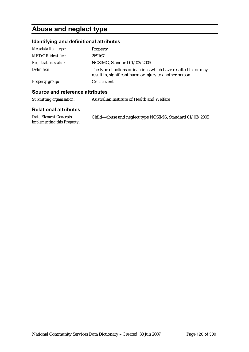# **Abuse and neglect type**

## **Identifying and definitional attributes**

| Metadata item type:         | Property                                                                                                                    |
|-----------------------------|-----------------------------------------------------------------------------------------------------------------------------|
| <b>METeOR</b> identifier:   | 269167                                                                                                                      |
| <b>Registration status:</b> | NCSIMG, Standard 01/03/2005                                                                                                 |
| Definition:                 | The type of actions or inactions which have resulted in, or may<br>result in, significant harm or injury to another person. |
| <b>Property group:</b>      | Crisis event                                                                                                                |

### **Source and reference attributes**

| Submitting organisation:                             | Australian Institute of Health and Welfare               |
|------------------------------------------------------|----------------------------------------------------------|
| <b>Relational attributes</b>                         |                                                          |
| Data Element Concepts<br>implementing this Property: | Child—abuse and neglect type NCSIMG, Standard 01/03/2005 |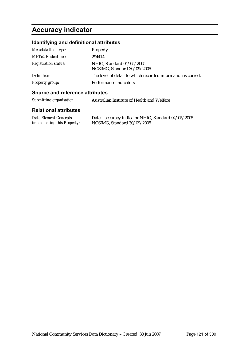# **Accuracy indicator**

## **Identifying and definitional attributes**

| Metadata item type:         | Property                                                      |
|-----------------------------|---------------------------------------------------------------|
| <b>METeOR</b> identifier:   | 294414                                                        |
| <b>Registration status:</b> | NHIG, Standard 04/05/2005<br>NCSIMG, Standard 30/09/2005      |
| Definition:                 | The level of detail to which recorded information is correct. |
| <b>Property group:</b>      | Performance indicators                                        |

#### **Source and reference attributes**

| Submitting organisation: | Australian Institute of Health and Welfare |
|--------------------------|--------------------------------------------|
|                          |                                            |

| <b>Data Element Concepts</b>       | Date—accuracy indicator NHIG, Standard 04/05/2005 |
|------------------------------------|---------------------------------------------------|
| <i>implementing this Property:</i> | NCSIMG, Standard 30/09/2005                       |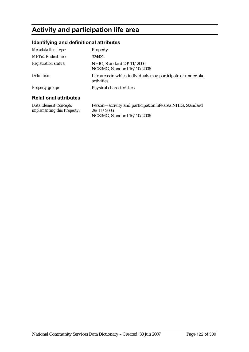# **Activity and participation life area**

## **Identifying and definitional attributes**

| Metadata item type:                                  | <b>Property</b>                                                             |
|------------------------------------------------------|-----------------------------------------------------------------------------|
| METeOR identifier:                                   | 324432                                                                      |
| <b>Registration status:</b>                          | NHIG, Standard 29/11/2006<br>NCSIMG, Standard 16/10/2006                    |
| Definition:                                          | Life areas in which individuals may participate or undertake<br>activities. |
| <b>Property group:</b>                               | Physical characteristics                                                    |
| <b>Relational attributes</b>                         |                                                                             |
| Data Element Concepts<br>implementing this Property: | Person—activity and participation life area NHIG, Standard<br>29/11/2006    |

NCSIMG, Standard 16/10/2006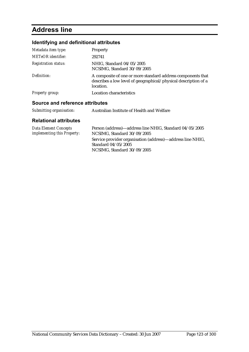# **Address line**

## **Identifying and definitional attributes**

| Metadata item type:             | Property                                                                                                                                    |
|---------------------------------|---------------------------------------------------------------------------------------------------------------------------------------------|
| <b>METeOR</b> identifier:       | 292741                                                                                                                                      |
| <b>Registration status:</b>     | NHIG, Standard 04/05/2005<br>NCSIMG, Standard 30/09/2005                                                                                    |
| Definition:                     | A composite of one or more standard address components that<br>describes a low level of geographical/physical description of a<br>location. |
| <b>Property group:</b>          | Location characteristics                                                                                                                    |
| Source and reference attributes |                                                                                                                                             |

#### *Submitting organisation:* Australian Institute of Health and Welfare

| Data Element Concepts       | Person (address)—address line NHIG, Standard 04/05/2005    |
|-----------------------------|------------------------------------------------------------|
| implementing this Property: | NCSIMG, Standard 30/09/2005                                |
|                             | Service provider organisation (address)—address line NHIG, |
|                             | Standard 04/05/2005                                        |
|                             | NCSIMG, Standard 30/09/2005                                |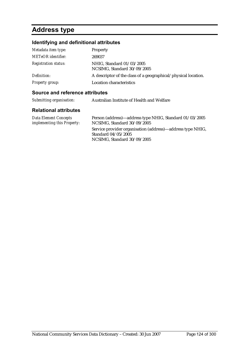# **Address type**

## **Identifying and definitional attributes**

| Metadata item type:         | Property                                                       |
|-----------------------------|----------------------------------------------------------------|
| <b>METeOR</b> identifier:   | 269037                                                         |
| <b>Registration status:</b> | NHIG, Standard 01/03/2005<br>NCSIMG, Standard 30/09/2005       |
| Definition:                 | A descriptor of the class of a geographical/physical location. |
| <b>Property group:</b>      | Location characteristics                                       |

#### **Source and reference attributes**

| Submitting organisation:                             | Australian Institute of Health and Welfare                                             |
|------------------------------------------------------|----------------------------------------------------------------------------------------|
| <b>Relational attributes</b>                         |                                                                                        |
| Data Element Concepts<br>implementing this Property: | Person (address)—address type NHIG, Standard 01/03/2005<br>NCSIMG, Standard 30/09/2005 |

Service provider organisation (address)—address type NHIG, Standard 04/05/2005 NCSIMG, Standard 30/09/2005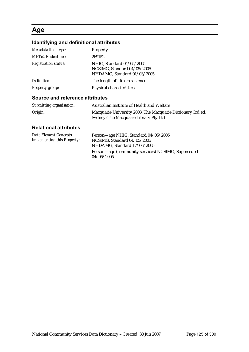## **Age**

## **Identifying and definitional attributes**

| Metadata item type:         | Property                                                                                |
|-----------------------------|-----------------------------------------------------------------------------------------|
| <b>METeOR</b> identifier:   | 269152                                                                                  |
| <b>Registration status:</b> | NHIG, Standard 04/05/2005<br>NCSIMG, Standard 04/05/2005<br>NHDAMG, Standard 01/03/2005 |
| Definition:                 | The length of life or existence.                                                        |
| <b>Property group:</b>      | Physical characteristics                                                                |
|                             |                                                                                         |

#### **Source and reference attributes**

| Submitting organisation: | Australian Institute of Health and Welfare                                                           |
|--------------------------|------------------------------------------------------------------------------------------------------|
| Origin:                  | Macquarie University 2003. The Macquarie Dictionary 3rd ed.<br>Sydney: The Macquarie Library Pty Ltd |

| Data Element Concepts              | Person—age NHIG, Standard 04/05/2005                             |
|------------------------------------|------------------------------------------------------------------|
| <i>implementing this Property:</i> | NCSIMG, Standard 04/05/2005                                      |
|                                    | NHDAMG, Standard 17/06/2005                                      |
|                                    | Person—age (community services) NCSIMG, Superseded<br>04/05/2005 |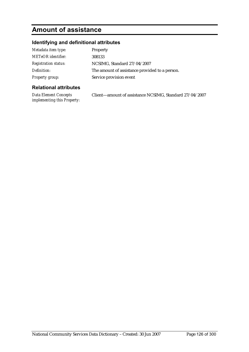# **Amount of assistance**

## **Identifying and definitional attributes**

| Metadata item type:         | Property                                       |
|-----------------------------|------------------------------------------------|
| <b>METeOR</b> identifier:   | 308133                                         |
| <b>Registration status:</b> | NCSIMG, Standard 27/04/2007                    |
| Definition:                 | The amount of assistance provided to a person. |
| Property group:             | Service provision event                        |

| Data Element Concepts       | Client-amount of assistance NCSIMG, Standard 27/04/2007 |
|-----------------------------|---------------------------------------------------------|
| implementing this Property: |                                                         |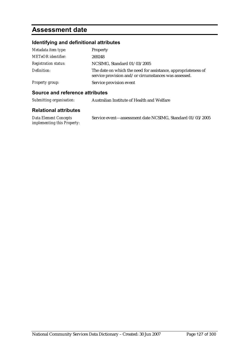## **Assessment date**

## **Identifying and definitional attributes**

| Metadata item type:         | Property                                                                                                              |
|-----------------------------|-----------------------------------------------------------------------------------------------------------------------|
| <b>METeOR</b> identifier:   | 269248                                                                                                                |
| <b>Registration status:</b> | NCSIMG, Standard 01/03/2005                                                                                           |
| Definition:                 | The date on which the need for assistance, appropriateness of<br>service provision and/or circumstances was assessed. |
| <b>Property group:</b>      | Service provision event                                                                                               |

#### **Source and reference attributes**

| Submitting organisation: | Australian Institute of Health and Welfare |
|--------------------------|--------------------------------------------|
|                          |                                            |

| Data Element Concepts       | Service event—assessment date NCSIMG, Standard 01/03/2005 |
|-----------------------------|-----------------------------------------------------------|
| implementing this Property: |                                                           |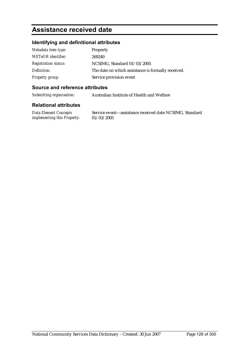## **Assistance received date**

### **Identifying and definitional attributes**

| Metadata item type:         | Property                                           |
|-----------------------------|----------------------------------------------------|
| <b>METeOR</b> identifier:   | 269249                                             |
| <b>Registration status:</b> | NCSIMG, Standard 01/03/2005                        |
| Definition:                 | The date on which assistance is formally received. |
| Property group:             | Service provision event                            |

#### **Source and reference attributes**

*Submitting organisation:* Australian Institute of Health and Welfare

#### **Relational attributes**

*Data Element Concepts implementing this Property:* Service event—assistance received date NCSIMG, Standard 01/03/2005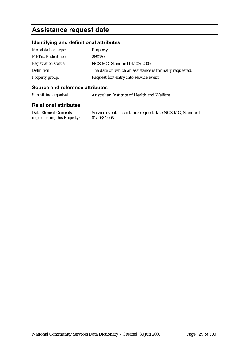## **Assistance request date**

### **Identifying and definitional attributes**

| Metadata item type:         | Property                                               |
|-----------------------------|--------------------------------------------------------|
| <b>METeOR</b> identifier:   | 269250                                                 |
| <b>Registration status:</b> | NCSIMG, Standard 01/03/2005                            |
| Definition:                 | The date on which an assistance is formally requested. |
| Property group:             | Request for/entry into service event                   |

#### **Source and reference attributes**

*Submitting organisation:* Australian Institute of Health and Welfare

#### **Relational attributes**

*Data Element Concepts implementing this Property:* Service event—assistance request date NCSIMG, Standard 01/03/2005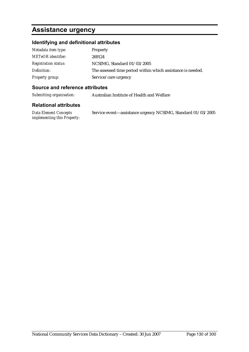## **Assistance urgency**

## **Identifying and definitional attributes**

| Metadata item type:         | <b>Property</b>                                             |
|-----------------------------|-------------------------------------------------------------|
| <b>METeOR</b> identifier:   | 269124                                                      |
| <b>Registration status:</b> | NCSIMG, Standard 01/03/2005                                 |
| Definition:                 | The assessed time period within which assistance is needed. |
| Property group:             | Service/care urgency                                        |

#### **Source and reference attributes**

*Submitting organisation:* Australian Institute of Health and Welfare

| Data Element Concepts              | Service event-assistance urgency NCSIMG, Standard 01/03/2005 |
|------------------------------------|--------------------------------------------------------------|
| <i>implementing this Property:</i> |                                                              |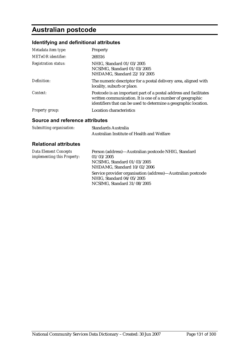# **Australian postcode**

## **Identifying and definitional attributes**

| Metadata item type:         | <b>Property</b>                                                                                                                                                                                     |
|-----------------------------|-----------------------------------------------------------------------------------------------------------------------------------------------------------------------------------------------------|
| <b>METeOR</b> identifier:   | 269316                                                                                                                                                                                              |
| <b>Registration status:</b> | NHIG, Standard 01/03/2005<br>NCSIMG, Standard 01/03/2005<br>NHDAMG, Standard 22/10/2005                                                                                                             |
| Definition:                 | The numeric descriptor for a postal delivery area, aligned with<br>locality, suburb or place.                                                                                                       |
| Context:                    | Postcode is an important part of a postal address and facilitates<br>written communication. It is one of a number of geographic<br>identifiers that can be used to determine a geographic location. |
| <b>Property group:</b>      | Location characteristics                                                                                                                                                                            |

#### **Source and reference attributes**

| Submitting organisation: | Standards Australia                        |
|--------------------------|--------------------------------------------|
|                          | Australian Institute of Health and Welfare |

| Data Element Concepts              | Person (address)—Australian postcode NHIG, Standard                                                                     |
|------------------------------------|-------------------------------------------------------------------------------------------------------------------------|
| <i>implementing this Property:</i> | 01/03/2005                                                                                                              |
|                                    | NCSIMG. Standard $01/03/2005$                                                                                           |
|                                    | NHDAMG, Standard 10/02/2006                                                                                             |
|                                    | Service provider organisation (address)—Australian postcode<br>NHIG, Standard 04/05/2005<br>NCSIMG, Standard 31/08/2005 |
|                                    |                                                                                                                         |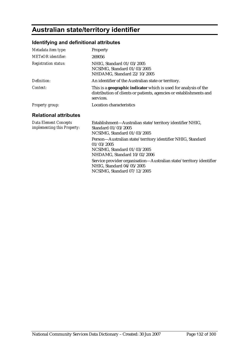# **Australian state/territory identifier**

## **Identifying and definitional attributes**

| Metadata item type:                                         | Property                                                                                                                                                                                                                                                                   |
|-------------------------------------------------------------|----------------------------------------------------------------------------------------------------------------------------------------------------------------------------------------------------------------------------------------------------------------------------|
| <b>METeOR</b> identifier:                                   | 269056                                                                                                                                                                                                                                                                     |
| <b>Registration status:</b>                                 | NHIG, Standard 01/03/2005<br>NCSIMG, Standard 01/03/2005<br>NHDAMG, Standard 22/10/2005                                                                                                                                                                                    |
| Definition:                                                 | An identifier of the Australian state or territory.                                                                                                                                                                                                                        |
| Context:                                                    | This is a <b>geographic indicator</b> which is used for analysis of the<br>distribution of clients or patients, agencies or establishments and<br>services.                                                                                                                |
| <b>Property group:</b>                                      | Location characteristics                                                                                                                                                                                                                                                   |
| <b>Relational attributes</b>                                |                                                                                                                                                                                                                                                                            |
| <b>Data Element Concepts</b><br>implementing this Property: | Establishment-Australian state/territory identifier NHIG,<br>Standard 01/03/2005<br>NCSIMG, Standard 01/03/2005                                                                                                                                                            |
|                                                             | Person-Australian state/territory identifier NHIG, Standard<br>01/03/2005<br>NCSIMG, Standard 01/03/2005<br>NHDAMG, Standard 10/02/2006<br>Service provider organisation-Australian state/territory identifier<br>NHIG, Standard 04/05/2005<br>NCSIMG, Standard 07/12/2005 |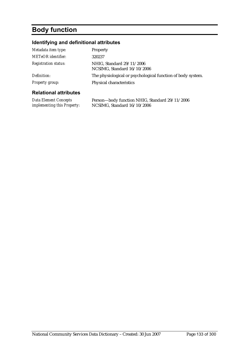# **Body function**

## **Identifying and definitional attributes**

| Metadata item type:          | <b>Property</b>                                             |
|------------------------------|-------------------------------------------------------------|
| METeOR identifier:           | 320237                                                      |
| <b>Registration status:</b>  | NHIG, Standard 29/11/2006<br>NCSIMG, Standard 16/10/2006    |
| Definition:                  | The physiological or psychological function of body system. |
| Property group:              | Physical characteristics                                    |
| <b>Relational attributes</b> |                                                             |

| <b>Data Element Concepts</b>       | Person—body function NHIG, Standard 29/11/2006 |
|------------------------------------|------------------------------------------------|
| <i>implementing this Property:</i> | NCSIMG, Standard $16/10/2006$                  |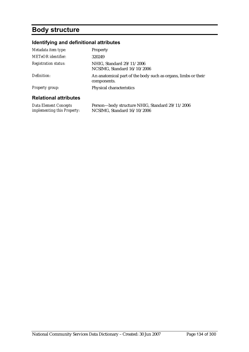## **Body structure**

## **Identifying and definitional attributes**

| Metadata item type:                                  | Property                                                                       |
|------------------------------------------------------|--------------------------------------------------------------------------------|
| <b>METeOR</b> identifier:                            | 320249                                                                         |
| <b>Registration status:</b>                          | NHIG, Standard 29/11/2006<br>NCSIMG, Standard 16/10/2006                       |
| Definition:                                          | An anatomical part of the body such as organs, limbs or their<br>components.   |
| <b>Property group:</b>                               | Physical characteristics                                                       |
| <b>Relational attributes</b>                         |                                                                                |
| Data Element Concepts<br>implementing this Property: | Person-body structure NHIG, Standard 29/11/2006<br>NCSIMG, Standard 16/10/2006 |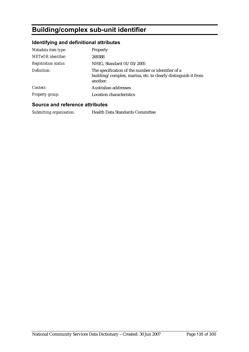# **Building/complex sub-unit identifier**

## **Identifying and definitional attributes**

| Property<br>269388                                                                                                              |
|---------------------------------------------------------------------------------------------------------------------------------|
| NHIG, Standard 01/03/2005                                                                                                       |
| The specification of the number or identifier of a<br>building/complex, marina, etc. to clearly distinguish it from<br>another. |
| Australian addresses.                                                                                                           |
| Location characteristics                                                                                                        |
|                                                                                                                                 |

#### **Source and reference attributes**

*Submitting organisation:* Health Data Standards Committee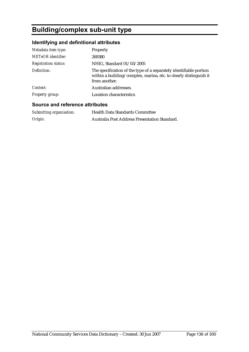# **Building/complex sub-unit type**

## **Identifying and definitional attributes**

| Metadata item type:<br><b>METeOR</b> identifier:<br><b>Registration status:</b> | <b>Property</b><br>269380<br>NHIG, Standard 01/03/2005                                                                                                   |
|---------------------------------------------------------------------------------|----------------------------------------------------------------------------------------------------------------------------------------------------------|
| Definition:                                                                     | The specification of the type of a separately identifiable portion<br>within a building/complex, marina, etc. to clearly distinguish it<br>from another. |
| Context:                                                                        | Australian addresses.                                                                                                                                    |
| <b>Property group:</b>                                                          | Location characteristics                                                                                                                                 |

### **Source and reference attributes**

| Submitting organisation: | <b>Health Data Standards Committee</b>        |
|--------------------------|-----------------------------------------------|
| Origin:                  | Australia Post Address Presentation Standard. |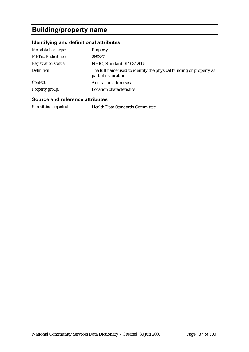# **Building/property name**

## **Identifying and definitional attributes**

| Metadata item type:         | <b>Property</b>                                                                              |
|-----------------------------|----------------------------------------------------------------------------------------------|
| <b>METeOR</b> identifier:   | 269387                                                                                       |
| <b>Registration status:</b> | NHIG, Standard 01/03/2005                                                                    |
| Definition:                 | The full name used to identify the physical building or property as<br>part of its location. |
| Context:                    | Australian addresses.                                                                        |
| <b>Property group:</b>      | Location characteristics                                                                     |

#### **Source and reference attributes**

*Submitting organisation:* Health Data Standards Committee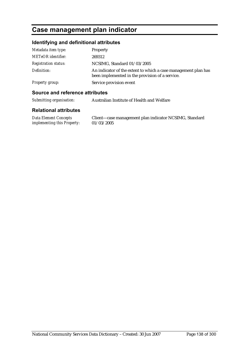## **Case management plan indicator**

### **Identifying and definitional attributes**

| Metadata item type:         | Property                                                                                                          |
|-----------------------------|-------------------------------------------------------------------------------------------------------------------|
| <b>METeOR</b> identifier:   | 269312                                                                                                            |
| <b>Registration status:</b> | NCSIMG, Standard 01/03/2005                                                                                       |
| Definition:                 | An indicator of the extent to which a case management plan has<br>been implemented in the provision of a service. |
| Property group:             | Service provision event                                                                                           |

#### **Source and reference attributes**

*Submitting organisation:* Australian Institute of Health and Welfare

#### **Relational attributes**

*Data Element Concepts implementing this Property:* Client—case management plan indicator NCSIMG, Standard 01/03/2005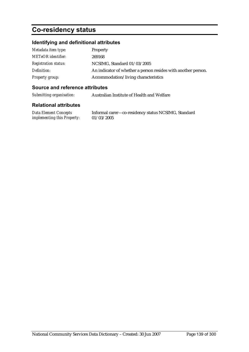# **Co-residency status**

## **Identifying and definitional attributes**

| Metadata item type:         | Property                                                      |
|-----------------------------|---------------------------------------------------------------|
| <b>METeOR</b> identifier:   | 269168                                                        |
| <i>Registration status:</i> | NCSIMG, Standard 01/03/2005                                   |
| Definition:                 | An indicator of whether a person resides with another person. |
| Property group:             | Accommodation/living characteristics                          |

#### **Source and reference attributes**

| Submitting organisation: | Australian Institute of Health and Welfare |
|--------------------------|--------------------------------------------|
|                          |                                            |

#### **Relational attributes**

*Data Element Concepts implementing this Property:* Informal carer—co-residency status NCSIMG, Standard 01/03/2005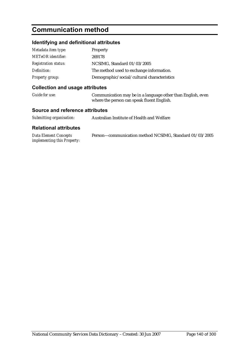## **Communication method**

### **Identifying and definitional attributes**

| Metadata item type:         | Property                                    |
|-----------------------------|---------------------------------------------|
| <b>METeOR</b> identifier:   | 269178                                      |
| <b>Registration status:</b> | NCSIMG, Standard 01/03/2005                 |
| Definition:                 | The method used to exchange information.    |
| <b>Property group:</b>      | Demographic/social/cultural characteristics |

### **Collection and usage attributes**

| Guide for use: | Communication may be in a language other than English, even |
|----------------|-------------------------------------------------------------|
|                | where the person can speak fluent English.                  |

#### **Source and reference attributes**

|  | Submitting organisation: | Australian Institute of Health and Welfare |
|--|--------------------------|--------------------------------------------|
|--|--------------------------|--------------------------------------------|

| <b>Data Element Concepts</b>       | Person—communication method NCSIMG, Standard 01/03/2005 |
|------------------------------------|---------------------------------------------------------|
| <i>implementing this Property:</i> |                                                         |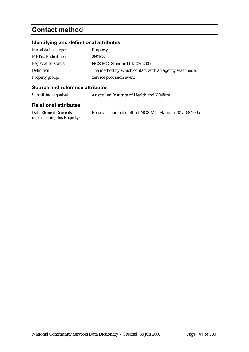# **Contact method**

## **Identifying and definitional attributes**

| Metadata item type:         | Property                                             |
|-----------------------------|------------------------------------------------------|
| <b>METeOR</b> identifier:   | 269108                                               |
| <b>Registration status:</b> | NCSIMG, Standard 01/03/2005                          |
| Definition:                 | The method by which contact with an agency was made. |
| Property group:             | Service provision event                              |

#### **Source and reference attributes**

*Submitting organisation:* Australian Institute of Health and Welfare

| Data Element Concepts              | Referral—contact method NCSIMG, Standard 01/03/2005 |
|------------------------------------|-----------------------------------------------------|
| <i>implementing this Property:</i> |                                                     |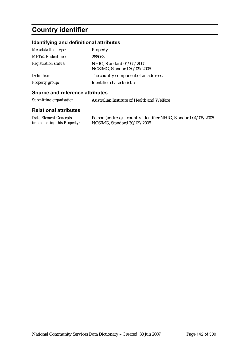# **Country identifier**

## **Identifying and definitional attributes**

| Metadata item type:         | Property                                                 |
|-----------------------------|----------------------------------------------------------|
| <b>METeOR</b> identifier:   | 288063                                                   |
| <b>Registration status:</b> | NHIG, Standard 04/05/2005<br>NCSIMG, Standard 30/09/2005 |
| Definition:                 | The country component of an address.                     |
| <b>Property group:</b>      | Identifier characteristics                               |

#### **Source and reference attributes**

*Submitting organisation:* Australian Institute of Health and Welfare

| Data Element Concepts              | Person (address)—country identifier NHIG, Standard 04/05/2005 |
|------------------------------------|---------------------------------------------------------------|
| <i>implementing this Property:</i> | NCSIMG, Standard 30/09/2005                                   |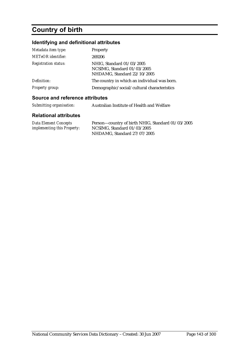# **Country of birth**

## **Identifying and definitional attributes**

| Metadata item type:         | Property                                                                                |
|-----------------------------|-----------------------------------------------------------------------------------------|
| <b>METeOR</b> identifier:   | 269206                                                                                  |
| <b>Registration status:</b> | NHIG, Standard 01/03/2005<br>NCSIMG, Standard 01/03/2005<br>NHDAMG, Standard 22/10/2005 |
| Definition:                 | The country in which an individual was born.                                            |
| <b>Property group:</b>      | Demographic/social/cultural characteristics                                             |

#### **Source and reference attributes**

| Submitting organisation: | Australian Institute of Health and Welfare |
|--------------------------|--------------------------------------------|
|                          |                                            |

| <b>Data Element Concepts</b>       | Person-country of birth NHIG, Standard 01/03/2005 |
|------------------------------------|---------------------------------------------------|
| <i>implementing this Property:</i> | NCSIMG, Standard $01/03/2005$                     |
|                                    | NHDAMG, Standard 27/07/2005                       |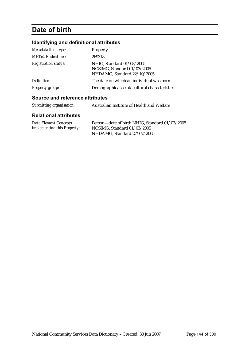## **Date of birth**

## **Identifying and definitional attributes**

| Metadata item type:         | Property                                                                                |
|-----------------------------|-----------------------------------------------------------------------------------------|
| <b>METeOR</b> identifier:   | 269318                                                                                  |
| <b>Registration status:</b> | NHIG, Standard 01/03/2005<br>NCSIMG, Standard 01/03/2005<br>NHDAMG, Standard 22/10/2005 |
| Definition:                 | The date on which an individual was born.                                               |
| <b>Property group:</b>      | Demographic/social/cultural characteristics                                             |

### **Source and reference attributes**

| Submitting organisation: | Australian Institute of Health and Welfare |
|--------------------------|--------------------------------------------|
|                          |                                            |

| Data Element Concepts              | Person—date of birth NHIG, Standard 01/03/2005 |
|------------------------------------|------------------------------------------------|
| <i>implementing this Property:</i> | NCSIMG. Standard $01/03/2005$                  |
|                                    | NHDAMG, Standard 27/07/2005                    |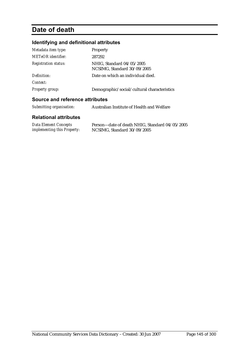# **Date of death**

### **Identifying and definitional attributes**

| Metadata item type:         | Property                                                 |
|-----------------------------|----------------------------------------------------------|
| METeOR identifier:          | 287292                                                   |
| <b>Registration status:</b> | NHIG, Standard 04/05/2005<br>NCSIMG, Standard 30/09/2005 |
| Definition:<br>Context:     | Date on which an individual died.                        |
| <b>Property group:</b>      | Demographic/social/cultural characteristics              |
|                             |                                                          |

#### **Source and reference attributes**

| Submitting organisation:     | Australian Institute of Health and Welfare     |
|------------------------------|------------------------------------------------|
| <b>Relational attributes</b> |                                                |
| <b>Data Element Concepts</b> | Person-date of death NHIG, Standard 04/05/2005 |

*implementing this Property:* NCSIMG, Standard 30/09/2005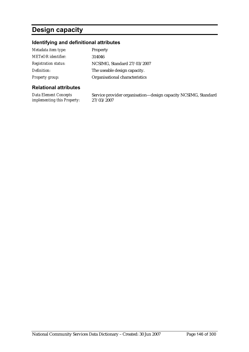# **Design capacity**

### **Identifying and definitional attributes**

| Metadata item type:         | <b>Property</b>                |
|-----------------------------|--------------------------------|
| <b>METeOR</b> identifier:   | 314046                         |
| <b>Registration status:</b> | NCSIMG, Standard 27/03/2007    |
| Definition:                 | The useable design capacity.   |
| <b>Property group:</b>      | Organisational characteristics |

#### **Relational attributes**

*Data Element Concepts implementing this Property:* Service provider organisation—design capacity NCSIMG, Standard 27/03/2007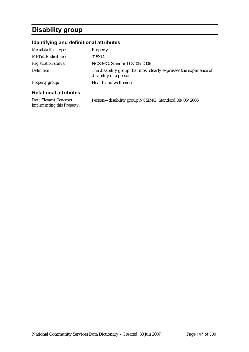# **Disability group**

### **Identifying and definitional attributes**

| Metadata item type:          | Property                                                                                      |
|------------------------------|-----------------------------------------------------------------------------------------------|
| <b>METeOR</b> identifier:    | 315314                                                                                        |
| <b>Registration status:</b>  | NCSIMG, Standard 08/05/2006                                                                   |
| Definition:                  | The disability group that most clearly expresses the experience of<br>disability of a person. |
| <b>Property group:</b>       | Health and wellbeing                                                                          |
| <b>Relational attributes</b> |                                                                                               |

*Data Element Concepts implementing this Property:* Person—disability group NCSIMG, Standard 08/05/2006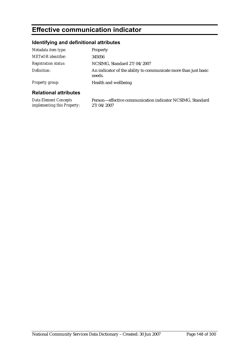# **Effective communication indicator**

# **Identifying and definitional attributes**

| <b>Dolational attributos</b> |                                                                           |
|------------------------------|---------------------------------------------------------------------------|
| Property group:              | Health and wellbeing                                                      |
| Definition:                  | An indicator of the ability to communicate more than just basic<br>needs. |
| <b>Registration status:</b>  | NCSIMG, Standard 27/04/2007                                               |
| <b>METeOR</b> identifier:    | 345056                                                                    |
| Metadata item type:          | Property                                                                  |

| Data Element Concepts              | Person—effective communication indicator NCSIMG, Standard |
|------------------------------------|-----------------------------------------------------------|
| <i>implementing this Property:</i> | 27/04/2007                                                |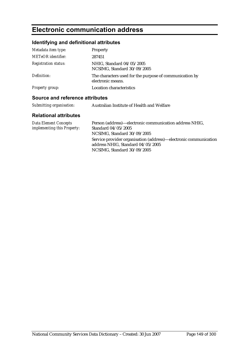# **Electronic communication address**

### **Identifying and definitional attributes**

| Metadata item type:         | Property                                                                     |
|-----------------------------|------------------------------------------------------------------------------|
| <b>METeOR</b> identifier:   | 287451                                                                       |
| <b>Registration status:</b> | NHIG, Standard 04/05/2005<br>NCSIMG, Standard 30/09/2005                     |
| Definition:                 | The characters used for the purpose of communication by<br>electronic means. |
| <b>Property group:</b>      | Location characteristics                                                     |

#### **Source and reference attributes**

| Submitting organisation: | Australian Institute of Health and Welfare |
|--------------------------|--------------------------------------------|
|--------------------------|--------------------------------------------|

| Data Element Concepts              | Person (address)—electronic communication address NHIG,          |
|------------------------------------|------------------------------------------------------------------|
| <i>implementing this Property:</i> | Standard 04/05/2005                                              |
|                                    | NCSIMG, Standard 30/09/2005                                      |
|                                    | Service provider organisation (address)—electronic communication |
|                                    | address NHIG, Standard 04/05/2005                                |
|                                    | NCSIMG, Standard 30/09/2005                                      |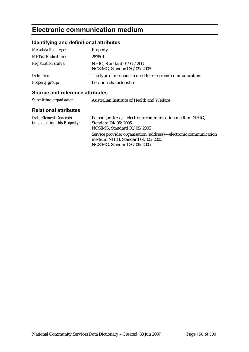# **Electronic communication medium**

### **Identifying and definitional attributes**

| Metadata item type:         | Property                                                 |
|-----------------------------|----------------------------------------------------------|
| <b>METeOR</b> identifier:   | 287501                                                   |
| <b>Registration status:</b> | NHIG, Standard 04/05/2005<br>NCSIMG, Standard 30/09/2005 |
| Definition:                 | The type of mechanism used for electronic communication. |
| <b>Property group:</b>      | Location characteristics                                 |

#### **Source and reference attributes**

| Submitting organisation: | Australian Institute of Health and Welfare |
|--------------------------|--------------------------------------------|
|                          |                                            |

| <b>Data Element Concepts</b>       | Person (address)—electronic communication medium NHIG,                                                                              |
|------------------------------------|-------------------------------------------------------------------------------------------------------------------------------------|
| <i>implementing this Property:</i> | Standard 04/05/2005                                                                                                                 |
|                                    | NCSIMG, Standard 30/09/2005                                                                                                         |
|                                    | Service provider organisation (address)—electronic communication<br>medium NHIG, Standard 04/05/2005<br>NCSIMG, Standard 30/09/2005 |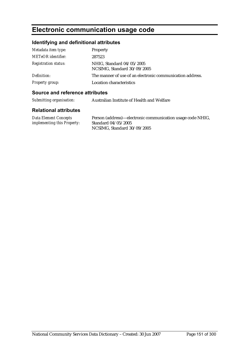# **Electronic communication usage code**

# **Identifying and definitional attributes**

| Metadata item type:         | Property                                                  |
|-----------------------------|-----------------------------------------------------------|
| <b>METeOR</b> identifier:   | 287523                                                    |
| <b>Registration status:</b> | NHIG, Standard 04/05/2005<br>NCSIMG, Standard 30/09/2005  |
| Definition:                 | The manner of use of an electronic communication address. |
| <b>Property group:</b>      | Location characteristics                                  |

#### **Source and reference attributes**

| Data Element Concepts              | Person (address)—electronic communication usage code NHIG, |
|------------------------------------|------------------------------------------------------------|
| <i>implementing this Property:</i> | Standard 04/05/2005                                        |
|                                    | NCSIMG, Standard 30/09/2005                                |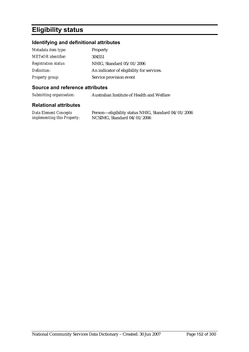# **Eligibility status**

### **Identifying and definitional attributes**

| Metadata item type:         | Property                                  |
|-----------------------------|-------------------------------------------|
| <b>METeOR</b> identifier:   | 304551                                    |
| <b>Registration status:</b> | NHIG, Standard 05/01/2006                 |
| Definition:                 | An indicator of eligibility for services. |
| <b>Property group:</b>      | Service provision event                   |

#### **Source and reference attributes**

*Submitting organisation:* Australian Institute of Health and Welfare

| <b>Data Element Concepts</b>       | Person—eligibility status NHIG, Standard 04/01/2006 |
|------------------------------------|-----------------------------------------------------|
| <i>implementing this Property:</i> | NCSIMG, Standard $04/01/2006$                       |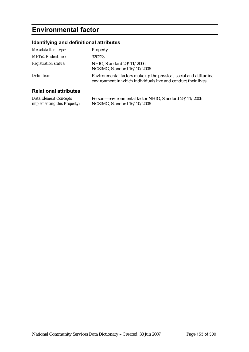# **Environmental factor**

# **Identifying and definitional attributes**

| Metadata item type:         | Property                                                                                                                             |
|-----------------------------|--------------------------------------------------------------------------------------------------------------------------------------|
| <b>METeOR</b> identifier:   | 320223                                                                                                                               |
| <b>Registration status:</b> | NHIG, Standard 29/11/2006<br>NCSIMG, Standard 16/10/2006                                                                             |
| Definition:                 | Environmental factors make up the physical, social and attitudinal<br>environment in which individuals live and conduct their lives. |
| .<br>- - -                  |                                                                                                                                      |

| <b>Data Element Concepts</b>       | Person-environmental factor NHIG, Standard 29/11/2006 |
|------------------------------------|-------------------------------------------------------|
| <i>implementing this Property:</i> | NCSIMG, Standard 16/10/2006                           |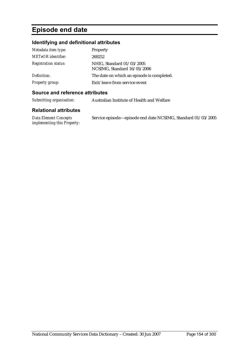# **Episode end date**

### **Identifying and definitional attributes**

| Metadata item type:         | Property                                                 |
|-----------------------------|----------------------------------------------------------|
| <b>METeOR</b> identifier:   | 269252                                                   |
| <b>Registration status:</b> | NHIG, Standard 01/03/2005<br>NCSIMG, Standard 16/05/2006 |
| Definition:                 | The date on which an episode is completed.               |
| <b>Property group:</b>      | Exit/leave from service event                            |

#### **Source and reference attributes**

| Submitting organisation: | Australian Institute of Health and Welfare |
|--------------------------|--------------------------------------------|
|                          |                                            |

| <b>Data Element Concepts</b>       | Service episode—episode end date NCSIMG, Standard 01/03/2005 |
|------------------------------------|--------------------------------------------------------------|
| <i>implementing this Property:</i> |                                                              |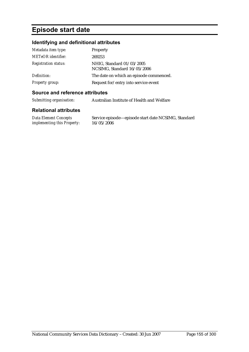# **Episode start date**

#### **Identifying and definitional attributes**

| Metadata item type:         | Property                                                 |
|-----------------------------|----------------------------------------------------------|
| <b>METeOR</b> identifier:   | 269253                                                   |
| <b>Registration status:</b> | NHIG, Standard 01/03/2005<br>NCSIMG, Standard 16/05/2006 |
| Definition:                 | The date on which an episode commenced.                  |
| <b>Property group:</b>      | Request for/entry into service event                     |

#### **Source and reference attributes**

| Submitting organisation: | Australian Institute of Health and Welfare |
|--------------------------|--------------------------------------------|
|                          |                                            |

#### **Relational attributes**

*Data Element Concepts implementing this Property:* Service episode—episode start date NCSIMG, Standard 16/05/2006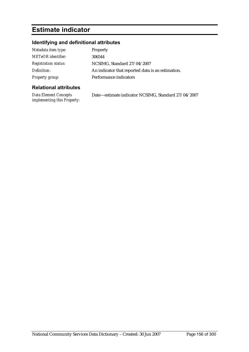# **Estimate indicator**

# **Identifying and definitional attributes**

| Metadata item type:         | Property                                          |
|-----------------------------|---------------------------------------------------|
| <b>METeOR</b> identifier:   | 306544                                            |
| <b>Registration status:</b> | NCSIMG, Standard 27/04/2007                       |
| Definition:                 | An indicator that reported data is an estimation. |
| Property group:             | Performance indicators                            |

| Data Element Concepts              | Date—estimate indicator NCSIMG, Standard 27/04/2007 |
|------------------------------------|-----------------------------------------------------|
| <i>implementing this Property:</i> |                                                     |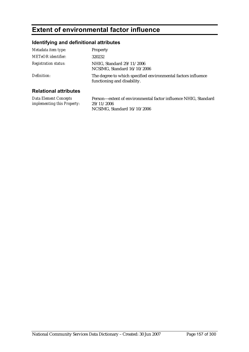# **Extent of environmental factor influence**

### **Identifying and definitional attributes**

| Metadata item type:          | <b>Property</b>                                                                              |
|------------------------------|----------------------------------------------------------------------------------------------|
| <b>METeOR</b> identifier:    | 320232                                                                                       |
| <b>Registration status:</b>  | NHIG, Standard 29/11/2006<br>NCSIMG, Standard 16/10/2006                                     |
| Definition:                  | The degree to which specified environmental factors influence<br>functioning and disability. |
| <b>Relational attributes</b> |                                                                                              |

#### **Relational attributes**

*Data Element Concepts implementing this Property:* Person—extent of environmental factor influence NHIG, Standard 29/11/2006 NCSIMG, Standard 16/10/2006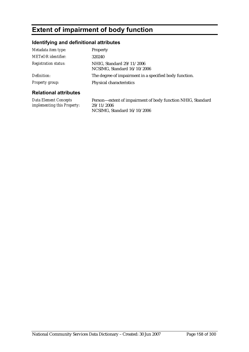# **Extent of impairment of body function**

### **Identifying and definitional attributes**

| <b>Relational attributes</b> |                                                          |
|------------------------------|----------------------------------------------------------|
| Property group:              | Physical characteristics                                 |
| Definition:                  | The degree of impairment in a specified body function.   |
| <b>Registration status:</b>  | NHIG, Standard 29/11/2006<br>NCSIMG, Standard 16/10/2006 |
| <b>METeOR</b> identifier:    | 320240                                                   |
| Metadata item type:          | <b>Property</b>                                          |

*Data Element Concepts implementing this Property:* Person—extent of impairment of body function NHIG, Standard 29/11/2006 NCSIMG, Standard 16/10/2006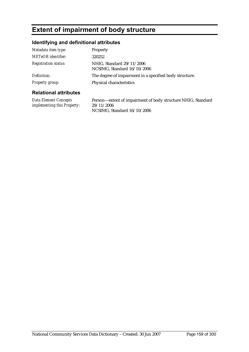# **Extent of impairment of body structure**

### **Identifying and definitional attributes**

| Metadata item type:          | <b>Property</b>                                          |
|------------------------------|----------------------------------------------------------|
| METeOR identifier:           | 320252                                                   |
| <b>Registration status:</b>  | NHIG, Standard 29/11/2006<br>NCSIMG, Standard 16/10/2006 |
| Definition:                  | The degree of impairment in a specified body structure.  |
| Property group:              | Physical characteristics                                 |
| <b>Relational attributes</b> |                                                          |

*Data Element Concepts implementing this Property:*

Person—extent of impairment of body structure NHIG, Standard 29/11/2006 NCSIMG, Standard 16/10/2006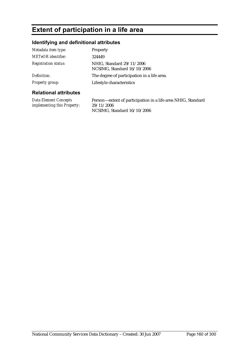# **Extent of participation in a life area**

### **Identifying and definitional attributes**

| Metadata item type:          | <b>Property</b>                                          |
|------------------------------|----------------------------------------------------------|
| METeOR identifier:           | 324449                                                   |
| <b>Registration status:</b>  | NHIG, Standard 29/11/2006<br>NCSIMG, Standard 16/10/2006 |
| Definition:                  | The degree of participation in a life area.              |
| Property group:              | Lifestyle characteristics                                |
| <b>Relational attributes</b> |                                                          |

### **Relational attributes**

*Data Element Concepts implementing this Property:* Person—extent of participation in a life area NHIG, Standard 29/11/2006 NCSIMG, Standard 16/10/2006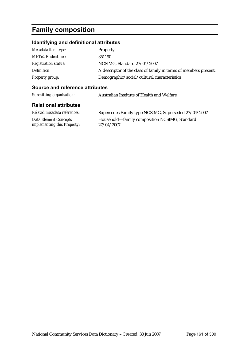# **Family composition**

# **Identifying and definitional attributes**

| Metadata item type:         | Property                                                         |
|-----------------------------|------------------------------------------------------------------|
| <b>METeOR</b> identifier:   | 351190                                                           |
| <b>Registration status:</b> | NCSIMG, Standard 27/04/2007                                      |
| Definition:                 | A descriptor of the class of family in terms of members present. |
| Property group:             | Demographic/social/cultural characteristics                      |

#### **Source and reference attributes**

| Submitting organisation:                                    | Australian Institute of Health and Welfare                  |
|-------------------------------------------------------------|-------------------------------------------------------------|
| <b>Relational attributes</b>                                |                                                             |
| Related metadata references:                                | Supersedes Family type NCSIMG, Superseded 27/04/2007        |
| <b>Data Element Concepts</b><br>implementing this Property: | Household—family composition NCSIMG, Standard<br>27/04/2007 |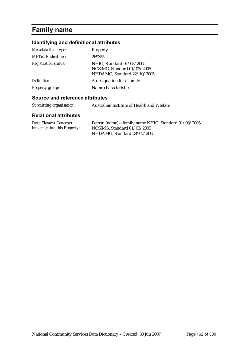# **Family name**

### **Identifying and definitional attributes**

| Metadata item type:         | Property                                                                                |
|-----------------------------|-----------------------------------------------------------------------------------------|
| <b>METeOR</b> identifier:   | 269355                                                                                  |
| <b>Registration status:</b> | NHIG, Standard 01/03/2005<br>NCSIMG, Standard 01/03/2005<br>NHDAMG, Standard 22/10/2005 |
| Definition:                 | A designation for a family.                                                             |
| <b>Property group:</b>      | Name characteristics                                                                    |

#### **Source and reference attributes**

*Submitting organisation:* Australian Institute of Health and Welfare

| Data Element Concepts              | Person (name)-family name NHIG, Standard 01/03/2005 |
|------------------------------------|-----------------------------------------------------|
| <i>implementing this Property:</i> | NCSIMG. Standard $01/03/2005$                       |
|                                    | NHDAMG, Standard 28/07/2005                         |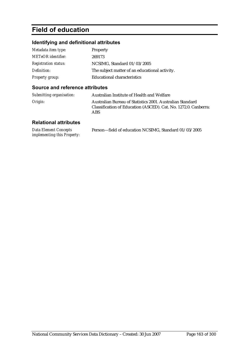# **Field of education**

### **Identifying and definitional attributes**

| Metadata item type:         | Property                                       |
|-----------------------------|------------------------------------------------|
| <b>METeOR</b> identifier:   | 269173                                         |
| <b>Registration status:</b> | NCSIMG, Standard 01/03/2005                    |
| Definition:                 | The subject matter of an educational activity. |
| Property group:             | Educational characteristics                    |

#### **Source and reference attributes**

| Submitting organisation: | Australian Institute of Health and Welfare                                                                                          |
|--------------------------|-------------------------------------------------------------------------------------------------------------------------------------|
| Origin:                  | Australian Bureau of Statistics 2001. Australian Standard<br>Classification of Education (ASCED). Cat. No. 1272.0. Canberra:<br>ABS |

| Data Element Concepts              | Person-field of education NCSIMG, Standard 01/03/2005 |
|------------------------------------|-------------------------------------------------------|
| <i>implementing this Property:</i> |                                                       |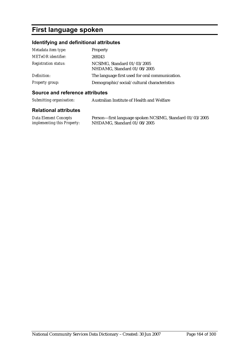# **First language spoken**

# **Identifying and definitional attributes**

| Metadata item type:         | Property                                                   |
|-----------------------------|------------------------------------------------------------|
| <b>METeOR</b> identifier:   | 269243                                                     |
| <b>Registration status:</b> | NCSIMG, Standard 01/03/2005<br>NHDAMG, Standard 01/08/2005 |
| Definition:                 | The language first used for oral communication.            |
| <b>Property group:</b>      | Demographic/social/cultural characteristics                |

#### **Source and reference attributes**

| Submitting organisation: | Australian Institute of Health and Welfare |
|--------------------------|--------------------------------------------|
|                          |                                            |

| Data Element Concepts              | Person-first language spoken NCSIMG, Standard 01/03/2005 |
|------------------------------------|----------------------------------------------------------|
| <i>implementing this Property:</i> | NHDAMG, Standard 01/08/2005                              |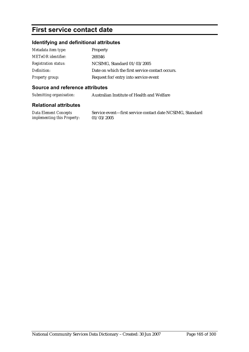# **First service contact date**

### **Identifying and definitional attributes**

| Metadata item type:         | <b>Property</b>                                 |
|-----------------------------|-------------------------------------------------|
| <b>METeOR</b> identifier:   | 269346                                          |
| <b>Registration status:</b> | NCSIMG, Standard 01/03/2005                     |
| Definition:                 | Date on which the first service contact occurs. |
| Property group:             | Request for/entry into service event            |

#### **Source and reference attributes**

*Submitting organisation:* Australian Institute of Health and Welfare

#### **Relational attributes**

*Data Element Concepts implementing this Property:* Service event—first service contact date NCSIMG, Standard 01/03/2005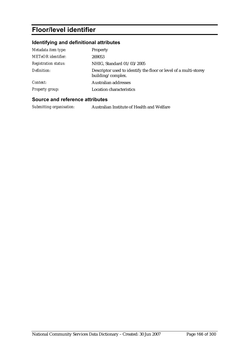# **Floor/level identifier**

### **Identifying and definitional attributes**

| Metadata item type:         | Property                                                                              |
|-----------------------------|---------------------------------------------------------------------------------------|
| <b>METeOR</b> identifier:   | 269053                                                                                |
| <b>Registration status:</b> | NHIG, Standard 01/03/2005                                                             |
| Definition:                 | Descriptor used to identify the floor or level of a multi-storey<br>building/complex. |
| Context:                    | Australian addresses                                                                  |
| <b>Property group:</b>      | <b>Location characteristics</b>                                                       |

#### **Source and reference attributes**

*Submitting organisation:* Australian Institute of Health and Welfare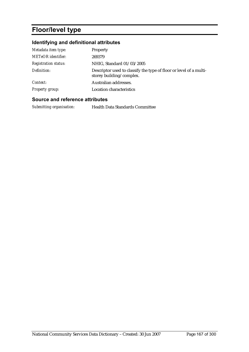# **Floor/level type**

### **Identifying and definitional attributes**

| Metadata item type:         | Property                                                                                       |
|-----------------------------|------------------------------------------------------------------------------------------------|
| METeOR identifier:          | 269379                                                                                         |
| <b>Registration status:</b> | NHIG, Standard 01/03/2005                                                                      |
| Definition:                 | Descriptor used to classify the type of floor or level of a multi-<br>storey building/complex. |
| Context:                    | Australian addresses.                                                                          |
| Property group:             | Location characteristics                                                                       |

#### **Source and reference attributes**

*Submitting organisation:* Health Data Standards Committee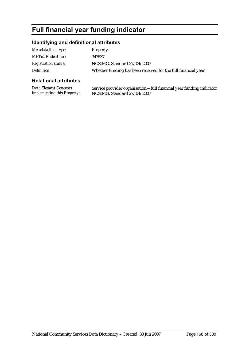# **Full financial year funding indicator**

#### **Identifying and definitional attributes**

| Metadata item type:         | <b>Property</b>                                                |
|-----------------------------|----------------------------------------------------------------|
| METeOR identifier:          | 347537                                                         |
| <b>Registration status:</b> | NCSIMG, Standard 27/04/2007                                    |
| Definition:                 | Whether funding has been received for the full financial year. |

### **Relational attributes**

*Data Element Concepts implementing this Property:* Service provider organisation—full financial year funding indicator NCSIMG, Standard 27/04/2007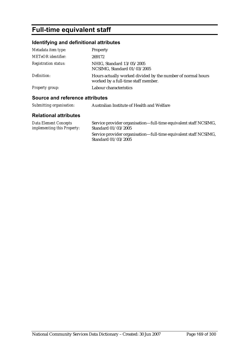# **Full-time equivalent staff**

# **Identifying and definitional attributes**

| Metadata item type:             | Property                                                                                           |
|---------------------------------|----------------------------------------------------------------------------------------------------|
| <b>METeOR</b> identifier:       | 269172                                                                                             |
| <b>Registration status:</b>     | NHIG, Standard 13/05/2005<br>NCSIMG, Standard 01/03/2005                                           |
| Definition:                     | Hours actually worked divided by the number of normal hours<br>worked by a full-time staff member. |
| Property group:                 | Labour characteristics                                                                             |
| Source and reference attributes |                                                                                                    |

#### **Source and reference attributes**

| Submitting organisation: | Australian Institute of Health and Welfare |
|--------------------------|--------------------------------------------|
|--------------------------|--------------------------------------------|

| <b>Data Element Concepts</b>       | Service provider organisation—full-time equivalent staff NCSIMG,                        |
|------------------------------------|-----------------------------------------------------------------------------------------|
| <i>implementing this Property:</i> | Standard 01/03/2005                                                                     |
|                                    | Service provider organisation—full-time equivalent staff NCSIMG,<br>Standard 01/03/2005 |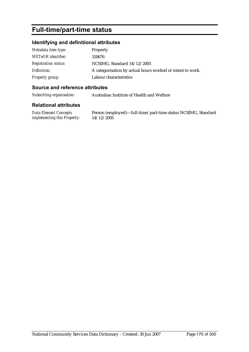# **Full-time/part-time status**

#### **Identifying and definitional attributes**

| Metadata item type:         | <b>Property</b>                                            |
|-----------------------------|------------------------------------------------------------|
| <b>METeOR</b> identifier:   | 318676                                                     |
| <b>Registration status:</b> | NCSIMG, Standard 14/12/2005                                |
| Definition:                 | A categorisation by actual hours worked or intent to work. |
| <b>Property group:</b>      | Labour characteristics                                     |

#### **Source and reference attributes**

*Submitting organisation:* Australian Institute of Health and Welfare

#### **Relational attributes**

*Data Element Concepts implementing this Property:* Person (employed)—full-time/part-time status NCSIMG, Standard 14/12/2005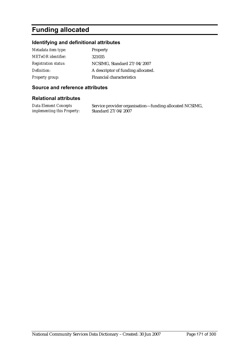# **Funding allocated**

#### **Identifying and definitional attributes**

| Metadata item type:         | <b>Property</b>                    |
|-----------------------------|------------------------------------|
| <b>METeOR</b> identifier:   | 321035                             |
| <b>Registration status:</b> | NCSIMG, Standard 27/04/2007        |
| Definition:                 | A descriptor of funding allocated. |
| <b>Property group:</b>      | <b>Financial characteristics</b>   |

#### **Source and reference attributes**

#### **Relational attributes**

*Data Element Concepts implementing this Property:* Service provider organisation—funding allocated NCSIMG, Standard 27/04/2007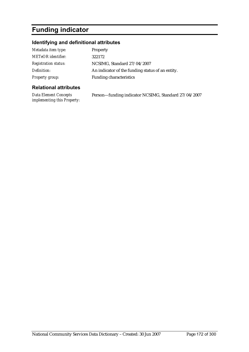# **Funding indicator**

### **Identifying and definitional attributes**

| Metadata item type:         | Property                                         |
|-----------------------------|--------------------------------------------------|
| <b>METeOR</b> identifier:   | 322172                                           |
| <b>Registration status:</b> | NCSIMG, Standard 27/04/2007                      |
| Definition:                 | An indicator of the funding status of an entity. |
| Property group:             | <b>Funding characteristics</b>                   |

#### **Relational attributes**

*Data Element Concepts implementing this Property:* Person—funding indicator NCSIMG, Standard 27/04/2007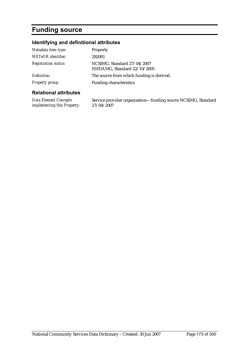# **Funding source**

### **Identifying and definitional attributes**

| Metadata item type:          | Property                                                   |
|------------------------------|------------------------------------------------------------|
| <b>METeOR</b> identifier:    | 292093                                                     |
| <b>Registration status:</b>  | NCSIMG, Standard 27/04/2007<br>NHDAMG, Standard 22/10/2005 |
| Definition:                  | The source from which funding is derived.                  |
| <b>Property group:</b>       | <b>Funding characteristics</b>                             |
| <b>Relational attributes</b> |                                                            |

*Data Element Concepts implementing this Property:* Service provider organisation—funding source NCSIMG, Standard 27/04/2007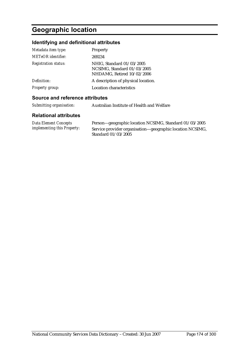# **Geographic location**

### **Identifying and definitional attributes**

| Metadata item type:         | Property                                                                               |
|-----------------------------|----------------------------------------------------------------------------------------|
| <b>METeOR</b> identifier:   | 269234                                                                                 |
| <b>Registration status:</b> | NHIG, Standard 01/03/2005<br>NCSIMG, Standard 01/03/2005<br>NHDAMG, Retired 10/02/2006 |
| Definition:                 | A description of physical location.                                                    |
| <b>Property group:</b>      | <b>Location characteristics</b>                                                        |

#### **Source and reference attributes**

| Submitting organisation:<br>Australian Institute of Health and Welfare |  |
|------------------------------------------------------------------------|--|
|------------------------------------------------------------------------|--|

| Data Element Concepts              | Person—geographic location NCSIMG, Standard 01/03/2005    |
|------------------------------------|-----------------------------------------------------------|
| <i>implementing this Property:</i> | Service provider organisation—geographic location NCSIMG, |
|                                    | Standard 01/03/2005                                       |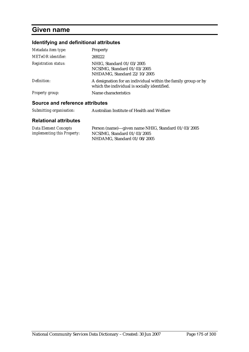# **Given name**

# **Identifying and definitional attributes**

| Metadata item type:             | <b>Property</b>                                                                                               |  |
|---------------------------------|---------------------------------------------------------------------------------------------------------------|--|
| METeOR identifier:              | 269222                                                                                                        |  |
| <b>Registration status:</b>     | NHIG, Standard 01/03/2005<br>NCSIMG, Standard 01/03/2005<br>NHDAMG, Standard 22/10/2005                       |  |
| Definition:                     | A designation for an individual within the family group or by<br>which the individual is socially identified. |  |
| Property group:                 | Name characteristics                                                                                          |  |
| Source and reference attributes |                                                                                                               |  |
| Submitting organisation:        | Australian Institute of Health and Welfare                                                                    |  |

| Data Element Concepts              | Person (name)—given name NHIG, Standard 01/03/2005 |
|------------------------------------|----------------------------------------------------|
| <i>implementing this Property:</i> | NCSIMG, Standard $01/03/2005$                      |
|                                    | NHDAMG, Standard 01/08/2005                        |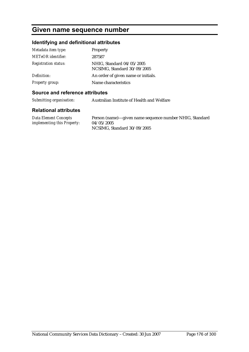# **Given name sequence number**

### **Identifying and definitional attributes**

| Metadata item type:         | Property                                                 |
|-----------------------------|----------------------------------------------------------|
| <b>METeOR</b> identifier:   | 287587                                                   |
| <b>Registration status:</b> | NHIG, Standard 04/05/2005<br>NCSIMG, Standard 30/09/2005 |
| Definition:                 | An order of given name or initials.                      |
| <b>Property group:</b>      | Name characteristics                                     |

#### **Source and reference attributes**

*Submitting organisation:* Australian Institute of Health and Welfare

| Data Element Concepts              | Person (name)—given name sequence number NHIG, Standard |
|------------------------------------|---------------------------------------------------------|
| <i>implementing this Property:</i> | 04/05/2005                                              |
|                                    | NCSIMG, Standard 30/09/2005                             |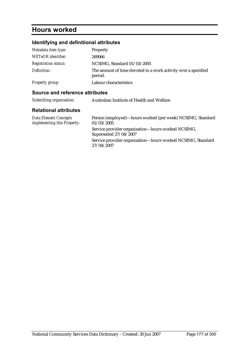# **Hours worked**

# **Identifying and definitional attributes**

| Metadata item type:         | <b>Property</b>                                                           |
|-----------------------------|---------------------------------------------------------------------------|
| <b>METeOR</b> identifier:   | 269066                                                                    |
| <b>Registration status:</b> | NCSIMG, Standard 01/03/2005                                               |
| Definition:                 | The amount of time devoted to a work activity over a specified<br>period. |
| <b>Property group:</b>      | Labour characteristics                                                    |

#### **Source and reference attributes**

| Submitting organisation: | Australian Institute of Health and Welfare |
|--------------------------|--------------------------------------------|
|                          |                                            |

| Data Element Concepts<br><i>implementing this Property:</i> | Person (employed)—hours worked (per week) NCSIMG, Standard<br>01/03/2005    |
|-------------------------------------------------------------|-----------------------------------------------------------------------------|
|                                                             | Service provider organisation—hours worked NCSIMG,<br>Superseded 27/04/2007 |
|                                                             | Service provider organisation-hours worked NCSIMG, Standard<br>27/04/2007   |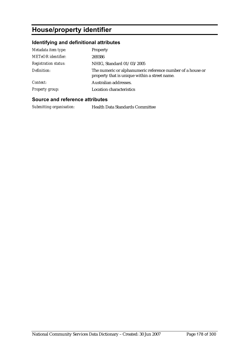# **House/property identifier**

### **Identifying and definitional attributes**

| Metadata item type:         | Property                                                                                                    |
|-----------------------------|-------------------------------------------------------------------------------------------------------------|
| <b>METeOR</b> identifier:   | 269386                                                                                                      |
| <b>Registration status:</b> | NHIG, Standard 01/03/2005                                                                                   |
| Definition:                 | The numeric or alphanumeric reference number of a house or<br>property that is unique within a street name. |
| Context:                    | Australian addresses.                                                                                       |
| <b>Property group:</b>      | <b>Location characteristics</b>                                                                             |

#### **Source and reference attributes**

*Submitting organisation:* Health Data Standards Committee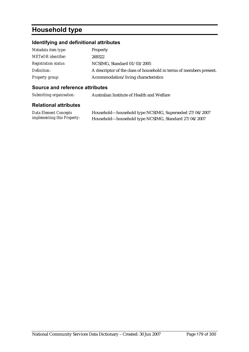# **Household type**

### **Identifying and definitional attributes**

| Metadata item type:         | Property                                                            |
|-----------------------------|---------------------------------------------------------------------|
| <b>METeOR</b> identifier:   | 269322                                                              |
| <b>Registration status:</b> | NCSIMG, Standard 01/03/2005                                         |
| Definition:                 | A descriptor of the class of household in terms of members present. |
| Property group:             | Accommodation/living characteristics                                |

#### **Source and reference attributes**

| Submitting organisation:<br>Australian Institute of Health and Welfare |  |
|------------------------------------------------------------------------|--|
|------------------------------------------------------------------------|--|

| Data Element Concepts              | Household—household type NCSIMG, Superseded 27/04/2007 |
|------------------------------------|--------------------------------------------------------|
| <i>implementing this Property:</i> | Household-household type NCSIMG, Standard 27/04/2007   |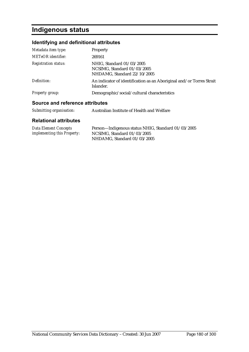# **Indigenous status**

### **Identifying and definitional attributes**

| Metadata item type:             | Property                                                                                |
|---------------------------------|-----------------------------------------------------------------------------------------|
| METeOR identifier:              | 269161                                                                                  |
| <b>Registration status:</b>     | NHIG, Standard 01/03/2005<br>NCSIMG, Standard 01/03/2005<br>NHDAMG, Standard 22/10/2005 |
| Definition:                     | An indicator of identification as an Aboriginal and/or Torres Strait<br>Islander.       |
| Property group:                 | Demographic/social/cultural characteristics                                             |
| Source and reference attributes |                                                                                         |
| Submitting organisation:        | Australian Institute of Health and Welfare                                              |

| Data Element Concepts              | Person-Indigenous status NHIG, Standard 01/03/2005 |
|------------------------------------|----------------------------------------------------|
| <i>implementing this Property:</i> | NCSIMG, Standard 01/03/2005                        |
|                                    | NHDAMG, Standard 01/03/2005                        |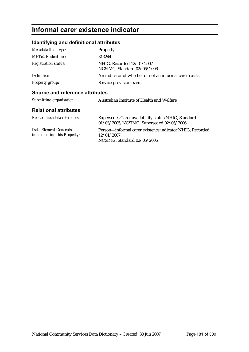## **Informal carer existence indicator**

### **Identifying and definitional attributes**

| Metadata item type:             | <b>Property</b>                                                                                  |
|---------------------------------|--------------------------------------------------------------------------------------------------|
| <b>METeOR</b> identifier:       | 313244                                                                                           |
| <b>Registration status:</b>     | NHIG. Recorded 12/01/2007<br>NCSIMG, Standard 02/05/2006                                         |
| Definition:                     | An indicator of whether or not an informal carer exists.                                         |
| <b>Property group:</b>          | Service provision event                                                                          |
| Source and reference attributes |                                                                                                  |
| Submitting organisation:        | Australian Institute of Health and Welfare                                                       |
| <b>Relational attributes</b>    |                                                                                                  |
| Related metadata references:    | Supersedes Carer availability status NHIG, Standard<br>$01/09/9005$ NCCIMC Cupercoded 09/05/9000 |

|                                    | $01/03/2005$ , NCSIMG, Superseded $02/05/2006$           |
|------------------------------------|----------------------------------------------------------|
| Data Element Concepts              | Person—informal carer existence indicator NHIG, Recorded |
| <i>implementing this Property:</i> | 12/01/2007                                               |
|                                    | NCSIMG, Standard 02/05/2006                              |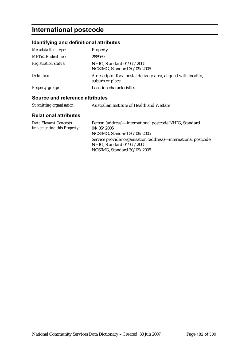## **International postcode**

### **Identifying and definitional attributes**

| Metadata item type:         | <b>Property</b>                                                                     |
|-----------------------------|-------------------------------------------------------------------------------------|
| <b>METeOR</b> identifier:   | 288969                                                                              |
| <b>Registration status:</b> | NHIG, Standard 04/05/2005<br>NCSIMG, Standard 30/09/2005                            |
| Definition:                 | A descriptor for a postal delivery area, aligned with locality,<br>suburb or place. |
| <b>Property group:</b>      | <b>Location characteristics</b>                                                     |

### **Source and reference attributes**

| Submitting organisation: | Australian Institute of Health and Welfare |
|--------------------------|--------------------------------------------|
|                          |                                            |

| Data Element Concepts       | Person (address)—international postcode NHIG, Standard         |
|-----------------------------|----------------------------------------------------------------|
| implementing this Property: | 04/05/2005                                                     |
|                             | NCSIMG, Standard 30/09/2005                                    |
|                             | Service provider organisation (address)—international postcode |
|                             | NHIG, Standard 04/05/2005                                      |
|                             | NCSIMG, Standard 30/09/2005                                    |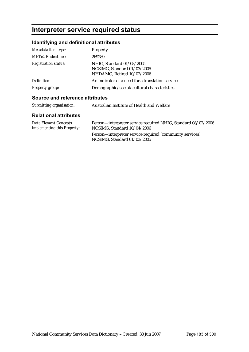## **Interpreter service required status**

### **Identifying and definitional attributes**

| Metadata item type:         | Property                                                                               |
|-----------------------------|----------------------------------------------------------------------------------------|
| METeOR identifier:          | 269289                                                                                 |
| <b>Registration status:</b> | NHIG, Standard 01/03/2005<br>NCSIMG, Standard 01/03/2005<br>NHDAMG, Retired 10/02/2006 |
| Definition:                 | An indicator of a need for a translation service.                                      |
| Property group:             | Demographic/social/cultural characteristics                                            |

### **Source and reference attributes**

| Submitting organisation:<br>Australian Institute of Health and Welfare |  |
|------------------------------------------------------------------------|--|
|------------------------------------------------------------------------|--|

| Data Element Concepts              | Person—interpreter service required NHIG, Standard 08/02/2006                             |
|------------------------------------|-------------------------------------------------------------------------------------------|
| <i>implementing this Property:</i> | NCSIMG, Standard 10/04/2006                                                               |
|                                    | Person—interpreter service required (community services)<br>NCSIMG. Standard $01/03/2005$ |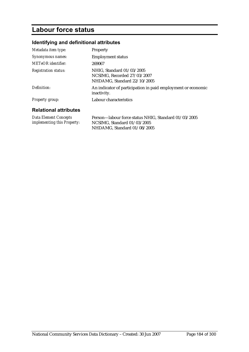## **Labour force status**

## **Identifying and definitional attributes**

| Metadata item type:                                  | <b>Property</b>                                                                                                    |
|------------------------------------------------------|--------------------------------------------------------------------------------------------------------------------|
| Synonymous names:                                    | <b>Employment status</b>                                                                                           |
| <b>METeOR</b> identifier:                            | 269067                                                                                                             |
| <b>Registration status:</b>                          | NHIG. Standard 01/03/2005<br>NCSIMG. Recorded 27/03/2007<br>NHDAMG, Standard 22/10/2005                            |
| Definition:                                          | An indicator of participation in paid employment or economic<br>inactivity.                                        |
| Property group:                                      | Labour characteristics                                                                                             |
| <b>Relational attributes</b>                         |                                                                                                                    |
| Data Element Concepts<br>implementing this Property: | Person—labour force status NHIG, Standard 01/03/2005<br>NCSIMG, Standard 01/03/2005<br>NHDAMG, Standard 01/08/2005 |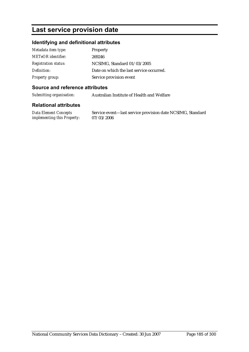## **Last service provision date**

### **Identifying and definitional attributes**

| Metadata item type:         | Property                                 |
|-----------------------------|------------------------------------------|
| METeOR identifier:          | 269246                                   |
| <i>Registration status:</i> | NCSIMG, Standard 01/03/2005              |
| Definition:                 | Date on which the last service occurred. |
| <b>Property group:</b>      | Service provision event                  |

### **Source and reference attributes**

*Submitting organisation:* Australian Institute of Health and Welfare

#### **Relational attributes**

*Data Element Concepts implementing this Property:* Service event—last service provision date NCSIMG, Standard 07/03/2006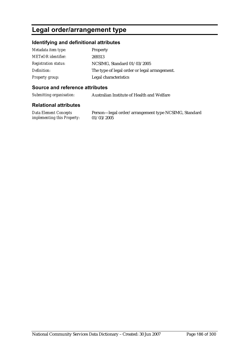## **Legal order/arrangement type**

### **Identifying and definitional attributes**

| Metadata item type:         | <b>Property</b>                               |
|-----------------------------|-----------------------------------------------|
| <b>METeOR</b> identifier:   | 269313                                        |
| <b>Registration status:</b> | NCSIMG, Standard 01/03/2005                   |
| Definition:                 | The type of legal order or legal arrangement. |
| <b>Property group:</b>      | Legal characteristics                         |

### **Source and reference attributes**

*Submitting organisation:* Australian Institute of Health and Welfare

#### **Relational attributes**

*Data Element Concepts implementing this Property:*

Person—legal order/arrangement type NCSIMG, Standard 01/03/2005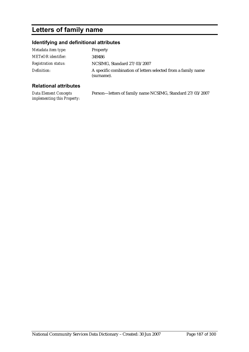## **Letters of family name**

### **Identifying and definitional attributes**

| Metadata item type:         | Property                                                                    |
|-----------------------------|-----------------------------------------------------------------------------|
| <b>METeOR</b> identifier:   | 349486                                                                      |
| <b>Registration status:</b> | NCSIMG, Standard 27/03/2007                                                 |
| Definition:                 | A specific combination of letters selected from a family name<br>(surname). |

### **Relational attributes**

*Data Element Concepts implementing this Property:* Person—letters of family name NCSIMG, Standard 27/03/2007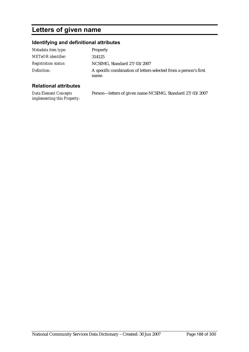## **Letters of given name**

### **Identifying and definitional attributes**

| Metadata item type:         | Property                                                                  |
|-----------------------------|---------------------------------------------------------------------------|
| <b>METeOR</b> identifier:   | 314125                                                                    |
| <b>Registration status:</b> | NCSIMG, Standard 27/03/2007                                               |
| Definition:                 | A specific combination of letters selected from a person's first<br>name. |

### **Relational attributes**

*Data Element Concepts implementing this Property:* Person—letters of given name NCSIMG, Standard 27/03/2007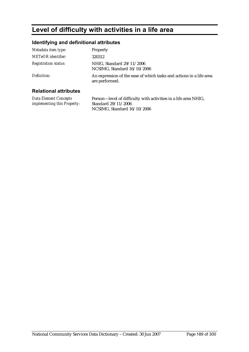## **Level of difficulty with activities in a life area**

### **Identifying and definitional attributes**

| Metadata item type:         | Property                                                                              |
|-----------------------------|---------------------------------------------------------------------------------------|
| <b>METeOR</b> identifier:   | 320312                                                                                |
| <b>Registration status:</b> | NHIG, Standard 29/11/2006<br>NCSIMG, Standard 16/10/2006                              |
| Definition:                 | An expression of the ease of which tasks and actions in a life area<br>are performed. |
|                             |                                                                                       |

#### **Relational attributes**

*Data Element Concepts implementing this Property:* Person—level of difficulty with activities in a life area NHIG, Standard 29/11/2006 NCSIMG, Standard 16/10/2006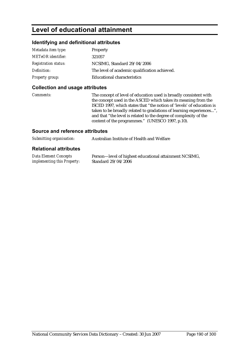## **Level of educational attainment**

### **Identifying and definitional attributes**

| Metadata item type:         | Property                                      |
|-----------------------------|-----------------------------------------------|
| <b>METeOR</b> identifier:   | 321057                                        |
| <b>Registration status:</b> | NCSIMG, Standard 29/04/2006                   |
| Definition:                 | The level of academic qualification achieved. |
| <b>Property group:</b>      | <b>Educational characteristics</b>            |

#### **Collection and usage attributes**

*Comments:* The concept of level of education used is broadly consistent with the concept used in the ASCED which takes its meaning from the ISCED 1997, which states that "the notion of 'levels' of education is taken to be broadly related to gradations of learning experiences...", and that "the level is related to the degree of complexity of the content of the programmes." (UNESCO 1997, p.10).

#### **Source and reference attributes**

| Submitting organisation: | Australian Institute of Health and Welfare |
|--------------------------|--------------------------------------------|
|                          |                                            |

| <b>Data Element Concepts</b>       | Person-level of highest educational attainment NCSIMG, |
|------------------------------------|--------------------------------------------------------|
| <i>implementing this Property:</i> | Standard 29/04/2006                                    |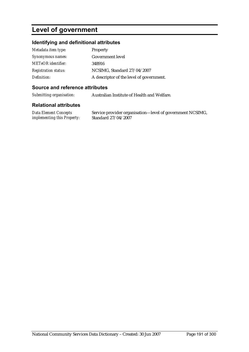## **Level of government**

### **Identifying and definitional attributes**

| Metadata item type:         | <b>Property</b>                          |
|-----------------------------|------------------------------------------|
| Synonymous names:           | <b>Government level</b>                  |
| <b>METeOR</b> identifier:   | 348916                                   |
| <b>Registration status:</b> | NCSIMG, Standard 27/04/2007              |
| Definition:                 | A descriptor of the level of government. |

#### **Source and reference attributes**

*Submitting organisation:* Australian Institute of Health and Welfare.

#### **Relational attributes**

*Data Element Concepts implementing this Property:* Service provider organisation—level of government NCSIMG, Standard 27/04/2007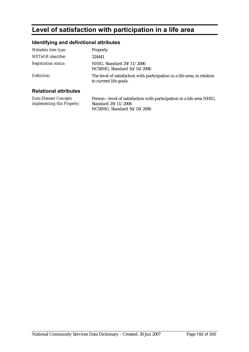## **Level of satisfaction with participation in a life area**

### **Identifying and definitional attributes**

| Metadata item type:          | Property                                                                                           |
|------------------------------|----------------------------------------------------------------------------------------------------|
| <b>METeOR</b> identifier:    | 324441                                                                                             |
| <b>Registration status:</b>  | NHIG. Standard 29/11/2006<br>NCSIMG, Standard 16/10/2006                                           |
| Definition:                  | The level of satisfaction with participation in a life area, in relation<br>to current life goals. |
| <b>Relational attributes</b> |                                                                                                    |

#### **Relational attributes**

*Data Element Concepts implementing this Property:* Person—level of satisfaction with participation in a life area NHIG, Standard 29/11/2006 NCSIMG, Standard 16/10/2006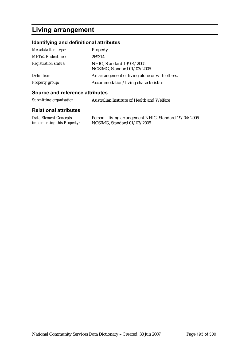## **Living arrangement**

### **Identifying and definitional attributes**

| Metadata item type:         | Property                                                 |
|-----------------------------|----------------------------------------------------------|
| <b>METeOR</b> identifier:   | 269314                                                   |
| <b>Registration status:</b> | NHIG, Standard 19/04/2005<br>NCSIMG, Standard 01/03/2005 |
| Definition:                 | An arrangement of living alone or with others.           |
| <b>Property group:</b>      | Accommodation/living characteristics                     |

#### **Source and reference attributes**

| Submitting organisation:     | Australian Institute of Health and Welfare |
|------------------------------|--------------------------------------------|
| <b>Relational attributes</b> |                                            |

#### *Data Element Concepts implementing this Property:* Person—living arrangement NHIG, Standard 19/04/2005 NCSIMG, Standard 01/03/2005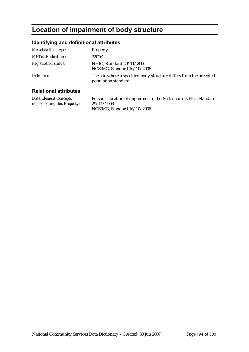## **Location of impairment of body structure**

### **Identifying and definitional attributes**

| Metadata item type:          | Property                                                                                    |
|------------------------------|---------------------------------------------------------------------------------------------|
| METeOR identifier:           | 320262                                                                                      |
| <b>Registration status:</b>  | NHIG, Standard 29/11/2006<br>NCSIMG, Standard 16/10/2006                                    |
| Definition:                  | The site where a specified body structure differs from the accepted<br>population standard. |
| <b>Relational attributes</b> |                                                                                             |

#### **Relational attributes**

*Data Element Concepts implementing this Property:* Person—location of impairment of body structure NHIG, Standard 29/11/2006 NCSIMG, Standard 16/10/2006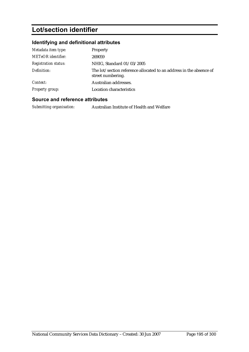## **Lot/section identifier**

### **Identifying and definitional attributes**

| Metadata item type:         | Property                                                                                 |
|-----------------------------|------------------------------------------------------------------------------------------|
| <b>METeOR</b> identifier:   | 269059                                                                                   |
| <b>Registration status:</b> | NHIG, Standard 01/03/2005                                                                |
| Definition:                 | The lot/section reference allocated to an address in the absence of<br>street numbering. |
| Context:                    | Australian addresses.                                                                    |
| <b>Property group:</b>      | Location characteristics                                                                 |

### **Source and reference attributes**

*Submitting organisation:* Australian Institute of Health and Welfare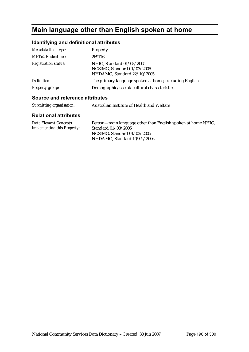## **Main language other than English spoken at home**

### **Identifying and definitional attributes**

| Metadata item type:         | Property                                                                                |
|-----------------------------|-----------------------------------------------------------------------------------------|
| <b>METeOR</b> identifier:   | 269176                                                                                  |
| <b>Registration status:</b> | NHIG, Standard 01/03/2005<br>NCSIMG, Standard 01/03/2005<br>NHDAMG, Standard 22/10/2005 |
| Definition:                 | The primary language spoken at home, excluding English.                                 |
| Property group:             | Demographic/social/cultural characteristics                                             |

### **Source and reference attributes**

| Submitting organisation: | Australian Institute of Health and Welfare |
|--------------------------|--------------------------------------------|
|                          |                                            |

| Data Element Concepts              | Person—main language other than English spoken at home NHIG, |
|------------------------------------|--------------------------------------------------------------|
| <i>implementing this Property:</i> | Standard 01/03/2005                                          |
|                                    | NCSIMG, Standard 01/03/2005                                  |
|                                    | NHDAMG. Standard $10/02/2006$                                |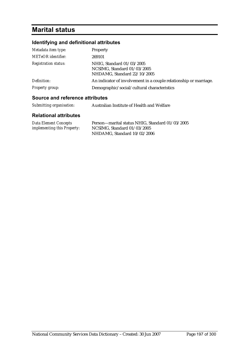## **Marital status**

### **Identifying and definitional attributes**

| Metadata item type:         | Property                                                                                |
|-----------------------------|-----------------------------------------------------------------------------------------|
| <b>METeOR</b> identifier:   | 269101                                                                                  |
| <b>Registration status:</b> | NHIG, Standard 01/03/2005<br>NCSIMG, Standard 01/03/2005<br>NHDAMG, Standard 22/10/2005 |
| Definition:                 | An indicator of involvement in a couple relationship or marriage.                       |
| <b>Property group:</b>      | Demographic/social/cultural characteristics                                             |

#### **Source and reference attributes**

| Submitting organisation: | Australian Institute of Health and Welfare |
|--------------------------|--------------------------------------------|
|--------------------------|--------------------------------------------|

| Data Element Concepts              | Person-marital status NHIG, Standard 01/03/2005 |
|------------------------------------|-------------------------------------------------|
| <i>implementing this Property:</i> | NCSIMG, Standard 01/03/2005                     |
|                                    | NHDAMG, Standard 10/02/2006                     |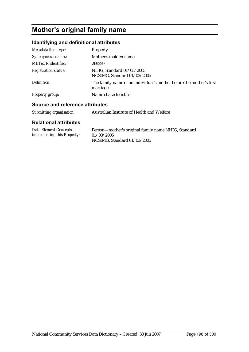## **Mother's original family name**

### **Identifying and definitional attributes**

| Metadata item type:         | <b>Property</b>                                                                  |
|-----------------------------|----------------------------------------------------------------------------------|
| Synonymous names:           | Mother's maiden name                                                             |
| <b>METeOR</b> identifier:   | 269229                                                                           |
| <b>Registration status:</b> | NHIG, Standard 01/03/2005<br>NCSIMG, Standard 01/03/2005                         |
| Definition:                 | The family name of an individual's mother before the mother's first<br>marriage. |
| <b>Property group:</b>      | Name characteristics                                                             |

### **Source and reference attributes**

| Submitting organisation: | Australian Institute of Health and Welfare |
|--------------------------|--------------------------------------------|
|--------------------------|--------------------------------------------|

| <b>Data Element Concepts</b>       | Person-mother's original family name NHIG, Standard |
|------------------------------------|-----------------------------------------------------|
| <i>implementing this Property:</i> | 01/03/2005                                          |
|                                    | NCSIMG, Standard 01/03/2005                         |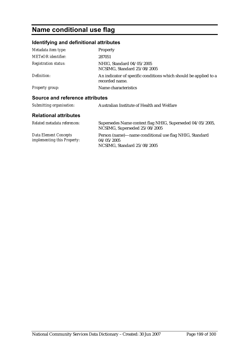## **Name conditional use flag**

## **Identifying and definitional attributes**

| Metadata item type:                                         | Property                                                                                            |
|-------------------------------------------------------------|-----------------------------------------------------------------------------------------------------|
| METeOR identifier:                                          | 287051                                                                                              |
| <i>Registration status:</i>                                 | NHIG, Standard 04/05/2005<br>NCSIMG, Standard 25/08/2005                                            |
| Definition:                                                 | An indicator of specific conditions which should be applied to a<br>recorded name.                  |
| <b>Property group:</b>                                      | Name characteristics                                                                                |
| Source and reference attributes                             |                                                                                                     |
| Submitting organisation:                                    | Australian Institute of Health and Welfare                                                          |
| <b>Relational attributes</b>                                |                                                                                                     |
| Related metadata references:                                | Supersedes Name context flag NHIG, Superseded 04/05/2005,<br>NCSIMG, Superseded 25/08/2005          |
| <b>Data Element Concepts</b><br>implementing this Property: | Person (name)—name conditional use flag NHIG, Standard<br>04/05/2005<br>NCSIMG, Standard 25/08/2005 |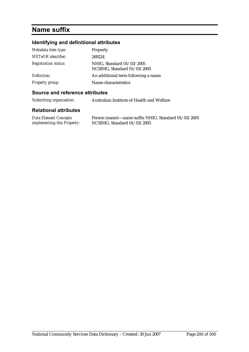## **Name suffix**

### **Identifying and definitional attributes**

| Metadata item type:         | Property                                                 |
|-----------------------------|----------------------------------------------------------|
| <b>METeOR</b> identifier:   | 269224                                                   |
| <b>Registration status:</b> | NHIG, Standard 01/03/2005<br>NCSIMG, Standard 01/03/2005 |
| Definition:                 | An additional term following a name.                     |
| <b>Property group:</b>      | Name characteristics                                     |

#### **Source and reference attributes**

*Submitting organisation:* Australian Institute of Health and Welfare

| Data Element Concepts              | Person (name)—name suffix NHIG, Standard 01/03/2005 |
|------------------------------------|-----------------------------------------------------|
| <i>implementing this Property:</i> | NCSIMG, Standard 01/03/2005                         |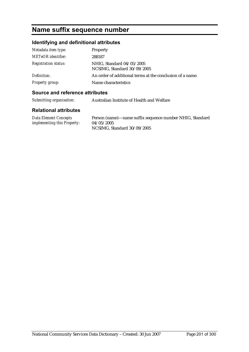## **Name suffix sequence number**

## **Identifying and definitional attributes**

| Metadata item type:         | Property                                                  |
|-----------------------------|-----------------------------------------------------------|
| METeOR identifier:          | 288187                                                    |
| <b>Registration status:</b> | NHIG, Standard 04/05/2005<br>NCSIMG, Standard 30/09/2005  |
| Definition:                 | An order of additional terms at the conclusion of a name. |
| Property group:             | Name characteristics                                      |

#### **Source and reference attributes**

| Submitting organisation: | Australian Institute of Health and Welfare |
|--------------------------|--------------------------------------------|
|                          |                                            |

| Data Element Concepts              | Person (name)—name suffix sequence number NHIG, Standard |
|------------------------------------|----------------------------------------------------------|
| <i>implementing this Property:</i> | 04/05/2005                                               |
|                                    | NCSIMG, Standard 30/09/2005                              |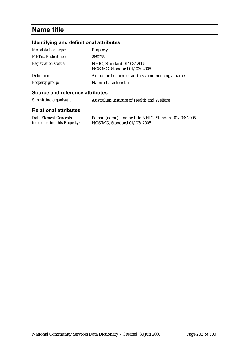## **Name title**

## **Identifying and definitional attributes**

| Metadata item type:         | Property                                                 |
|-----------------------------|----------------------------------------------------------|
| <b>METeOR</b> identifier:   | 269225                                                   |
| <b>Registration status:</b> | NHIG, Standard 01/03/2005<br>NCSIMG, Standard 01/03/2005 |
| Definition:                 | An honorific form of address commencing a name.          |
| Property group:             | Name characteristics                                     |

### **Source and reference attributes**

| Submitting organisation: | Australian Institute of Health and Welfare |
|--------------------------|--------------------------------------------|
|--------------------------|--------------------------------------------|

| Data Element Concepts              | Person (name)—name title NHIG, Standard 01/03/2005 |
|------------------------------------|----------------------------------------------------|
| <i>implementing this Property:</i> | NCSIMG, Standard 01/03/2005                        |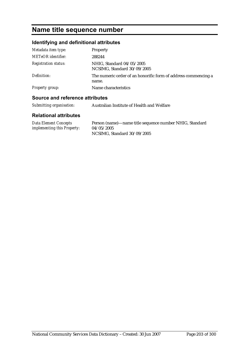## **Name title sequence number**

### **Identifying and definitional attributes**

| Metadata item type:         | Property                                                                |
|-----------------------------|-------------------------------------------------------------------------|
| <b>METeOR</b> identifier:   | 288244                                                                  |
| <b>Registration status:</b> | NHIG, Standard 04/05/2005<br>NCSIMG, Standard 30/09/2005                |
| Definition:                 | The numeric order of an honorific form of address commencing a<br>name. |
| <b>Property group:</b>      | Name characteristics                                                    |

### **Source and reference attributes**

|  | Submitting organisation: | Australian Institute of Health and Welfare |
|--|--------------------------|--------------------------------------------|
|--|--------------------------|--------------------------------------------|

| <b>Data Element Concepts</b>       | Person (name)—name title sequence number NHIG, Standard |
|------------------------------------|---------------------------------------------------------|
| <i>implementing this Property:</i> | 04/05/2005                                              |
|                                    | NCSIMG, Standard 30/09/2005                             |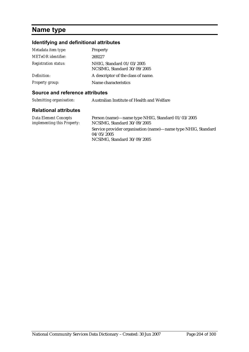## **Name type**

## **Identifying and definitional attributes**

| Metadata item type:         | <b>Property</b>                                          |
|-----------------------------|----------------------------------------------------------|
| <b>METeOR</b> identifier:   | 269227                                                   |
| <b>Registration status:</b> | NHIG, Standard 01/03/2005<br>NCSIMG, Standard 30/09/2005 |
| Definition:                 | A descriptor of the class of name.                       |
| <b>Property group:</b>      | Name characteristics                                     |
|                             |                                                          |

#### **Source and reference attributes**

| Submitting organisation: | Australian Institute of Health and Welfare |
|--------------------------|--------------------------------------------|
|                          |                                            |

| Data Element Concepts       | Person (name)—name type NHIG, Standard 01/03/2005             |
|-----------------------------|---------------------------------------------------------------|
| implementing this Property: | NCSIMG, Standard 30/09/2005                                   |
|                             | Service provider organisation (name)—name type NHIG, Standard |
|                             | 04/05/2005                                                    |
|                             | NCSIMG, Standard 30/09/2005                                   |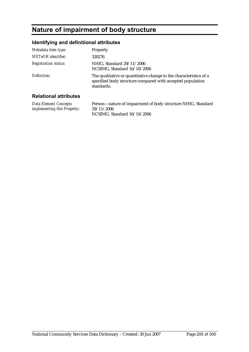## **Nature of impairment of body structure**

### **Identifying and definitional attributes**

| Metadata item type:          | Property                                                                                                                                       |
|------------------------------|------------------------------------------------------------------------------------------------------------------------------------------------|
| METeOR identifier:           | 320276                                                                                                                                         |
| <b>Registration status:</b>  | NHIG, Standard 29/11/2006<br>NCSIMG, Standard 16/10/2006                                                                                       |
| Definition:                  | The qualitative or quantitative change to the characteristics of a<br>specified body structure compared with accepted population<br>standards. |
| <b>Relational attributes</b> |                                                                                                                                                |

#### **Relational attributes**

*Data Element Concepts implementing this Property:* Person—nature of impairment of body structure NHIG, Standard 29/11/2006 NCSIMG, Standard 16/10/2006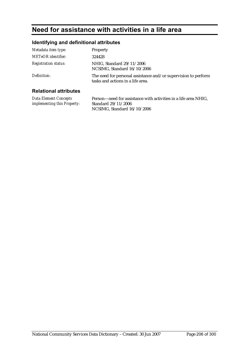## **Need for assistance with activities in a life area**

### **Identifying and definitional attributes**

| Metadata item type:          | Property                                                                                            |
|------------------------------|-----------------------------------------------------------------------------------------------------|
| METeOR identifier:           | 324428                                                                                              |
| <b>Registration status:</b>  | NHIG, Standard 29/11/2006<br>NCSIMG, Standard 16/10/2006                                            |
| Definition:                  | The need for personal assistance and/or supervision to perform<br>tasks and actions in a life area. |
| <b>Relational attributes</b> |                                                                                                     |

#### **Relational attributes**

*Data Element Concepts implementing this Property:* Person—need for assistance with activities in a life area NHIG, Standard 29/11/2006 NCSIMG, Standard 16/10/2006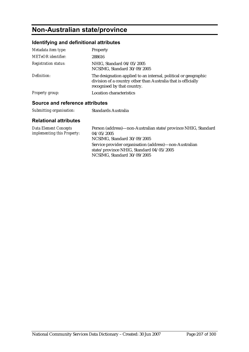## **Non-Australian state/province**

### **Identifying and definitional attributes**

| Metadata item type:                                  | Property                                                                                                                                                        |
|------------------------------------------------------|-----------------------------------------------------------------------------------------------------------------------------------------------------------------|
| <b>METeOR</b> identifier:                            | 288616                                                                                                                                                          |
| <b>Registration status:</b>                          | NHIG, Standard 04/05/2005<br>NCSIMG, Standard 30/09/2005                                                                                                        |
| Definition:                                          | The designation applied to an internal, political or geographic<br>division of a country other than Australia that is officially<br>recognised by that country. |
| <b>Property group:</b>                               | Location characteristics                                                                                                                                        |
| A service and the factor of a state that the service |                                                                                                                                                                 |

### **Source and reference attributes**

| Submitting organisation: | Standards Australia |
|--------------------------|---------------------|
|                          |                     |

| <b>Data Element Concepts</b><br>implementing this Property: | Person (address)—non-Australian state/province NHIG, Standard<br>04/05/2005<br>NCSIMG, Standard 30/09/2005                        |
|-------------------------------------------------------------|-----------------------------------------------------------------------------------------------------------------------------------|
|                                                             | Service provider organisation (address)—non-Australian<br>state/province NHIG, Standard 04/05/2005<br>NCSIMG, Standard 30/09/2005 |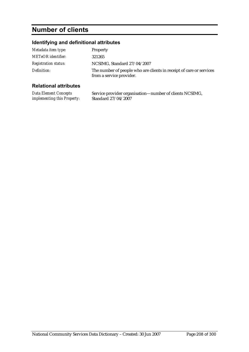## **Number of clients**

## **Identifying and definitional attributes**

| Metadata item type:         | Property                                                                                        |
|-----------------------------|-------------------------------------------------------------------------------------------------|
| <b>METeOR</b> identifier:   | 321265                                                                                          |
| <b>Registration status:</b> | NCSIMG, Standard 27/04/2007                                                                     |
| Definition:                 | The number of people who are clients in receipt of care or services<br>from a service provider. |

| Data Element Concepts       | Service provider organisation—number of clients NCSIMG, |
|-----------------------------|---------------------------------------------------------|
| implementing this Property: | Standard 27/04/2007                                     |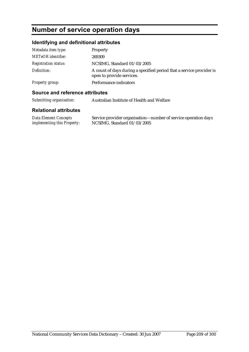## **Number of service operation days**

### **Identifying and definitional attributes**

| Metadata item type:         | Property                                                                                          |
|-----------------------------|---------------------------------------------------------------------------------------------------|
| <b>METeOR</b> identifier:   | 269309                                                                                            |
| <i>Registration status:</i> | NCSIMG, Standard 01/03/2005                                                                       |
| Definition:                 | A count of days during a specified period that a service provider is<br>open to provide services. |
| <b>Property group:</b>      | Performance indicators                                                                            |

#### **Source and reference attributes**

*Submitting organisation:* Australian Institute of Health and Welfare

| Data Element Concepts              | Service provider organisation—number of service operation days |
|------------------------------------|----------------------------------------------------------------|
| <i>implementing this Property:</i> | NCSIMG, Standard 01/03/2005                                    |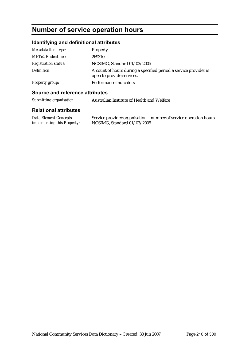## **Number of service operation hours**

### **Identifying and definitional attributes**

| Metadata item type:         | <b>Property</b>                                                                               |
|-----------------------------|-----------------------------------------------------------------------------------------------|
| <b>METeOR</b> identifier:   | 269310                                                                                        |
| <b>Registration status:</b> | NCSIMG, Standard 01/03/2005                                                                   |
| Definition:                 | A count of hours during a specified period a service provider is<br>open to provide services. |
| Property group:             | Performance indicators                                                                        |

### **Source and reference attributes**

*Submitting organisation:* Australian Institute of Health and Welfare

| Data Element Concepts              | Service provider organisation—number of service operation hours |
|------------------------------------|-----------------------------------------------------------------|
| <i>implementing this Property:</i> | NCSIMG, Standard 01/03/2005                                     |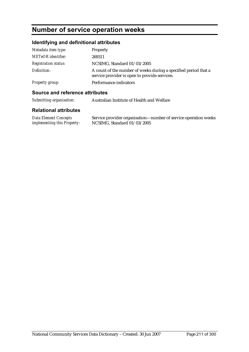## **Number of service operation weeks**

## **Identifying and definitional attributes**

| Metadata item type:         | Property                                                                                                         |
|-----------------------------|------------------------------------------------------------------------------------------------------------------|
| <b>METeOR</b> identifier:   | 269311                                                                                                           |
| <b>Registration status:</b> | NCSIMG, Standard 01/03/2005                                                                                      |
| Definition:                 | A count of the number of weeks during a specified period that a<br>service provider is open to provide services. |
| Property group:             | Performance indicators                                                                                           |

### **Source and reference attributes**

| Submitting organisation: | Australian Institute of Health and Welfare |
|--------------------------|--------------------------------------------|
|--------------------------|--------------------------------------------|

| Data Element Concepts              | Service provider organisation—number of service operation weeks |
|------------------------------------|-----------------------------------------------------------------|
| <i>implementing this Property:</i> | NCSIMG, Standard 01/03/2005                                     |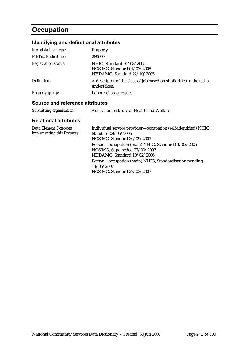## **Occupation**

## **Identifying and definitional attributes**

| Metadata item type:             | Property                                                                                |  |
|---------------------------------|-----------------------------------------------------------------------------------------|--|
| <b>METeOR</b> identifier:       | 269099                                                                                  |  |
| <b>Registration status:</b>     | NHIG, Standard 01/03/2005<br>NCSIMG, Standard 01/03/2005<br>NHDAMG, Standard 22/10/2005 |  |
| Definition:                     | A descriptor of the class of job based on similarities in the tasks<br>undertaken.      |  |
| <b>Property group:</b>          | Labour characteristics                                                                  |  |
| Source and reference attributes |                                                                                         |  |
| Submitting organisation:        | Australian Institute of Health and Welfare                                              |  |

| <b>Data Element Concepts</b><br>implementing this Property: | Individual service provider—occupation (self-identified) NHIG,<br>Standard 04/05/2005<br>NCSIMG, Standard 30/09/2005 |
|-------------------------------------------------------------|----------------------------------------------------------------------------------------------------------------------|
|                                                             | Person-occupation (main) NHIG, Standard 01/03/2005<br>NCSIMG, Superseded 27/03/2007<br>NHDAMG, Standard 10/02/2006   |
|                                                             | Person-occupation (main) NHIG, Standardisation pending<br>14/06/2007<br>NCSIMG, Standard 27/03/2007                  |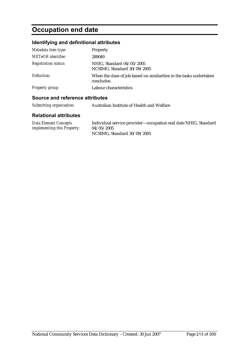## **Occupation end date**

### **Identifying and definitional attributes**

| Metadata item type:         | Property                                                                          |
|-----------------------------|-----------------------------------------------------------------------------------|
| <b>METeOR</b> identifier:   | 289049                                                                            |
| <b>Registration status:</b> | NHIG, Standard 04/05/2005<br>NCSIMG, Standard 30/09/2005                          |
| Definition:                 | When the class of job based on similarities in the tasks undertaken<br>concludes. |
| <b>Property group:</b>      | Labour characteristics                                                            |

### **Source and reference attributes**

|  | Submitting organisation: | Australian Institute of Health and Welfare |
|--|--------------------------|--------------------------------------------|
|--|--------------------------|--------------------------------------------|

| <b>Data Element Concepts</b>       | Individual service provider—occupation end date NHIG, Standard |
|------------------------------------|----------------------------------------------------------------|
| <i>implementing this Property:</i> | 04/05/2005                                                     |
|                                    | NCSIMG, Standard 30/09/2005                                    |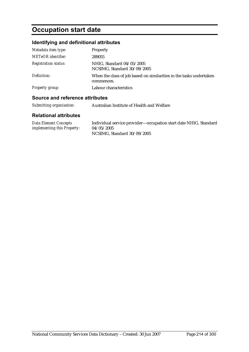# **Occupation start date**

### **Identifying and definitional attributes**

| Metadata item type:         | Property                                                                          |
|-----------------------------|-----------------------------------------------------------------------------------|
| <b>METeOR</b> identifier:   | 289055                                                                            |
| <b>Registration status:</b> | NHIG, Standard 04/05/2005<br>NCSIMG, Standard 30/09/2005                          |
| Definition:                 | When the class of job based on similarities in the tasks undertaken<br>commences. |
| <b>Property group:</b>      | Labour characteristics                                                            |

### **Source and reference attributes**

|  | Submitting organisation: | Australian Institute of Health and Welfare |
|--|--------------------------|--------------------------------------------|
|--|--------------------------|--------------------------------------------|

| Data Element Concepts              | Individual service provider—occupation start date NHIG, Standard |
|------------------------------------|------------------------------------------------------------------|
| <i>implementing this Property:</i> | 04/05/2005                                                       |
|                                    | NCSIMG, Standard 30/09/2005                                      |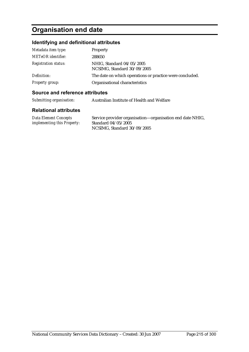## **Organisation end date**

### **Identifying and definitional attributes**

| Metadata item type:         | Property                                                 |
|-----------------------------|----------------------------------------------------------|
| METeOR identifier:          | 288650                                                   |
| <i>Registration status:</i> | NHIG, Standard 04/05/2005<br>NCSIMG, Standard 30/09/2005 |
| Definition:                 | The date on which operations or practice were concluded. |
| <b>Property group:</b>      | Organisational characteristics                           |

#### **Source and reference attributes**

| Submitting organisation:<br>Australian Institute of Health and Welfare |
|------------------------------------------------------------------------|
|------------------------------------------------------------------------|

| <b>Data Element Concepts</b>       | Service provider organisation—organisation end date NHIG, |
|------------------------------------|-----------------------------------------------------------|
| <i>implementing this Property:</i> | Standard $04/05/2005$                                     |
|                                    | NCSIMG, Standard 30/09/2005                               |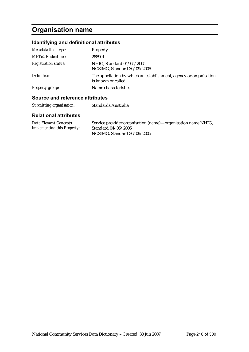## **Organisation name**

### **Identifying and definitional attributes**

| Metadata item type:         | Property                                                                                 |
|-----------------------------|------------------------------------------------------------------------------------------|
| <b>METeOR</b> identifier:   | 288901                                                                                   |
| <b>Registration status:</b> | NHIG, Standard 04/05/2005<br>NCSIMG, Standard 30/09/2005                                 |
| Definition:                 | The appellation by which an establishment, agency or organisation<br>is known or called. |
| Property group:             | Name characteristics                                                                     |
|                             |                                                                                          |

#### **Source and reference attributes**

| Submitting organisation: | Standards Australia |
|--------------------------|---------------------|
|--------------------------|---------------------|

| Data Element Concepts              | Service provider organisation (name)—organisation name NHIG, |
|------------------------------------|--------------------------------------------------------------|
| <i>implementing this Property:</i> | Standard 04/05/2005                                          |
|                                    | NCSIMG, Standard 30/09/2005                                  |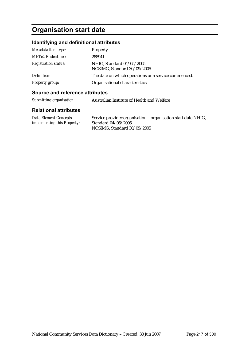# **Organisation start date**

### **Identifying and definitional attributes**

| Metadata item type:         | Property                                                 |
|-----------------------------|----------------------------------------------------------|
| METeOR identifier:          | 288941                                                   |
| <i>Registration status:</i> | NHIG, Standard 04/05/2005<br>NCSIMG, Standard 30/09/2005 |
| Definition:                 | The date on which operations or a service commenced.     |
| Property group:             | Organisational characteristics                           |

### **Source and reference attributes**

| Data Element Concepts              | Service provider organisation—organisation start date NHIG, |
|------------------------------------|-------------------------------------------------------------|
| <i>implementing this Property:</i> | Standard $04/05/2005$                                       |
|                                    | NCSIMG, Standard 30/09/2005                                 |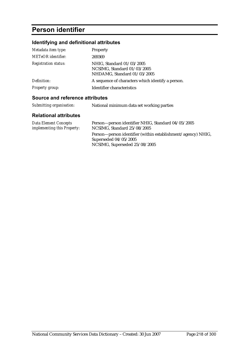# **Person identifier**

### **Identifying and definitional attributes**

| Metadata item type:         | Property                                                                                |
|-----------------------------|-----------------------------------------------------------------------------------------|
| <b>METeOR</b> identifier:   | 269369                                                                                  |
| <b>Registration status:</b> | NHIG, Standard 01/03/2005<br>NCSIMG, Standard 01/03/2005<br>NHDAMG, Standard 01/03/2005 |
| Definition:                 | A sequence of characters which identify a person.                                       |
| <b>Property group:</b>      | Identifier characteristics                                                              |

### **Source and reference attributes**

| Submitting organisation: | National minimum data set working parties |
|--------------------------|-------------------------------------------|
|                          |                                           |

| Data Element Concepts       | Person—person identifier NHIG, Standard 04/05/2005           |
|-----------------------------|--------------------------------------------------------------|
| implementing this Property: | NCSIMG, Standard 25/08/2005                                  |
|                             | Person—person identifier (within establishment/agency) NHIG, |
|                             | Superseded $04/05/2005$                                      |
|                             | NCSIMG, Superseded 25/08/2005                                |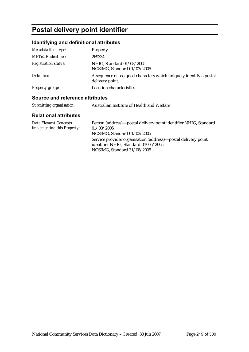# **Postal delivery point identifier**

### **Identifying and definitional attributes**

| Metadata item type:         | Property                                                                              |
|-----------------------------|---------------------------------------------------------------------------------------|
| <b>METeOR</b> identifier:   | 269334                                                                                |
| <b>Registration status:</b> | NHIG, Standard 01/03/2005<br>NCSIMG, Standard 01/03/2005                              |
| Definition:                 | A sequence of assigned characters which uniquely identify a postal<br>delivery point. |
| <b>Property group:</b>      | <b>Location characteristics</b>                                                       |

### **Source and reference attributes**

| Submitting organisation: | Australian Institute of Health and Welfare |
|--------------------------|--------------------------------------------|
|--------------------------|--------------------------------------------|

| Data Element Concepts<br><i>implementing this Property:</i> | Person (address)—postal delivery point identifier NHIG, Standard<br>01/03/2005<br>NCSIMG, Standard 01/03/2005                        |
|-------------------------------------------------------------|--------------------------------------------------------------------------------------------------------------------------------------|
|                                                             | Service provider organisation (address)—postal delivery point<br>identifier NHIG, Standard 04/05/2005<br>NCSIMG, Standard 31/08/2005 |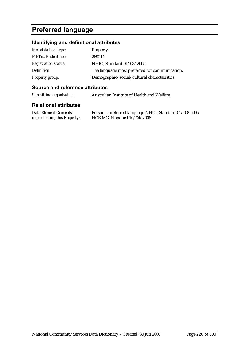# **Preferred language**

### **Identifying and definitional attributes**

| Metadata item type:         | Property                                       |
|-----------------------------|------------------------------------------------|
| <b>METeOR</b> identifier:   | 269244                                         |
| <b>Registration status:</b> | NHIG, Standard 01/03/2005                      |
| Definition:                 | The language most preferred for communication. |
| Property group:             | Demographic/social/cultural characteristics    |

### **Source and reference attributes**

*Submitting organisation:* Australian Institute of Health and Welfare

### **Relational attributes**

*Data Element Concepts implementing this Property:* Person—preferred language NHIG, Standard 01/03/2005 NCSIMG, Standard 10/04/2006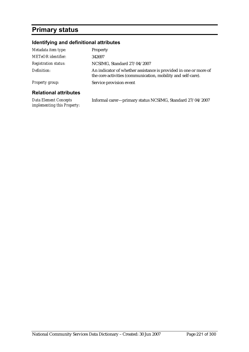# **Primary status**

### **Identifying and definitional attributes**

| Metadata item type:          | Property                                                                                                                         |
|------------------------------|----------------------------------------------------------------------------------------------------------------------------------|
| METeOR identifier:           | 342697                                                                                                                           |
| <b>Registration status:</b>  | NCSIMG, Standard 27/04/2007                                                                                                      |
| Definition:                  | An indicator of whether assistance is provided in one or more of<br>the core activities (communication, mobility and self-care). |
| <b>Property group:</b>       | Service provision event                                                                                                          |
| <b>Relational attributes</b> |                                                                                                                                  |

*Data Element Concepts implementing this Property:* Informal carer—primary status NCSIMG, Standard 27/04/2007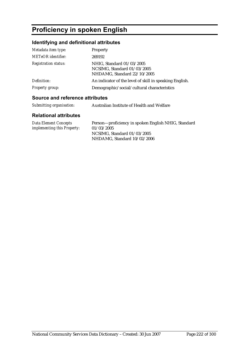# **Proficiency in spoken English**

### **Identifying and definitional attributes**

| Metadata item type:                   | Property                                                                                               |
|---------------------------------------|--------------------------------------------------------------------------------------------------------|
| <b>METeOR</b> identifier:             | 269192                                                                                                 |
| <b>Registration status:</b>           | NHIG, Standard 01/03/2005<br>NCSIMG, Standard 01/03/2005<br>NHDAMG, Standard 22/10/2005                |
| Definition:<br><b>Property group:</b> | An indicator of the level of skill in speaking English.<br>Demographic/social/cultural characteristics |
|                                       |                                                                                                        |

### **Source and reference attributes**

| Submitting organisation: | Australian Institute of Health and Welfare |
|--------------------------|--------------------------------------------|
|                          |                                            |

| Data Element Concepts              | Person-proficiency in spoken English NHIG, Standard |
|------------------------------------|-----------------------------------------------------|
| <i>implementing this Property:</i> | 01/03/2005                                          |
|                                    | NCSIMG. Standard $01/03/2005$                       |
|                                    | NHDAMG. Standard 10/02/2006                         |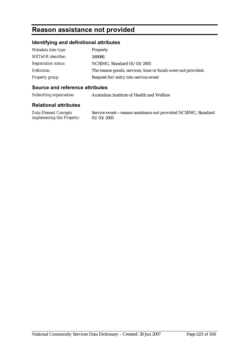## **Reason assistance not provided**

### **Identifying and definitional attributes**

| Metadata item type:         | <b>Property</b>                                              |
|-----------------------------|--------------------------------------------------------------|
| <b>METeOR</b> identifier:   | 269088                                                       |
| <b>Registration status:</b> | NCSIMG, Standard 01/03/2005                                  |
| Definition:                 | The reason goods, services, time or funds were not provided. |
| Property group:             | Request for/entry into service event                         |

### **Source and reference attributes**

*Submitting organisation:* Australian Institute of Health and Welfare

### **Relational attributes**

*Data Element Concepts implementing this Property:* Service event—reason assistance not provided NCSIMG, Standard 01/03/2005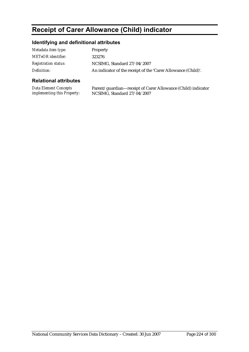# **Receipt of Carer Allowance (Child) indicator**

### **Identifying and definitional attributes**

| Metadata item type:         | Property                                                      |
|-----------------------------|---------------------------------------------------------------|
| METeOR identifier:          | 323276                                                        |
| <b>Registration status:</b> | NCSIMG, Standard 27/04/2007                                   |
| Definition:                 | An indicator of the receipt of the 'Carer Allowance (Child)'. |

### **Relational attributes**

*Data Element Concepts implementing this Property:* Parent/guardian—receipt of Carer Allowance (Child) indicator NCSIMG, Standard 27/04/2007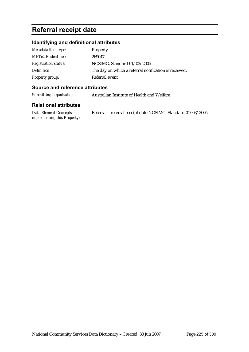# **Referral receipt date**

### **Identifying and definitional attributes**

| Metadata item type:         | Property                                              |
|-----------------------------|-------------------------------------------------------|
| <b>METeOR</b> identifier:   | 269047                                                |
| <b>Registration status:</b> | NCSIMG, Standard 01/03/2005                           |
| Definition:                 | The day on which a referral notification is received. |
| Property group:             | Referral event                                        |

### **Source and reference attributes**

*Submitting organisation:* Australian Institute of Health and Welfare

| Data Element Concepts              | Referral-referral receipt date NCSIMG, Standard 01/03/2005 |
|------------------------------------|------------------------------------------------------------|
| <i>implementing this Property:</i> |                                                            |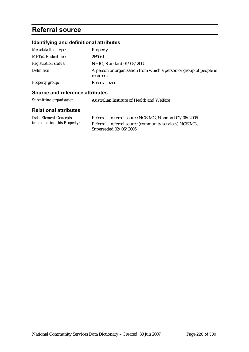# **Referral source**

### **Identifying and definitional attributes**

| Metadata item type:         | <b>Property</b>                                                                 |
|-----------------------------|---------------------------------------------------------------------------------|
| <b>METeOR</b> identifier:   | 269061                                                                          |
| <b>Registration status:</b> | NHIG, Standard 01/03/2005                                                       |
| Definition:                 | A person or organisation from which a person or group of people is<br>referred. |
| Property group:             | Referral event                                                                  |

### **Source and reference attributes**

| Submitting organisation: | Australian Institute of Health and Welfare |
|--------------------------|--------------------------------------------|
|--------------------------|--------------------------------------------|

| Data Element Concepts              | Referral—referral source NCSIMG, Standard 02/06/2005  |
|------------------------------------|-------------------------------------------------------|
| <i>implementing this Property:</i> | Referral—referral source (community services) NCSIMG, |
|                                    | Superseded 02/06/2005                                 |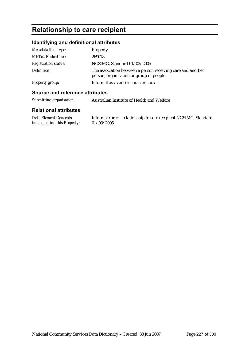# **Relationship to care recipient**

### **Identifying and definitional attributes**

| Metadata item type:         | Property                                                                                                |
|-----------------------------|---------------------------------------------------------------------------------------------------------|
| <b>METeOR</b> identifier:   | 269078                                                                                                  |
| <b>Registration status:</b> | NCSIMG, Standard 01/03/2005                                                                             |
| Definition:                 | The association between a person receiving care and another<br>person, organisation or group of people. |
| <b>Property group:</b>      | Informal assistance characteristics                                                                     |

### **Source and reference attributes**

*Submitting organisation:* Australian Institute of Health and Welfare

### **Relational attributes**

*Data Element Concepts implementing this Property:* Informal carer—relationship to care recipient NCSIMG, Standard 01/03/2005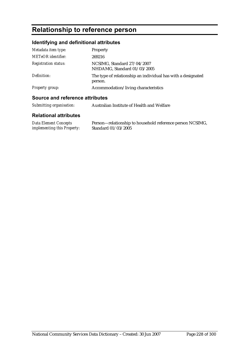# **Relationship to reference person**

### **Identifying and definitional attributes**

| Metadata item type:         | Property                                                                |
|-----------------------------|-------------------------------------------------------------------------|
| <b>METeOR</b> identifier:   | 269216                                                                  |
| <b>Registration status:</b> | NCSIMG, Standard 27/04/2007<br>NHDAMG, Standard 01/03/2005              |
| Definition:                 | The type of relationship an individual has with a designated<br>person. |
| Property group:             | Accommodation/living characteristics                                    |
|                             |                                                                         |

### **Source and reference attributes**

| Submitting organisation: | Australian Institute of Health and Welfare |
|--------------------------|--------------------------------------------|
|--------------------------|--------------------------------------------|

| <b>Data Element Concepts</b>       | Person—relationship to household reference person NCSIMG, |
|------------------------------------|-----------------------------------------------------------|
| <i>implementing this Property:</i> | Standard 01/03/2005                                       |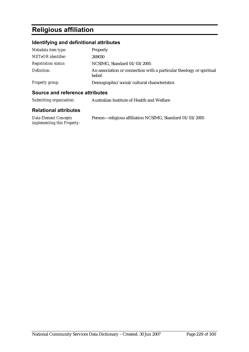# **Religious affiliation**

### **Identifying and definitional attributes**

| Metadata item type:         | Property                                                                        |
|-----------------------------|---------------------------------------------------------------------------------|
| <b>METeOR</b> identifier:   | 269030                                                                          |
| <b>Registration status:</b> | NCSIMG, Standard 01/03/2005                                                     |
| Definition:                 | An association or connection with a particular theology or spiritual<br>belief. |
| <b>Property group:</b>      | Demographic/social/cultural characteristics                                     |

| Submitting organisation:     | Australian Institute of Health and Welfare |
|------------------------------|--------------------------------------------|
| <b>Relational attributes</b> |                                            |

| Data Element Concepts              | Person—religious affiliation NCSIMG, Standard 01/03/2005 |
|------------------------------------|----------------------------------------------------------|
| <i>implementing this Property:</i> |                                                          |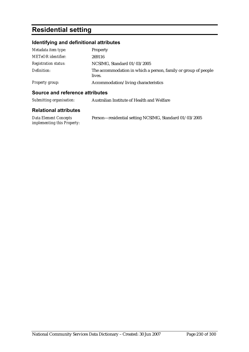# **Residential setting**

### **Identifying and definitional attributes**

| Metadata item type:         | Property                                                                 |
|-----------------------------|--------------------------------------------------------------------------|
| <b>METeOR</b> identifier:   | 269116                                                                   |
| <b>Registration status:</b> | NCSIMG, Standard 01/03/2005                                              |
| Definition:                 | The accommodation in which a person, family or group of people<br>lives. |
| Property group:             | Accommodation/living characteristics                                     |

### **Source and reference attributes**

| Submitting organisation:     | Australian Institute of Health and Welfare             |
|------------------------------|--------------------------------------------------------|
| <b>Relational attributes</b> |                                                        |
| <b>Data Element Concepts</b> | Person—residential setting NCSIMG, Standard 01/03/2005 |

*Data Element Concepts implementing this Property:*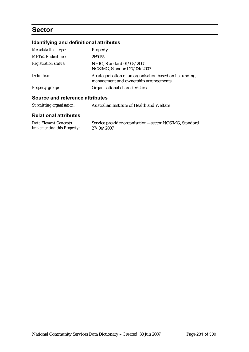## **Sector**

## **Identifying and definitional attributes**

| Metadata item type:                                      | Property                                                                                            |
|----------------------------------------------------------|-----------------------------------------------------------------------------------------------------|
| <b>METeOR</b> identifier:                                | 269055                                                                                              |
| <b>Registration status:</b>                              | NHIG, Standard 01/03/2005<br>NCSIMG, Standard 27/04/2007                                            |
| Definition:                                              | A categorisation of an organisation based on its funding,<br>management and ownership arrangements. |
| <b>Property group:</b>                                   | Organisational characteristics                                                                      |
| A construction of the following and all the first states |                                                                                                     |

### **Source and reference attributes**

| Submitting organisation: | Australian Institute of Health and Welfare |
|--------------------------|--------------------------------------------|
|--------------------------|--------------------------------------------|

| <b>Data Element Concepts</b>       | Service provider organisation—sector NCSIMG, Standard |
|------------------------------------|-------------------------------------------------------|
| <i>implementing this Property:</i> | 27/04/2007                                            |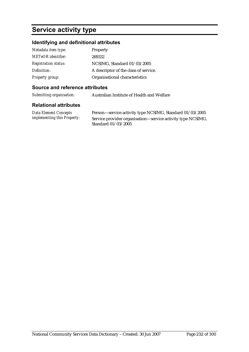## **Service activity type**

### **Identifying and definitional attributes**

| Metadata item type:         | <b>Property</b>                       |
|-----------------------------|---------------------------------------|
| <b>METeOR</b> identifier:   | 269332                                |
| <b>Registration status:</b> | NCSIMG, Standard 01/03/2005           |
| Definition:                 | A descriptor of the class of service. |
| <b>Property group:</b>      | Organisational characteristics        |

### **Source and reference attributes**

*Submitting organisation:* Australian Institute of Health and Welfare

### **Relational attributes**

*Data Element Concepts implementing this Property:*

Person—service activity type NCSIMG, Standard 01/03/2005 Service provider organisation—service activity type NCSIMG, Standard 01/03/2005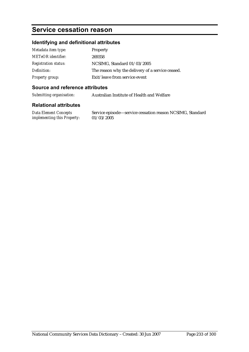# **Service cessation reason**

### **Identifying and definitional attributes**

| Metadata item type:         | Property                                         |
|-----------------------------|--------------------------------------------------|
| <b>METeOR</b> identifier:   | 269358                                           |
| <b>Registration status:</b> | NCSIMG, Standard 01/03/2005                      |
| Definition:                 | The reason why the delivery of a service ceased. |
| <b>Property group:</b>      | Exit/leave from service event                    |

### **Source and reference attributes**

*Submitting organisation:* Australian Institute of Health and Welfare

### **Relational attributes**

*Data Element Concepts implementing this Property:* Service episode—service cessation reason NCSIMG, Standard 01/03/2005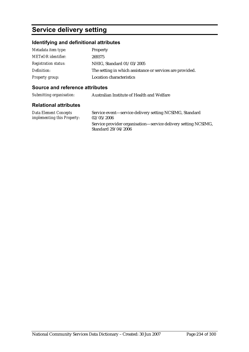## **Service delivery setting**

### **Identifying and definitional attributes**

| Metadata item type:         | Property                                                  |
|-----------------------------|-----------------------------------------------------------|
| <b>METeOR</b> identifier:   | 269375                                                    |
| <b>Registration status:</b> | NHIG, Standard 01/03/2005                                 |
| Definition:                 | The setting in which assistance or services are provided. |
| Property group:             | <b>Location characteristics</b>                           |

### **Source and reference attributes**

| Submitting organisation: | Australian Institute of Health and Welfare |
|--------------------------|--------------------------------------------|
|                          |                                            |

### **Relational attributes**

*Data Element Concepts implementing this Property:* Service event—service delivery setting NCSIMG, Standard 02/05/2006 Service provider organisation—service delivery setting NCSIMG, Standard 29/04/2006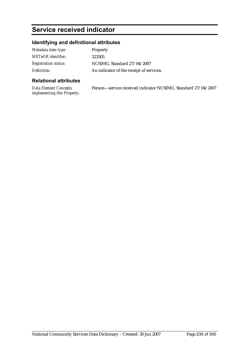# **Service received indicator**

### **Identifying and definitional attributes**

| Metadata item type:         | Property                                 |
|-----------------------------|------------------------------------------|
| METeOR identifier:          | 323505                                   |
| <i>Registration status:</i> | NCSIMG, Standard 27/04/2007              |
| Definition:                 | An indicator of the receipt of services. |

### **Relational attributes**

*Data Element Concepts implementing this Property:* Person—service received indicator NCSIMG, Standard 27/04/2007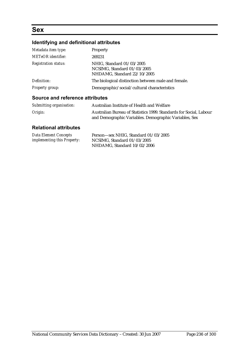### **Sex**

### **Identifying and definitional attributes**

| Metadata item type:                    | Property                                                                                |
|----------------------------------------|-----------------------------------------------------------------------------------------|
| <b>METeOR</b> identifier:              | 269231                                                                                  |
| <b>Registration status:</b>            | NHIG. Standard 01/03/2005<br>NCSIMG, Standard 01/03/2005<br>NHDAMG, Standard 22/10/2005 |
| Definition:                            | The biological distinction between male and female.                                     |
| <b>Property group:</b>                 | Demographic/social/cultural characteristics                                             |
| <b>Source and reference attributes</b> |                                                                                         |

### *Submitting organisation:* Australian Institute of Health and Welfare *Origin:* Australian Bureau of Statistics 1999. Standards for Social, Labour and Demographic Variables. Demographic Variables, Sex

| <b>Data Element Concepts</b>       | Person-sex NHIG, Standard 01/03/2005 |
|------------------------------------|--------------------------------------|
| <i>implementing this Property:</i> | NCSIMG, Standard 01/03/2005          |
|                                    | NHDAMG, Standard 10/02/2006          |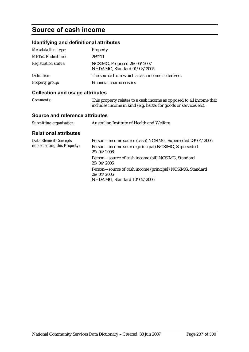## **Source of cash income**

### **Identifying and definitional attributes**

| Metadata item type:         | Property                                                   |
|-----------------------------|------------------------------------------------------------|
| <b>METeOR</b> identifier:   | 269271                                                     |
| <b>Registration status:</b> | NCSIMG, Proposed 26/06/2007<br>NHDAMG, Standard 01/03/2005 |
| Definition:                 | The source from which a cash income is derived.            |
| <b>Property group:</b>      | Financial characteristics                                  |

### **Collection and usage attributes**

| <b>Comments:</b> | This property relates to a cash income as opposed to all income that |
|------------------|----------------------------------------------------------------------|
|                  | includes income in kind (e.g. barter for goods or services etc).     |

### **Source and reference attributes**

| <b>Data Element Concepts</b><br>implementing this Property: | Person-income source (cash) NCSIMG, Superseded 29/04/2006                                              |
|-------------------------------------------------------------|--------------------------------------------------------------------------------------------------------|
|                                                             | Person-income source (principal) NCSIMG, Superseded<br>29/04/2006                                      |
|                                                             | Person-source of cash income (all) NCSIMG, Standard<br>29/04/2006                                      |
|                                                             | Person-source of cash income (principal) NCSIMG, Standard<br>29/04/2006<br>NHDAMG, Standard 10/02/2006 |
|                                                             |                                                                                                        |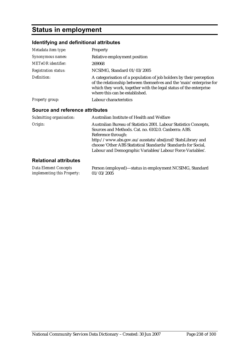# **Status in employment**

### **Identifying and definitional attributes**

| Metadata item type:                    | Property                                                                                                                                                                                                                                                                     |
|----------------------------------------|------------------------------------------------------------------------------------------------------------------------------------------------------------------------------------------------------------------------------------------------------------------------------|
| Synonymous names:                      | Relative employment position                                                                                                                                                                                                                                                 |
| <b>METeOR</b> identifier:              | 269068                                                                                                                                                                                                                                                                       |
| <b>Registration status:</b>            | NCSIMG, Standard 01/03/2005                                                                                                                                                                                                                                                  |
| Definition:                            | A categorisation of a population of job holders by their perception<br>of the relationship between themselves and the 'main' enterprise for<br>which they work, together with the legal status of the enterprise<br>where this can be established.                           |
| Property group:                        | Labour characteristics                                                                                                                                                                                                                                                       |
| <b>Source and reference attributes</b> |                                                                                                                                                                                                                                                                              |
| Submitting organisation:               | Australian Institute of Health and Welfare                                                                                                                                                                                                                                   |
| Origin:                                | Australian Bureau of Statistics 2001. Labour Statistics Concepts,<br>Sources and Methods. Cat. no. 6102.0. Canberra: ABS.<br>Reference through:<br>http://www.abs.gov.au/ausstats/abs@.nsf/StatsLibrary and<br>choose 'Other ABS Statistical Standards/Standards for Social, |
|                                        | Labour and Demographic Variables/Labour Force Variables'.                                                                                                                                                                                                                    |
| <b>Relational attributes</b>           |                                                                                                                                                                                                                                                                              |
|                                        |                                                                                                                                                                                                                                                                              |

*Data Element Concepts implementing this Property:* Person (employed)—status in employment NCSIMG, Standard 01/03/2005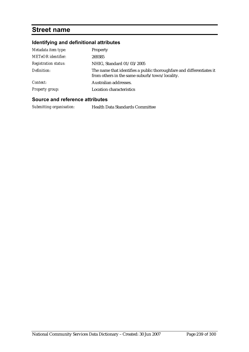### **Street name**

### **Identifying and definitional attributes**

| Metadata item type:         | <b>Property</b>                                                                                                       |
|-----------------------------|-----------------------------------------------------------------------------------------------------------------------|
| <b>METeOR</b> identifier:   | 269385                                                                                                                |
| <b>Registration status:</b> | NHIG, Standard 01/03/2005                                                                                             |
| Definition:                 | The name that identifies a public thoroughfare and differentiates it<br>from others in the same suburb/town/locality. |
| Context:                    | Australian addresses.                                                                                                 |
| <b>Property group:</b>      | Location characteristics                                                                                              |

### **Source and reference attributes**

*Submitting organisation:* Health Data Standards Committee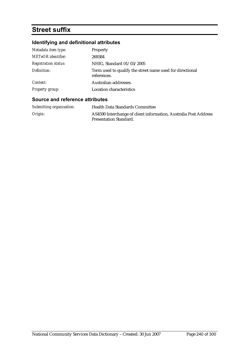# **Street suffix**

### **Identifying and definitional attributes**

| Metadata item type:         | Property                                                                 |
|-----------------------------|--------------------------------------------------------------------------|
| <b>METeOR</b> identifier:   | 269384                                                                   |
| <b>Registration status:</b> | NHIG, Standard 01/03/2005                                                |
| Definition:                 | Term used to qualify the street name used for directional<br>references. |
| Context:                    | Australian addresses.                                                    |
| <b>Property group:</b>      | Location characteristics                                                 |

| Submitting organisation: | <b>Health Data Standards Committee</b>                                                            |
|--------------------------|---------------------------------------------------------------------------------------------------|
| Origin:                  | AS4590 Interchange of client information, Australia Post Address<br><b>Presentation Standard.</b> |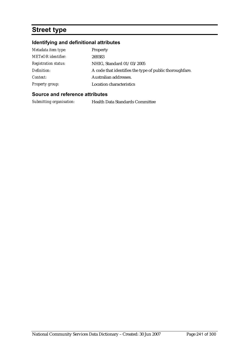# **Street type**

### **Identifying and definitional attributes**

| Metadata item type:         | Property                                                 |
|-----------------------------|----------------------------------------------------------|
| <b>METeOR</b> identifier:   | 269383                                                   |
| <b>Registration status:</b> | NHIG, Standard 01/03/2005                                |
| Definition:                 | A code that identifies the type of public thorough fare. |
| Context:                    | Australian addresses.                                    |
| <b>Property group:</b>      | <b>Location characteristics</b>                          |

### **Source and reference attributes**

*Submitting organisation:* Health Data Standards Committee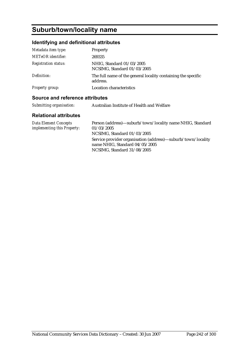# **Suburb/town/locality name**

### **Identifying and definitional attributes**

| Metadata item type:         | Property                                                                  |
|-----------------------------|---------------------------------------------------------------------------|
| METeOR identifier:          | 269335                                                                    |
| <b>Registration status:</b> | NHIG, Standard 01/03/2005<br>NCSIMG, Standard 01/03/2005                  |
| Definition:                 | The full name of the general locality containing the specific<br>address. |
| <b>Property group:</b>      | <b>Location characteristics</b>                                           |

### **Source and reference attributes**

| Submitting organisation: | Australian Institute of Health and Welfare |
|--------------------------|--------------------------------------------|
|--------------------------|--------------------------------------------|

| Data Element Concepts       | Person (address)—suburb/town/locality name NHIG, Standard                                                                       |
|-----------------------------|---------------------------------------------------------------------------------------------------------------------------------|
| implementing this Property: | 01/03/2005                                                                                                                      |
|                             | NCSIMG, Standard 01/03/2005                                                                                                     |
|                             | Service provider organisation (address)—suburb/town/locality<br>name NHIG. Standard $04/05/2005$<br>NCSIMG, Standard 31/08/2005 |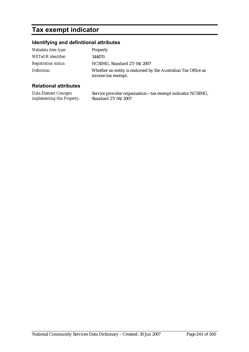# **Tax exempt indicator**

### **Identifying and definitional attributes**

| Metadata item type:         | <b>Property</b>                                                                     |
|-----------------------------|-------------------------------------------------------------------------------------|
| <b>METeOR</b> identifier:   | 344870                                                                              |
| <b>Registration status:</b> | NCSIMG, Standard 27/04/2007                                                         |
| Definition:                 | Whether an entity is endorsed by the Australian Tax Office as<br>income tax exempt. |

### **Relational attributes**

*Data Element Concepts implementing this Property:* Service provider organisation—tax exempt indicator NCSIMG, Standard 27/04/2007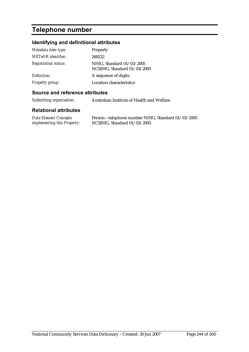# **Telephone number**

### **Identifying and definitional attributes**

| Metadata item type:         | Property                                                 |
|-----------------------------|----------------------------------------------------------|
| METeOR identifier:          | 269232                                                   |
| <b>Registration status:</b> | NHIG, Standard 01/03/2005<br>NCSIMG, Standard 01/03/2005 |
| Definition:                 | A sequence of digits.                                    |
| <b>Property group:</b>      | Location characteristics                                 |

### **Source and reference attributes**

*Submitting organisation:* Australian Institute of Health and Welfare

| <b>Data Element Concepts</b>       | Person—telephone number NHIG, Standard 01/03/2005 |
|------------------------------------|---------------------------------------------------|
| <i>implementing this Property:</i> | NCSIMG, Standard $01/03/2005$                     |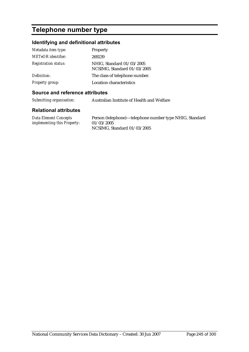# **Telephone number type**

### **Identifying and definitional attributes**

| Metadata item type:         | Property                                                 |
|-----------------------------|----------------------------------------------------------|
| <b>METeOR</b> identifier:   | 269239                                                   |
| <b>Registration status:</b> | NHIG, Standard 01/03/2005<br>NCSIMG, Standard 01/03/2005 |
| Definition:                 | The class of telephone number.                           |
| <b>Property group:</b>      | Location characteristics                                 |

### **Source and reference attributes**

*Submitting organisation:* Australian Institute of Health and Welfare

| Data Element Concepts              | Person (telephone)—telephone number type NHIG, Standard |
|------------------------------------|---------------------------------------------------------|
| <i>implementing this Property:</i> | 01/03/2005                                              |
|                                    | NCSIMG, Standard 01/03/2005                             |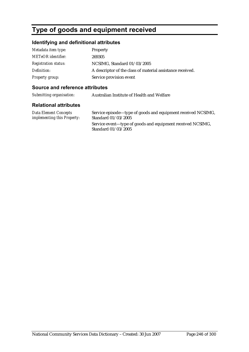# **Type of goods and equipment received**

### **Identifying and definitional attributes**

| Metadata item type:         | Property                                                   |
|-----------------------------|------------------------------------------------------------|
| <b>METeOR</b> identifier:   | 269305                                                     |
| <b>Registration status:</b> | NCSIMG, Standard 01/03/2005                                |
| Definition:                 | A descriptor of the class of material assistance received. |
| <b>Property group:</b>      | Service provision event                                    |

### **Source and reference attributes**

| Submitting organisation: | Australian Institute of Health and Welfare |
|--------------------------|--------------------------------------------|
|                          |                                            |

| Data Element Concepts              | Service episode—type of goods and equipment received NCSIMG,                      |
|------------------------------------|-----------------------------------------------------------------------------------|
| <i>implementing this Property:</i> | Standard 01/03/2005                                                               |
|                                    | Service event-type of goods and equipment received NCSIMG,<br>Standard 01/03/2005 |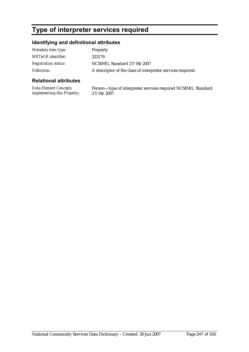# **Type of interpreter services required**

### **Identifying and definitional attributes**

| Metadata item type:         | <b>Property</b>                                             |
|-----------------------------|-------------------------------------------------------------|
| <b>METeOR</b> identifier:   | 323179                                                      |
| <i>Registration status:</i> | NCSIMG, Standard 27/04/2007                                 |
| Definition:                 | A descriptor of the class of interpreter services required. |

### **Relational attributes**

*Data Element Concepts implementing this Property:* Person—type of interpreter services required NCSIMG, Standard 27/04/2007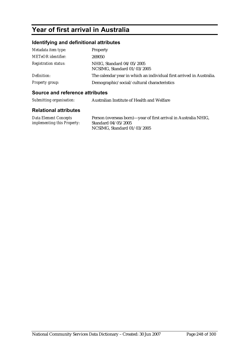# **Year of first arrival in Australia**

### **Identifying and definitional attributes**

| Metadata item type:         | Property                                                             |
|-----------------------------|----------------------------------------------------------------------|
| <b>METeOR</b> identifier:   | 269050                                                               |
| <b>Registration status:</b> | NHIG, Standard 04/05/2005<br>NCSIMG, Standard 01/03/2005             |
| Definition:                 | The calendar year in which an individual first arrived in Australia. |
| Property group:             | Demographic/social/cultural characteristics                          |

### **Source and reference attributes**

| Submitting organisation: | Australian Institute of Health and Welfare |
|--------------------------|--------------------------------------------|
|                          |                                            |

| Data Element Concepts              | Person (overseas born)—year of first arrival in Australia NHIG, |
|------------------------------------|-----------------------------------------------------------------|
| <i>implementing this Property:</i> | Standard 04/05/2005                                             |
|                                    | NCSIMG, Standard 01/03/2005                                     |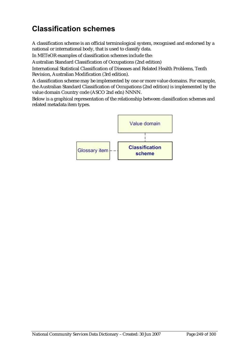# **Classification schemes**

A classification scheme is an official terminological system, recognised and endorsed by a national or international body, that is used to classify data.

In METeOR examples of classification schemes include the:

Australian Standard Classification of Occupations (2nd edition)

International Statistical Classification of Diseases and Related Health Problems, Tenth Revision, Australian Modification (3rd edition).

A classification scheme may be implemented by one or more value domains. For example, the Australian Standard Classification of Occupations (2nd edition) is implemented by the value domain Country code (ASCO 2nd edn) NNNN.

Below is a graphical representation of the relationship between classification schemes and related metadata item types.

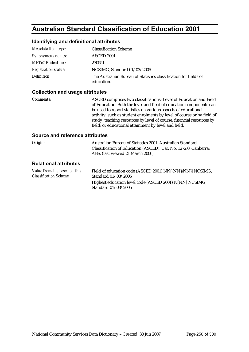## **Australian Standard Classification of Education 2001**

### **Identifying and definitional attributes**

| Metadata item type:         | <b>Classification Scheme</b>                                                   |
|-----------------------------|--------------------------------------------------------------------------------|
| Synonymous names:           | ASCED 2001                                                                     |
| <b>METeOR</b> identifier:   | 270551                                                                         |
| <b>Registration status:</b> | NCSIMG, Standard 01/03/2005                                                    |
| Definition:                 | The Australian Bureau of Statistics classification for fields of<br>education. |

### **Collection and usage attributes**

*Comments:* ASCED comprises two classifications: Level of Education and Field of Education. Both the level and field of education components can be used to report statistics on various aspects of educational activity, such as student enrolments by level of course or by field of study; teaching resources by level of course; financial resources by field; or educational attainment by level and field.

| Origin:                                                      | Australian Bureau of Statistics 2001. Australian Standard<br>Classification of Education (ASCED). Cat. No. 1272.0. Canberra:<br>ABS. (last viewed 21 March 2006) |
|--------------------------------------------------------------|------------------------------------------------------------------------------------------------------------------------------------------------------------------|
| <b>Relational attributes</b>                                 |                                                                                                                                                                  |
| Value Domains based on this<br><b>Classification Scheme:</b> | Field of education code (ASCED 2001) NN[{NN}{NN}] NCSIMG,<br>Standard 01/03/2005                                                                                 |
|                                                              | Highest education level code (ASCED 2001) N[NN] NCSIMG,<br>Standard 01/03/2005                                                                                   |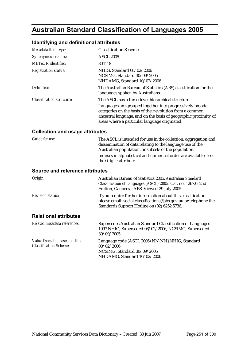# **Australian Standard Classification of Languages 2005**

### **Identifying and definitional attributes**

| Metadata item type:              | <b>Classification Scheme</b>                                                                                                                                                                                                              |
|----------------------------------|-------------------------------------------------------------------------------------------------------------------------------------------------------------------------------------------------------------------------------------------|
| Synonymous names:                | <b>ASCL 2005</b>                                                                                                                                                                                                                          |
| <b>METeOR</b> identifier:        | 304118                                                                                                                                                                                                                                    |
| <b>Registration status:</b>      | NHIG. Standard 08/02/2006<br>NCSIMG, Standard 30/09/2005<br>NHDAMG, Standard 10/02/2006                                                                                                                                                   |
| Definition:                      | The Australian Bureau of Statistics (ABS) classification for the<br>languages spoken by Australians.                                                                                                                                      |
| <b>Classification structure:</b> | The ASCL has a three-level hierarchical structure.                                                                                                                                                                                        |
|                                  | Languages are grouped together into progressively broader<br>categories on the basis of their evolution from a common<br>ancestral language, and on the basis of geographic proximity of<br>areas where a particular language originated. |

### **Collection and usage attributes**

| Guide for use: | The ASCL is intended for use in the collection, aggregation and                                                   |
|----------------|-------------------------------------------------------------------------------------------------------------------|
|                | dissemination of data relating to the language use of the<br>Australian population, or subsets of the population. |
|                | Indexes in alphabetical and numerical order are available, see                                                    |
|                | the <i>Origin:</i> attribute.                                                                                     |

| Origin:                      | Australian Bureau of Statistics 2005. Australian Standard<br>Classification of Languages (ASCL) 2005. Cat. no. 1267.0. 2nd<br>Edition, Canberra: ABS. Viewed 29 July 2005        |
|------------------------------|----------------------------------------------------------------------------------------------------------------------------------------------------------------------------------|
| <b>Revision status:</b>      | If you require further information about this classification<br>please email: social.classifications@abs.gov.au or telephone the<br>Standards Support Hotline on (02) 6252 5736. |
| <b>Relational attributes</b> |                                                                                                                                                                                  |
| Related metadata references: | Supersedes Australian Standard Classification of Languages<br>1997 NHIG, Superseded 08/02/2006, NCSIMG, Superseded<br>30/09/2005                                                 |

| Value Domains based on this   | Language code (ASCL 2005) NN{NN} NHIG, Standard            |
|-------------------------------|------------------------------------------------------------|
| <b>Classification Scheme:</b> | 08/02/2006                                                 |
|                               | NCSIMG. Standard 30/09/2005<br>NHDAMG. Standard 10/02/2006 |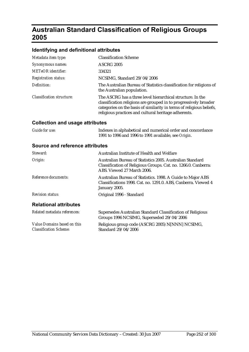# **Australian Standard Classification of Religious Groups 2005**

### **Identifying and definitional attributes**

| Metadata item type:              | <b>Classification Scheme</b>                                                                                                                                                                                                                                   |
|----------------------------------|----------------------------------------------------------------------------------------------------------------------------------------------------------------------------------------------------------------------------------------------------------------|
| Synonymous names:                | <b>ASCRG 2005</b>                                                                                                                                                                                                                                              |
| <b>METeOR</b> identifier:        | 334321                                                                                                                                                                                                                                                         |
| <b>Registration status:</b>      | NCSIMG, Standard 29/04/2006                                                                                                                                                                                                                                    |
| Definition:                      | The Australian Bureau of Statistics classification for religions of<br>the Australian population.                                                                                                                                                              |
| <b>Classification structure:</b> | The ASCRG has a three level hierarchical structure. In the<br>classification religions are grouped in to progressively broader<br>categories on the basis of similarity in terms of religious beliefs,<br>religious practices and cultural heritage adherents. |

### **Collection and usage attributes**

| Guide for use: | Indexes in alphabetical and numerical order and concordance |
|----------------|-------------------------------------------------------------|
|                | 1991 to 1996 and 1996 to 1991 available, see Origin.        |

| Steward:                                                     | Australian Institute of Health and Welfare                                                                                                                |
|--------------------------------------------------------------|-----------------------------------------------------------------------------------------------------------------------------------------------------------|
| Origin:                                                      | Australian Bureau of Statistics 2005. Australian Standard<br>Classification of Religious Groups. Cat. no. 1266.0. Canberra:<br>ABS. Viewed 27 March 2006. |
| Reference documents:                                         | Australian Bureau of Statistics. 1998. A Guide to Major ABS<br>Classifications 1998. Cat. no. 1291.0. ABS, Canberra. Viewed 4<br>January 2005.            |
| <b>Revision status:</b>                                      | Original 1996 - Standard                                                                                                                                  |
| <b>Relational attributes</b>                                 |                                                                                                                                                           |
| Related metadata references:                                 | Supersedes Australian Standard Classification of Religious<br>Groups 1996 NCSIMG, Superseded 29/04/2006                                                   |
| Value Domains based on this<br><b>Classification Scheme:</b> | Religious group code (ASCRG 2005) N[NNN] NCSIMG,<br>Standard 29/04/2006                                                                                   |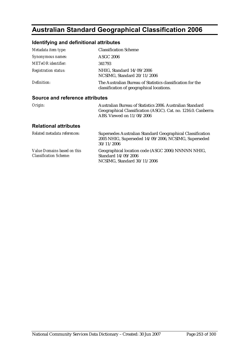# **Australian Standard Geographical Classification 2006**

## **Identifying and definitional attributes**

| Metadata item type:                    | <b>Classification Scheme</b>                                                                            |
|----------------------------------------|---------------------------------------------------------------------------------------------------------|
| Synonymous names:                      | <b>ASGC 2006</b>                                                                                        |
| <b>METeOR</b> identifier:              | 341793                                                                                                  |
| <b>Registration status:</b>            | NHIG, Standard 14/09/2006<br>NCSIMG, Standard 20/11/2006                                                |
| Definition:                            | The Australian Bureau of Statistics classification for the<br>classification of geographical locations. |
| <b>SOUTCA and reference attributes</b> |                                                                                                         |

#### **Source and reference attributes**

| Origin: | Australian Bureau of Statistics 2006. Australian Standard      |
|---------|----------------------------------------------------------------|
|         | Geographical Classification (ASGC). Cat. no. 1216.0. Canberra: |
|         | ABS. Viewed on $11/08/2006$                                    |

| Related metadata references:                                 | Supersedes Australian Standard Geographical Classification<br>2005 NHIG, Superseded 14/09/2006, NCSIMG, Superseded<br>30/11/2006 |
|--------------------------------------------------------------|----------------------------------------------------------------------------------------------------------------------------------|
| Value Domains based on this<br><b>Classification Scheme:</b> | Geographical location code (ASGC 2006) NNNNN NHIG,<br>Standard 14/09/2006<br>NCSIMG, Standard 30/11/2006                         |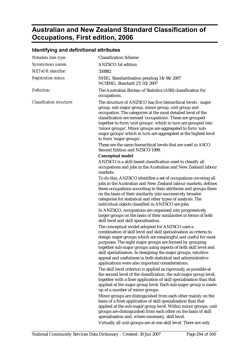# **Australian and New Zealand Standard Classification of Occupations, First edition, 2006**

### **Identifying and definitional attributes**

| Metadata item type:              | <b>Classification Scheme</b>                                                                                                                                                                                                                                                                                                                                                                                                                                                                                                                                                                                                                                                                                               |
|----------------------------------|----------------------------------------------------------------------------------------------------------------------------------------------------------------------------------------------------------------------------------------------------------------------------------------------------------------------------------------------------------------------------------------------------------------------------------------------------------------------------------------------------------------------------------------------------------------------------------------------------------------------------------------------------------------------------------------------------------------------------|
| Synonymous names:                | <b>ANZSCO</b> 1st edition                                                                                                                                                                                                                                                                                                                                                                                                                                                                                                                                                                                                                                                                                                  |
| <b>METeOR</b> identifier:        | 350882                                                                                                                                                                                                                                                                                                                                                                                                                                                                                                                                                                                                                                                                                                                     |
| <b>Registration status:</b>      | NHIG, Standardisation pending 14/06/2007<br>NCSIMG, Standard 27/03/2007                                                                                                                                                                                                                                                                                                                                                                                                                                                                                                                                                                                                                                                    |
| Definition:                      | The Australian Bureau of Statistics (ABS) classification for<br>occupations.                                                                                                                                                                                                                                                                                                                                                                                                                                                                                                                                                                                                                                               |
| <b>Classification structure:</b> | The structure of ANZSCO has five hierarchical levels - major<br>group, sub-major group, minor group, unit group and<br>occupation. The categories at the most detailed level of the<br>classification are termed 'occupations'. These are grouped<br>together to form 'unit groups', which in turn are grouped into<br>'minor groups'. Minor groups are aggregated to form 'sub-<br>major groups' which in turn are aggregated at the highest level<br>to form 'major groups'.<br>These are the same hierarchical levels that are used in ASCO                                                                                                                                                                             |
|                                  | Second Edition and NZSCO 1999.                                                                                                                                                                                                                                                                                                                                                                                                                                                                                                                                                                                                                                                                                             |
|                                  | <b>Conceptual model</b>                                                                                                                                                                                                                                                                                                                                                                                                                                                                                                                                                                                                                                                                                                    |
|                                  | ANZSCO is a skill-based classification used to classify all<br>occupations and jobs in the Australian and New Zealand labour<br>markets.                                                                                                                                                                                                                                                                                                                                                                                                                                                                                                                                                                                   |
|                                  | To do this, ANZSCO identifies a set of occupations covering all<br>jobs in the Australian and New Zealand labour markets, defines<br>these occupations according to their attributes and groups them<br>on the basis of their similarity into successively broader<br>categories for statistical and other types of analysis. The<br>individual objects classified in ANZSCO are jobs.                                                                                                                                                                                                                                                                                                                                     |
|                                  | In ANZSCO, occupations are organised into progressively<br>larger groups on the basis of their similarities in terms of both<br>skill level and skill specialisation.                                                                                                                                                                                                                                                                                                                                                                                                                                                                                                                                                      |
|                                  | The conceptual model adopted for ANZSCO uses a<br>combination of skill level and skill specialisation as criteria to<br>design major groups which are meaningful and useful for most<br>purposes. The eight major groups are formed by grouping<br>together sub-major groups using aspects of both skill level and<br>skill specialisation. In designing the major groups, intuitive<br>appeal and usefulness in both statistical and administrative<br>applications were also important considerations.<br>The skill level criterion is applied as rigorously as possible at<br>the second level of the classification, the sub-major group level,<br>together with a finer application of skill specialisation than that |
|                                  | applied at the major group level. Each sub-major group is made<br>up of a number of minor groups.<br>Minor groups are distinguished from each other mainly on the<br>basis of a finer application of skill specialisation than that<br>applied at the sub-major group level. Within minor groups, unit<br>groups are distinguished from each other on the basis of skill<br>specialisation and, where necessary, skill level.                                                                                                                                                                                                                                                                                              |
|                                  |                                                                                                                                                                                                                                                                                                                                                                                                                                                                                                                                                                                                                                                                                                                            |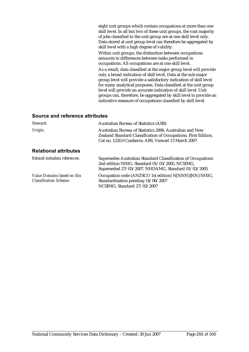eight unit groups which contain occupations at more than one skill level. In all but two of these unit groups, the vast majority of jobs classified to the unit group are at one skill level only. Data stored at unit group level can therefore be aggregated by skill level with a high degree of validity.

Within unit groups, the distinction between occupations amounts to differences between tasks performed in occupations. All occupations are at one skill level.

As a result, data classified at the major group level will provide only a broad indication of skill level. Data at the sub-major group level will provide a satisfactory indication of skill level for many analytical purposes. Data classified at the unit group level will provide an accurate indication of skill level. Unit groups can, therefore, be aggregated by skill level to provide an indicative measure of occupations classified by skill level.

| Steward:                                                     | <b>Australian Bureau of Statistics (ABS)</b>                                                                                                                                      |
|--------------------------------------------------------------|-----------------------------------------------------------------------------------------------------------------------------------------------------------------------------------|
| Origin:                                                      | Australian Bureau of Statistics 2006. Australian and New<br>Zealand Standard Classification of Occupations, First Edition,<br>Cat no. 1220.0 Canberra: ABS. Viewed 13 March 2007. |
| <b>Relational attributes</b>                                 |                                                                                                                                                                                   |
| Related metadata references:                                 | Supersedes Australian Standard Classification of Occupations<br>2nd edition NHIG, Standard 01/03/2005, NCSIMG,<br>Superseded 27/03/2007, NHDAMG, Standard 01/03/2005              |
| Value Domains based on this<br><b>Classification Scheme:</b> | Occupation code (ANZSCO 1st edition) N[NNN]{NN} NHIG,<br>Standardisation pending 14/06/2007<br>NCSIMG, Standard 27/03/2007                                                        |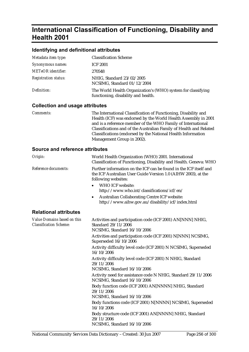## **International Classification of Functioning, Disability and Health 2001**

#### **Identifying and definitional attributes**

| Metadata item type:         | <b>Classification Scheme</b>                                                                        |
|-----------------------------|-----------------------------------------------------------------------------------------------------|
| Synonymous names:           | <b>ICF 2001</b>                                                                                     |
| <b>METeOR</b> identifier:   | 270548                                                                                              |
| <b>Registration status:</b> | NHIG, Standard 23/02/2005<br>NCSIMG, Standard 01/12/2004                                            |
| Definition:                 | The World Health Organization's (WHO) system for classifying<br>functioning, disability and health. |

#### **Collection and usage attributes**

*Comments:* The International Classification of Functioning, Disability and Health (ICF) was endorsed by the World Health Assembly in 2001 and is a reference member of the WHO Family of International Classifications and of the Australian Family of Health and Related Classifications (endorsed by the National Health Information Management Group in 2002).

| Origin:                                                      | World Health Organization (WHO) 2001. International<br>Classification of Functioning, Disability and Health. Geneva: WHO                                                                                                                                                                                                                                  |
|--------------------------------------------------------------|-----------------------------------------------------------------------------------------------------------------------------------------------------------------------------------------------------------------------------------------------------------------------------------------------------------------------------------------------------------|
| Reference documents:                                         | Further information on the ICF can be found in the ICF itself and<br>the ICF Australian User Guide Version 1.0 (AIHW 2003), at the<br>following websites:<br>WHO ICF website:<br>$\bullet$<br>http://www.who.int/classifications/icf/en/<br>Australian Collaborating Centre ICF website:<br>$\bullet$<br>http://www.aihw.gov.au/disability/icf/index.html |
| <b>Relational attributes</b>                                 |                                                                                                                                                                                                                                                                                                                                                           |
| Value Domains based on this<br><b>Classification Scheme:</b> | Activities and participation code (ICF 2001) AN[NNN] NHIG,<br>Standard 29/11/2006<br>NCSIMG, Standard 16/10/2006<br>Activities and participation code (ICF 2001) N[NNN] NCSIMG,<br>Superseded 16/10/2006                                                                                                                                                  |
|                                                              | Activity difficulty level code (ICF 2001) N NCSIMG, Superseded<br>16/10/2006                                                                                                                                                                                                                                                                              |
|                                                              | Activity difficulty level code (ICF 2001) N NHIG, Standard<br>29/11/2006<br>NCSIMG, Standard 16/10/2006                                                                                                                                                                                                                                                   |
|                                                              | Activity need for assistance code N NHIG, Standard 29/11/2006<br>NCSIMG, Standard 16/10/2006                                                                                                                                                                                                                                                              |
|                                                              | Body function code (ICF 2001) AN[NNNN] NHIG, Standard<br>29/11/2006<br>NCSIMG, Standard 16/10/2006                                                                                                                                                                                                                                                        |
|                                                              | Body functions code (ICF 2001) N[NNNN] NCSIMG, Superseded<br>16/10/2006                                                                                                                                                                                                                                                                                   |
|                                                              | Body structure code (ICF 2001) AN[NNNN] NHIG, Standard<br>29/11/2006<br>NCSIMG, Standard 16/10/2006                                                                                                                                                                                                                                                       |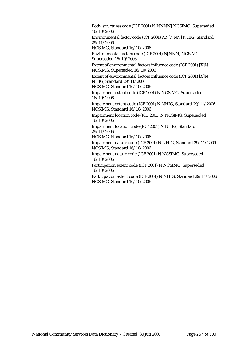Body structures code (ICF 2001) N[NNNN] NCSIMG, Superseded 16/10/2006

Environmental factor code (ICF 2001) AN[NNN] NHIG, Standard 29/11/2006

NCSIMG, Standard 16/10/2006

Environmental factors code (ICF 2001) N[NNN] NCSIMG, Superseded 16/10/2006

Extent of environmental factors influence code (ICF 2001) [X]N NCSIMG, Superseded 16/10/2006

Extent of environmental factors influence code (ICF 2001) [X]N NHIG, Standard 29/11/2006

NCSIMG, Standard 16/10/2006

Impairment extent code (ICF 2001) N NCSIMG, Superseded 16/10/2006

Impairment extent code (ICF 2001) N NHIG, Standard 29/11/2006 NCSIMG, Standard 16/10/2006

Impairment location code (ICF 2001) N NCSIMG, Superseded 16/10/2006

Impairment location code (ICF 2001) N NHIG, Standard 29/11/2006

NCSIMG, Standard 16/10/2006

Impairment nature code (ICF 2001) N NHIG, Standard 29/11/2006 NCSIMG, Standard 16/10/2006

Impairment nature code (ICF 2001) N NCSIMG, Superseded 16/10/2006

Participation extent code (ICF 2001) N NCSIMG, Superseded 16/10/2006

Participation extent code (ICF 2001) N NHIG, Standard 29/11/2006 NCSIMG, Standard 16/10/2006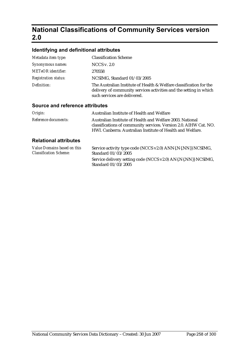# **National Classifications of Community Services version 2.0**

## **Identifying and definitional attributes**

| Synonymous names:                   |                                                                                                                                                                           |
|-------------------------------------|---------------------------------------------------------------------------------------------------------------------------------------------------------------------------|
|                                     | NCCS v. $2.0$                                                                                                                                                             |
| <b>METeOR</b> identifier:<br>270558 |                                                                                                                                                                           |
| <b>Registration status:</b>         | NCSIMG, Standard 01/03/2005                                                                                                                                               |
| Definition:                         | The Australian Institute of Health & Welfare classification for the<br>delivery of community services activities and the setting in which<br>such services are delivered. |

#### **Source and reference attributes**

| Origin:              | Australian Institute of Health and Welfare                                                                                                                                                   |
|----------------------|----------------------------------------------------------------------------------------------------------------------------------------------------------------------------------------------|
| Reference documents: | Australian Institute of Health and Welfare 2003. National<br>classifications of community services. Version 2.0. AIHW Cat. NO.<br>HWI. Canberra: Australian Institute of Health and Welfare. |
|                      |                                                                                                                                                                                              |

| Value Domains based on this   | Service activity type code (NCCS v2.0) ANN{.N{.NN}} NCSIMG,                          |
|-------------------------------|--------------------------------------------------------------------------------------|
| <b>Classification Scheme:</b> | Standard 01/03/2005                                                                  |
|                               | Service delivery setting code (NCCS v2.0) AN{.N{.NN}} NCSIMG,<br>Standard 01/03/2005 |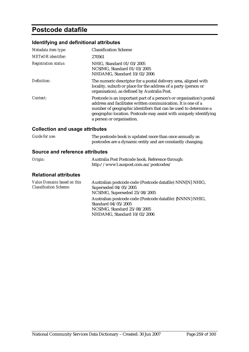## **Postcode datafile**

## **Identifying and definitional attributes**

| Metadata item type:         | <b>Classification Scheme</b>                                                                                                                                                                                                                                                                                 |
|-----------------------------|--------------------------------------------------------------------------------------------------------------------------------------------------------------------------------------------------------------------------------------------------------------------------------------------------------------|
| <b>METeOR</b> identifier:   | 270561                                                                                                                                                                                                                                                                                                       |
| <b>Registration status:</b> | NHIG, Standard 01/03/2005<br>NCSIMG, Standard 01/03/2005<br>NHDAMG, Standard 10/02/2006                                                                                                                                                                                                                      |
| Definition:                 | The numeric descriptor for a postal delivery area, aligned with<br>locality, suburb or place for the address of a party (person or<br>organisation), as defined by Australia Post.                                                                                                                           |
| Context:                    | Postcode is an important part of a person's or organisation's postal<br>address and facilitates written communication. It is one of a<br>number of geographic identifiers that can be used to determine a<br>geographic location. Postcode may assist with uniquely identifying<br>a person or organisation. |

## **Collection and usage attributes**

| <b>Guide for use:</b> | The postcode book is updated more than once annually as     |
|-----------------------|-------------------------------------------------------------|
|                       | postcodes are a dynamic entity and are constantly changing. |

#### **Source and reference attributes**

| Origin: | Australia Post Postcode book. Reference through: |
|---------|--------------------------------------------------|
|         | http://www1.auspost.com.au/postcodes/            |

| Australian postcode code (Postcode datafile) NNN[N] NHIG, |
|-----------------------------------------------------------|
| Superseded 04/05/2005                                     |
| NCSIMG, Superseded 25/08/2005                             |
| Australian postcode code (Postcode datafile) {NNNN} NHIG, |
| Standard 04/05/2005                                       |
| NCSIMG, Standard 25/08/2005                               |
| NHDAMG, Standard 10/02/2006                               |
|                                                           |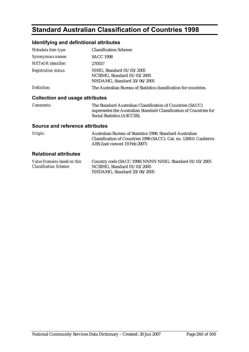# **Standard Australian Classification of Countries 1998**

## **Identifying and definitional attributes**

| Metadata item type:                    | <b>Classification Scheme</b>                                                                                                                                    |
|----------------------------------------|-----------------------------------------------------------------------------------------------------------------------------------------------------------------|
| Synonymous names:                      | <b>SACC 1998</b>                                                                                                                                                |
| METeOR identifier:                     | 270557                                                                                                                                                          |
| <b>Registration status:</b>            | NHIG, Standard 01/03/2005<br>NCSIMG, Standard 01/03/2005<br>NHDAMG, Standard 20/06/2005                                                                         |
| Definition:                            | The Australian Bureau of Statistics classification for countries.                                                                                               |
| <b>Collection and usage attributes</b> |                                                                                                                                                                 |
| <i>Comments:</i>                       | The Standard Australian Classification of Countries (SACC)<br>supersedes the Australian Standard Classification of Countries for<br>Social Statistics (ASCCSS). |
| <b>Source and reference attributes</b> |                                                                                                                                                                 |

| Origin: | Australian Bureau of Statistics 1998. Standard Australian           |
|---------|---------------------------------------------------------------------|
|         | Classification of Countries 1998 (SACC). Cat. no. 1269.0. Canberra: |
|         | ABS (last viewed 19 Feb 2007)                                       |

| Value Domains based on this   | Country code (SACC 1998) NNNN NHIG, Standard 01/03/2005 |
|-------------------------------|---------------------------------------------------------|
| <b>Classification Scheme:</b> | NCSIMG. Standard $01/03/2005$                           |
|                               | NHDAMG. Standard 20/06/2005                             |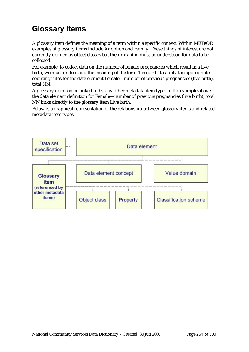# **Glossary items**

A glossary item defines the meaning of a term within a specific context. Within METeOR examples of glossary items include Adoption and Family. These things of interest are not currently defined as object classes but their meaning must be understood for data to be collected.

For example, to collect data on the number of female pregnancies which result in a live birth, we must understand the meaning of the term 'live birth' to apply the appropriate counting rules for the data element Female—number of previous pregnancies (live birth), total NN.

A glossary item can be linked to by any other metadata item type. In the example above, the data element definition for Female—number of previous pregnancies (live birth), total NN links directly to the glossary item Live birth.

Below is a graphical representation of the relationship between glossary items and related metadata item types.

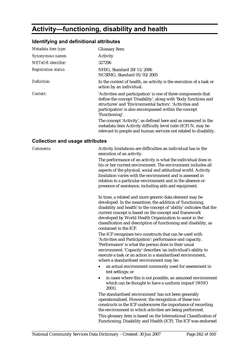# **Activity—functioning, disability and health**

## **Identifying and definitional attributes**

| Metadata item type:         | <b>Glossary Item</b>                                                                                                                                                                                                                                                                                                                                                                                       |
|-----------------------------|------------------------------------------------------------------------------------------------------------------------------------------------------------------------------------------------------------------------------------------------------------------------------------------------------------------------------------------------------------------------------------------------------------|
| Synonymous names:           | Activity                                                                                                                                                                                                                                                                                                                                                                                                   |
| <b>METeOR</b> identifier:   | 327296                                                                                                                                                                                                                                                                                                                                                                                                     |
| <b>Registration status:</b> | NHIG, Standard 29/11/2006<br>NCSIMG, Standard 01/03/2005                                                                                                                                                                                                                                                                                                                                                   |
| Definition:                 | In the context of health, an activity is the execution of a task or<br>action by an individual.                                                                                                                                                                                                                                                                                                            |
| Context:                    | 'Activities and participation' is one of three components that<br>define the concept 'Disability', along with 'Body functions and<br>structures' and 'Environmental factors'. 'Activities and<br>participation' is also encompassed within the concept<br>'Functioning'.<br>The concept 'Activity', as defined here and as measured in the<br>metadata item Activity difficulty level code (ICF) N, may be |
|                             | relevant to people and human services not related to disability.                                                                                                                                                                                                                                                                                                                                           |

### **Collection and usage attributes**

| Comments: | Activity limitations are difficulties an individual has in the<br>execution of an activity.                                                                                                                                                                                                                                                                                                                    |
|-----------|----------------------------------------------------------------------------------------------------------------------------------------------------------------------------------------------------------------------------------------------------------------------------------------------------------------------------------------------------------------------------------------------------------------|
|           | The performance of an activity is what the individual does in<br>his or her current environment. The environment includes all<br>aspects of the physical, social and attitudinal world. Activity<br>limitation varies with the environment and is assessed in<br>relation to a particular environment and in the absence or<br>presence of assistance, including aids and equipment.                           |
|           | In time, a related and more generic data element may be<br>developed. In the meantime, the addition of 'functioning,<br>disability and health' to the concept of 'ability' indicates that the<br>current concept is based on the concept and framework<br>developed by World Health Organization to assist in the<br>classification and description of functioning and disability, as<br>contained in the ICF. |
|           | The ICF recognises two constructs that can be used with<br>'Activities and Participation': performance and capacity.<br>'Performance' is what the person does in their usual<br>environment. 'Capacity' describes 'an individual's ability to<br>execute a task or an action in a standardised environment,<br>where a standardised environment may be:                                                        |
|           | an actual environment commonly used for assessment in<br>test settings; or                                                                                                                                                                                                                                                                                                                                     |
|           | in cases where this is not possible, an assumed environment<br>$\bullet$<br>which can be thought to have a uniform impact' (WHO<br>2001).                                                                                                                                                                                                                                                                      |
|           | The standardised environment' has not been generally<br>operationalised. However, the recognition of these two<br>constructs in the ICF underscores the importance of recording<br>the environment in which activities are being performed.                                                                                                                                                                    |
|           | This glossary item is based on the International Classification of<br>Functioning, Disability and Health (ICF). The ICF was endorsed                                                                                                                                                                                                                                                                           |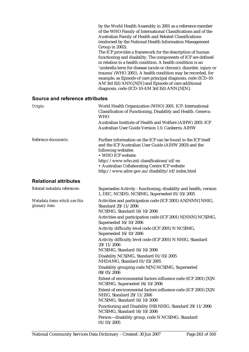|                                        | by the World Health Assembly in 2001 as a reference member<br>of the WHO Family of International Classifications and of the<br>Australian Family of Health and Related Classifications<br>(endorsed by the National Health Information Management |
|----------------------------------------|---------------------------------------------------------------------------------------------------------------------------------------------------------------------------------------------------------------------------------------------------|
|                                        | Group in 2002).                                                                                                                                                                                                                                   |
|                                        | The ICF provides a framework for the description of human                                                                                                                                                                                         |
|                                        | functioning and disability. The components of ICF are defined                                                                                                                                                                                     |
|                                        | in relation to a health condition. A health condition is an                                                                                                                                                                                       |
|                                        | 'umbrella term for disease (acute or chronic), disorder, injury or<br>trauma' (WHO 2001). A health condition may be recorded, for                                                                                                                 |
|                                        | example, as Episode of care principal diagnosis, code (ICD-10-                                                                                                                                                                                    |
|                                        | AM 3rd Ed) ANN{.N[N} and Episode of care additional                                                                                                                                                                                               |
|                                        | diagnosis, code (ICD-10-AM 3rd Ed) ANN{.N[N].                                                                                                                                                                                                     |
| <b>Source and reference attributes</b> |                                                                                                                                                                                                                                                   |

### *Origin:* World Health Organization (WHO) 2001. ICF: International Classification of Functioning, Disability and Health. Geneva: WHO Australian Institute of Health and Welfare (AIHW) 2003. ICF Australian User Guide Version 1.0. Canberra: AIHW *Reference documents:* Further information on the ICF can be found in the ICF itself and the ICF Australian User Guide (AIHW 2003) and the following websites • WHO ICF website http://www.who.int/classifications/icf/en • Australian Collaborating Centre ICF website http://www.aihw.gov.au/disability/icf/index.html *Related metadata references:* Supersedes Activity - functioning, disability and health, version 1, DEC, NCSDD, NCSIMG, Superseded 01/03/2005 *Metadata items which use this glossary item:* Standard 29/11/2006 NCSIMG, Standard 16/10/2006

**Relational attributes** 

Activities and participation code (ICF 2001) AN[NNN] NHIG, Activities and participation code (ICF 2001) N[NNN] NCSIMG, Superseded 16/10/2006 Activity difficulty level code (ICF 2001) N NCSIMG, Superseded 16/10/2006 Activity difficulty level code (ICF 2001) N NHIG, Standard 29/11/2006 NCSIMG, Standard 16/10/2006 Disability NCSIMG, Standard 01/03/2005 NHDAMG, Standard 01/03/2005 Disability grouping code N[N] NCSIMG, Superseded 08/05/2006 Extent of environmental factors influence code (ICF 2001) [X]N NCSIMG, Superseded 16/10/2006 Extent of environmental factors influence code (ICF 2001) [X]N NHIG, Standard 29/11/2006 NCSIMG, Standard 16/10/2006 Functioning and Disability DSS NHIG, Standard 29/11/2006 NCSIMG, Standard 16/10/2006 Person—disability group, code N NCSIMG, Standard 01/03/2005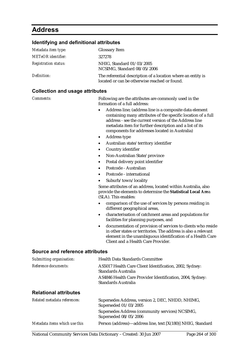# **Address**

## **Identifying and definitional attributes**

| Metadata item type:         | <b>Glossary Item</b>                                                                                          |
|-----------------------------|---------------------------------------------------------------------------------------------------------------|
| <b>METeOR</b> identifier:   | 327278                                                                                                        |
| <b>Registration status:</b> | NHIG, Standard 01/03/2005<br>NCSIMG, Standard 08/05/2006                                                      |
| Definition:                 | The referential description of a location where an entity is<br>located or can be otherwise reached or found. |

## **Collection and usage attributes**

| Comments:                       | Following are the attributes are commonly used in the<br>formation of a full address:                                                                                                                                                                                                                       |
|---------------------------------|-------------------------------------------------------------------------------------------------------------------------------------------------------------------------------------------------------------------------------------------------------------------------------------------------------------|
|                                 | Address line; (address line is a composite data element<br>$\bullet$<br>containing many attributes of the specific location of a full<br>address - see the current version of the Address line<br>metadata item for further description and a list of its<br>components for addresses located in Australia) |
|                                 | Address type<br>$\bullet$                                                                                                                                                                                                                                                                                   |
|                                 | Australian state/territory identifier<br>$\bullet$                                                                                                                                                                                                                                                          |
|                                 | Country identifier<br>$\bullet$                                                                                                                                                                                                                                                                             |
|                                 | Non-Australian State/province<br>$\bullet$                                                                                                                                                                                                                                                                  |
|                                 | Postal delivery point identifier<br>$\bullet$                                                                                                                                                                                                                                                               |
|                                 | Postcode - Australian<br>$\bullet$                                                                                                                                                                                                                                                                          |
|                                 | Postcode - international<br>$\bullet$                                                                                                                                                                                                                                                                       |
|                                 | Suburb/town/locality<br>$\bullet$                                                                                                                                                                                                                                                                           |
|                                 | Some attributes of an address, located within Australia, also<br>provide the elements to determine the Statistical Local Area<br>(SLA). This enables:                                                                                                                                                       |
|                                 | comparison of the use of services by persons residing in<br>$\bullet$<br>different geographical areas,                                                                                                                                                                                                      |
|                                 | characterisation of catchment areas and populations for<br>$\bullet$<br>facilities for planning purposes, and                                                                                                                                                                                               |
|                                 | documentation of provision of services to clients who reside<br>$\bullet$<br>in other states or territories. The address is also a relevant<br>element in the unambiguous identification of a Health Care<br>Client and a Health Care Provider.                                                             |
| Source and reference attributes |                                                                                                                                                                                                                                                                                                             |
| Submitting organisation:        | <b>Health Data Standards Committee</b>                                                                                                                                                                                                                                                                      |
| Reference documents:            | AS5017 Health Care Client Identification, 2002, Sydney:<br>Standards Australia                                                                                                                                                                                                                              |
|                                 | AS4846 Health Care Provider Identification, 2004, Sydney:<br><b>Standards Australia</b>                                                                                                                                                                                                                     |
| <b>Relational attributes</b>    |                                                                                                                                                                                                                                                                                                             |

| Related metadata references:  | Supersedes Address, version 2, DEC, NHDD, NHIMG,<br>Superseded 01/03/2005 |
|-------------------------------|---------------------------------------------------------------------------|
|                               | Supersedes Address (community services) NCSIMG,<br>Superseded 08/05/2006  |
| Metadata items which use this | Person (address)—address line, text [X(180)] NHIG, Standard               |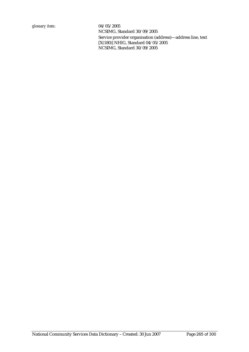NCSIMG, Standard 30/09/2005 Service provider organisation (address)—address line, text [X(180)] NHIG, Standard 04/05/2005 NCSIMG, Standard 30/09/2005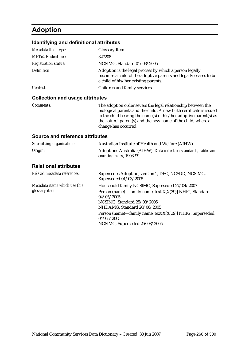# **Adoption**

#### **Identifying and definitional attributes**

| Metadata item type:         | <b>Glossary Item</b>                                                                                                                                                |
|-----------------------------|---------------------------------------------------------------------------------------------------------------------------------------------------------------------|
| <b>METeOR</b> identifier:   | 327208                                                                                                                                                              |
| <b>Registration status:</b> | NCSIMG, Standard 01/03/2005                                                                                                                                         |
| Definition:                 | Adoption is the legal process by which a person legally<br>becomes a child of the adoptive parents and legally ceases to be<br>a child of his/her existing parents. |
| Context:                    | Children and family services.                                                                                                                                       |
|                             |                                                                                                                                                                     |

#### **Collection and usage attributes**

*Comments:* The adoption order severs the legal relationship between the biological parents and the child. A new birth certificate is issued to the child bearing the name(s) of his/her adoptive parent(s) as the natural parent(s) and the new name of the child, where a change has occurred.

| Submitting organisation:                                | Australian Institute of Health and Welfare (AIHW)                                                                                                                                     |
|---------------------------------------------------------|---------------------------------------------------------------------------------------------------------------------------------------------------------------------------------------|
| Origin:                                                 | Adoptions Australia (AIHW). Data collection standards, tables and<br>counting rules, 1998-99.                                                                                         |
| <b>Relational attributes</b>                            |                                                                                                                                                                                       |
| Related metadata references:                            | Supersedes Adoption, version 2, DEC, NCSDD, NCSIMG,<br>Superseded 01/03/2005                                                                                                          |
| Metadata items which use this<br>glossary <i>item</i> : | Household family NCSIMG, Superseded 27/04/2007<br>Person (name)—family name, text X[X(39)] NHIG, Standard<br>04/05/2005<br>NCSIMG. Standard 25/08/2005<br>NHDAMG, Standard 20/06/2005 |
|                                                         | Person (name)—family name, text X[X(39)] NHIG, Superseded<br>04/05/2005<br>NCSIMG, Superseded 25/08/2005                                                                              |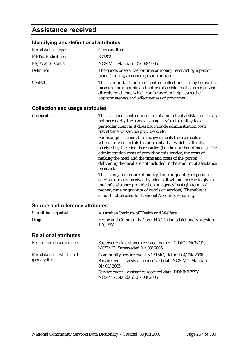## **Assistance received**

#### **Identifying and definitional attributes**

| Metadata item type:         | <b>Glossary Item</b>                                                                                                                                                                                                                                 |
|-----------------------------|------------------------------------------------------------------------------------------------------------------------------------------------------------------------------------------------------------------------------------------------------|
| <b>METeOR</b> identifier:   | 327202                                                                                                                                                                                                                                               |
| <b>Registration status:</b> | NCSIMG, Standard 01/03/2005                                                                                                                                                                                                                          |
| Definition:                 | The goods or services, or time or money received by a person<br>(client) during a service episode or event.                                                                                                                                          |
| Context:                    | This is important for client centred collections. It may be used to<br>measure the amounts and nature of assistance that are received<br>directly by clients, which can be used to help assess the<br>appropriateness and effectiveness of programs. |

#### **Collection and usage attributes**

*Comments:* This is a client centred measure of amounts of assistance. This is not necessarily the same as an agency's total outlay to a particular client as it does not include administration costs, travel time for service providers, etc.

For example, a client that receives meals from a meals on wheels service. In this instance only that which is directly received by the client is recorded (i.e. the number of meals). The administration costs of providing this service, the costs of making the meal and the time and costs of the person delivering the meal are not included in the amount of assistance received.

This is only a measure of money, time or quantity of goods or services directly received by clients. It will not accrue to give a total of assistance provided on an agency basis (in terms of money, time or quantity of goods or services). Therefore it should not be used for National Accounts reporting.

#### **Source and reference attributes**

| Submitting organisation:                        | Australian Institute of Health and Welfare                                                                                  |
|-------------------------------------------------|-----------------------------------------------------------------------------------------------------------------------------|
| Origin:                                         | Home and Community Care (HACC) Data Dictionary Version<br>1.0.1998.                                                         |
| <b>Relational attributes</b>                    |                                                                                                                             |
| Related metadata references:                    | Supersedes Assistance received, version 1, DEC, NCSDD,<br>NCSIMG, Superseded 01/03/2005                                     |
| Metadata items which use this<br>glossary item: | Community service event NCSIMG, Retired 04/04/2006<br>Service event-assistance received date NCSIMG, Standard<br>01/03/2005 |
|                                                 |                                                                                                                             |

Service event—assistance received date, DDMMYYYY NCSIMG, Standard 01/03/2005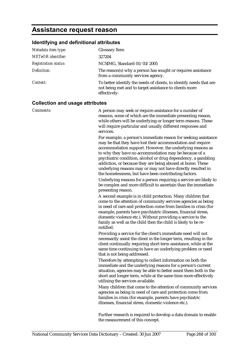## **Assistance request reason**

## **Identifying and definitional attributes**

| Metadata item type:         | <b>Glossary Item</b>                                                                                                                          |
|-----------------------------|-----------------------------------------------------------------------------------------------------------------------------------------------|
| <b>METeOR</b> identifier:   | 327204                                                                                                                                        |
| <b>Registration status:</b> | NCSIMG, Standard 01/03/2005                                                                                                                   |
| Definition:                 | The reason(s) why a person has sought or requires assistance<br>from a community services agency.                                             |
| Context:                    | To better identify the needs of clients, to identify needs that are<br>not being met and to target assistance to clients more<br>effectively: |

### **Collection and usage attributes**

| Collection and usage attributes |                                                                                                                                                                                                                                                                                                                                                                                                                                                                                                            |  |
|---------------------------------|------------------------------------------------------------------------------------------------------------------------------------------------------------------------------------------------------------------------------------------------------------------------------------------------------------------------------------------------------------------------------------------------------------------------------------------------------------------------------------------------------------|--|
| Comments:                       | A person may seek or require assistance for a number of<br>reasons, some of which are the immediate presenting reason,<br>while others will be underlying or longer term reasons. These<br>will require particular and usually different responses and<br>services.                                                                                                                                                                                                                                        |  |
|                                 | For example, a person's immediate reason for seeking assistance<br>may be that they have lost their accommodation and require<br>accommodation support. However, the underlying reasons as<br>to why they have no accommodation may be because of a<br>psychiatric condition, alcohol or drug dependency, a gambling<br>addiction, or because they are being abused at home. These<br>underlying reasons may or may not have directly resulted in<br>the homelessness, but have been contributing factors. |  |
|                                 | Underlying reasons for a person requiring a service are likely to<br>be complex and more difficult to ascertain than the immediate<br>presenting reason.                                                                                                                                                                                                                                                                                                                                                   |  |
|                                 | A second example is in child protection. Many children that<br>come to the attention of community services agencies as being<br>in need of care and protection come from families in crisis (for<br>example, parents have psychiatric illnesses, financial stress,<br>domestic violence etc.). Without providing a service to the<br>family as well as the child then the child is likely to be re-<br>notified.                                                                                           |  |
|                                 | Providing a service for the client's immediate need will not<br>necessarily assist the client in the longer term, resulting in the<br>client continually requiring short term assistance, while at the<br>same time continuing to have an underlying problem or need<br>that is not being addressed.                                                                                                                                                                                                       |  |
|                                 | Therefore by attempting to collect information on both the<br>immediate and the underlying reasons for a person's current<br>situation, agencies may be able to better assist them both in the<br>short and longer term, while at the same time more effectively<br>utilising the services available.                                                                                                                                                                                                      |  |
|                                 | Many children that come to the attention of community services<br>agencies as being in need of care and protection come from<br>families in crisis (for example, parents have psychiatric<br>illnesses, financial stress, domestic violence etc.).                                                                                                                                                                                                                                                         |  |
|                                 | Further research is required to develop a data domain to enable                                                                                                                                                                                                                                                                                                                                                                                                                                            |  |

the measurement of this concept.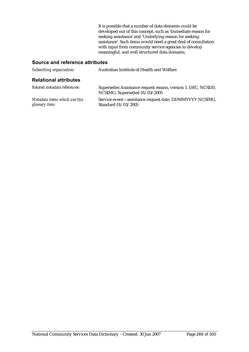It is possible that a number of data elements could be developed out of this concept, such as 'Immediate reason for seeking assistance' and 'Underlying reason for seeking assistance'. Such items would need a great deal of consultation with input from community service agencies to develop meaningful, and well structured data domains.

| Submitting organisation:                        | Australian Institute of Health and Welfare                                                    |
|-------------------------------------------------|-----------------------------------------------------------------------------------------------|
| <b>Relational attributes</b>                    |                                                                                               |
| Related metadata references:                    | Supersedes Assistance request reason, version 1, DEC, NCSDD,<br>NCSIMG, Superseded 01/03/2005 |
| Metadata items which use this<br>glossary item: | Service event—assistance request date, DDMMYYYY NCSIMG,<br>Standard 01/03/2005                |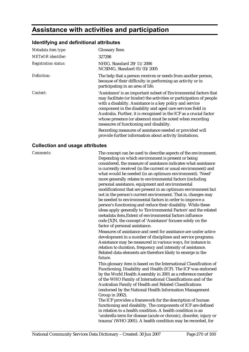## **Assistance with activities and participation**

#### **Identifying and definitional attributes**

| Metadata item type:         | <b>Glossary Item</b>                                                                                                                                                                                                                                                                                                                                                                                                                                |
|-----------------------------|-----------------------------------------------------------------------------------------------------------------------------------------------------------------------------------------------------------------------------------------------------------------------------------------------------------------------------------------------------------------------------------------------------------------------------------------------------|
| <b>METeOR</b> identifier:   | 327298                                                                                                                                                                                                                                                                                                                                                                                                                                              |
| <b>Registration status:</b> | NHIG, Standard 29/11/2006<br>NCSIMG, Standard 01/03/2005                                                                                                                                                                                                                                                                                                                                                                                            |
| Definition:                 | The help that a person receives or needs from another person,<br>because of their difficulty in performing an activity or in<br>participating in an area of life.                                                                                                                                                                                                                                                                                   |
| Context:                    | 'Assistance' is an important subset of Environmental factors that<br>may facilitate (or hinder) the activities or participation of people<br>with a disability. Assistance is a key policy and service<br>component in the disability and aged care services field in<br>Australia. Further, it is recognised in the ICF as a crucial factor<br>whose presence (or absence) must be noted when recording<br>measures of functioning and disability. |
|                             | Recording measures of assistance needed or provided will<br>provide further information about activity limitations.                                                                                                                                                                                                                                                                                                                                 |

#### **Collection and usage attributes**

*Comments:* The concept can be used to describe aspects of the environment. Depending on which environment is present or being considered, the measure of assistance indicates what assistance is currently received (in the current or usual environment) and what would be needed (in an optimum environment). 'Need' more generally relates to environmental factors (including personal assistance, equipment and environmental modifications) that are present in an optimum environment but not in the person's current environment. That is, changes may be needed to environmental factors in order to improve a person's functioning and reduce their disability. While these ideas apply generally to 'Environmental Factors' and the related metadata item,Extent of environmental factors influence code [X]N, the concept of 'Assistance' focuses solely on the factor of personal assistance.

> Measures of assistance and need for assistance are under active development in a number of disciplines and service programs. Assistance may be measured in various ways, for instance in relation to duration, frequency and intensity of assistance. Related data elements are therefore likely to emerge in the future.

This glossary item is based on the International Classification of Functioning, Disability and Health (ICF). The ICF was endorsed by the World Health Assembly in 2001 as a reference member of the WHO Family of International Classifications and of the Australian Family of Health and Related Classifications (endorsed by the National Health Information Management Group in 2002).

The ICF provides a framework for the description of human functioning and disability. The components of ICF are defined in relation to a health condition. A health condition is an 'umbrella term for disease (acute or chronic), disorder, injury or trauma' (WHO 2001). A health condition may be recorded, for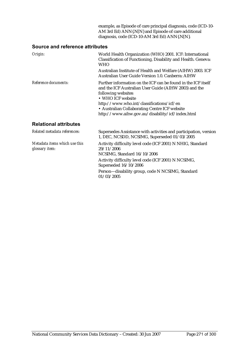example, as Episode of care principal diagnosis, code (ICD-10- AM 3rd Ed) ANN{.N[N} and Episode of care additional diagnosis, code (ICD-10-AM 3rd Ed) ANN{.N[N}.

#### **Source and reference attributes**

| Origin:                                         | World Health Organization (WHO) 2001. ICF: International<br>Classification of Functioning, Disability and Health. Geneva:<br><b>WHO</b>                                                                                                                                                                             |
|-------------------------------------------------|---------------------------------------------------------------------------------------------------------------------------------------------------------------------------------------------------------------------------------------------------------------------------------------------------------------------|
|                                                 | Australian Institute of Health and Welfare (AIHW) 2003. ICF<br>Australian User Guide Version 1.0. Canberra: AIHW                                                                                                                                                                                                    |
| Reference documents:                            | Further information on the ICF can be found in the ICF itself<br>and the ICF Australian User Guide (AIHW 2003) and the<br>following websites<br>• WHO ICF website<br>http://www.who.int/classifications/icf/en<br>• Australian Collaborating Centre ICF website<br>http://www.aihw.gov.au/disability/icf/index.html |
| <b>Relational attributes</b>                    |                                                                                                                                                                                                                                                                                                                     |
| Related metadata references:                    | Supersedes Assistance with activities and participation, version<br>1, DEC, NCSDD, NCSIMG, Superseded 01/03/2005                                                                                                                                                                                                    |
| Metadata items which use this<br>glossary item: | Activity difficulty level code (ICF 2001) N NHIG, Standard<br>29/11/2006                                                                                                                                                                                                                                            |

*glossary item:*

NCSIMG, Standard 16/10/2006 Activity difficulty level code (ICF 2001) N NCSIMG, Superseded 16/10/2006

Person—disability group, code N NCSIMG, Standard 01/03/2005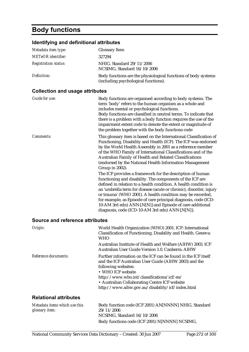# **Body functions**

## **Identifying and definitional attributes**

| Metadata item type:         | <b>Glossary Item</b>                                                                                   |
|-----------------------------|--------------------------------------------------------------------------------------------------------|
| <b>METeOR</b> identifier:   | 327294                                                                                                 |
| <b>Registration status:</b> | NHIG, Standard 29/11/2006<br>NCSIMG, Standard 16/10/2006                                               |
| Definition:                 | Body functions are the physiological functions of body systems<br>(including psychological functions). |

## **Collection and usage attributes**

| Guide for use:                         | Body functions are organised according to body systems. The<br>term 'body' refers to the human organism as a whole and<br>includes mental or psychological functions.<br>Body functions are classified in neutral terms. To indicate that<br>there is a problem with a body function requires the use of the<br>impairment extent code to denote the extent or magnitude of<br>the problem together with the body functions code                                                                                                                                                                                                                                                                                                                                                                                                                                                                                                 |
|----------------------------------------|----------------------------------------------------------------------------------------------------------------------------------------------------------------------------------------------------------------------------------------------------------------------------------------------------------------------------------------------------------------------------------------------------------------------------------------------------------------------------------------------------------------------------------------------------------------------------------------------------------------------------------------------------------------------------------------------------------------------------------------------------------------------------------------------------------------------------------------------------------------------------------------------------------------------------------|
| Comments:                              | This glossary item is based on the International Classification of<br>Functioning, Disability and Health (ICF). The ICF was endorsed<br>by the World Health Assembly in 2001 as a reference member<br>of the WHO Family of International Classifications and of the<br>Australian Family of Health and Related Classifications<br>(endorsed by the National Health Information Management<br>Group in 2002).<br>The ICF provides a framework for the description of human<br>functioning and disability. The components of the ICF are<br>defined in relation to a health condition. A health condition is<br>an 'umbrella term for disease (acute or chronic), disorder, injury<br>or trauma' (WHO 2001). A health condition may be recorded,<br>for example, as Episode of care principal diagnosis, code (ICD-<br>10-AM 3rd edn) ANN{.N[N]} and Episode of care additional<br>diagnosis, code (ICD-10-AM 3rd edn) ANN{.N[N]}. |
| <b>Source and reference attributes</b> |                                                                                                                                                                                                                                                                                                                                                                                                                                                                                                                                                                                                                                                                                                                                                                                                                                                                                                                                  |
| Origin:                                | World Health Organization (WHO) 2001. ICF: International<br>Classification of Functioning, Disability and Health. Geneva:<br><b>WHO</b>                                                                                                                                                                                                                                                                                                                                                                                                                                                                                                                                                                                                                                                                                                                                                                                          |
|                                        | Australian Institute of Health and Welfare (AIHW) 2003. ICF<br>Australian User Guide Version 1.0. Canberra: AIHW                                                                                                                                                                                                                                                                                                                                                                                                                                                                                                                                                                                                                                                                                                                                                                                                                 |
| Reference documents:                   | Further information on the ICF can be found in the ICF itself<br>and the ICF Australian User Guide (AIHW 2003) and the<br>following websites:<br>• WHO ICF website<br>http://www.who.int/classifications/icf/en/<br>• Australian Collaborating Centre ICF website<br>http://www.aihw.gov.au/disability/icf/index.html                                                                                                                                                                                                                                                                                                                                                                                                                                                                                                                                                                                                            |
| <b>Relational attributes</b>           |                                                                                                                                                                                                                                                                                                                                                                                                                                                                                                                                                                                                                                                                                                                                                                                                                                                                                                                                  |

| Metadata items which use this | Body function code (ICF 2001) AN[NNNN] NHIG, Standard |
|-------------------------------|-------------------------------------------------------|
| glossary item:                | 29/11/2006                                            |
|                               | NCSIMG, Standard 16/10/2006                           |
|                               | Body functions code (ICF 2001) N[NNNN] NCSIMG,        |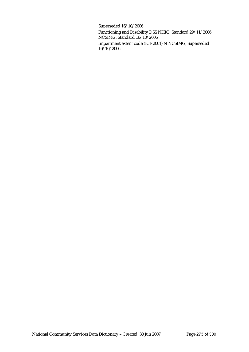Superseded 16/10/2006

Functioning and Disability DSS NHIG, Standard 29/11/2006 NCSIMG, Standard 16/10/2006

Impairment extent code (ICF 2001) N NCSIMG, Superseded 16/10/2006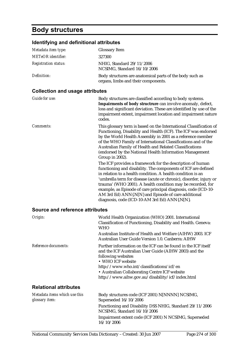## **Body structures**

#### **Identifying and definitional attributes**

| Metadata item type:         | <b>Glossary Item</b>                                                                            |
|-----------------------------|-------------------------------------------------------------------------------------------------|
| <b>METeOR</b> identifier:   | 327300                                                                                          |
| <b>Registration status:</b> | NHIG, Standard 29/11/2006<br>NCSIMG, Standard 16/10/2006                                        |
| Definition:                 | Body structures are anatomical parts of the body such as<br>organs, limbs and their components. |

#### **Collection and usage attributes**

| Guide for use:                  | Body structures are classified according to body systems.<br>Impairments of body structrure can involve anomaly, defect,<br>loss and significant deviation. These are identified by use of the<br>impairment extent, impairment location and impairment nature<br>codes.                                                                                                                                                                                                                                                                                                                                                                                                                                                                                                                                                                                                                                                 |
|---------------------------------|--------------------------------------------------------------------------------------------------------------------------------------------------------------------------------------------------------------------------------------------------------------------------------------------------------------------------------------------------------------------------------------------------------------------------------------------------------------------------------------------------------------------------------------------------------------------------------------------------------------------------------------------------------------------------------------------------------------------------------------------------------------------------------------------------------------------------------------------------------------------------------------------------------------------------|
| Comments:                       | This glossary term is based on the International Classification of<br>Functioning, Disability and Health (ICF). The ICF was endorsed<br>by the World Health Assembly in 2001 as a reference member<br>of the WHO Family of International Classifications and of the<br>Australian Family of Health and Related Classifications<br>(endorsed by the National Health Information Management<br>Group in 2002).<br>The ICF provides a framework for the description of human<br>functioning and disability. The components of ICF are defined<br>in relation to a health condition. A health condition is an<br>'umbrella term for disease (acute or chronic), disorder, injury or<br>trauma' (WHO 2001). A health condition may be recorded, for<br>example, as Episode of care principal diagnosis, code (ICD-10-<br>AM 3rd Ed) ANN{.N[N} and Episode of care additional<br>diagnosis, code (ICD-10-AM 3rd Ed) ANN{.N[N}. |
| Source and reference attributes |                                                                                                                                                                                                                                                                                                                                                                                                                                                                                                                                                                                                                                                                                                                                                                                                                                                                                                                          |
| Origin:                         | World Health Organization (WHO) 2001. International<br>Classification of Functioning, Disability and Health. Geneva:<br><b>WHO</b>                                                                                                                                                                                                                                                                                                                                                                                                                                                                                                                                                                                                                                                                                                                                                                                       |
|                                 | Australian Institute of Health and Welfare (AIHW) 2003. ICF                                                                                                                                                                                                                                                                                                                                                                                                                                                                                                                                                                                                                                                                                                                                                                                                                                                              |

*Reference documents:* 

| Further information on the ICF can be found in the ICF itself |
|---------------------------------------------------------------|
| and the ICF Australian User Guide (AIHW 2003) and the         |
| following websites                                            |
| • WHO ICF website                                             |
|                                                               |

Australian User Guide Version 1.0. Canberra: AIHW

http://www.who.int/classifications/icf/en • Australian Collaborating Centre ICF website http://www.aihw.gov.au/disability/icf/index.html

| Metadata items which use this | Body structures code (ICF 2001) N[NNNN] NCSIMG,                                         |
|-------------------------------|-----------------------------------------------------------------------------------------|
| glossary item:                | Superseded 16/10/2006                                                                   |
|                               | Functioning and Disability DSS NHIG, Standard 29/11/2006<br>NCSIMG, Standard 16/10/2006 |
|                               | Impairment extent code (ICF 2001) N NCSIMG, Superseded<br>16/10/2006                    |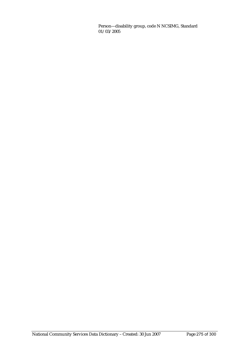Person—disability group, code N NCSIMG, Standard 01/03/2005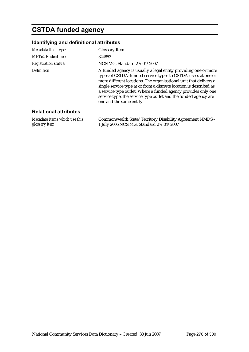# **CSTDA funded agency**

### **Identifying and definitional attributes**

| Metadata item type:         | <b>Glossary Item</b>                                                                                                                                                                                                                                                                                                                                                                                                                        |
|-----------------------------|---------------------------------------------------------------------------------------------------------------------------------------------------------------------------------------------------------------------------------------------------------------------------------------------------------------------------------------------------------------------------------------------------------------------------------------------|
| <b>METeOR</b> identifier:   | 344853                                                                                                                                                                                                                                                                                                                                                                                                                                      |
| <b>Registration status:</b> | NCSIMG, Standard 27/04/2007                                                                                                                                                                                                                                                                                                                                                                                                                 |
| Definition:                 | A funded agency is usually a legal entity providing one or more<br>types of CSTDA-funded service types to CSTDA users at one or<br>more different locations. The organisational unit that delivers a<br>single service type at or from a discrete location is described as<br>a service type outlet. Where a funded agency provides only one<br>service type, the service type outlet and the funded agency are<br>one and the same entity. |

#### **Relational attributes**

*Metadata items which use this glossary item:* Commonwealth State/Territory Disability Agreement NMDS - 1 July 2006 NCSIMG, Standard 27/04/2007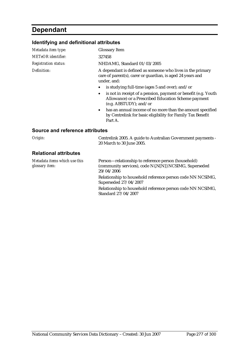## **Dependant**

## **Identifying and definitional attributes**

| Metadata item type:                    | <b>Glossary Item</b>                                                                                                                            |
|----------------------------------------|-------------------------------------------------------------------------------------------------------------------------------------------------|
| METeOR identifier:                     | 327458                                                                                                                                          |
| <i><b>Registration status:</b></i>     | NHDAMG, Standard 01/03/2005                                                                                                                     |
| Definition:                            | A dependant is defined as someone who lives in the primary<br>care of parent(s), carer or guardian, is aged 24 years and<br>under, and:         |
|                                        | is studying full-time (ages 5 and over); and/or                                                                                                 |
|                                        | is not in receipt of a pension, payment or benefit (e.g. Youth<br>Allowance) or a Prescribed Education Scheme payment<br>(e.g. ABSTUDY); and/or |
|                                        | has an annual income of no more than the amount specified<br>$\bullet$<br>by Centrelink for basic eligibility for Family Tax Benefit<br>Part A. |
| <b>Source and reference attributes</b> |                                                                                                                                                 |

*Origin:* Centrelink 2005. A guide to Australian Government payments - 20 March to 30 June 2005.

| Metadata items which use this<br>glossary item: | Person—relationship to reference person (household)<br>(community services), code N{.N[N]} NCSIMG, Superseded<br>29/04/2006 |
|-------------------------------------------------|-----------------------------------------------------------------------------------------------------------------------------|
|                                                 | Relationship to household reference person code NN NCSIMG,<br>Superseded 27/04/2007                                         |
|                                                 | Relationship to household reference person code NN NCSIMG,<br>Standard 27/04/2007                                           |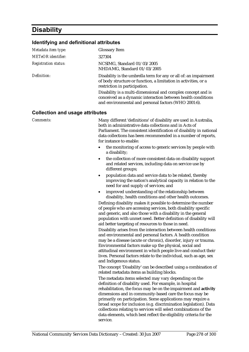## **Disability**

#### **Identifying and definitional attributes**

| <b>Glossary Item</b>                                                                                                                                                                 |
|--------------------------------------------------------------------------------------------------------------------------------------------------------------------------------------|
| 327304                                                                                                                                                                               |
| NCSIMG, Standard 01/03/2005<br>NHDAMG, Standard 01/03/2005                                                                                                                           |
| Disability is the umbrella term for any or all of: an impairment<br>of body structure or function, a limitation in activities, or a<br>restriction in participation.                 |
| Disability is a multi-dimensional and complex concept and is<br>conceived as a dynamic interaction between health conditions<br>and environmental and personal factors (WHO 2001:6). |
|                                                                                                                                                                                      |

#### **Collection and usage attributes**

*Comments:* Many different 'definitions' of disability are used in Australia, both in administrative data collections and in Acts of Parliament. The consistent identification of disability in national data collections has been recommended in a number of reports, for instance to enable:

- the monitoring of access to generic services by people with a disability;
- the collection of more consistent data on disability support and related services, including data on service use by different groups;
- population data and service data to be related, thereby improving the nation's analytical capacity in relation to the need for and supply of services; and
- improved understanding of the relationship between disability, health conditions and other health outcomes.

Defining disability makes it possible to determine the number of people who are accessing services, both disability specific and generic, and also those with a disability in the general population with unmet need. Better definition of disability will aid better targeting of resources to those in need.

Disability arises from the interaction between health conditions and environmental and personal factors. A health condition may be a disease (acute or chronic), disorder, injury or trauma. Environmental factors make up the physical, social and attitudinal environment in which people live and conduct their lives. Personal factors relate to the individual, such as age, sex and Indigenous status.

The concept 'Disability' can be described using a combination of related metadata items as building blocks.

The metadata items selected may vary depending on the definition of disability used. For example, in hospital rehabilitation, the focus may be on the impairment and **activity** dimensions and in community-based care the focus may be primarily on participation. Some applications may require a broad scope for inclusion (e.g. discrimination legislation). Data collections relating to services will select combinations of the data elements, which best reflect the eligibility criteria for the service.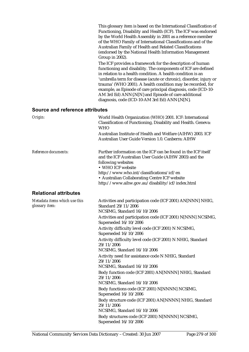| This glossary item is based on the International Classification of |
|--------------------------------------------------------------------|
| Functioning, Disability and Health (ICF). The ICF was endorsed     |
| by the World Health Assembly in 2001 as a reference member         |
| of the WHO Family of International Classifications and of the      |
| Australian Family of Health and Related Classifications            |
| (endorsed by the National Health Information Management)           |
| Group in 2002).                                                    |
| The ICF provides a framework for the description of human          |
| functioning and disability. The components of ICF are defined      |

functioning and disability. The components of ICF are defined in relation to a health condition. A health condition is an 'umbrella term for disease (acute or chronic), disorder, injury or trauma' (WHO 2001). A health condition may be recorded, for example, as Episode of care principal diagnosis, code (ICD-10- AM 3rd Ed) ANN{.N[N} and Episode of care additional diagnosis, code (ICD-10-AM 3rd Ed) ANN{.N[N}.

| Origin:                                         | World Health Organization (WHO) 2001. ICF: International<br>Classification of Functioning, Disability and Health. Geneva:<br>WHO<br>Australian Institute of Health and Welfare (AIHW) 2003. ICF<br>Australian User Guide Version 1.0. Canberra: AIHW                                                                |
|-------------------------------------------------|---------------------------------------------------------------------------------------------------------------------------------------------------------------------------------------------------------------------------------------------------------------------------------------------------------------------|
| Reference documents:                            | Further information on the ICF can be found in the ICF itself<br>and the ICF Australian User Guide (AIHW 2003) and the<br>following websites<br>• WHO ICF website<br>http://www.who.int/classifications/icf/en<br>• Australian Collaborating Centre ICF website<br>http://www.aihw.gov.au/disability/icf/index.html |
| <b>Relational attributes</b>                    |                                                                                                                                                                                                                                                                                                                     |
| Metadata items which use this<br>glossary item: | Activities and participation code (ICF 2001) AN[NNN] NHIG,<br>Standard 29/11/2006<br>NCSIMG, Standard 16/10/2006<br>Activities and participation code (ICF 2001) N[NNN] NCSIMG,<br>Superseded 16/10/2006                                                                                                            |
|                                                 | Activity difficulty level code (ICF 2001) N NCSIMG,<br>Superseded 16/10/2006                                                                                                                                                                                                                                        |
|                                                 | Activity difficulty level code (ICF 2001) N NHIG, Standard<br>29/11/2006<br>NCSIMG, Standard 16/10/2006                                                                                                                                                                                                             |
|                                                 | Activity need for assistance code N NHIG, Standard<br>29/11/2006<br>NCSIMG, Standard 16/10/2006                                                                                                                                                                                                                     |
|                                                 | Body function code (ICF 2001) AN[NNNN] NHIG, Standard<br>29/11/2006<br>NCSIMG, Standard 16/10/2006                                                                                                                                                                                                                  |
|                                                 | Body functions code (ICF 2001) N[NNNN] NCSIMG,<br>Superseded 16/10/2006                                                                                                                                                                                                                                             |
|                                                 | Body structure code (ICF 2001) AN[NNNN] NHIG, Standard<br>29/11/2006<br>NCSIMG, Standard 16/10/2006                                                                                                                                                                                                                 |
|                                                 | Body structures code (ICF 2001) N[NNNN] NCSIMG,<br>Superseded 16/10/2006                                                                                                                                                                                                                                            |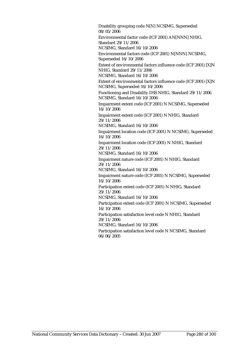Disability grouping code N[N] NCSIMG, Superseded 08/05/2006

Environmental factor code (ICF 2001) AN[NNN] NHIG, Standard 29/11/2006 NCSIMG, Standard 16/10/2006

Environmental factors code (ICF 2001) N[NNN] NCSIMG, Superseded 16/10/2006

Extent of environmental factors influence code (ICF 2001) [X]N NHIG, Standard 29/11/2006 NCSIMG, Standard 16/10/2006

Extent of environmental factors influence code (ICF 2001) [X]N NCSIMG, Superseded 16/10/2006

Functioning and Disability DSS NHIG, Standard 29/11/2006 NCSIMG, Standard 16/10/2006

Impairment extent code (ICF 2001) N NCSIMG, Superseded 16/10/2006

Impairment extent code (ICF 2001) N NHIG, Standard 29/11/2006

NCSIMG, Standard 16/10/2006

Impairment location code (ICF 2001) N NCSIMG, Superseded 16/10/2006

Impairment location code (ICF 2001) N NHIG, Standard 29/11/2006

NCSIMG, Standard 16/10/2006

Impairment nature code (ICF 2001) N NHIG, Standard  $29/11/2006$ 

NCSIMG, Standard 16/10/2006

Impairment nature code (ICF 2001) N NCSIMG, Superseded 16/10/2006

Participation extent code (ICF 2001) N NHIG, Standard 29/11/2006

NCSIMG, Standard 16/10/2006

Participation extent code (ICF 2001) N NCSIMG, Superseded 16/10/2006

Participation satisfaction level code N NHIG, Standard 29/11/2006

NCSIMG, Standard 16/10/2006

Participation satisfaction level code N NCSIMG, Standard 06/06/2005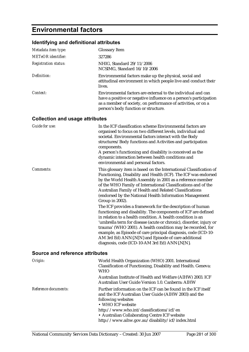# **Environmental factors**

## **Identifying and definitional attributes**

| Metadata item type:         | <b>Glossary Item</b>                                                                                                                                                                                                                       |
|-----------------------------|--------------------------------------------------------------------------------------------------------------------------------------------------------------------------------------------------------------------------------------------|
| METeOR identifier:          | 327286                                                                                                                                                                                                                                     |
| <b>Registration status:</b> | NHIG, Standard 29/11/2006<br>NCSIMG, Standard 16/10/2006                                                                                                                                                                                   |
| Definition:                 | Environmental factors make up the physical, social and<br>attitudinal environment in which people live and conduct their<br>lives.                                                                                                         |
| Context:                    | Environmental factors are external to the individual and can<br>have a positive or negative influence on a person's participation<br>as a member of society, on performance of activities, or on a<br>person's body function or structure. |

### **Collection and usage attributes**

| Guide for use: | In the ICF classification scheme Environmental factors are<br>organised to focus on two different levels, individual and<br>societal. Environmental factors interact with the Body<br>structures/Body functions and Activities and participation<br>components.<br>A person's functioning and disability is conceived as the<br>dynamic interaction between health conditions and<br>environmental and personal factors.                                                                                 |
|----------------|----------------------------------------------------------------------------------------------------------------------------------------------------------------------------------------------------------------------------------------------------------------------------------------------------------------------------------------------------------------------------------------------------------------------------------------------------------------------------------------------------------|
| Comments:      | This glossary item is based on the International Classification of<br>Functioning, Disability and Health (ICF). The ICF was endorsed<br>by the World Health Assembly in 2001 as a reference member<br>of the WHO Family of International Classifications and of the<br>Australian Family of Health and Related Classifications<br>(endorsed by the National Health Information Management<br>Group in 2002).                                                                                             |
|                | The ICF provides a framework for the description of human<br>functioning and disability. The components of ICF are defined<br>in relation to a health condition. A health condition is an<br>'umbrella term for disease (acute or chronic), disorder, injury or<br>trauma' (WHO 2001). A health condition may be recorded, for<br>example, as Episode of care principal diagnosis, code (ICD-10-<br>AM 3rd Ed) ANN{.N[N} and Episode of care additional<br>diagnosis, code (ICD-10-AM 3rd Ed) ANN{.N[N}. |

| Origin:              | World Health Organization (WHO) 2001. International<br>Classification of Functioning, Disability and Health. Geneva:<br><b>WHO</b>                                                                                                                                                                                  |
|----------------------|---------------------------------------------------------------------------------------------------------------------------------------------------------------------------------------------------------------------------------------------------------------------------------------------------------------------|
|                      | Australian Institute of Health and Welfare (AIHW) 2003. ICF<br>Australian User Guide Version 1.0. Canberra: AIHW                                                                                                                                                                                                    |
| Reference documents: | Further information on the ICF can be found in the ICF itself<br>and the ICF Australian User Guide (AIHW 2003) and the<br>following websites<br>• WHO ICF website<br>http://www.who.int/classifications/icf/en<br>• Australian Collaborating Centre ICF website<br>http://www.aihw.gov.au/disability/icf/index.html |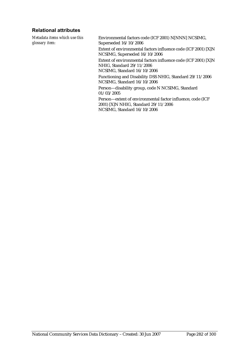#### **Relational attributes**

*Metadata items which use this glossary item:*

Environmental factors code (ICF 2001) N[NNN] NCSIMG, Superseded 16/10/2006 Extent of environmental factors influence code (ICF 2001) [X]N NCSIMG, Superseded 16/10/2006 Extent of environmental factors influence code (ICF 2001) [X]N NHIG, Standard 29/11/2006 NCSIMG, Standard 16/10/2006 Functioning and Disability DSS NHIG, Standard 29/11/2006 NCSIMG, Standard 16/10/2006 Person—disability group, code N NCSIMG, Standard 01/03/2005 Person—extent of environmental factor influence, code (ICF

2001) [X]N NHIG, Standard 29/11/2006 NCSIMG, Standard 16/10/2006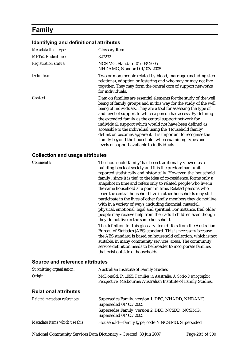## **Family**

#### **Identifying and definitional attributes**

| Metadata item type:         | <b>Glossary Item</b>                                                                                                                                                                                                                                                                                                                                                                                                                                                                                                                                                                                                                    |
|-----------------------------|-----------------------------------------------------------------------------------------------------------------------------------------------------------------------------------------------------------------------------------------------------------------------------------------------------------------------------------------------------------------------------------------------------------------------------------------------------------------------------------------------------------------------------------------------------------------------------------------------------------------------------------------|
| METeOR identifier:          | 327232                                                                                                                                                                                                                                                                                                                                                                                                                                                                                                                                                                                                                                  |
| <b>Registration status:</b> | NCSIMG, Standard 01/03/2005<br>NHDAMG, Standard 01/03/2005                                                                                                                                                                                                                                                                                                                                                                                                                                                                                                                                                                              |
| Definition:                 | Two or more people related by blood, marriage (including step-<br>relations), adoption or fostering and who may or may not live<br>together. They may form the central core of support networks<br>for individuals.                                                                                                                                                                                                                                                                                                                                                                                                                     |
| Context:                    | Data on families are essential elements for the study of the well<br>being of family groups and in this way for the study of the well<br>being of individuals. They are a tool for assessing the type of<br>and level of support to which a person has access. By defining<br>the extended family as the central support network for<br>individual, support which would not have been defined as<br>accessible to the individual using the 'Household family'<br>definition becomes apparent. It is important to recognise the<br>'family beyond the household' when examining types and<br>levels of support available to individuals. |

#### **Collection and usage attributes**

*Comments:* The 'household family' has been traditionally viewed as a building block of society and it is the predominant unit reported statistically and historically. However, the 'household family', since it is tied to the idea of co-residence, forms only a snapshot in time and refers only to related people who live in the same household at a point in time. Related persons who leave the central household live in other households may still participate in the lives of other family members they do not live with in a variety of ways, including financial, material, physical, emotional, legal and spiritual. For instance, frail older people may receive help from their adult children even though they do not live in the same household. The definition for this glossary item differs from the Australian Bureau of Statistics (ABS) standard. This is necessary because the ABS standard is based on household collection, which is not suitable, in many community services' areas. The community service definition needs to be broader to incorporate families that exist outside of households.

| Submitting organisation:      | <b>Australian Institute of Family Studies</b>                                                                                    |
|-------------------------------|----------------------------------------------------------------------------------------------------------------------------------|
| Origin:                       | McDonald, P. 1995. Families in Australia: A Socio-Demographic<br>Perspective. Melbourne: Australian Institute of Family Studies. |
| <b>Relational attributes</b>  |                                                                                                                                  |
| Related metadata references:  | Supersedes Family, version 1, DEC, NHADD, NHDAMG,<br>Superseded 01/03/2005                                                       |
|                               | Supersedes Family, version 2, DEC, NCSDD, NCSIMG,<br>Superseded 01/03/2005                                                       |
| Metadata items which use this | Household-family type, code N NCSIMG, Superseded                                                                                 |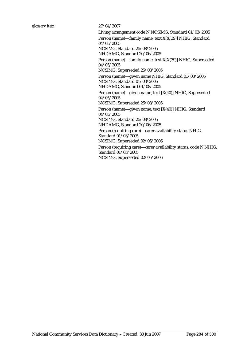Living arrangement code N NCSIMG, Standard 01/03/2005 Person (name)—family name, text X[X(39)] NHIG, Standard 04/05/2005 NCSIMG, Standard 25/08/2005 NHDAMG, Standard 20/06/2005 Person (name)—family name, text X[X(39)] NHIG, Superseded 04/05/2005 NCSIMG, Superseded 25/08/2005 Person (name)—given name NHIG, Standard 01/03/2005 NCSIMG, Standard 01/03/2005 NHDAMG, Standard 01/08/2005 Person (name)—given name, text [X(40)] NHIG, Superseded 04/05/2005 NCSIMG, Superseded 25/08/2005 Person (name)—given name, text [X(40)] NHIG, Standard 04/05/2005 NCSIMG, Standard 25/08/2005 NHDAMG, Standard 20/06/2005 Person (requiring care)—carer availability status NHIG, Standard 01/03/2005 NCSIMG, Superseded 02/05/2006 Person (requiring care)—carer availability status, code N NHIG, Standard 01/03/2005 NCSIMG, Superseded 02/05/2006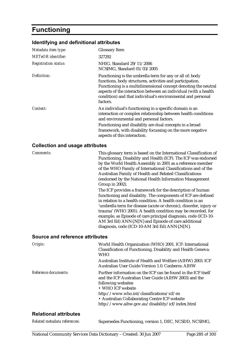# **Functioning**

## **Identifying and definitional attributes**

| Metadata item type:         | <b>Glossary Item</b>                                                                                                                                                                                                                                                                                                                  |
|-----------------------------|---------------------------------------------------------------------------------------------------------------------------------------------------------------------------------------------------------------------------------------------------------------------------------------------------------------------------------------|
| <b>METeOR</b> identifier:   | 327292                                                                                                                                                                                                                                                                                                                                |
| <b>Registration status:</b> | NHIG, Standard 29/11/2006<br>NCSIMG, Standard 01/03/2005                                                                                                                                                                                                                                                                              |
| Definition:                 | Functioning is the umbrella term for any or all of: body<br>functions, body structures, activities and participation.<br>Functioning is a multidimensional concept denoting the neutral<br>aspects of the interaction between an individual (with a health<br>condition) and that individual's environmental and personal<br>factors. |
| Context:                    | An individual's functioning in a specific domain is an<br>interaction or complex relationship between health conditions<br>and environmental and personal factors.                                                                                                                                                                    |
|                             | Functioning and disability are dual concepts in a broad<br>framework, with disability focussing on the more negative<br>aspects of this interaction.                                                                                                                                                                                  |

## **Collection and usage attributes**

| Comments: | This glossary term is based on the International Classification of |
|-----------|--------------------------------------------------------------------|
|           | Functioning, Disability and Health (ICF). The ICF was endorsed     |
|           | by the World Health Assembly in 2001 as a reference member         |
|           | of the WHO Family of International Classifications and of the      |
|           | Australian Family of Health and Related Classifications            |
|           | (endorsed by the National Health Information Management            |
|           | Group in $2002$ ).                                                 |
|           | The ICF provides a framework for the description of human          |
|           | functioning and disability. The components of ICF are defined      |
|           | in relation to a health condition. A health condition is an        |
|           | 'umbrella term for disease (acute or chronic), disorder, injury or |
|           | trauma' (WHO 2001). A health condition may be recorded, for        |
|           | example, as Episode of care principal diagnosis, code (ICD-10-     |
|           | AM 3rd Ed) ANN{.N[N} and Episode of care additional                |
|           | diagnosis, code (ICD-10-AM 3rd Ed) ANN{.N[N}.                      |
|           |                                                                    |

#### **Source and reference attributes**

| Origin:              | World Health Organization (WHO) 2001. ICF: International<br>Classification of Functioning, Disability and Health Geneva:<br><b>WHO</b>                                                                                                                                                                              |
|----------------------|---------------------------------------------------------------------------------------------------------------------------------------------------------------------------------------------------------------------------------------------------------------------------------------------------------------------|
|                      | Australian Institute of Health and Welfare (AIHW) 2003. ICF<br>Australian User Guide Version 1.0. Canberra: AIHW                                                                                                                                                                                                    |
| Reference documents: | Further information on the ICF can be found in the ICF itself<br>and the ICF Australian User Guide (AIHW 2003) and the<br>following websites<br>• WHO ICF website<br>http://www.who.int/classifications/icf/en<br>• Australian Collaborating Centre ICF website<br>http://www.aihw.gov.au/disability/icf/index.html |

| Related metadata references: | Supersedes Functioning, version 1, DEC, NCSDD, NCSIMG, |
|------------------------------|--------------------------------------------------------|
|------------------------------|--------------------------------------------------------|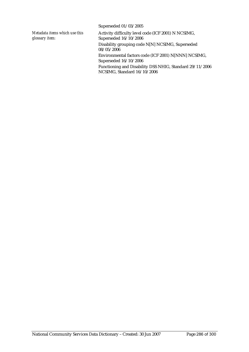Superseded 01/03/2005

*Metadata items which use this glossary item:*

Activity difficulty level code (ICF 2001) N NCSIMG, Superseded 16/10/2006 Disability grouping code N[N] NCSIMG, Superseded 08/05/2006 Environmental factors code (ICF 2001) N[NNN] NCSIMG, Superseded 16/10/2006 Functioning and Disability DSS NHIG, Standard 29/11/2006 NCSIMG, Standard 16/10/2006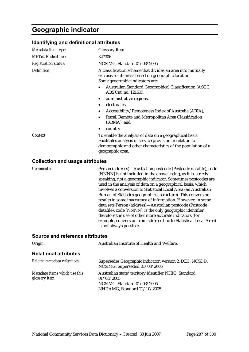## **Geographic indicator**

#### **Identifying and definitional attributes**

| Metadata item type:         | <b>Glossary Item</b>                                                                                                                                                                                    |
|-----------------------------|---------------------------------------------------------------------------------------------------------------------------------------------------------------------------------------------------------|
| METeOR identifier:          | 327306                                                                                                                                                                                                  |
| <b>Registration status:</b> | NCSIMG, Standard 01/03/2005                                                                                                                                                                             |
| Definition:                 | A classification scheme that divides an area into mutually<br>exclusive sub-areas based on geographic location.<br>Some geographic indicators are:                                                      |
|                             | Australian Standard Geographical Classification (ASGC,<br>ABS Cat. no. 1216.0),                                                                                                                         |
|                             | administrative regions,                                                                                                                                                                                 |
|                             | electorates,                                                                                                                                                                                            |
|                             | Accessibility/Remoteness Index of Australia (ARIA),                                                                                                                                                     |
|                             | Rural, Remote and Metropolitan Area Classification<br>(RRMA), and                                                                                                                                       |
|                             | country.<br>٠                                                                                                                                                                                           |
| Context:                    | To enable the analysis of data on a geographical basis.<br>Facilitates analysis of service provision in relation to<br>demographic and other characteristics of the population of a<br>geographic area. |
|                             |                                                                                                                                                                                                         |

#### **Collection and usage attributes**

*Comments:* Person (address)—Australian postcode (Postcode datafile), code [NNNN] is not included in the above listing, as it is, strictly speaking, not a geographic indicator. Sometimes postcodes are used in the analysis of data on a geographical basis, which involves a conversion to Statistical Local Area (an Australian Bureau of Statistics geographical structure). This conversion results in some inaccuracy of information. However, in some data sets Person (address)—Australian postcode (Postcode datafile), code [NNNN]; is the only geographic identifier, therefore the use of other more accurate indicators (for example, conversion from address line to Statistical Local Area) is not always possible.

| Origin:                                         | Australian Institute of Health and Welfare.                                                                                      |
|-------------------------------------------------|----------------------------------------------------------------------------------------------------------------------------------|
| <b>Relational attributes</b>                    |                                                                                                                                  |
| Related metadata references:                    | Supersedes Geographic indicator, version 2, DEC, NCSDD,<br>NCSIMG, Superseded 01/03/2005                                         |
| Metadata items which use this<br>glossary item: | Australian state/territory identifier NHIG, Standard<br>01/03/2005<br>NCSIMG, Standard 01/03/2005<br>NHDAMG, Standard 22/10/2005 |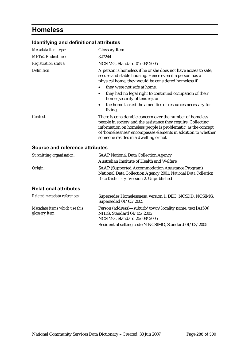# **Homeless**

## **Identifying and definitional attributes**

| Metadata item type:         | <b>Glossary Item</b>                                                                                                                                                                                                                                                                                                                                                                               |
|-----------------------------|----------------------------------------------------------------------------------------------------------------------------------------------------------------------------------------------------------------------------------------------------------------------------------------------------------------------------------------------------------------------------------------------------|
| <b>METeOR</b> identifier:   | 327244                                                                                                                                                                                                                                                                                                                                                                                             |
| <b>Registration status:</b> | NCSIMG, Standard 01/03/2005                                                                                                                                                                                                                                                                                                                                                                        |
| Definition:                 | A person is homeless if he or she does not have access to safe,<br>secure and stable housing. Hence even if a person has a<br>physical home, they would be considered homeless if:<br>they were not safe at home,<br>they had no legal right to continued occupation of their<br>home (security of tenure), or<br>the home lacked the amenities or resources necessary for<br>$\bullet$<br>living. |
| Context:                    | There is considerable concern over the number of homeless<br>people in society and the assistance they require. Collecting<br>information on homeless people is problematic, as the concept<br>of 'homelessness' encompasses elements in addition to whether,<br>someone resides in a dwelling or not.                                                                                             |

| Submitting organisation:                                | <b>SAAP National Data Collection Agency</b>                                                                                                                           |
|---------------------------------------------------------|-----------------------------------------------------------------------------------------------------------------------------------------------------------------------|
|                                                         | Australian Institute of Health and Welfare                                                                                                                            |
| Origin:                                                 | <b>SAAP (Supported Accommodation Assistance Program)</b><br>National Data Collection Agency 2001. National Data Collection<br>Data Dictionary. Version 2. Unpublished |
| <b>Relational attributes</b>                            |                                                                                                                                                                       |
| Related metadata references:                            | Supersedes Homelessness, version 1, DEC, NCSDD, NCSIMG,<br>Superseded 01/03/2005                                                                                      |
| Metadata items which use this<br>glossary <i>item</i> : | Person (address)—suburb/town/locality name, text [A(50)]<br>NHIG, Standard 04/05/2005<br>NCSIMG, Standard 25/08/2005                                                  |
|                                                         | Residential setting code N NCSIMG, Standard 01/03/2005                                                                                                                |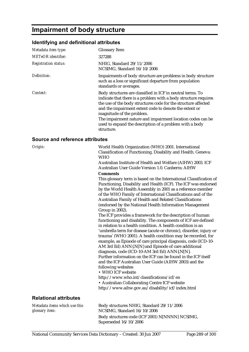## **Impairment of body structure**

### **Identifying and definitional attributes**

| Metadata item type:             | <b>Glossary Item</b>                                                                                                                                                                                                                                                                                                                                                                                                          |  |
|---------------------------------|-------------------------------------------------------------------------------------------------------------------------------------------------------------------------------------------------------------------------------------------------------------------------------------------------------------------------------------------------------------------------------------------------------------------------------|--|
| <b>METeOR</b> identifier:       | 327288                                                                                                                                                                                                                                                                                                                                                                                                                        |  |
| <b>Registration status:</b>     | NHIG, Standard 29/11/2006<br>NCSIMG, Standard 16/10/2006                                                                                                                                                                                                                                                                                                                                                                      |  |
| Definition:                     | Impairments of body structure are problems in body structure<br>such as a loss or significant departure from population<br>standards or averages.                                                                                                                                                                                                                                                                             |  |
| Context:                        | Body structures are classified in ICF in neutral terms. To<br>indicate that there is a problem with a body structure requires<br>the use of the body structures code for the structure affected<br>and the impairment extent code to denote the extent or<br>magnitude of the problem.<br>The impairment nature and impairment location codes can be<br>used to expand the description of a problem with a body<br>structure. |  |
| Source and reference attributes |                                                                                                                                                                                                                                                                                                                                                                                                                               |  |
| Origin:                         | World Health Organization (WHO) 2001. International<br>Classification of Functioning, Disability and Health. Geneva:                                                                                                                                                                                                                                                                                                          |  |

WHO Australian Institute of Health and Welfare (AIHW) 2003. ICF Australian User Guide Version 1.0. Canberra: AIHW **Comments**  This glossary term is based on the International Classification of Functioning, Disability and Health (ICF). The ICF was endorsed by the World Health Assembly in 2001 as a reference member of the WHO Family of International Classifications and of the Australian Family of Health and Related Classifications (endorsed by the National Health Information Management Group in 2002).

The ICF provides a framework for the description of human functioning and disability. The components of ICF are defined in relation to a health condition. A health condition is an 'umbrella term for disease (acute or chronic), disorder, injury or trauma' (WHO 2001). A health condition may be recorded, for example, as Episode of care principal diagnosis, code (ICD-10- AM 3rd Ed) ANN{.N[N} and Episode of care additional diagnosis, code (ICD-10-AM 3rd Ed) ANN{.N[N}. Further information on the ICF can be found in the ICF itself and the ICF Australian User Guide (AIHW 2003) and the following websites

• WHO ICF website

http://www.who.int/classifications/icf/en

• Australian Collaborating Centre ICF website http://www.aihw.gov.au/disability/icf/index.html

### **Relational attributes**

*Metadata items which use this glossary item:*

Body structures NHIG, Standard 29/11/2006 NCSIMG, Standard 16/10/2006 Body structures code (ICF 2001) N[NNNN] NCSIMG, Superseded 16/10/2006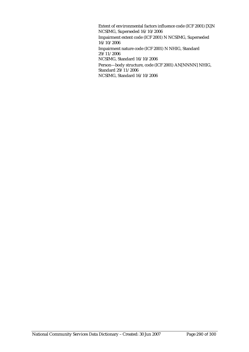Extent of environmental factors influence code (ICF 2001) [X]N NCSIMG, Superseded 16/10/2006 Impairment extent code (ICF 2001) N NCSIMG, Superseded 16/10/2006 Impairment nature code (ICF 2001) N NHIG, Standard 29/11/2006 NCSIMG, Standard 16/10/2006 Person—body structure, code (ICF 2001) AN[NNNN] NHIG, Standard 29/11/2006 NCSIMG, Standard 16/10/2006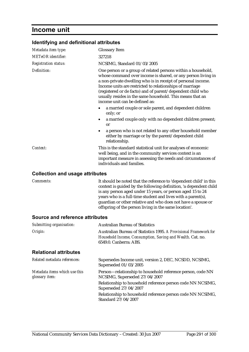## **Income unit**

### **Identifying and definitional attributes**

| Metadata item type:                    | <b>Glossary Item</b>                                                                                                                                                                                                                                                                                                                                                                                                  |
|----------------------------------------|-----------------------------------------------------------------------------------------------------------------------------------------------------------------------------------------------------------------------------------------------------------------------------------------------------------------------------------------------------------------------------------------------------------------------|
| <b>METeOR</b> identifier:              | 327218                                                                                                                                                                                                                                                                                                                                                                                                                |
| <b>Registration status:</b>            | NCSIMG, Standard 01/03/2005                                                                                                                                                                                                                                                                                                                                                                                           |
| Definition:                            | One person or a group of related persons within a household,<br>whose command over income is shared, or any person living in<br>a non-private dwelling who is in receipt of personal income.<br>Income units are restricted to relationships of marriage<br>(registered or de facto) and of parent/dependent child who<br>usually resides in the same household. This means that an<br>income unit can be defined as: |
|                                        | a married couple or sole parent, and dependent children<br>only; or                                                                                                                                                                                                                                                                                                                                                   |
|                                        | a married couple only with no dependent children present;<br>٠<br><b>or</b>                                                                                                                                                                                                                                                                                                                                           |
|                                        | a person who is not related to any other household member<br>either by marriage or by the parent/dependent child<br>relationship.                                                                                                                                                                                                                                                                                     |
| Context:                               | This is the standard statistical unit for analyses of economic<br>well being, and in the community services context is an<br>important measure in assessing the needs and circumstances of<br>individuals and families.                                                                                                                                                                                               |
| <b>Collection and usage attributes</b> |                                                                                                                                                                                                                                                                                                                                                                                                                       |
| Comments:                              | It should be noted that the reference to 'dependent child' in this<br>context is guided by the following definition, 'a dependent child                                                                                                                                                                                                                                                                               |

is any person aged under 15 years, or person aged 15 to 24 years who is a full-time student and lives with a parent(s), guardian or other relative and who does not have a spouse or offspring of the person living in the same location'.

#### **Source and reference attributes**

| <b>Australian Bureau of Statistics</b>                                                                                                                    |  |  |
|-----------------------------------------------------------------------------------------------------------------------------------------------------------|--|--|
| Australian Bureau of Statistics 1995. A Provisional Framework for<br>Household Income, Consumption, Saving and Wealth. Cat. no.<br>6549.0. Canberra: ABS. |  |  |
|                                                                                                                                                           |  |  |
| Supersedes Income unit, version 2, DEC, NCSDD, NCSIMG,<br>Superseded 01/03/2005                                                                           |  |  |
| Person-relationship to household reference person, code NN<br>NCSIMG, Superseded 27/04/2007                                                               |  |  |
| Relationship to household reference person code NN NCSIMG,<br>Superseded 27/04/2007                                                                       |  |  |
| Relationship to household reference person code NN NCSIMG,<br>Standard 27/04/2007                                                                         |  |  |
|                                                                                                                                                           |  |  |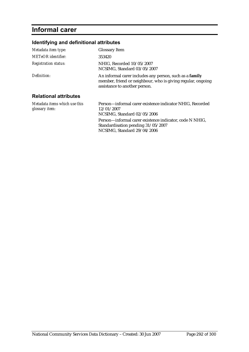# **Informal carer**

### **Identifying and definitional attributes**

| Metadata item type:                             | <b>Glossary Item</b>                                                                                                                                    |  |
|-------------------------------------------------|---------------------------------------------------------------------------------------------------------------------------------------------------------|--|
| METeOR identifier:                              | 353420                                                                                                                                                  |  |
| <b>Registration status:</b>                     | NHIG. Recorded $10/05/2007$<br>NCSIMG, Standard 03/05/2007                                                                                              |  |
| Definition:                                     | An informal carer includes any person, such as a family<br>member, friend or neighbour, who is giving regular, ongoing<br>assistance to another person. |  |
| <b>Relational attributes</b>                    |                                                                                                                                                         |  |
| Metadata items which use this<br>glossary item: | Person-informal carer existence indicator NHIG, Recorded<br>12/01/2007<br>NCSIMG, Standard 02/05/2006                                                   |  |
|                                                 | Person-informal carer existence indicator, code N NHIG,<br>Standardisation pending 31/05/2007                                                           |  |

NCSIMG, Standard 29/04/2006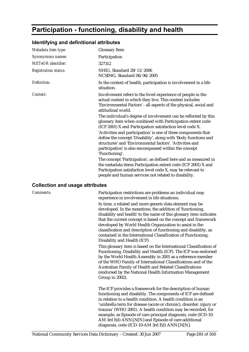# **Participation - functioning, disability and health**

### **Identifying and definitional attributes**

| Metadata item type:         | <b>Glossary Item</b>                                                                                                                                                                                                                                                     |  |  |
|-----------------------------|--------------------------------------------------------------------------------------------------------------------------------------------------------------------------------------------------------------------------------------------------------------------------|--|--|
| Synonymous names:           | Participation                                                                                                                                                                                                                                                            |  |  |
| <b>METeOR</b> identifier:   | 327312                                                                                                                                                                                                                                                                   |  |  |
| <b>Registration status:</b> | NHIG, Standard 29/11/2006<br>NCSIMG, Standard 06/06/2005                                                                                                                                                                                                                 |  |  |
| Definition:                 | In the context of health, participation is involvement in a life<br>situation.                                                                                                                                                                                           |  |  |
| Context:                    | Involvement refers to the lived experience of people in the<br>actual context in which they live. This context includes<br>'Environmental Factors' - all aspects of the physical, social and<br>attitudinal world.                                                       |  |  |
|                             | The individual's degree of involvement can be reflected by this<br>glossary item when combined with Participation extent code<br>(ICF 2001) X and Participation satisfaction level code X.                                                                               |  |  |
|                             | 'Activities and participation' is one of three components that<br>define the concept 'Disability', along with 'Body functions and<br>structures' and 'Environmental factors'. 'Activities and<br>participation' is also encompassed within the concept<br>'Functioning'. |  |  |
|                             | The concept 'Participation', as defined here and as measured in<br>the metadata items Participation extent code (ICF 2001) X and<br>Participation satisfaction level code X, may be relevant to<br>people and human services not related to disability.                  |  |  |

#### **Collection and usage attributes**

| Comments: | Participation restrictions are problems an individual may<br>experience in involvement in life situations.                                                                                                                                                                                                                                                                                                                                                                                               |  |  |
|-----------|----------------------------------------------------------------------------------------------------------------------------------------------------------------------------------------------------------------------------------------------------------------------------------------------------------------------------------------------------------------------------------------------------------------------------------------------------------------------------------------------------------|--|--|
|           | In time, a related and more generic data element may be<br>developed. In the meantime, the addition of 'functioning,<br>disability and health' to the name of this glossary item indicates<br>that the current concept is based on the concept and framework<br>developed by World Health Organization to assist in the<br>classification and description of functioning and disability, as<br>contained in the International Classification of Functioning,<br>Disability and Health (ICF).             |  |  |
|           | This glossary item is based on the International Classification of<br>Functioning, Disability and Health (ICF). The ICF was endorsed<br>by the World Health Assembly in 2001 as a reference member<br>of the WHO Family of International Classifications and of the<br>Australian Family of Health and Related Classifications<br>(endorsed by the National Health Information Management<br>Group in 2002).                                                                                             |  |  |
|           | The ICF provides a framework for the description of human<br>functioning and disability. The components of ICF are defined<br>in relation to a health condition. A health condition is an<br>'umbrella term for disease (acute or chronic), disorder, injury or<br>trauma' (WHO 2001). A health condition may be recorded, for<br>example, as Episode of care principal diagnosis, code (ICD-10-<br>AM 3rd Ed) ANN{.N[N} and Episode of care additional<br>diagnosis, code (ICD-10-AM 3rd Ed) ANN{.N[N}. |  |  |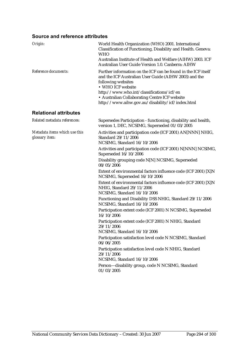### **Source and reference attributes**

| Origin:                                         | World Health Organization (WHO) 2001. International<br>Classification of Functioning, Disability and Health. Geneva:<br><b>WHO</b>                                                                                                                                                                                  |  |  |  |
|-------------------------------------------------|---------------------------------------------------------------------------------------------------------------------------------------------------------------------------------------------------------------------------------------------------------------------------------------------------------------------|--|--|--|
|                                                 | Australian Institute of Health and Welfare (AIHW) 2003. ICF<br>Australian User Guide Version 1.0. Canberra: AIHW                                                                                                                                                                                                    |  |  |  |
| Reference documents:                            | Further information on the ICF can be found in the ICF itself<br>and the ICF Australian User Guide (AIHW 2003) and the<br>following websites<br>• WHO ICF website<br>http://www.who.int/classifications/icf/en<br>• Australian Collaborating Centre ICF website<br>http://www.aihw.gov.au/disability/icf/index.html |  |  |  |
| <b>Relational attributes</b>                    |                                                                                                                                                                                                                                                                                                                     |  |  |  |
| Related metadata references:                    | Supersedes Participation - functioning, disability and health,<br>version 1, DEC, NCSIMG, Superseded 01/03/2005                                                                                                                                                                                                     |  |  |  |
| Metadata items which use this<br>glossary item: | Activities and participation code (ICF 2001) AN[NNN] NHIG,<br>Standard 29/11/2006<br>NCSIMG, Standard 16/10/2006                                                                                                                                                                                                    |  |  |  |
|                                                 | Activities and participation code (ICF 2001) N[NNN] NCSIMG,<br>Superseded 16/10/2006                                                                                                                                                                                                                                |  |  |  |
|                                                 | Disability grouping code N[N] NCSIMG, Superseded<br>08/05/2006                                                                                                                                                                                                                                                      |  |  |  |
|                                                 | Extent of environmental factors influence code (ICF 2001) [X]N<br>NCSIMG, Superseded 16/10/2006                                                                                                                                                                                                                     |  |  |  |
|                                                 | Extent of environmental factors influence code (ICF 2001) [X]N<br>NHIG, Standard 29/11/2006<br>NCSIMG, Standard 16/10/2006                                                                                                                                                                                          |  |  |  |
|                                                 | Functioning and Disability DSS NHIG, Standard 29/11/2006<br>NCSIMG, Standard 16/10/2006                                                                                                                                                                                                                             |  |  |  |
|                                                 | Participation extent code (ICF 2001) N NCSIMG, Superseded<br>16/10/2006                                                                                                                                                                                                                                             |  |  |  |
|                                                 | Participation extent code (ICF 2001) N NHIG, Standard<br>29/11/2006<br>NCSIMG, Standard 16/10/2006                                                                                                                                                                                                                  |  |  |  |
|                                                 | Participation satisfaction level code N NCSIMG, Standard<br>06/06/2005                                                                                                                                                                                                                                              |  |  |  |
|                                                 | Participation satisfaction level code N NHIG, Standard<br>29/11/2006<br>NCSIMG, Standard 16/10/2006                                                                                                                                                                                                                 |  |  |  |
|                                                 | Person-disability group, code N NCSIMG, Standard<br>01/03/2005                                                                                                                                                                                                                                                      |  |  |  |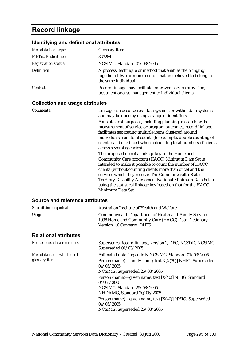# **Record linkage**

## **Identifying and definitional attributes**

| Metadata item type:         | <b>Glossary Item</b>                                                                                                                               |  |  |
|-----------------------------|----------------------------------------------------------------------------------------------------------------------------------------------------|--|--|
| <b>METeOR</b> identifier:   | 327264                                                                                                                                             |  |  |
| <b>Registration status:</b> | NCSIMG, Standard 01/03/2005                                                                                                                        |  |  |
| Definition:                 | A process, technique or method that enables the bringing<br>together of two or more records that are believed to belong to<br>the same individual. |  |  |
| Context:                    | Record linkage may facilitate improved service provision,<br>treatment or case management to individual clients.                                   |  |  |

### **Collection and usage attributes**

| Comments:                       | Linkage can occur across data systems or within data systems<br>and may be done by using a range of identifiers.<br>For statistical purposes, including planning, research or the<br>measurement of service or program outcomes, record linkage<br>facilitates separating multiple items clustered around<br>individuals from total counts (for example, double counting of<br>clients can be reduced when calculating total numbers of clients<br>across several agencies). |  |
|---------------------------------|------------------------------------------------------------------------------------------------------------------------------------------------------------------------------------------------------------------------------------------------------------------------------------------------------------------------------------------------------------------------------------------------------------------------------------------------------------------------------|--|
|                                 | The proposed use of a linkage key in the Home and<br>Community Care program (HACC) Minimum Data Set is<br>intended to make it possible to count the number of HACC<br>clients (without counting clients more than once) and the<br>services which they receive. The Commonwealth-State<br>Territory Disability Agreement National Minimum Data Set is<br>using the statistical linkage key based on that for the HACC<br>Minimum Data Set.                                   |  |
| Source and reference attributes |                                                                                                                                                                                                                                                                                                                                                                                                                                                                              |  |

| Submitting organisation:                        | Australian Institute of Health and Welfare                                                                                                                                                                                                                                                                                                                                       |  |  |
|-------------------------------------------------|----------------------------------------------------------------------------------------------------------------------------------------------------------------------------------------------------------------------------------------------------------------------------------------------------------------------------------------------------------------------------------|--|--|
| Origin:                                         | <b>Commonwealth Department of Health and Family Services</b><br>1998 Home and Community Care (HACC) Data Dictionary<br><b>Version 1.0 Canberra: DHFS</b>                                                                                                                                                                                                                         |  |  |
| <b>Relational attributes</b>                    |                                                                                                                                                                                                                                                                                                                                                                                  |  |  |
| Related metadata references:                    | Supersedes Record linkage, version 2, DEC, NCSDD, NCSIMG,<br>Superseded 01/03/2005                                                                                                                                                                                                                                                                                               |  |  |
| Metadata items which use this<br>glossary item: | Estimated date flag code N NCSIMG, Standard 01/03/2005<br>Person (name)—family name, text X[X(39)] NHIG, Superseded<br>04/05/2005<br>NCSIMG, Superseded 25/08/2005<br>Person (name)—given name, text [X(40)] NHIG, Standard<br>04/05/2005<br>NCSIMG, Standard 25/08/2005<br>NHDAMG, Standard 20/06/2005<br>Person (name)—given name, text [X(40)] NHIG, Superseded<br>04/05/2005 |  |  |
|                                                 | NCSIMG, Superseded 25/08/2005                                                                                                                                                                                                                                                                                                                                                    |  |  |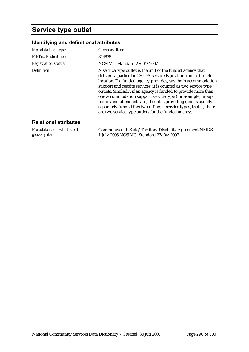# **Service type outlet**

*Metadata items which use this* 

*glossary item:*

### **Identifying and definitional attributes**

| Metadata item type:          | <b>Glossary Item</b>                                                                                                                                                                                                                                                                                                                                                                                                                                                                                                                                                                               |  |  |  |
|------------------------------|----------------------------------------------------------------------------------------------------------------------------------------------------------------------------------------------------------------------------------------------------------------------------------------------------------------------------------------------------------------------------------------------------------------------------------------------------------------------------------------------------------------------------------------------------------------------------------------------------|--|--|--|
| <b>METeOR</b> identifier:    | 344878                                                                                                                                                                                                                                                                                                                                                                                                                                                                                                                                                                                             |  |  |  |
| <b>Registration status:</b>  | NCSIMG, Standard 27/04/2007                                                                                                                                                                                                                                                                                                                                                                                                                                                                                                                                                                        |  |  |  |
| Definition:                  | A service type outlet is the unit of the funded agency that<br>delivers a particular CSTDA service type at or from a discrete<br>location. If a funded agency provides, say, both accommodation<br>support and respite services, it is counted as two service type<br>outlets. Similarly, if an agency is funded to provide more than<br>one accommodation support service type (for example, group<br>homes and attendant care) then it is providing (and is usually<br>separately funded for) two different service types, that is, there<br>are two service type outlets for the funded agency. |  |  |  |
| <b>Relational attributes</b> |                                                                                                                                                                                                                                                                                                                                                                                                                                                                                                                                                                                                    |  |  |  |

Commonwealth State/Territory Disability Agreement NMDS -

1 July 2006 NCSIMG, Standard 27/04/2007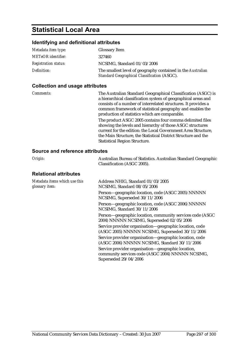## **Statistical Local Area**

#### **Identifying and definitional attributes**

| Metadata item type:         | <b>Glossary Item</b>                                                                                        |
|-----------------------------|-------------------------------------------------------------------------------------------------------------|
| <b>METeOR</b> identifier:   | 327460                                                                                                      |
| <b>Registration status:</b> | NCSIMG, Standard 01/03/2006                                                                                 |
| Definition:                 | The smallest level of geography contained in the Australian<br>Standard Geographical Classification (ASGC). |

#### **Collection and usage attributes**

*Comments:* The Australian Standard Geographical Classification (ASGC) is a hierarchical classification system of geographical areas and consists of a number of interrelated structures. It provides a common framework of statistical geography and enables the production of statistics which are comparable. The product ASGC 2005 contains four comma delimited files showing the levels and hierarchy of those ASGC structures current for the edition: the Local Government Area Structure, the Main Structure, the Statistical District Structure and the Statistical Region Structure.

### **Source and reference attributes**

| Source and reference all ibules                 |                                                                                                                                  |
|-------------------------------------------------|----------------------------------------------------------------------------------------------------------------------------------|
| Origin:                                         | Australian Bureau of Statistics. Australian Standard Geographic<br>Classification (ASGC 2005).                                   |
| <b>Relational attributes</b>                    |                                                                                                                                  |
| Metadata items which use this<br>glossary item: | Address NHIG, Standard 01/03/2005<br>NCSIMG, Standard 08/05/2006                                                                 |
|                                                 | Person—geographic location, code (ASGC 2005) NNNNN<br>NCSIMG, Superseded 30/11/2006                                              |
|                                                 | Person—geographic location, code (ASGC 2006) NNNNN<br>NCSIMG, Standard 30/11/2006                                                |
|                                                 | Person—geographic location, community services code (ASGC)<br>2004) NNNNN NCSIMG, Superseded 02/05/2006                          |
|                                                 | Service provider organisation—geographic location, code<br>(ASGC 2005) NNNNN NCSIMG, Superseded 30/11/2006                       |
|                                                 | Service provider organisation-geographic location, code<br>(ASGC 2006) NNNNN NCSIMG, Standard 30/11/2006                         |
|                                                 | Service provider organisation—geographic location,<br>community services code (ASGC 2004) NNNNN NCSIMG,<br>Superseded 29/04/2006 |
|                                                 |                                                                                                                                  |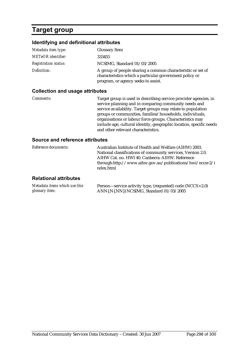# **Target group**

### **Identifying and definitional attributes**

| Metadata item type:         | <b>Glossary Item</b>                                                                                                                                          |
|-----------------------------|---------------------------------------------------------------------------------------------------------------------------------------------------------------|
| <b>METeOR</b> identifier:   | 333455                                                                                                                                                        |
| <b>Registration status:</b> | NCSIMG, Standard $01/03/2005$                                                                                                                                 |
| Definition:                 | A group of people sharing a common characteristic or set of<br>characteristics which a particular government policy or<br>program, or agency seeks to assist. |

### **Collection and usage attributes**

| <i>Comments:</i> | Target group is used in describing service provider agencies, in<br>service planning and in comparing community needs and                                               |
|------------------|-------------------------------------------------------------------------------------------------------------------------------------------------------------------------|
|                  | service availability. Target groups may relate to population<br>groups or communities, families/households, individuals,                                                |
|                  | organisations or labour force groups. Characteristics may<br>include age, cultural identity, geographic location, specific needs<br>and other relevant characteristics. |
|                  |                                                                                                                                                                         |

### **Source and reference attributes**

| Reference documents:   | Australian Institute of Health and Welfare (AIHW) 2003.<br>National classifications of community services, Version 2.0.<br>AIHW Cat. no. HWI 40. Canberra: AIHW. Reference<br>through:http://www.aihw.gov.au/publications/hwi/nccsv2/i<br>ndex.html |
|------------------------|-----------------------------------------------------------------------------------------------------------------------------------------------------------------------------------------------------------------------------------------------------|
| Delettenel etteleriser |                                                                                                                                                                                                                                                     |

### **Relational attributes**

| Metadata items which use this | Person—service activity type, (requested) code (NCCS v2.0) |
|-------------------------------|------------------------------------------------------------|
| glossary item:                | ANN{.N{.NN}} NCSIMG, Standard 01/03/2005                   |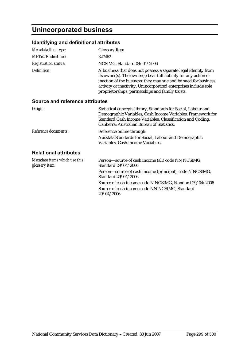# **Unincorporated business**

### **Identifying and definitional attributes**

| Metadata item type:                             | <b>Glossary Item</b>                                                                                                                                                                                                                                                                                                          |
|-------------------------------------------------|-------------------------------------------------------------------------------------------------------------------------------------------------------------------------------------------------------------------------------------------------------------------------------------------------------------------------------|
| <b>METeOR</b> identifier:                       | 327462                                                                                                                                                                                                                                                                                                                        |
| <b>Registration status:</b>                     | NCSIMG, Standard 04/04/2006                                                                                                                                                                                                                                                                                                   |
| Definition:                                     | A business that does not possess a separate legal identity from<br>its owner(s). The owner(s) bear full liability for any action or<br>inaction of the business: they may sue and be sued for business<br>activity or inactivity. Unincorporated enterprises include sole<br>proprietorships, partnerships and family trusts. |
| Source and reference attributes                 |                                                                                                                                                                                                                                                                                                                               |
| Origin:                                         | Statistical concepts library, Standards for Social, Labour and<br>Demographic Variables, Cash Income Variables, Framework for<br>Standard Cash Income Variables, Classification and Coding,<br>Canberra: Australian Bureau of Statistics.                                                                                     |
| Reference documents:                            | Reference online through:                                                                                                                                                                                                                                                                                                     |
|                                                 | Ausstats Standards for Social, Labour and Demographic<br>Variables, Cash Income Variables                                                                                                                                                                                                                                     |
| <b>Relational attributes</b>                    |                                                                                                                                                                                                                                                                                                                               |
| Metadata items which use this<br>glossary item: | Person-source of cash income (all) code NN NCSIMG,<br>Standard 29/04/2006                                                                                                                                                                                                                                                     |
|                                                 | Person-source of cash income (principal), code N NCSIMG,<br>Standard 29/04/2006                                                                                                                                                                                                                                               |
|                                                 | Source of cash income code N NCSIMG, Standard 29/04/2006                                                                                                                                                                                                                                                                      |
|                                                 | Source of cash income code NN NCSIMG, Standard<br>29/04/2006                                                                                                                                                                                                                                                                  |